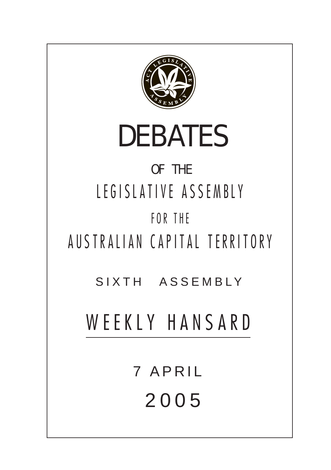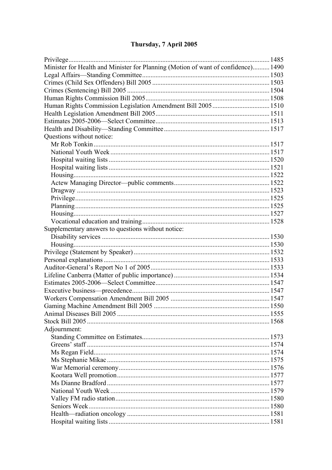# Thursday, 7 April 2005

| Minister for Health and Minister for Planning (Motion of want of confidence) 1490 |  |
|-----------------------------------------------------------------------------------|--|
|                                                                                   |  |
|                                                                                   |  |
|                                                                                   |  |
|                                                                                   |  |
| Human Rights Commission Legislation Amendment Bill 2005  1510                     |  |
|                                                                                   |  |
|                                                                                   |  |
|                                                                                   |  |
| Questions without notice:                                                         |  |
|                                                                                   |  |
|                                                                                   |  |
|                                                                                   |  |
|                                                                                   |  |
|                                                                                   |  |
|                                                                                   |  |
|                                                                                   |  |
|                                                                                   |  |
|                                                                                   |  |
|                                                                                   |  |
|                                                                                   |  |
| Supplementary answers to questions without notice:                                |  |
|                                                                                   |  |
|                                                                                   |  |
|                                                                                   |  |
|                                                                                   |  |
|                                                                                   |  |
|                                                                                   |  |
|                                                                                   |  |
|                                                                                   |  |
|                                                                                   |  |
|                                                                                   |  |
|                                                                                   |  |
|                                                                                   |  |
| Adjournment:                                                                      |  |
|                                                                                   |  |
|                                                                                   |  |
|                                                                                   |  |
|                                                                                   |  |
|                                                                                   |  |
|                                                                                   |  |
|                                                                                   |  |
|                                                                                   |  |
|                                                                                   |  |
|                                                                                   |  |
|                                                                                   |  |
|                                                                                   |  |
|                                                                                   |  |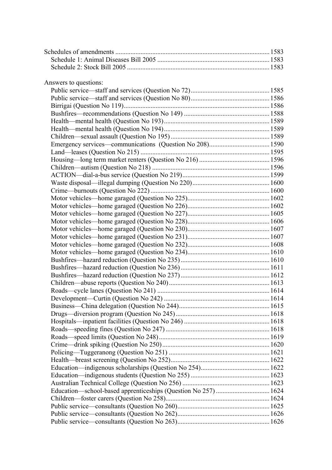| Answers to questions:                                          |  |
|----------------------------------------------------------------|--|
|                                                                |  |
|                                                                |  |
|                                                                |  |
|                                                                |  |
|                                                                |  |
|                                                                |  |
|                                                                |  |
|                                                                |  |
|                                                                |  |
|                                                                |  |
|                                                                |  |
|                                                                |  |
|                                                                |  |
|                                                                |  |
|                                                                |  |
|                                                                |  |
|                                                                |  |
|                                                                |  |
|                                                                |  |
|                                                                |  |
|                                                                |  |
|                                                                |  |
|                                                                |  |
|                                                                |  |
|                                                                |  |
|                                                                |  |
|                                                                |  |
|                                                                |  |
|                                                                |  |
|                                                                |  |
|                                                                |  |
|                                                                |  |
|                                                                |  |
|                                                                |  |
|                                                                |  |
|                                                                |  |
|                                                                |  |
|                                                                |  |
| Education—school-based apprenticeships (Question No 257)  1624 |  |
|                                                                |  |
|                                                                |  |
|                                                                |  |
|                                                                |  |
|                                                                |  |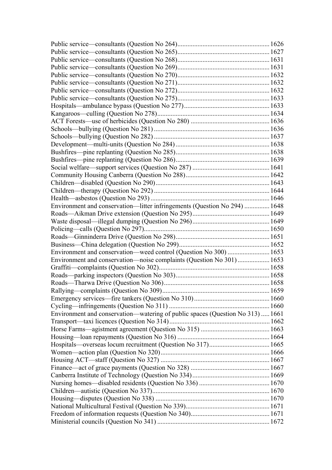| Environment and conservation—litter infringements (Question No 294)  1648      |  |
|--------------------------------------------------------------------------------|--|
|                                                                                |  |
|                                                                                |  |
|                                                                                |  |
|                                                                                |  |
|                                                                                |  |
| Environment and conservation—weed control (Question No 300)  1653              |  |
|                                                                                |  |
| Environment and conservation—noise complaints (Question No 301)  1653          |  |
|                                                                                |  |
|                                                                                |  |
|                                                                                |  |
|                                                                                |  |
|                                                                                |  |
|                                                                                |  |
| Environment and conservation—watering of public spaces (Question No 313)  1661 |  |
|                                                                                |  |
|                                                                                |  |
|                                                                                |  |
|                                                                                |  |
|                                                                                |  |
|                                                                                |  |
|                                                                                |  |
|                                                                                |  |
|                                                                                |  |
|                                                                                |  |
|                                                                                |  |
|                                                                                |  |
|                                                                                |  |
|                                                                                |  |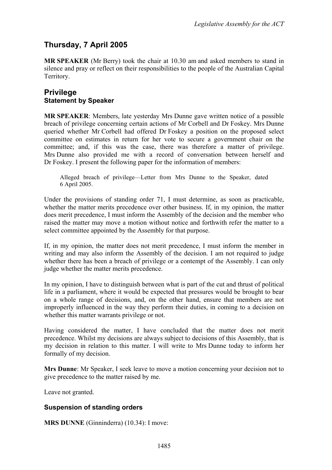# **Thursday, 7 April 2005**

**MR SPEAKER** (Mr Berry) took the chair at 10.30 am and asked members to stand in silence and pray or reflect on their responsibilities to the people of the Australian Capital Territory.

### <span id="page-4-0"></span>**Privilege Statement by Speaker**

**MR SPEAKER**: Members, late yesterday Mrs Dunne gave written notice of a possible breach of privilege concerning certain actions of Mr Corbell and Dr Foskey. Mrs Dunne queried whether Mr Corbell had offered Dr Foskey a position on the proposed select committee on estimates in return for her vote to secure a government chair on the committee; and, if this was the case, there was therefore a matter of privilege. Mrs Dunne also provided me with a record of conversation between herself and Dr Foskey. I present the following paper for the information of members:

Alleged breach of privilege—Letter from Mrs Dunne to the Speaker, dated 6 April 2005.

Under the provisions of standing order 71, I must determine, as soon as practicable, whether the matter merits precedence over other business. If, in my opinion, the matter does merit precedence, I must inform the Assembly of the decision and the member who raised the matter may move a motion without notice and forthwith refer the matter to a select committee appointed by the Assembly for that purpose.

If, in my opinion, the matter does not merit precedence, I must inform the member in writing and may also inform the Assembly of the decision. I am not required to judge whether there has been a breach of privilege or a contempt of the Assembly. I can only judge whether the matter merits precedence.

In my opinion, I have to distinguish between what is part of the cut and thrust of political life in a parliament, where it would be expected that pressures would be brought to bear on a whole range of decisions, and, on the other hand, ensure that members are not improperly influenced in the way they perform their duties, in coming to a decision on whether this matter warrants privilege or not.

Having considered the matter, I have concluded that the matter does not merit precedence. Whilst my decisions are always subject to decisions of this Assembly, that is my decision in relation to this matter. I will write to Mrs Dunne today to inform her formally of my decision.

**Mrs Dunne**: Mr Speaker, I seek leave to move a motion concerning your decision not to give precedence to the matter raised by me.

Leave not granted.

#### **Suspension of standing orders**

**MRS DUNNE** (Ginninderra) (10.34): I move: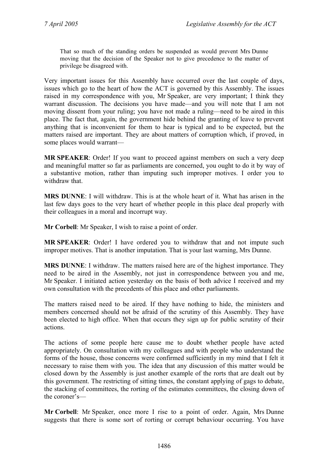That so much of the standing orders be suspended as would prevent Mrs Dunne moving that the decision of the Speaker not to give precedence to the matter of privilege be disagreed with.

Very important issues for this Assembly have occurred over the last couple of days, issues which go to the heart of how the ACT is governed by this Assembly. The issues raised in my correspondence with you, Mr Speaker, are very important; I think they warrant discussion. The decisions you have made—and you will note that I am not moving dissent from your ruling; you have not made a ruling—need to be aired in this place. The fact that, again, the government hide behind the granting of leave to prevent anything that is inconvenient for them to hear is typical and to be expected, but the matters raised are important. They are about matters of corruption which, if proved, in some places would warrant—

**MR SPEAKER**: Order! If you want to proceed against members on such a very deep and meaningful matter so far as parliaments are concerned, you ought to do it by way of a substantive motion, rather than imputing such improper motives. I order you to withdraw that.

**MRS DUNNE**: I will withdraw. This is at the whole heart of it. What has arisen in the last few days goes to the very heart of whether people in this place deal properly with their colleagues in a moral and incorrupt way.

**Mr Corbell**: Mr Speaker, I wish to raise a point of order.

**MR SPEAKER**: Order! I have ordered you to withdraw that and not impute such improper motives. That is another imputation. That is your last warning, Mrs Dunne.

**MRS DUNNE**: I withdraw. The matters raised here are of the highest importance. They need to be aired in the Assembly, not just in correspondence between you and me, Mr Speaker. I initiated action yesterday on the basis of both advice I received and my own consultation with the precedents of this place and other parliaments.

The matters raised need to be aired. If they have nothing to hide, the ministers and members concerned should not be afraid of the scrutiny of this Assembly. They have been elected to high office. When that occurs they sign up for public scrutiny of their actions.

The actions of some people here cause me to doubt whether people have acted appropriately. On consultation with my colleagues and with people who understand the forms of the house, those concerns were confirmed sufficiently in my mind that I felt it necessary to raise them with you. The idea that any discussion of this matter would be closed down by the Assembly is just another example of the rorts that are dealt out by this government. The restricting of sitting times, the constant applying of gags to debate, the stacking of committees, the rorting of the estimates committees, the closing down of the coroner's—

**Mr Corbell**: Mr Speaker, once more I rise to a point of order. Again, Mrs Dunne suggests that there is some sort of rorting or corrupt behaviour occurring. You have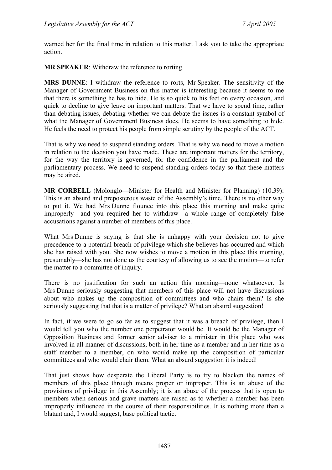warned her for the final time in relation to this matter. I ask you to take the appropriate action.

**MR SPEAKER**: Withdraw the reference to rorting.

**MRS DUNNE**: I withdraw the reference to rorts, Mr Speaker. The sensitivity of the Manager of Government Business on this matter is interesting because it seems to me that there is something he has to hide. He is so quick to his feet on every occasion, and quick to decline to give leave on important matters. That we have to spend time, rather than debating issues, debating whether we can debate the issues is a constant symbol of what the Manager of Government Business does. He seems to have something to hide. He feels the need to protect his people from simple scrutiny by the people of the ACT.

That is why we need to suspend standing orders. That is why we need to move a motion in relation to the decision you have made. These are important matters for the territory, for the way the territory is governed, for the confidence in the parliament and the parliamentary process. We need to suspend standing orders today so that these matters may be aired.

**MR CORBELL** (Molonglo—Minister for Health and Minister for Planning) (10.39): This is an absurd and preposterous waste of the Assembly's time. There is no other way to put it. We had Mrs Dunne flounce into this place this morning and make quite improperly—and you required her to withdraw—a whole range of completely false accusations against a number of members of this place.

What Mrs Dunne is saying is that she is unhappy with your decision not to give precedence to a potential breach of privilege which she believes has occurred and which she has raised with you. She now wishes to move a motion in this place this morning, presumably—she has not done us the courtesy of allowing us to see the motion—to refer the matter to a committee of inquiry.

There is no justification for such an action this morning—none whatsoever. Is Mrs Dunne seriously suggesting that members of this place will not have discussions about who makes up the composition of committees and who chairs them? Is she seriously suggesting that that is a matter of privilege? What an absurd suggestion!

In fact, if we were to go so far as to suggest that it was a breach of privilege, then I would tell you who the number one perpetrator would be. It would be the Manager of Opposition Business and former senior adviser to a minister in this place who was involved in all manner of discussions, both in her time as a member and in her time as a staff member to a member, on who would make up the composition of particular committees and who would chair them. What an absurd suggestion it is indeed!

That just shows how desperate the Liberal Party is to try to blacken the names of members of this place through means proper or improper. This is an abuse of the provisions of privilege in this Assembly; it is an abuse of the process that is open to members when serious and grave matters are raised as to whether a member has been improperly influenced in the course of their responsibilities. It is nothing more than a blatant and, I would suggest, base political tactic.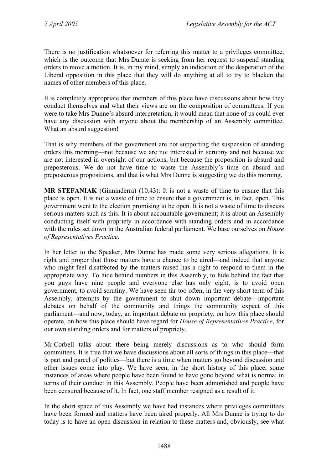There is no justification whatsoever for referring this matter to a privileges committee, which is the outcome that Mrs Dunne is seeking from her request to suspend standing orders to move a motion. It is, in my mind, simply an indication of the desperation of the Liberal opposition in this place that they will do anything at all to try to blacken the names of other members of this place.

It is completely appropriate that members of this place have discussions about how they conduct themselves and what their views are on the composition of committees. If you were to take Mrs Dunne's absurd interpretation, it would mean that none of us could ever have any discussion with anyone about the membership of an Assembly committee. What an absurd suggestion!

That is why members of the government are not supporting the suspension of standing orders this morning—not because we are not interested in scrutiny and not because we are not interested in oversight of our actions, but because the proposition is absurd and preposterous. We do not have time to waste the Assembly's time on absurd and preposterous propositions, and that is what Mrs Dunne is suggesting we do this morning.

**MR STEFANIAK** (Ginninderra) (10.43): It is not a waste of time to ensure that this place is open. It is not a waste of time to ensure that a government is, in fact, open. This government went to the election promising to be open. It is not a waste of time to discuss serious matters such as this. It is about accountable government; it is about an Assembly conducting itself with propriety in accordance with standing orders and in accordance with the rules set down in the Australian federal parliament. We base ourselves on *House of Representatives Practice*.

In her letter to the Speaker, Mrs Dunne has made some very serious allegations. It is right and proper that those matters have a chance to be aired—and indeed that anyone who might feel disaffected by the matters raised has a right to respond to them in the appropriate way. To hide behind numbers in this Assembly, to hide behind the fact that you guys have nine people and everyone else has only eight, is to avoid open government, to avoid scrutiny. We have seen far too often, in the very short term of this Assembly, attempts by the government to shut down important debate—important debates on behalf of the community and things the community expect of this parliament—and now, today, an important debate on propriety, on how this place should operate, on how this place should have regard for *House of Representatives Practice*, for our own standing orders and for matters of propriety.

Mr Corbell talks about there being merely discussions as to who should form committees. It is true that we have discussions about all sorts of things in this place—that is part and parcel of politics—but there is a time when matters go beyond discussion and other issues come into play. We have seen, in the short history of this place, some instances of areas where people have been found to have gone beyond what is normal in terms of their conduct in this Assembly. People have been admonished and people have been censured because of it. In fact, one staff member resigned as a result of it.

In the short space of this Assembly we have had instances where privileges committees have been formed and matters have been aired properly. All Mrs Dunne is trying to do today is to have an open discussion in relation to these matters and, obviously, see what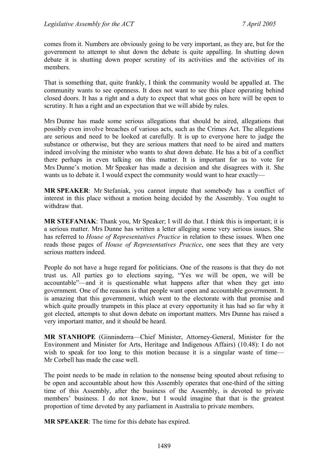comes from it. Numbers are obviously going to be very important, as they are, but for the government to attempt to shut down the debate is quite appalling. In shutting down debate it is shutting down proper scrutiny of its activities and the activities of its members.

That is something that, quite frankly, I think the community would be appalled at. The community wants to see openness. It does not want to see this place operating behind closed doors. It has a right and a duty to expect that what goes on here will be open to scrutiny. It has a right and an expectation that we will abide by rules.

Mrs Dunne has made some serious allegations that should be aired, allegations that possibly even involve breaches of various acts, such as the Crimes Act. The allegations are serious and need to be looked at carefully. It is up to everyone here to judge the substance or otherwise, but they are serious matters that need to be aired and matters indeed involving the minister who wants to shut down debate. He has a bit of a conflict there perhaps in even talking on this matter. It is important for us to vote for Mrs Dunne's motion. Mr Speaker has made a decision and she disagrees with it. She wants us to debate it. I would expect the community would want to hear exactly—

**MR SPEAKER**: Mr Stefaniak, you cannot impute that somebody has a conflict of interest in this place without a motion being decided by the Assembly. You ought to withdraw that.

**MR STEFANIAK**: Thank you, Mr Speaker; I will do that. I think this is important; it is a serious matter. Mrs Dunne has written a letter alleging some very serious issues. She has referred to *House of Representatives Practice* in relation to these issues. When one reads those pages of *House of Representatives Practice*, one sees that they are very serious matters indeed.

People do not have a huge regard for politicians. One of the reasons is that they do not trust us. All parties go to elections saying, "Yes we will be open, we will be accountable"—and it is questionable what happens after that when they get into government. One of the reasons is that people want open and accountable government. It is amazing that this government, which went to the electorate with that promise and which quite proudly trumpets in this place at every opportunity it has had so far why it got elected, attempts to shut down debate on important matters. Mrs Dunne has raised a very important matter, and it should be heard.

**MR STANHOPE** (Ginninderra—Chief Minister, Attorney-General, Minister for the Environment and Minister for Arts, Heritage and Indigenous Affairs) (10.48): I do not wish to speak for too long to this motion because it is a singular waste of time— Mr Corbell has made the case well.

The point needs to be made in relation to the nonsense being spouted about refusing to be open and accountable about how this Assembly operates that one-third of the sitting time of this Assembly, after the business of the Assembly, is devoted to private members' business. I do not know, but I would imagine that that is the greatest proportion of time devoted by any parliament in Australia to private members.

**MR SPEAKER**: The time for this debate has expired.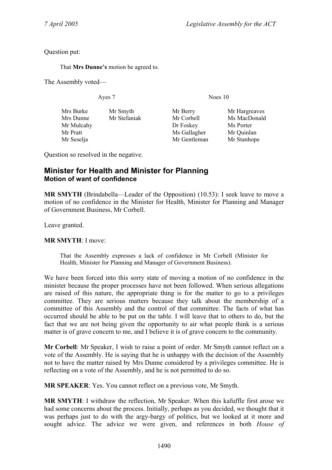Question put:

That **Mrs Dunne's** motion be agreed to.

The Assembly voted—

Ayes 7 Noes 10

| Mrs Burke  | Mr Smyth     |
|------------|--------------|
| Mrs Dunne  | Mr Stefaniak |
| Mr Mulcahy |              |
| Mr Pratt   |              |
| Mr Seselja |              |
|            |              |

Mr Corbell Ms MacDonald Dr Foskey Ms Porter Ms Gallagher Mr Ouinlan Mr Gentleman Mr Stanhope

Mr Berry Mr Hargreaves

Question so resolved in the negative.

## <span id="page-9-0"></span>**Minister for Health and Minister for Planning Motion of want of confidence**

**MR SMYTH** (Brindabella—Leader of the Opposition) (10.53): I seek leave to move a motion of no confidence in the Minister for Health, Minister for Planning and Manager of Government Business, Mr Corbell.

Leave granted.

**MR SMYTH**: I move:

That the Assembly expresses a lack of confidence in Mr Corbell (Minister for Health, Minister for Planning and Manager of Government Business).

We have been forced into this sorry state of moving a motion of no confidence in the minister because the proper processes have not been followed. When serious allegations are raised of this nature, the appropriate thing is for the matter to go to a privileges committee. They are serious matters because they talk about the membership of a committee of this Assembly and the control of that committee. The facts of what has occurred should be able to be put on the table. I will leave that to others to do, but the fact that we are not being given the opportunity to air what people think is a serious matter is of grave concern to me, and I believe it is of grave concern to the community.

**Mr Corbell**: Mr Speaker, I wish to raise a point of order. Mr Smyth cannot reflect on a vote of the Assembly. He is saying that he is unhappy with the decision of the Assembly not to have the matter raised by Mrs Dunne considered by a privileges committee. He is reflecting on a vote of the Assembly, and he is not permitted to do so.

**MR SPEAKER**: Yes. You cannot reflect on a previous vote, Mr Smyth.

**MR SMYTH**: I withdraw the reflection, Mr Speaker. When this kafuffle first arose we had some concerns about the process. Initially, perhaps as you decided, we thought that it was perhaps just to do with the argy-bargy of politics, but we looked at it more and sought advice. The advice we were given, and references in both *House of*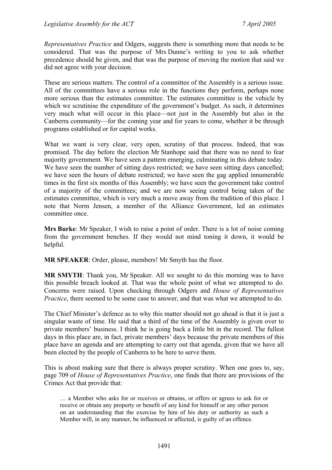*Representatives Practice* and Odgers, suggests there is something more that needs to be considered. That was the purpose of Mrs Dunne's writing to you to ask whether precedence should be given, and that was the purpose of moving the motion that said we did not agree with your decision.

These are serious matters. The control of a committee of the Assembly is a serious issue. All of the committees have a serious role in the functions they perform, perhaps none more serious than the estimates committee. The estimates committee is the vehicle by which we scrutinise the expenditure of the government's budget. As such, it determines very much what will occur in this place—not just in the Assembly but also in the Canberra community—for the coming year and for years to come, whether it be through programs established or for capital works.

What we want is very clear, very open, scrutiny of that process. Indeed, that was promised. The day before the election Mr Stanhope said that there was no need to fear majority government. We have seen a pattern emerging, culminating in this debate today. We have seen the number of sitting days restricted; we have seen sitting days cancelled; we have seen the hours of debate restricted; we have seen the gag applied innumerable times in the first six months of this Assembly; we have seen the government take control of a majority of the committees; and we are now seeing control being taken of the estimates committee, which is very much a move away from the tradition of this place. I note that Norm Jensen, a member of the Alliance Government, led an estimates committee once.

**Mrs Burke**: Mr Speaker, I wish to raise a point of order. There is a lot of noise coming from the government benches. If they would not mind toning it down, it would be helpful.

**MR SPEAKER**: Order, please, members! Mr Smyth has the floor.

**MR SMYTH**: Thank you, Mr Speaker. All we sought to do this morning was to have this possible breach looked at. That was the whole point of what we attempted to do. Concerns were raised. Upon checking through Odgers and *House of Representatives Practice*, there seemed to be some case to answer, and that was what we attempted to do.

The Chief Minister's defence as to why this matter should not go ahead is that it is just a singular waste of time. He said that a third of the time of the Assembly is given over to private members' business. I think he is going back a little bit in the record. The fullest days in this place are, in fact, private members' days because the private members of this place have an agenda and are attempting to carry out that agenda, given that we have all been elected by the people of Canberra to be here to serve them.

This is about making sure that there is always proper scrutiny. When one goes to, say, page 709 of *House of Representatives Practice*, one finds that there are provisions of the Crimes Act that provide that:

… a Member who asks for or receives or obtains, or offers or agrees to ask for or receive or obtain any property or benefit of any kind for himself or any other person on an understanding that the exercise by him of his duty or authority as such a Member will, in any manner, be influenced or affected, is guilty of an offence.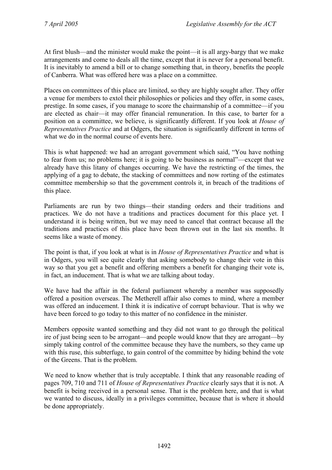At first blush—and the minister would make the point—it is all argy-bargy that we make arrangements and come to deals all the time, except that it is never for a personal benefit. It is inevitably to amend a bill or to change something that, in theory, benefits the people of Canberra. What was offered here was a place on a committee.

Places on committees of this place are limited, so they are highly sought after. They offer a venue for members to extol their philosophies or policies and they offer, in some cases, prestige. In some cases, if you manage to score the chairmanship of a committee—if you are elected as chair—it may offer financial remuneration. In this case, to barter for a position on a committee, we believe, is significantly different. If you look at *House of Representatives Practice* and at Odgers, the situation is significantly different in terms of what we do in the normal course of events here.

This is what happened: we had an arrogant government which said, "You have nothing to fear from us; no problems here; it is going to be business as normal"—except that we already have this litany of changes occurring. We have the restricting of the times, the applying of a gag to debate, the stacking of committees and now rorting of the estimates committee membership so that the government controls it, in breach of the traditions of this place.

Parliaments are run by two things—their standing orders and their traditions and practices. We do not have a traditions and practices document for this place yet. I understand it is being written, but we may need to cancel that contract because all the traditions and practices of this place have been thrown out in the last six months. It seems like a waste of money.

The point is that, if you look at what is in *House of Representatives Practice* and what is in Odgers, you will see quite clearly that asking somebody to change their vote in this way so that you get a benefit and offering members a benefit for changing their vote is, in fact, an inducement. That is what we are talking about today.

We have had the affair in the federal parliament whereby a member was supposedly offered a position overseas. The Metherell affair also comes to mind, where a member was offered an inducement. I think it is indicative of corrupt behaviour. That is why we have been forced to go today to this matter of no confidence in the minister.

Members opposite wanted something and they did not want to go through the political ire of just being seen to be arrogant—and people would know that they are arrogant—by simply taking control of the committee because they have the numbers, so they came up with this ruse, this subterfuge, to gain control of the committee by hiding behind the vote of the Greens. That is the problem.

We need to know whether that is truly acceptable. I think that any reasonable reading of pages 709, 710 and 711 of *House of Representatives Practice* clearly says that it is not. A benefit is being received in a personal sense. That is the problem here, and that is what we wanted to discuss, ideally in a privileges committee, because that is where it should be done appropriately.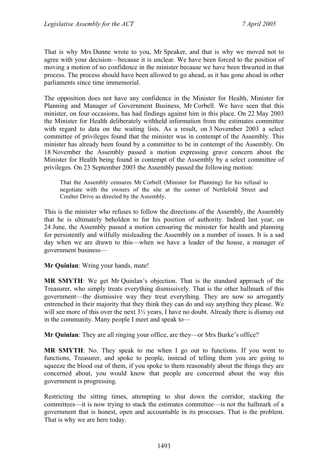That is why Mrs Dunne wrote to you, Mr Speaker, and that is why we moved not to agree with your decision—because it is unclear. We have been forced to the position of moving a motion of no confidence in the minister because we have been thwarted in that process. The process should have been allowed to go ahead, as it has gone ahead in other parliaments since time immemorial.

The opposition does not have any confidence in the Minister for Health, Minister for Planning and Manager of Government Business, Mr Corbell. We have seen that this minister, on four occasions, has had findings against him in this place. On 22 May 2003 the Minister for Health deliberately withheld information from the estimates committee with regard to data on the waiting lists. As a result, on 3 November 2003 a select committee of privileges found that the minister was in contempt of the Assembly. This minister has already been found by a committee to be in contempt of the Assembly. On 18 November the Assembly passed a motion expressing grave concern about the Minister for Health being found in contempt of the Assembly by a select committee of privileges. On 23 September 2003 the Assembly passed the following motion:

That the Assembly censures Mr Corbell (Minister for Planning) for his refusal to negotiate with the owners of the site at the corner of Nettlefold Street and Coulter Drive as directed by the Assembly.

This is the minister who refuses to follow the directions of the Assembly, the Assembly that he is ultimately beholden to for his position of authority. Indeed last year, on 24 June, the Assembly passed a motion censuring the minister for health and planning for persistently and wilfully misleading the Assembly on a number of issues. It is a sad day when we are drawn to this—when we have a leader of the house, a manager of government business—

**Mr Quinlan**: Wring your hands, mate!

**MR SMYTH**: We get Mr Quinlan's objection. That is the standard approach of the Treasurer, who simply treats everything dismissively. That is the other hallmark of this government—the dismissive way they treat everything. They are now so arrogantly entrenched in their majority that they think they can do and say anything they please. We will see more of this over the next  $3\frac{1}{2}$  years, I have no doubt. Already there is dismay out in the community. Many people I meet and speak to—

**Mr Quinlan**: They are all ringing your office, are they—or Mrs Burke's office?

**MR SMYTH**: No. They speak to me when I go out to functions. If you went to functions, Treasurer, and spoke to people, instead of telling them you are going to squeeze the blood out of them, if you spoke to them reasonably about the things they are concerned about, you would know that people are concerned about the way this government is progressing.

Restricting the sitting times, attempting to shut down the corridor, stacking the committees—it is now trying to stack the estimates committee—is not the hallmark of a government that is honest, open and accountable in its processes. That is the problem. That is why we are here today.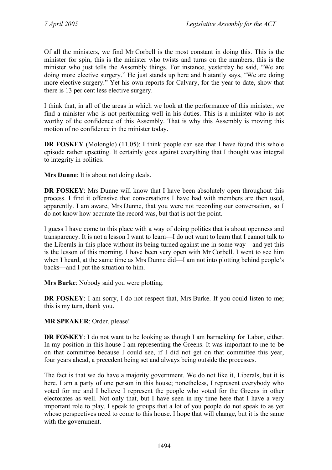Of all the ministers, we find Mr Corbell is the most constant in doing this. This is the minister for spin, this is the minister who twists and turns on the numbers, this is the minister who just tells the Assembly things. For instance, yesterday he said, "We are doing more elective surgery." He just stands up here and blatantly says, "We are doing more elective surgery." Yet his own reports for Calvary, for the year to date, show that there is 13 per cent less elective surgery.

I think that, in all of the areas in which we look at the performance of this minister, we find a minister who is not performing well in his duties. This is a minister who is not worthy of the confidence of this Assembly. That is why this Assembly is moving this motion of no confidence in the minister today.

**DR FOSKEY** (Molonglo) (11.05): I think people can see that I have found this whole episode rather upsetting. It certainly goes against everything that I thought was integral to integrity in politics.

**Mrs Dunne**: It is about not doing deals.

**DR FOSKEY:** Mrs Dunne will know that I have been absolutely open throughout this process. I find it offensive that conversations I have had with members are then used, apparently. I am aware, Mrs Dunne, that you were not recording our conversation, so I do not know how accurate the record was, but that is not the point.

I guess I have come to this place with a way of doing politics that is about openness and transparency. It is not a lesson I want to learn—I do not want to learn that I cannot talk to the Liberals in this place without its being turned against me in some way—and yet this is the lesson of this morning. I have been very open with Mr Corbell. I went to see him when I heard, at the same time as Mrs Dunne did—I am not into plotting behind people's backs—and I put the situation to him.

**Mrs Burke**: Nobody said you were plotting.

**DR FOSKEY**: I am sorry, I do not respect that, Mrs Burke. If you could listen to me; this is my turn, thank you.

**MR SPEAKER**: Order, please!

**DR FOSKEY**: I do not want to be looking as though I am barracking for Labor, either. In my position in this house I am representing the Greens. It was important to me to be on that committee because I could see, if I did not get on that committee this year, four years ahead, a precedent being set and always being outside the processes.

The fact is that we do have a majority government. We do not like it, Liberals, but it is here. I am a party of one person in this house; nonetheless, I represent everybody who voted for me and I believe I represent the people who voted for the Greens in other electorates as well. Not only that, but I have seen in my time here that I have a very important role to play. I speak to groups that a lot of you people do not speak to as yet whose perspectives need to come to this house. I hope that will change, but it is the same with the government.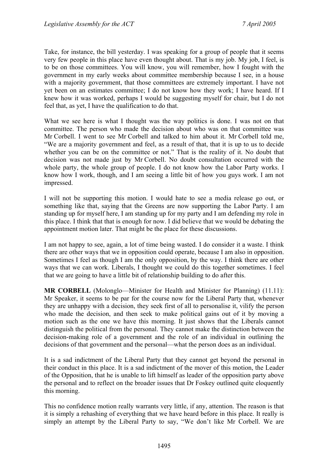Take, for instance, the bill yesterday. I was speaking for a group of people that it seems very few people in this place have even thought about. That is my job. My job, I feel, is to be on those committees. You will know, you will remember, how I fought with the government in my early weeks about committee membership because I see, in a house with a majority government, that those committees are extremely important. I have not yet been on an estimates committee; I do not know how they work; I have heard. If I knew how it was worked, perhaps I would be suggesting myself for chair, but I do not feel that, as yet, I have the qualification to do that.

What we see here is what I thought was the way politics is done. I was not on that committee. The person who made the decision about who was on that committee was Mr Corbell. I went to see Mr Corbell and talked to him about it. Mr Corbell told me, "We are a majority government and feel, as a result of that, that it is up to us to decide whether you can be on the committee or not." That is the reality of it. No doubt that decision was not made just by Mr Corbell. No doubt consultation occurred with the whole party, the whole group of people. I do not know how the Labor Party works. I know how I work, though, and I am seeing a little bit of how you guys work. I am not impressed.

I will not be supporting this motion. I would hate to see a media release go out, or something like that, saying that the Greens are now supporting the Labor Party. I am standing up for myself here, I am standing up for my party and I am defending my role in this place. I think that that is enough for now. I did believe that we would be debating the appointment motion later. That might be the place for these discussions.

I am not happy to see, again, a lot of time being wasted. I do consider it a waste. I think there are other ways that we in opposition could operate, because I am also in opposition. Sometimes I feel as though I am the only opposition, by the way. I think there are other ways that we can work. Liberals, I thought we could do this together sometimes. I feel that we are going to have a little bit of relationship building to do after this.

**MR CORBELL** (Molonglo—Minister for Health and Minister for Planning) (11.11): Mr Speaker, it seems to be par for the course now for the Liberal Party that, whenever they are unhappy with a decision, they seek first of all to personalise it, vilify the person who made the decision, and then seek to make political gains out of it by moving a motion such as the one we have this morning. It just shows that the Liberals cannot distinguish the political from the personal. They cannot make the distinction between the decision-making role of a government and the role of an individual in outlining the decisions of that government and the personal—what the person does as an individual.

It is a sad indictment of the Liberal Party that they cannot get beyond the personal in their conduct in this place. It is a sad indictment of the mover of this motion, the Leader of the Opposition, that he is unable to lift himself as leader of the opposition party above the personal and to reflect on the broader issues that Dr Foskey outlined quite eloquently this morning.

This no confidence motion really warrants very little, if any, attention. The reason is that it is simply a rehashing of everything that we have heard before in this place. It really is simply an attempt by the Liberal Party to say, "We don't like Mr Corbell. We are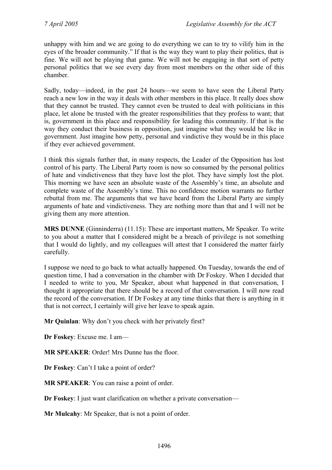unhappy with him and we are going to do everything we can to try to vilify him in the eyes of the broader community." If that is the way they want to play their politics, that is fine. We will not be playing that game. We will not be engaging in that sort of petty personal politics that we see every day from most members on the other side of this chamber.

Sadly, today—indeed, in the past 24 hours—we seem to have seen the Liberal Party reach a new low in the way it deals with other members in this place. It really does show that they cannot be trusted. They cannot even be trusted to deal with politicians in this place, let alone be trusted with the greater responsibilities that they profess to want; that is, government in this place and responsibility for leading this community. If that is the way they conduct their business in opposition, just imagine what they would be like in government. Just imagine how petty, personal and vindictive they would be in this place if they ever achieved government.

I think this signals further that, in many respects, the Leader of the Opposition has lost control of his party. The Liberal Party room is now so consumed by the personal politics of hate and vindictiveness that they have lost the plot. They have simply lost the plot. This morning we have seen an absolute waste of the Assembly's time, an absolute and complete waste of the Assembly's time. This no confidence motion warrants no further rebuttal from me. The arguments that we have heard from the Liberal Party are simply arguments of hate and vindictiveness. They are nothing more than that and I will not be giving them any more attention.

**MRS DUNNE** (Ginninderra) (11.15): These are important matters, Mr Speaker. To write to you about a matter that I considered might be a breach of privilege is not something that I would do lightly, and my colleagues will attest that I considered the matter fairly carefully.

I suppose we need to go back to what actually happened. On Tuesday, towards the end of question time, I had a conversation in the chamber with Dr Foskey. When I decided that I needed to write to you, Mr Speaker, about what happened in that conversation, I thought it appropriate that there should be a record of that conversation. I will now read the record of the conversation. If Dr Foskey at any time thinks that there is anything in it that is not correct, I certainly will give her leave to speak again.

**Mr Quinlan**: Why don't you check with her privately first?

**Dr Foskey**: Excuse me. I am—

**MR SPEAKER**: Order! Mrs Dunne has the floor.

**Dr Foskey**: Can't I take a point of order?

**MR SPEAKER**: You can raise a point of order.

**Dr Foskey**: I just want clarification on whether a private conversation—

**Mr Mulcahy**: Mr Speaker, that is not a point of order.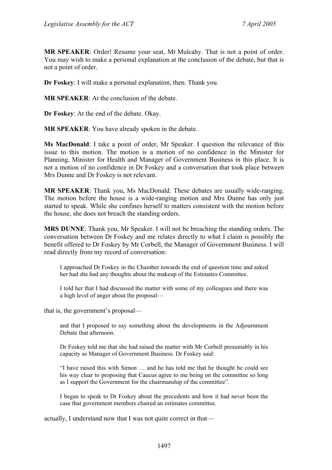**MR SPEAKER**: Order! Resume your seat, Mr Mulcahy. That is not a point of order. You may wish to make a personal explanation at the conclusion of the debate, but that is not a point of order.

**Dr Foskey**: I will make a personal explanation, then. Thank you.

**MR SPEAKER**: At the conclusion of the debate.

**Dr Foskey**: At the end of the debate. Okay.

**MR SPEAKER**: You have already spoken in the debate.

**Ms MacDonald**: I take a point of order, Mr Speaker. I question the relevance of this issue to this motion. The motion is a motion of no confidence in the Minister for Planning, Minister for Health and Manager of Government Business in this place. It is not a motion of no confidence in Dr Foskey and a conversation that took place between Mrs Dunne and Dr Foskey is not relevant.

**MR SPEAKER**: Thank you, Ms MacDonald. These debates are usually wide-ranging. The motion before the house is a wide-ranging motion and Mrs Dunne has only just started to speak. While she confines herself to matters consistent with the motion before the house, she does not breach the standing orders.

**MRS DUNNE**: Thank you, Mr Speaker. I will not be breaching the standing orders. The conversation between Dr Foskey and me relates directly to what I claim is possibly the benefit offered to Dr Foskey by Mr Corbell, the Manager of Government Business. I will read directly from my record of conversation:

I approached Dr Foskey in the Chamber towards the end of question time and asked her had she had any thoughts about the makeup of the Estimates Committee.

I told her that I had discussed the matter with some of my colleagues and there was a high level of anger about the proposal—

that is, the government's proposal—

and that I proposed to say something about the developments in the Adjournment Debate that afternoon.

Dr Foskey told me that she had raised the matter with Mr Corbell presumably in his capacity as Manager of Government Business. Dr Foskey said:

"I have raised this with Simon … and he has told me that he thought he could see his way clear to proposing that Caucus agree to me being on the committee so long as I support the Government for the chairmanship of the committee".

I began to speak to Dr Foskey about the precedents and how it had never been the case that government members chaired an estimates committee.

actually, I understand now that I was not quite correct in that—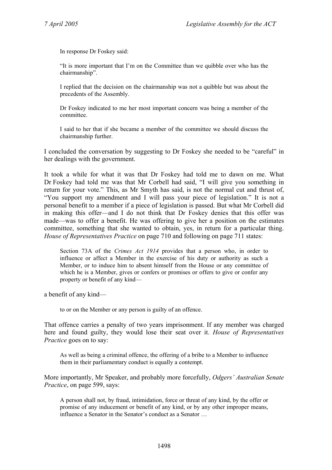In response Dr Foskey said:

"It is more important that I'm on the Committee than we quibble over who has the chairmanship".

I replied that the decision on the chairmanship was not a quibble but was about the precedents of the Assembly.

Dr Foskey indicated to me her most important concern was being a member of the committee.

I said to her that if she became a member of the committee we should discuss the chairmanship further.

I concluded the conversation by suggesting to Dr Foskey she needed to be "careful" in her dealings with the government.

It took a while for what it was that Dr Foskey had told me to dawn on me. What Dr Foskey had told me was that Mr Corbell had said, "I will give you something in return for your vote." This, as Mr Smyth has said, is not the normal cut and thrust of, "You support my amendment and I will pass your piece of legislation." It is not a personal benefit to a member if a piece of legislation is passed. But what Mr Corbell did in making this offer—and I do not think that Dr Foskey denies that this offer was made—was to offer a benefit. He was offering to give her a position on the estimates committee, something that she wanted to obtain, yes, in return for a particular thing. *House of Representatives Practice* on page 710 and following on page 711 states:

Section 73A of the *Crimes Act 1914* provides that a person who, in order to influence or affect a Member in the exercise of his duty or authority as such a Member, or to induce him to absent himself from the House or any committee of which he is a Member, gives or confers or promises or offers to give or confer any property or benefit of any kind—

a benefit of any kind—

to or on the Member or any person is guilty of an offence.

That offence carries a penalty of two years imprisonment. If any member was charged here and found guilty, they would lose their seat over it. *House of Representatives Practice* goes on to say:

As well as being a criminal offence, the offering of a bribe to a Member to influence them in their parliamentary conduct is equally a contempt.

More importantly, Mr Speaker, and probably more forcefully, *Odgers' Australian Senate Practice*, on page 599, says:

A person shall not, by fraud, intimidation, force or threat of any kind, by the offer or promise of any inducement or benefit of any kind, or by any other improper means, influence a Senator in the Senator's conduct as a Senator …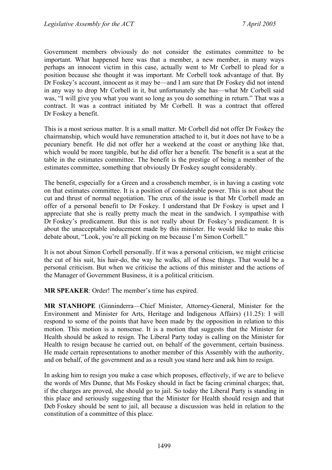Government members obviously do not consider the estimates committee to be important. What happened here was that a member, a new member, in many ways perhaps an innocent victim in this case, actually went to Mr Corbell to plead for a position because she thought it was important. Mr Corbell took advantage of that. By Dr Foskey's account, innocent as it may be—and I am sure that Dr Foskey did not intend in any way to drop Mr Corbell in it, but unfortunately she has—what Mr Corbell said was, "I will give you what you want so long as you do something in return." That was a contract. It was a contract initiated by Mr Corbell. It was a contract that offered Dr Foskey a benefit.

This is a most serious matter. It is a small matter. Mr Corbell did not offer Dr Foskey the chairmanship, which would have remuneration attached to it, but it does not have to be a pecuniary benefit. He did not offer her a weekend at the coast or anything like that, which would be more tangible, but he did offer her a benefit. The benefit is a seat at the table in the estimates committee. The benefit is the prestige of being a member of the estimates committee, something that obviously Dr Foskey sought considerably.

The benefit, especially for a Green and a crossbench member, is in having a casting vote on that estimates committee. It is a position of considerable power. This is not about the cut and thrust of normal negotiation. The crux of the issue is that Mr Corbell made an offer of a personal benefit to Dr Foskey. I understand that Dr Foskey is upset and I appreciate that she is really pretty much the meat in the sandwich. I sympathise with Dr Foskey's predicament. But this is not really about Dr Foskey's predicament. It is about the unacceptable inducement made by this minister. He would like to make this debate about, "Look, you're all picking on me because I'm Simon Corbell."

It is not about Simon Corbell personally. If it was a personal criticism, we might criticise the cut of his suit, his hair-do, the way he walks, all of those things. That would be a personal criticism. But when we criticise the actions of this minister and the actions of the Manager of Government Business, it is a political criticism.

**MR SPEAKER**: Order! The member's time has expired.

**MR STANHOPE** (Ginninderra—Chief Minister, Attorney-General, Minister for the Environment and Minister for Arts, Heritage and Indigenous Affairs) (11.25): I will respond to some of the points that have been made by the opposition in relation to this motion. This motion is a nonsense. It is a motion that suggests that the Minister for Health should be asked to resign. The Liberal Party today is calling on the Minister for Health to resign because he carried out, on behalf of the government, certain business. He made certain representations to another member of this Assembly with the authority, and on behalf, of the government and as a result you stand here and ask him to resign.

In asking him to resign you make a case which proposes, effectively, if we are to believe the words of Mrs Dunne, that Ms Foskey should in fact be facing criminal charges; that, if the charges are proved, she should go to jail. So today the Liberal Party is standing in this place and seriously suggesting that the Minister for Health should resign and that Deb Foskey should be sent to jail, all because a discussion was held in relation to the constitution of a committee of this place.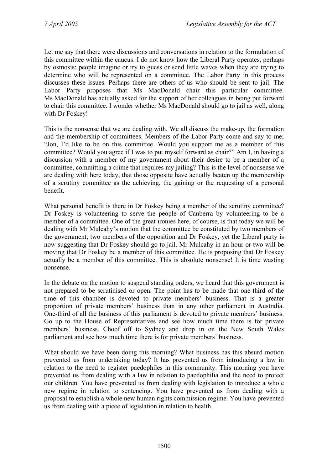Let me say that there were discussions and conversations in relation to the formulation of this committee within the caucus. I do not know how the Liberal Party operates, perhaps by osmosis: people imagine or try to guess or send little waves when they are trying to determine who will be represented on a committee. The Labor Party in this process discusses these issues. Perhaps there are others of us who should be sent to jail. The Labor Party proposes that Ms MacDonald chair this particular committee. Ms MacDonald has actually asked for the support of her colleagues in being put forward to chair this committee. I wonder whether Ms MacDonald should go to jail as well, along with Dr Foskey!

This is the nonsense that we are dealing with. We all discuss the make-up, the formation and the membership of committees. Members of the Labor Party come and say to me; "Jon, I'd like to be on this committee. Would you support me as a member of this committee? Would you agree if I was to put myself forward as chair?" Am I, in having a discussion with a member of my government about their desire to be a member of a committee, committing a crime that requires my jailing? This is the level of nonsense we are dealing with here today, that those opposite have actually beaten up the membership of a scrutiny committee as the achieving, the gaining or the requesting of a personal benefit.

What personal benefit is there in Dr Foskey being a member of the scrutiny committee? Dr Foskey is volunteering to serve the people of Canberra by volunteering to be a member of a committee. One of the great ironies here, of course, is that today we will be dealing with Mr Mulcahy's motion that the committee be constituted by two members of the government, two members of the opposition and Dr Foskey, yet the Liberal party is now suggesting that Dr Foskey should go to jail. Mr Mulcahy in an hour or two will be moving that Dr Foskey be a member of this committee. He is proposing that Dr Foskey actually be a member of this committee. This is absolute nonsense! It is time wasting nonsense.

In the debate on the motion to suspend standing orders, we heard that this government is not prepared to be scrutinised or open. The point has to be made that one-third of the time of this chamber is devoted to private members' business. That is a greater proportion of private members' business than in any other parliament in Australia. One-third of all the business of this parliament is devoted to private members' business. Go up to the House of Representatives and see how much time there is for private members' business. Choof off to Sydney and drop in on the New South Wales parliament and see how much time there is for private members' business.

What should we have been doing this morning? What business has this absurd motion prevented us from undertaking today? It has prevented us from introducing a law in relation to the need to register paedophiles in this community. This morning you have prevented us from dealing with a law in relation to paedophilia and the need to protect our children. You have prevented us from dealing with legislation to introduce a whole new regime in relation to sentencing. You have prevented us from dealing with a proposal to establish a whole new human rights commission regime. You have prevented us from dealing with a piece of legislation in relation to health.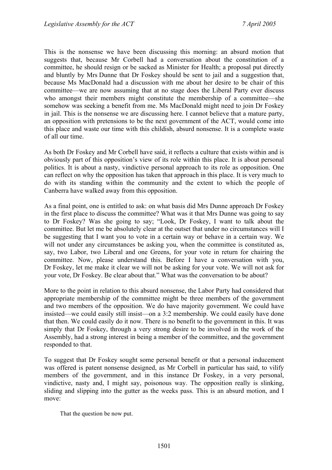This is the nonsense we have been discussing this morning: an absurd motion that suggests that, because Mr Corbell had a conversation about the constitution of a committee, he should resign or be sacked as Minister for Health; a proposal put directly and bluntly by Mrs Dunne that Dr Foskey should be sent to jail and a suggestion that, because Ms MacDonald had a discussion with me about her desire to be chair of this committee—we are now assuming that at no stage does the Liberal Party ever discuss who amongst their members might constitute the membership of a committee—she somehow was seeking a benefit from me. Ms MacDonald might need to join Dr Foskey in jail. This is the nonsense we are discussing here. I cannot believe that a mature party, an opposition with pretensions to be the next government of the ACT, would come into this place and waste our time with this childish, absurd nonsense. It is a complete waste of all our time.

As both Dr Foskey and Mr Corbell have said, it reflects a culture that exists within and is obviously part of this opposition's view of its role within this place. It is about personal politics. It is about a nasty, vindictive personal approach to its role as opposition. One can reflect on why the opposition has taken that approach in this place. It is very much to do with its standing within the community and the extent to which the people of Canberra have walked away from this opposition.

As a final point, one is entitled to ask: on what basis did Mrs Dunne approach Dr Foskey in the first place to discuss the committee? What was it that Mrs Dunne was going to say to Dr Foskey? Was she going to say; "Look, Dr Foskey, I want to talk about the committee. But let me be absolutely clear at the outset that under no circumstances will I be suggesting that I want you to vote in a certain way or behave in a certain way. We will not under any circumstances be asking you, when the committee is constituted as, say, two Labor, two Liberal and one Greens, for your vote in return for chairing the committee. Now, please understand this. Before I have a conversation with you, Dr Foskey, let me make it clear we will not be asking for your vote. We will not ask for your vote, Dr Foskey. Be clear about that." What was the conversation to be about?

More to the point in relation to this absurd nonsense, the Labor Party had considered that appropriate membership of the committee might be three members of the government and two members of the opposition. We do have majority government. We could have insisted—we could easily still insist—on a 3:2 membership. We could easily have done that then. We could easily do it now. There is no benefit to the government in this. It was simply that Dr Foskey, through a very strong desire to be involved in the work of the Assembly, had a strong interest in being a member of the committee, and the government responded to that.

To suggest that Dr Foskey sought some personal benefit or that a personal inducement was offered is patent nonsense designed, as Mr Corbell in particular has said, to vilify members of the government, and in this instance Dr Foskey, in a very personal, vindictive, nasty and, I might say, poisonous way. The opposition really is slinking, sliding and slipping into the gutter as the weeks pass. This is an absurd motion, and I move:

That the question be now put.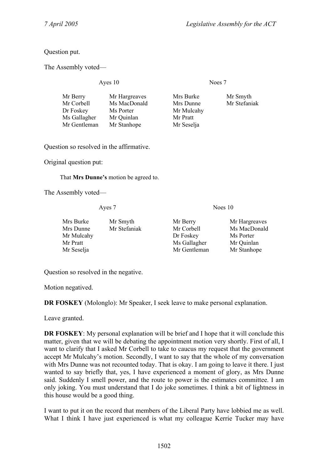Question put.

The Assembly voted—

Ayes 10 Noes 7

| Mr Berry<br>Mr Corbell<br>Dr Foskey | Mr Hargreaves<br>Ms MacDonald<br>Ms Porter | Mrs Burke<br>Mrs Dunne<br>Mr Mulcahy | Mr Smyth<br>Mr Stefaniak |
|-------------------------------------|--------------------------------------------|--------------------------------------|--------------------------|
| Ms Gallagher                        | Mr Quinlan                                 | Mr Pratt                             |                          |
| Mr Gentleman                        | Mr Stanhope                                | Mr Seselja                           |                          |

Question so resolved in the affirmative.

Original question put:

That **Mrs Dunne's** motion be agreed to.

The Assembly voted—

Ayes 7 Noes 10

| Mrs Burke  | Mr Smyth     | Mr Berry     | Mr Hargreaves |
|------------|--------------|--------------|---------------|
| Mrs Dunne  | Mr Stefaniak | Mr Corbell   | Ms MacDonald  |
| Mr Mulcahy |              | Dr Foskey    | Ms Porter     |
| Mr Pratt   |              | Ms Gallagher | Mr Quinlan    |
| Mr Seselja |              | Mr Gentleman | Mr Stanhope   |

Question so resolved in the negative.

Motion negatived.

**DR FOSKEY** (Molonglo): Mr Speaker, I seek leave to make personal explanation.

Leave granted.

**DR FOSKEY**: My personal explanation will be brief and I hope that it will conclude this matter, given that we will be debating the appointment motion very shortly. First of all, I want to clarify that I asked Mr Corbell to take to caucus my request that the government accept Mr Mulcahy's motion. Secondly, I want to say that the whole of my conversation with Mrs Dunne was not recounted today. That is okay. I am going to leave it there. I just wanted to say briefly that, yes, I have experienced a moment of glory, as Mrs Dunne said. Suddenly I smell power, and the route to power is the estimates committee. I am only joking. You must understand that I do joke sometimes. I think a bit of lightness in this house would be a good thing.

I want to put it on the record that members of the Liberal Party have lobbied me as well. What I think I have just experienced is what my colleague Kerrie Tucker may have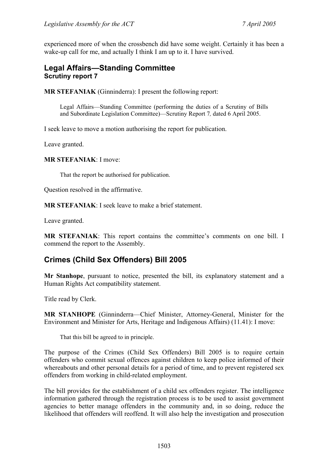experienced more of when the crossbench did have some weight. Certainly it has been a wake-up call for me, and actually I think I am up to it. I have survived.

## <span id="page-22-0"></span>**Legal Affairs—Standing Committee Scrutiny report 7**

**MR STEFANIAK** (Ginninderra): I present the following report:

Legal Affairs—Standing Committee (performing the duties of a Scrutiny of Bills and Subordinate Legislation Committee)—Scrutiny Report 7*,* dated 6 April 2005.

I seek leave to move a motion authorising the report for publication.

Leave granted.

#### **MR STEFANIAK**: I move:

That the report be authorised for publication.

Question resolved in the affirmative.

**MR STEFANIAK**: I seek leave to make a brief statement.

Leave granted.

**MR STEFANIAK**: This report contains the committee's comments on one bill. I commend the report to the Assembly.

## <span id="page-22-1"></span>**Crimes (Child Sex Offenders) Bill 2005**

**Mr Stanhope**, pursuant to notice, presented the bill, its explanatory statement and a Human Rights Act compatibility statement.

Title read by Clerk.

**MR STANHOPE** (Ginninderra—Chief Minister, Attorney-General, Minister for the Environment and Minister for Arts, Heritage and Indigenous Affairs) (11.41): I move:

That this bill be agreed to in principle.

The purpose of the Crimes (Child Sex Offenders) Bill 2005 is to require certain offenders who commit sexual offences against children to keep police informed of their whereabouts and other personal details for a period of time, and to prevent registered sex offenders from working in child-related employment.

The bill provides for the establishment of a child sex offenders register. The intelligence information gathered through the registration process is to be used to assist government agencies to better manage offenders in the community and, in so doing, reduce the likelihood that offenders will reoffend. It will also help the investigation and prosecution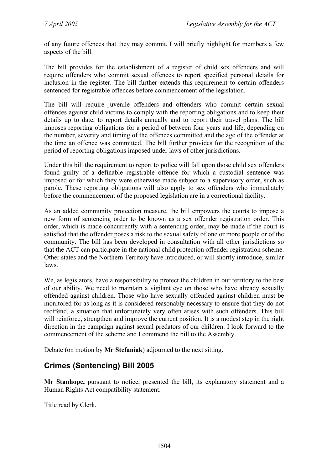of any future offences that they may commit. I will briefly highlight for members a few aspects of the bill.

The bill provides for the establishment of a register of child sex offenders and will require offenders who commit sexual offences to report specified personal details for inclusion in the register. The bill further extends this requirement to certain offenders sentenced for registrable offences before commencement of the legislation.

The bill will require juvenile offenders and offenders who commit certain sexual offences against child victims to comply with the reporting obligations and to keep their details up to date, to report details annually and to report their travel plans. The bill imposes reporting obligations for a period of between four years and life, depending on the number, severity and timing of the offences committed and the age of the offender at the time an offence was committed. The bill further provides for the recognition of the period of reporting obligations imposed under laws of other jurisdictions.

Under this bill the requirement to report to police will fall upon those child sex offenders found guilty of a definable registrable offence for which a custodial sentence was imposed or for which they were otherwise made subject to a supervisory order, such as parole. These reporting obligations will also apply to sex offenders who immediately before the commencement of the proposed legislation are in a correctional facility.

As an added community protection measure, the bill empowers the courts to impose a new form of sentencing order to be known as a sex offender registration order. This order, which is made concurrently with a sentencing order, may be made if the court is satisfied that the offender poses a risk to the sexual safety of one or more people or of the community. The bill has been developed in consultation with all other jurisdictions so that the ACT can participate in the national child protection offender registration scheme. Other states and the Northern Territory have introduced, or will shortly introduce, similar laws.

We, as legislators, have a responsibility to protect the children in our territory to the best of our ability. We need to maintain a vigilant eye on those who have already sexually offended against children. Those who have sexually offended against children must be monitored for as long as it is considered reasonably necessary to ensure that they do not reoffend, a situation that unfortunately very often arises with such offenders. This bill will reinforce, strengthen and improve the current position. It is a modest step in the right direction in the campaign against sexual predators of our children. I look forward to the commencement of the scheme and I commend the bill to the Assembly.

Debate (on motion by **Mr Stefaniak**) adjourned to the next sitting.

# <span id="page-23-0"></span>**Crimes (Sentencing) Bill 2005**

**Mr Stanhope,** pursuant to notice, presented the bill, its explanatory statement and a Human Rights Act compatibility statement.

Title read by Clerk.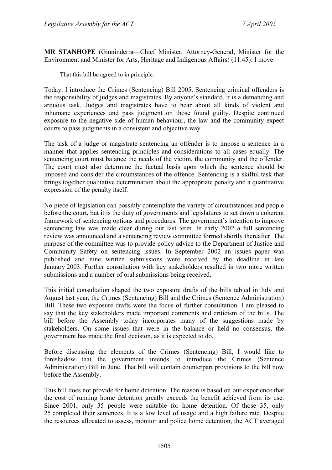**MR STANHOPE** (Ginninderra—Chief Minister, Attorney-General, Minister for the Environment and Minister for Arts, Heritage and Indigenous Affairs) (11.45): I move:

That this bill be agreed to in principle.

Today, I introduce the Crimes (Sentencing) Bill 2005. Sentencing criminal offenders is the responsibility of judges and magistrates. By anyone's standard, it is a demanding and arduous task. Judges and magistrates have to hear about all kinds of violent and inhumane experiences and pass judgment on those found guilty. Despite continued exposure to the negative side of human behaviour, the law and the community expect courts to pass judgments in a consistent and objective way.

The task of a judge or magistrate sentencing an offender is to impose a sentence in a manner that applies sentencing principles and considerations to all cases equally. The sentencing court must balance the needs of the victim, the community and the offender. The court must also determine the factual basis upon which the sentence should be imposed and consider the circumstances of the offence. Sentencing is a skilful task that brings together qualitative determination about the appropriate penalty and a quantitative expression of the penalty itself.

No piece of legislation can possibly contemplate the variety of circumstances and people before the court, but it is the duty of governments and legislatures to set down a coherent framework of sentencing options and procedures. The government's intention to improve sentencing law was made clear during our last term. In early 2002 a full sentencing review was announced and a sentencing review committee formed shortly thereafter. The purpose of the committee was to provide policy advice to the Department of Justice and Community Safety on sentencing issues. In September 2002 an issues paper was published and nine written submissions were received by the deadline in late January 2003. Further consultation with key stakeholders resulted in two more written submissions and a number of oral submissions being received.

This initial consultation shaped the two exposure drafts of the bills tabled in July and August last year, the Crimes (Sentencing) Bill and the Crimes (Sentence Administration) Bill. These two exposure drafts were the focus of further consultation. I am pleased to say that the key stakeholders made important comments and criticism of the bills. The bill before the Assembly today incorporates many of the suggestions made by stakeholders. On some issues that were in the balance or held no consensus, the government has made the final decision, as it is expected to do.

Before discussing the elements of the Crimes (Sentencing) Bill, I would like to foreshadow that the government intends to introduce the Crimes (Sentence Administration) Bill in June. That bill will contain counterpart provisions to the bill now before the Assembly.

This bill does not provide for home detention. The reason is based on our experience that the cost of running home detention greatly exceeds the benefit achieved from its use. Since 2001, only 35 people were suitable for home detention. Of those 35, only 25 completed their sentences. It is a low level of usage and a high failure rate. Despite the resources allocated to assess, monitor and police home detention, the ACT averaged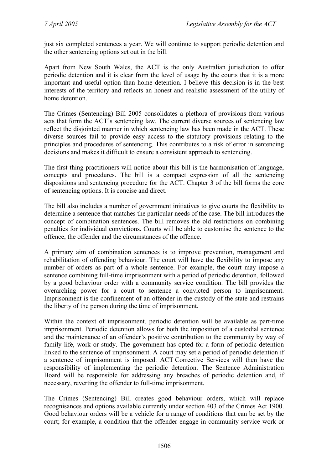just six completed sentences a year. We will continue to support periodic detention and the other sentencing options set out in the bill.

Apart from New South Wales, the ACT is the only Australian jurisdiction to offer periodic detention and it is clear from the level of usage by the courts that it is a more important and useful option than home detention. I believe this decision is in the best interests of the territory and reflects an honest and realistic assessment of the utility of home detention.

The Crimes (Sentencing) Bill 2005 consolidates a plethora of provisions from various acts that form the ACT's sentencing law. The current diverse sources of sentencing law reflect the disjointed manner in which sentencing law has been made in the ACT. These diverse sources fail to provide easy access to the statutory provisions relating to the principles and procedures of sentencing. This contributes to a risk of error in sentencing decisions and makes it difficult to ensure a consistent approach to sentencing.

The first thing practitioners will notice about this bill is the harmonisation of language, concepts and procedures. The bill is a compact expression of all the sentencing dispositions and sentencing procedure for the ACT. Chapter 3 of the bill forms the core of sentencing options. It is concise and direct.

The bill also includes a number of government initiatives to give courts the flexibility to determine a sentence that matches the particular needs of the case. The bill introduces the concept of combination sentences. The bill removes the old restrictions on combining penalties for individual convictions. Courts will be able to customise the sentence to the offence, the offender and the circumstances of the offence.

A primary aim of combination sentences is to improve prevention, management and rehabilitation of offending behaviour. The court will have the flexibility to impose any number of orders as part of a whole sentence. For example, the court may impose a sentence combining full-time imprisonment with a period of periodic detention, followed by a good behaviour order with a community service condition. The bill provides the overarching power for a court to sentence a convicted person to imprisonment. Imprisonment is the confinement of an offender in the custody of the state and restrains the liberty of the person during the time of imprisonment.

Within the context of imprisonment, periodic detention will be available as part-time imprisonment. Periodic detention allows for both the imposition of a custodial sentence and the maintenance of an offender's positive contribution to the community by way of family life, work or study. The government has opted for a form of periodic detention linked to the sentence of imprisonment. A court may set a period of periodic detention if a sentence of imprisonment is imposed. ACT Corrective Services will then have the responsibility of implementing the periodic detention. The Sentence Administration Board will be responsible for addressing any breaches of periodic detention and, if necessary, reverting the offender to full-time imprisonment.

The Crimes (Sentencing) Bill creates good behaviour orders, which will replace recognisances and options available currently under section 403 of the Crimes Act 1900. Good behaviour orders will be a vehicle for a range of conditions that can be set by the court; for example, a condition that the offender engage in community service work or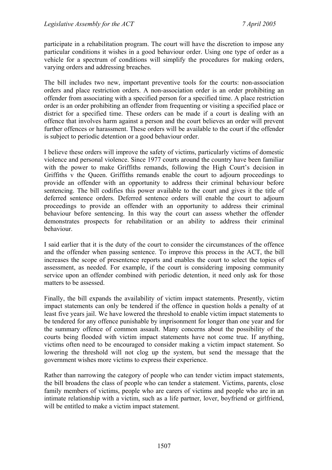participate in a rehabilitation program. The court will have the discretion to impose any particular conditions it wishes in a good behaviour order. Using one type of order as a vehicle for a spectrum of conditions will simplify the procedures for making orders, varying orders and addressing breaches.

The bill includes two new, important preventive tools for the courts: non-association orders and place restriction orders. A non-association order is an order prohibiting an offender from associating with a specified person for a specified time. A place restriction order is an order prohibiting an offender from frequenting or visiting a specified place or district for a specified time. These orders can be made if a court is dealing with an offence that involves harm against a person and the court believes an order will prevent further offences or harassment. These orders will be available to the court if the offender is subject to periodic detention or a good behaviour order.

I believe these orders will improve the safety of victims, particularly victims of domestic violence and personal violence. Since 1977 courts around the country have been familiar with the power to make Griffiths remands, following the High Court's decision in Griffiths v the Queen. Griffiths remands enable the court to adjourn proceedings to provide an offender with an opportunity to address their criminal behaviour before sentencing. The bill codifies this power available to the court and gives it the title of deferred sentence orders. Deferred sentence orders will enable the court to adjourn proceedings to provide an offender with an opportunity to address their criminal behaviour before sentencing. In this way the court can assess whether the offender demonstrates prospects for rehabilitation or an ability to address their criminal behaviour.

I said earlier that it is the duty of the court to consider the circumstances of the offence and the offender when passing sentence. To improve this process in the ACT, the bill increases the scope of presentence reports and enables the court to select the topics of assessment, as needed. For example, if the court is considering imposing community service upon an offender combined with periodic detention, it need only ask for those matters to be assessed.

Finally, the bill expands the availability of victim impact statements. Presently, victim impact statements can only be tendered if the offence in question holds a penalty of at least five years jail. We have lowered the threshold to enable victim impact statements to be tendered for any offence punishable by imprisonment for longer than one year and for the summary offence of common assault. Many concerns about the possibility of the courts being flooded with victim impact statements have not come true. If anything, victims often need to be encouraged to consider making a victim impact statement. So lowering the threshold will not clog up the system, but send the message that the government wishes more victims to express their experience.

Rather than narrowing the category of people who can tender victim impact statements, the bill broadens the class of people who can tender a statement. Victims, parents, close family members of victims, people who are carers of victims and people who are in an intimate relationship with a victim, such as a life partner, lover, boyfriend or girlfriend, will be entitled to make a victim impact statement.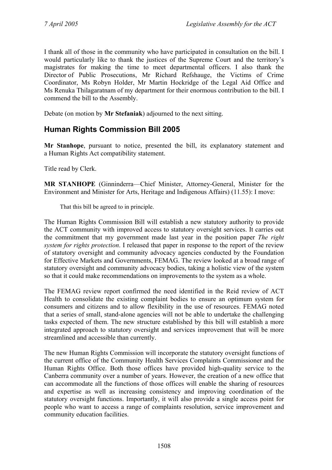I thank all of those in the community who have participated in consultation on the bill. I would particularly like to thank the justices of the Supreme Court and the territory's magistrates for making the time to meet departmental officers. I also thank the Director of Public Prosecutions, Mr Richard Refshauge, the Victims of Crime Coordinator, Ms Robyn Holder, Mr Martin Hockridge of the Legal Aid Office and Ms Renuka Thilagaratnam of my department for their enormous contribution to the bill. I commend the bill to the Assembly.

Debate (on motion by **Mr Stefaniak**) adjourned to the next sitting.

## <span id="page-27-0"></span>**Human Rights Commission Bill 2005**

**Mr Stanhope**, pursuant to notice, presented the bill, its explanatory statement and a Human Rights Act compatibility statement.

Title read by Clerk.

**MR STANHOPE** (Ginninderra—Chief Minister, Attorney-General, Minister for the Environment and Minister for Arts, Heritage and Indigenous Affairs) (11.55): I move:

That this bill be agreed to in principle.

The Human Rights Commission Bill will establish a new statutory authority to provide the ACT community with improved access to statutory oversight services. It carries out the commitment that my government made last year in the position paper *The right system for rights protection*. I released that paper in response to the report of the review of statutory oversight and community advocacy agencies conducted by the Foundation for Effective Markets and Governments, FEMAG. The review looked at a broad range of statutory oversight and community advocacy bodies, taking a holistic view of the system so that it could make recommendations on improvements to the system as a whole.

The FEMAG review report confirmed the need identified in the Reid review of ACT Health to consolidate the existing complaint bodies to ensure an optimum system for consumers and citizens and to allow flexibility in the use of resources. FEMAG noted that a series of small, stand-alone agencies will not be able to undertake the challenging tasks expected of them. The new structure established by this bill will establish a more integrated approach to statutory oversight and services improvement that will be more streamlined and accessible than currently.

The new Human Rights Commission will incorporate the statutory oversight functions of the current office of the Community Health Services Complaints Commissioner and the Human Rights Office. Both those offices have provided high-quality service to the Canberra community over a number of years. However, the creation of a new office that can accommodate all the functions of those offices will enable the sharing of resources and expertise as well as increasing consistency and improving coordination of the statutory oversight functions. Importantly, it will also provide a single access point for people who want to access a range of complaints resolution, service improvement and community education facilities.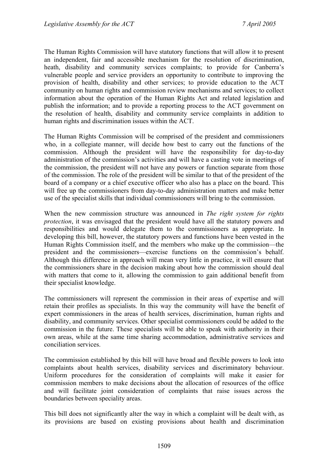The Human Rights Commission will have statutory functions that will allow it to present an independent, fair and accessible mechanism for the resolution of discrimination, heath, disability and community services complaints; to provide for Canberra's vulnerable people and service providers an opportunity to contribute to improving the provision of health, disability and other services; to provide education to the ACT community on human rights and commission review mechanisms and services; to collect information about the operation of the Human Rights Act and related legislation and publish the information; and to provide a reporting process to the ACT government on the resolution of health, disability and community service complaints in addition to human rights and discrimination issues within the ACT.

The Human Rights Commission will be comprised of the president and commissioners who, in a collegiate manner, will decide how best to carry out the functions of the commission. Although the president will have the responsibility for day-to-day administration of the commission's activities and will have a casting vote in meetings of the commission, the president will not have any powers or function separate from those of the commission. The role of the president will be similar to that of the president of the board of a company or a chief executive officer who also has a place on the board. This will free up the commissioners from day-to-day administration matters and make better use of the specialist skills that individual commissioners will bring to the commission.

When the new commission structure was announced in *The right system for rights protection*, it was envisaged that the president would have all the statutory powers and responsibilities and would delegate them to the commissioners as appropriate. In developing this bill, however, the statutory powers and functions have been vested in the Human Rights Commission itself, and the members who make up the commission—the president and the commissioners—exercise functions on the commission's behalf. Although this difference in approach will mean very little in practice, it will ensure that the commissioners share in the decision making about how the commission should deal with matters that come to it, allowing the commission to gain additional benefit from their specialist knowledge.

The commissioners will represent the commission in their areas of expertise and will retain their profiles as specialists. In this way the community will have the benefit of expert commissioners in the areas of health services, discrimination, human rights and disability, and community services. Other specialist commissioners could be added to the commission in the future. These specialists will be able to speak with authority in their own areas, while at the same time sharing accommodation, administrative services and conciliation services.

The commission established by this bill will have broad and flexible powers to look into complaints about health services, disability services and discriminatory behaviour. Uniform procedures for the consideration of complaints will make it easier for commission members to make decisions about the allocation of resources of the office and will facilitate joint consideration of complaints that raise issues across the boundaries between speciality areas.

This bill does not significantly alter the way in which a complaint will be dealt with, as its provisions are based on existing provisions about health and discrimination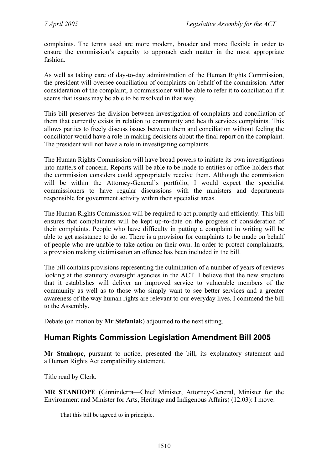complaints. The terms used are more modern, broader and more flexible in order to ensure the commission's capacity to approach each matter in the most appropriate fashion.

As well as taking care of day-to-day administration of the Human Rights Commission, the president will oversee conciliation of complaints on behalf of the commission. After consideration of the complaint, a commissioner will be able to refer it to conciliation if it seems that issues may be able to be resolved in that way.

This bill preserves the division between investigation of complaints and conciliation of them that currently exists in relation to community and health services complaints. This allows parties to freely discuss issues between them and conciliation without feeling the conciliator would have a role in making decisions about the final report on the complaint. The president will not have a role in investigating complaints.

The Human Rights Commission will have broad powers to initiate its own investigations into matters of concern. Reports will be able to be made to entities or office-holders that the commission considers could appropriately receive them. Although the commission will be within the Attorney-General's portfolio, I would expect the specialist commissioners to have regular discussions with the ministers and departments responsible for government activity within their specialist areas.

The Human Rights Commission will be required to act promptly and efficiently. This bill ensures that complainants will be kept up-to-date on the progress of consideration of their complaints. People who have difficulty in putting a complaint in writing will be able to get assistance to do so. There is a provision for complaints to be made on behalf of people who are unable to take action on their own. In order to protect complainants, a provision making victimisation an offence has been included in the bill.

The bill contains provisions representing the culmination of a number of years of reviews looking at the statutory oversight agencies in the ACT. I believe that the new structure that it establishes will deliver an improved service to vulnerable members of the community as well as to those who simply want to see better services and a greater awareness of the way human rights are relevant to our everyday lives. I commend the bill to the Assembly.

Debate (on motion by **Mr Stefaniak**) adjourned to the next sitting.

# <span id="page-29-0"></span>**Human Rights Commission Legislation Amendment Bill 2005**

**Mr Stanhope**, pursuant to notice, presented the bill, its explanatory statement and a Human Rights Act compatibility statement.

Title read by Clerk.

**MR STANHOPE** (Ginninderra—Chief Minister, Attorney-General, Minister for the Environment and Minister for Arts, Heritage and Indigenous Affairs) (12.03): I move:

That this bill be agreed to in principle.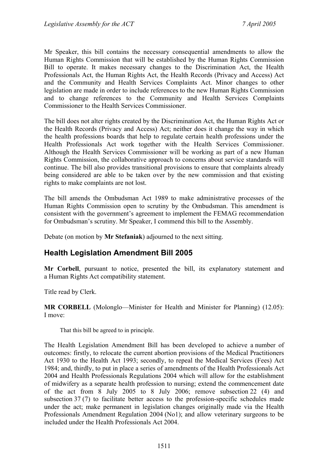Mr Speaker, this bill contains the necessary consequential amendments to allow the Human Rights Commission that will be established by the Human Rights Commission Bill to operate. It makes necessary changes to the Discrimination Act, the Health Professionals Act, the Human Rights Act, the Health Records (Privacy and Access) Act and the Community and Health Services Complaints Act. Minor changes to other legislation are made in order to include references to the new Human Rights Commission and to change references to the Community and Health Services Complaints Commissioner to the Health Services Commissioner.

The bill does not alter rights created by the Discrimination Act, the Human Rights Act or the Health Records (Privacy and Access) Act; neither does it change the way in which the health professions boards that help to regulate certain health professions under the Health Professionals Act work together with the Health Services Commissioner. Although the Health Services Commissioner will be working as part of a new Human Rights Commission, the collaborative approach to concerns about service standards will continue. The bill also provides transitional provisions to ensure that complaints already being considered are able to be taken over by the new commission and that existing rights to make complaints are not lost.

The bill amends the Ombudsman Act 1989 to make administrative processes of the Human Rights Commission open to scrutiny by the Ombudsman. This amendment is consistent with the government's agreement to implement the FEMAG recommendation for Ombudsman's scrutiny. Mr Speaker, I commend this bill to the Assembly.

Debate (on motion by **Mr Stefaniak**) adjourned to the next sitting.

### <span id="page-30-0"></span>**Health Legislation Amendment Bill 2005**

**Mr Corbell**, pursuant to notice, presented the bill, its explanatory statement and a Human Rights Act compatibility statement.

Title read by Clerk.

**MR CORBELL** (Molonglo—Minister for Health and Minister for Planning) (12.05): I move:

That this bill be agreed to in principle.

The Health Legislation Amendment Bill has been developed to achieve a number of outcomes: firstly, to relocate the current abortion provisions of the Medical Practitioners Act 1930 to the Health Act 1993; secondly, to repeal the Medical Services (Fees) Act 1984; and, thirdly, to put in place a series of amendments of the Health Professionals Act 2004 and Health Professionals Regulations 2004 which will allow for the establishment of midwifery as a separate health profession to nursing; extend the commencement date of the act from 8 July 2005 to 8 July 2006; remove subsection 22 (4) and subsection 37 (7) to facilitate better access to the profession-specific schedules made under the act; make permanent in legislation changes originally made via the Health Professionals Amendment Regulation 2004 (No1); and allow veterinary surgeons to be included under the Health Professionals Act 2004.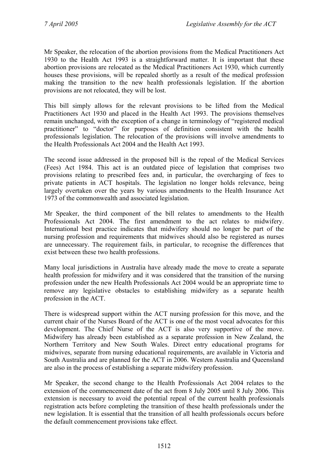Mr Speaker, the relocation of the abortion provisions from the Medical Practitioners Act 1930 to the Health Act 1993 is a straightforward matter. It is important that these abortion provisions are relocated as the Medical Practitioners Act 1930, which currently houses these provisions, will be repealed shortly as a result of the medical profession making the transition to the new health professionals legislation. If the abortion provisions are not relocated, they will be lost.

This bill simply allows for the relevant provisions to be lifted from the Medical Practitioners Act 1930 and placed in the Health Act 1993. The provisions themselves remain unchanged, with the exception of a change in terminology of "registered medical practitioner" to "doctor" for purposes of definition consistent with the health professionals legislation. The relocation of the provisions will involve amendments to the Health Professionals Act 2004 and the Health Act 1993.

The second issue addressed in the proposed bill is the repeal of the Medical Services (Fees) Act 1984. This act is an outdated piece of legislation that comprises two provisions relating to prescribed fees and, in particular, the overcharging of fees to private patients in ACT hospitals. The legislation no longer holds relevance, being largely overtaken over the years by various amendments to the Health Insurance Act 1973 of the commonwealth and associated legislation.

Mr Speaker, the third component of the bill relates to amendments to the Health Professionals Act 2004. The first amendment to the act relates to midwifery. International best practice indicates that midwifery should no longer be part of the nursing profession and requirements that midwives should also be registered as nurses are unnecessary. The requirement fails, in particular, to recognise the differences that exist between these two health professions.

Many local jurisdictions in Australia have already made the move to create a separate health profession for midwifery and it was considered that the transition of the nursing profession under the new Health Professionals Act 2004 would be an appropriate time to remove any legislative obstacles to establishing midwifery as a separate health profession in the ACT.

There is widespread support within the ACT nursing profession for this move, and the current chair of the Nurses Board of the ACT is one of the most vocal advocates for this development. The Chief Nurse of the ACT is also very supportive of the move. Midwifery has already been established as a separate profession in New Zealand, the Northern Territory and New South Wales. Direct entry educational programs for midwives, separate from nursing educational requirements, are available in Victoria and South Australia and are planned for the ACT in 2006. Western Australia and Queensland are also in the process of establishing a separate midwifery profession.

Mr Speaker, the second change to the Health Professionals Act 2004 relates to the extension of the commencement date of the act from 8 July 2005 until 8 July 2006. This extension is necessary to avoid the potential repeal of the current health professionals registration acts before completing the transition of these health professionals under the new legislation. It is essential that the transition of all health professionals occurs before the default commencement provisions take effect.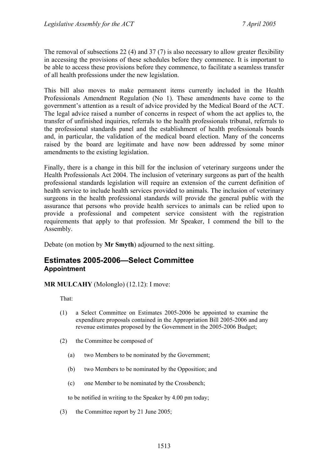The removal of subsections 22 (4) and 37 (7) is also necessary to allow greater flexibility in accessing the provisions of these schedules before they commence. It is important to be able to access these provisions before they commence, to facilitate a seamless transfer of all health professions under the new legislation.

This bill also moves to make permanent items currently included in the Health Professionals Amendment Regulation (No 1). These amendments have come to the government's attention as a result of advice provided by the Medical Board of the ACT. The legal advice raised a number of concerns in respect of whom the act applies to, the transfer of unfinished inquiries, referrals to the health professionals tribunal, referrals to the professional standards panel and the establishment of health professionals boards and, in particular, the validation of the medical board election. Many of the concerns raised by the board are legitimate and have now been addressed by some minor amendments to the existing legislation.

Finally, there is a change in this bill for the inclusion of veterinary surgeons under the Health Professionals Act 2004. The inclusion of veterinary surgeons as part of the health professional standards legislation will require an extension of the current definition of health service to include health services provided to animals. The inclusion of veterinary surgeons in the health professional standards will provide the general public with the assurance that persons who provide health services to animals can be relied upon to provide a professional and competent service consistent with the registration requirements that apply to that profession. Mr Speaker, I commend the bill to the Assembly.

Debate (on motion by **Mr Smyth**) adjourned to the next sitting.

#### <span id="page-32-0"></span>**Estimates 2005-2006—Select Committee Appointment**

**MR MULCAHY** (Molonglo) (12.12): I move:

That:

- (1) a Select Committee on Estimates 2005-2006 be appointed to examine the expenditure proposals contained in the Appropriation Bill 2005-2006 and any revenue estimates proposed by the Government in the 2005-2006 Budget;
- (2) the Committee be composed of
	- (a) two Members to be nominated by the Government;
	- (b) two Members to be nominated by the Opposition; and
	- (c) one Member to be nominated by the Crossbench;

to be notified in writing to the Speaker by 4.00 pm today;

(3) the Committee report by 21 June 2005;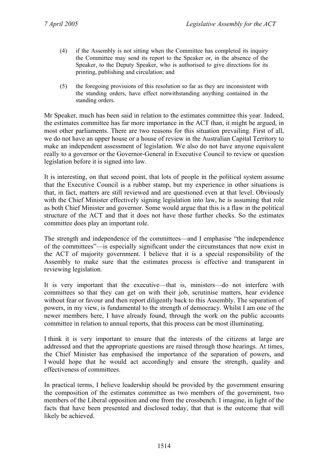- (4) if the Assembly is not sitting when the Committee has completed its inquiry the Committee may send its report to the Speaker or, in the absence of the Speaker, to the Deputy Speaker, who is authorised to give directions for its printing, publishing and circulation; and
- (5) the foregoing provisions of this resolution so far as they are inconsistent with the standing orders, have effect notwithstanding anything contained in the standing orders.

Mr Speaker, much has been said in relation to the estimates committee this year. Indeed, the estimates committee has far more importance in the ACT than, it might be argued, in most other parliaments. There are two reasons for this situation prevailing. First of all, we do not have an upper house or a house of review in the Australian Capital Territory to make an independent assessment of legislation. We also do not have anyone equivalent really to a governor or the Governor-General in Executive Council to review or question legislation before it is signed into law.

It is interesting, on that second point, that lots of people in the political system assume that the Executive Council is a rubber stamp, but my experience in other situations is that, in fact, matters are still reviewed and are questioned even at that level. Obviously with the Chief Minister effectively signing legislation into law, he is assuming that role as both Chief Minister and governor. Some would argue that this is a flaw in the political structure of the ACT and that it does not have those further checks. So the estimates committee does play an important role.

The strength and independence of the committees—and I emphasise "the independence of the committees"—is especially significant under the circumstances that now exist in the ACT of majority government. I believe that it is a special responsibility of the Assembly to make sure that the estimates process is effective and transparent in reviewing legislation.

It is very important that the executive—that is, ministers—do not interfere with committees so that they can get on with their job, scrutinise matters, hear evidence without fear or favour and then report diligently back to this Assembly. The separation of powers, in my view, is fundamental to the strength of democracy. Whilst I am one of the newer members here, I have already found, through the work on the public accounts committee in relation to annual reports, that this process can be most illuminating.

I think it is very important to ensure that the interests of the citizens at large are addressed and that the appropriate questions are raised through those hearings. At times, the Chief Minister has emphasised the importance of the separation of powers, and I would hope that he would act accordingly and ensure the strength, quality and effectiveness of committees.

In practical terms, I believe leadership should be provided by the government ensuring the composition of the estimates committee as two members of the government, two members of the Liberal opposition and one from the crossbench. I imagine, in light of the facts that have been presented and disclosed today, that that is the outcome that will likely be achieved.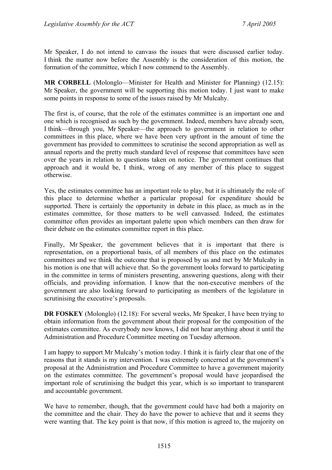Mr Speaker, I do not intend to canvass the issues that were discussed earlier today. I think the matter now before the Assembly is the consideration of this motion, the formation of the committee, which I now commend to the Assembly.

**MR CORBELL** (Molonglo—Minister for Health and Minister for Planning) (12.15): Mr Speaker, the government will be supporting this motion today. I just want to make some points in response to some of the issues raised by Mr Mulcahy.

The first is, of course, that the role of the estimates committee is an important one and one which is recognised as such by the government. Indeed, members have already seen, I think—through you, Mr Speaker—the approach to government in relation to other committees in this place, where we have been very upfront in the amount of time the government has provided to committees to scrutinise the second appropriation as well as annual reports and the pretty much standard level of response that committees have seen over the years in relation to questions taken on notice. The government continues that approach and it would be, I think, wrong of any member of this place to suggest otherwise.

Yes, the estimates committee has an important role to play, but it is ultimately the role of this place to determine whether a particular proposal for expenditure should be supported. There is certainly the opportunity in debate in this place, as much as in the estimates committee, for those matters to be well canvassed. Indeed, the estimates committee often provides an important palette upon which members can then draw for their debate on the estimates committee report in this place.

Finally, Mr Speaker, the government believes that it is important that there is representation, on a proportional basis, of all members of this place on the estimates committees and we think the outcome that is proposed by us and met by Mr Mulcahy in his motion is one that will achieve that. So the government looks forward to participating in the committee in terms of ministers presenting, answering questions, along with their officials, and providing information. I know that the non-executive members of the government are also looking forward to participating as members of the legislature in scrutinising the executive's proposals.

**DR FOSKEY** (Molonglo) (12.18): For several weeks, Mr Speaker, I have been trying to obtain information from the government about their proposal for the composition of the estimates committee. As everybody now knows, I did not hear anything about it until the Administration and Procedure Committee meeting on Tuesday afternoon.

I am happy to support Mr Mulcahy's motion today. I think it is fairly clear that one of the reasons that it stands is my intervention. I was extremely concerned at the government's proposal at the Administration and Procedure Committee to have a government majority on the estimates committee. The government's proposal would have jeopardised the important role of scrutinising the budget this year, which is so important to transparent and accountable government.

We have to remember, though, that the government could have had both a majority on the committee and the chair. They do have the power to achieve that and it seems they were wanting that. The key point is that now, if this motion is agreed to, the majority on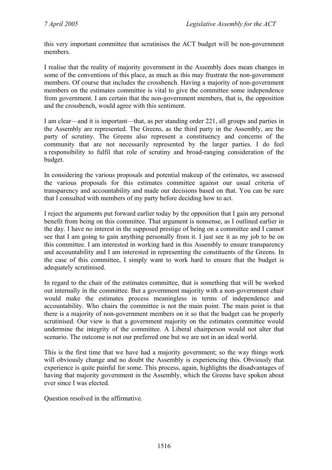this very important committee that scrutinises the ACT budget will be non-government members.

I realise that the reality of majority government in the Assembly does mean changes in some of the conventions of this place, as much as this may frustrate the non-government members. Of course that includes the crossbench. Having a majority of non-government members on the estimates committee is vital to give the committee some independence from government. I am certain that the non-government members, that is, the opposition and the crossbench, would agree with this sentiment.

I am clear—and it is important—that, as per standing order 221, all groups and parties in the Assembly are represented. The Greens, as the third party in the Assembly, are the party of scrutiny. The Greens also represent a constituency and concerns of the community that are not necessarily represented by the larger parties. I do feel a responsibility to fulfil that role of scrutiny and broad-ranging consideration of the budget.

In considering the various proposals and potential makeup of the estimates, we assessed the various proposals for this estimates committee against our usual criteria of transparency and accountability and made our decisions based on that. You can be sure that I consulted with members of my party before deciding how to act.

I reject the arguments put forward earlier today by the opposition that I gain any personal benefit from being on this committee. That argument is nonsense, as I outlined earlier in the day. I have no interest in the supposed prestige of being on a committee and I cannot see that I am going to gain anything personally from it. I just see it as my job to be on this committee. I am interested in working hard in this Assembly to ensure transparency and accountability and I am interested in representing the constituents of the Greens. In the case of this committee, I simply want to work hard to ensure that the budget is adequately scrutinised.

In regard to the chair of the estimates committee, that is something that will be worked out internally in the committee. But a government majority with a non-government chair would make the estimates process meaningless in terms of independence and accountability. Who chairs the committee is not the main point. The main point is that there is a majority of non-government members on it so that the budget can be properly scrutinised. Our view is that a government majority on the estimates committee would undermine the integrity of the committee. A Liberal chairperson would not alter that scenario. The outcome is not our preferred one but we are not in an ideal world.

This is the first time that we have had a majority government; so the way things work will obviously change and no doubt the Assembly is experiencing this. Obviously that experience is quite painful for some. This process, again, highlights the disadvantages of having that majority government in the Assembly, which the Greens have spoken about ever since I was elected.

Question resolved in the affirmative.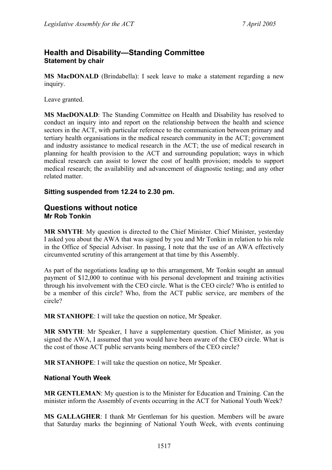## **Health and Disability—Standing Committee Statement by chair**

**MS MacDONALD** (Brindabella): I seek leave to make a statement regarding a new inquiry.

Leave granted.

**MS MacDONALD**: The Standing Committee on Health and Disability has resolved to conduct an inquiry into and report on the relationship between the health and science sectors in the ACT, with particular reference to the communication between primary and tertiary health organisations in the medical research community in the ACT; government and industry assistance to medical research in the ACT; the use of medical research in planning for health provision to the ACT and surrounding population; ways in which medical research can assist to lower the cost of health provision; models to support medical research; the availability and advancement of diagnostic testing; and any other related matter.

### **Sitting suspended from 12.24 to 2.30 pm.**

### **Questions without notice Mr Rob Tonkin**

**MR SMYTH**: My question is directed to the Chief Minister. Chief Minister, yesterday I asked you about the AWA that was signed by you and Mr Tonkin in relation to his role in the Office of Special Adviser. In passing, I note that the use of an AWA effectively circumvented scrutiny of this arrangement at that time by this Assembly.

As part of the negotiations leading up to this arrangement, Mr Tonkin sought an annual payment of \$12,000 to continue with his personal development and training activities through his involvement with the CEO circle. What is the CEO circle? Who is entitled to be a member of this circle? Who, from the ACT public service, are members of the circle?

**MR STANHOPE**: I will take the question on notice, Mr Speaker.

**MR SMYTH**: Mr Speaker, I have a supplementary question. Chief Minister, as you signed the AWA, I assumed that you would have been aware of the CEO circle. What is the cost of those ACT public servants being members of the CEO circle?

**MR STANHOPE**: I will take the question on notice, Mr Speaker.

### **National Youth Week**

**MR GENTLEMAN**: My question is to the Minister for Education and Training. Can the minister inform the Assembly of events occurring in the ACT for National Youth Week?

**MS GALLAGHER**: I thank Mr Gentleman for his question. Members will be aware that Saturday marks the beginning of National Youth Week, with events continuing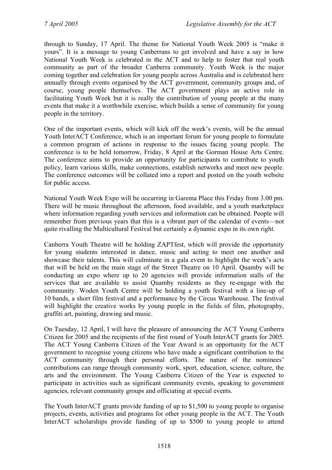through to Sunday, 17 April. The theme for National Youth Week 2005 is "make it yours". It is a message to young Canberrans to get involved and have a say in how National Youth Week is celebrated in the ACT and to help to foster that real youth community as part of the broader Canberra community. Youth Week is the major coming together and celebration for young people across Australia and is celebrated here annually through events organised by the ACT government, community groups and, of course, young people themselves. The ACT government plays an active role in facilitating Youth Week but it is really the contribution of young people at the many events that make it a worthwhile exercise, which builds a sense of community for young people in the territory.

One of the important events, which will kick off the week's events, will be the annual Youth InterACT Conference, which is an important forum for young people to formulate a common program of actions in response to the issues facing young people. The conference is to be held tomorrow, Friday, 8 April at the Gorman House Arts Centre. The conference aims to provide an opportunity for participants to contribute to youth policy, learn various skills, make connections, establish networks and meet new people. The conference outcomes will be collated into a report and posted on the youth website for public access.

National Youth Week Expo will be occurring in Garema Place this Friday from 3.00 pm. There will be music throughout the afternoon, food available, and a youth marketplace where information regarding youth services and information can be obtained. People will remember from previous years that this is a vibrant part of the calendar of events—not quite rivalling the Multicultural Festival but certainly a dynamic expo in its own right.

Canberra Youth Theatre will be holding ZAPTfest, which will provide the opportunity for young students interested in dance, music and acting to meet one another and showcase their talents. This will culminate in a gala event to highlight the week's acts that will be held on the main stage of the Street Theatre on 10 April. Quamby will be conducting an expo where up to 20 agencies will provide information stalls of the services that are available to assist Quamby residents as they re-engage with the community. Woden Youth Centre will be holding a youth festival with a line-up of 10 bands, a short film festival and a performance by the Circus Warehouse. The festival will highlight the creative works by young people in the fields of film, photography, graffiti art, painting, drawing and music.

On Tuesday, 12 April, I will have the pleasure of announcing the ACT Young Canberra Citizen for 2005 and the recipients of the first round of Youth InterACT grants for 2005. The ACT Young Canberra Citizen of the Year Award is an opportunity for the ACT government to recognise young citizens who have made a significant contribution to the ACT community through their personal efforts. The nature of the nominees' contributions can range through community work, sport, education, science, culture, the arts and the environment. The Young Canberra Citizen of the Year is expected to participate in activities such as significant community events, speaking to government agencies, relevant community groups and officiating at special events.

The Youth InterACT grants provide funding of up to \$1,500 to young people to organise projects, events, activities and programs for other young people in the ACT. The Youth InterACT scholarships provide funding of up to \$500 to young people to attend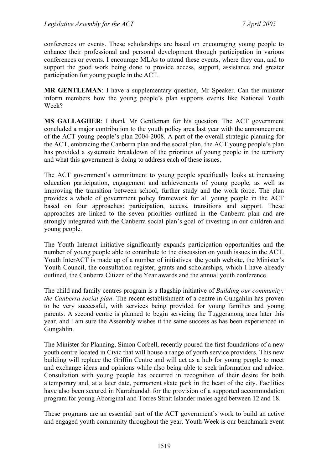conferences or events. These scholarships are based on encouraging young people to enhance their professional and personal development through participation in various conferences or events. I encourage MLAs to attend these events, where they can, and to support the good work being done to provide access, support, assistance and greater participation for young people in the ACT.

**MR GENTLEMAN**: I have a supplementary question, Mr Speaker. Can the minister inform members how the young people's plan supports events like National Youth Week?

**MS GALLAGHER**: I thank Mr Gentleman for his question. The ACT government concluded a major contribution to the youth policy area last year with the announcement of the ACT young people's plan 2004-2008. A part of the overall strategic planning for the ACT, embracing the Canberra plan and the social plan, the ACT young people's plan has provided a systematic breakdown of the priorities of young people in the territory and what this government is doing to address each of these issues.

The ACT government's commitment to young people specifically looks at increasing education participation, engagement and achievements of young people, as well as improving the transition between school, further study and the work force. The plan provides a whole of government policy framework for all young people in the ACT based on four approaches: participation, access, transitions and support. These approaches are linked to the seven priorities outlined in the Canberra plan and are strongly integrated with the Canberra social plan's goal of investing in our children and young people.

The Youth Interact initiative significantly expands participation opportunities and the number of young people able to contribute to the discussion on youth issues in the ACT. Youth InterACT is made up of a number of initiatives: the youth website, the Minister's Youth Council, the consultation register, grants and scholarships, which I have already outlined, the Canberra Citizen of the Year awards and the annual youth conference.

The child and family centres program is a flagship initiative of *Building our community: the Canberra social plan*. The recent establishment of a centre in Gungahlin has proven to be very successful, with services being provided for young families and young parents. A second centre is planned to begin servicing the Tuggeranong area later this year, and I am sure the Assembly wishes it the same success as has been experienced in Gungahlin.

The Minister for Planning, Simon Corbell, recently poured the first foundations of a new youth centre located in Civic that will house a range of youth service providers. This new building will replace the Griffin Centre and will act as a hub for young people to meet and exchange ideas and opinions while also being able to seek information and advice. Consultation with young people has occurred in recognition of their desire for both a temporary and, at a later date, permanent skate park in the heart of the city. Facilities have also been secured in Narrabundah for the provision of a supported accommodation program for young Aboriginal and Torres Strait Islander males aged between 12 and 18.

These programs are an essential part of the ACT government's work to build an active and engaged youth community throughout the year. Youth Week is our benchmark event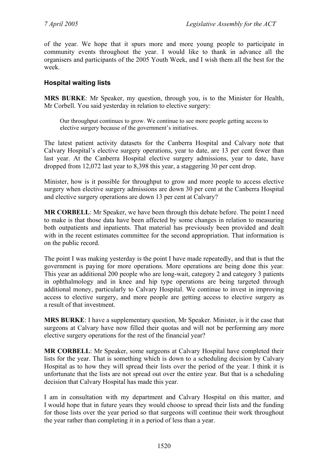of the year. We hope that it spurs more and more young people to participate in community events throughout the year. I would like to thank in advance all the organisers and participants of the 2005 Youth Week, and I wish them all the best for the week.

#### **Hospital waiting lists**

**MRS BURKE**: Mr Speaker, my question, through you, is to the Minister for Health, Mr Corbell. You said yesterday in relation to elective surgery:

Our throughput continues to grow. We continue to see more people getting access to elective surgery because of the government's initiatives.

The latest patient activity datasets for the Canberra Hospital and Calvary note that Calvary Hospital's elective surgery operations, year to date, are 13 per cent fewer than last year. At the Canberra Hospital elective surgery admissions, year to date, have dropped from 12,072 last year to 8,398 this year, a staggering 30 per cent drop.

Minister, how is it possible for throughput to grow and more people to access elective surgery when elective surgery admissions are down 30 per cent at the Canberra Hospital and elective surgery operations are down 13 per cent at Calvary?

**MR CORBELL**: Mr Speaker, we have been through this debate before. The point I need to make is that those data have been affected by some changes in relation to measuring both outpatients and inpatients. That material has previously been provided and dealt with in the recent estimates committee for the second appropriation. That information is on the public record.

The point I was making yesterday is the point I have made repeatedly, and that is that the government is paying for more operations. More operations are being done this year. This year an additional 200 people who are long-wait, category 2 and category 3 patients in ophthalmology and in knee and hip type operations are being targeted through additional money, particularly to Calvary Hospital. We continue to invest in improving access to elective surgery, and more people are getting access to elective surgery as a result of that investment.

**MRS BURKE**: I have a supplementary question, Mr Speaker. Minister, is it the case that surgeons at Calvary have now filled their quotas and will not be performing any more elective surgery operations for the rest of the financial year?

**MR CORBELL**: Mr Speaker, some surgeons at Calvary Hospital have completed their lists for the year. That is something which is down to a scheduling decision by Calvary Hospital as to how they will spread their lists over the period of the year. I think it is unfortunate that the lists are not spread out over the entire year. But that is a scheduling decision that Calvary Hospital has made this year.

I am in consultation with my department and Calvary Hospital on this matter, and I would hope that in future years they would choose to spread their lists and the funding for those lists over the year period so that surgeons will continue their work throughout the year rather than completing it in a period of less than a year.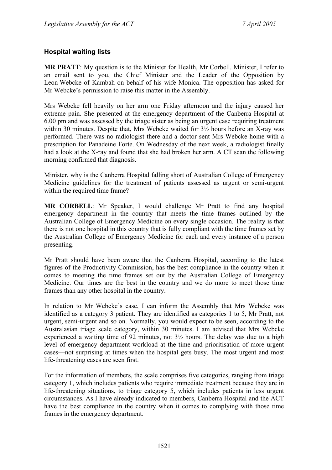### **Hospital waiting lists**

**MR PRATT**: My question is to the Minister for Health, Mr Corbell. Minister, I refer to an email sent to you, the Chief Minister and the Leader of the Opposition by Leon Webcke of Kambah on behalf of his wife Monica. The opposition has asked for Mr Webcke's permission to raise this matter in the Assembly.

Mrs Webcke fell heavily on her arm one Friday afternoon and the injury caused her extreme pain. She presented at the emergency department of the Canberra Hospital at 6.00 pm and was assessed by the triage sister as being an urgent case requiring treatment within 30 minutes. Despite that, Mrs Webcke waited for 3½ hours before an X-ray was performed. There was no radiologist there and a doctor sent Mrs Webcke home with a prescription for Panadeine Forte. On Wednesday of the next week, a radiologist finally had a look at the X-ray and found that she had broken her arm. A CT scan the following morning confirmed that diagnosis.

Minister, why is the Canberra Hospital falling short of Australian College of Emergency Medicine guidelines for the treatment of patients assessed as urgent or semi-urgent within the required time frame?

**MR CORBELL**: Mr Speaker, I would challenge Mr Pratt to find any hospital emergency department in the country that meets the time frames outlined by the Australian College of Emergency Medicine on every single occasion. The reality is that there is not one hospital in this country that is fully compliant with the time frames set by the Australian College of Emergency Medicine for each and every instance of a person presenting.

Mr Pratt should have been aware that the Canberra Hospital, according to the latest figures of the Productivity Commission, has the best compliance in the country when it comes to meeting the time frames set out by the Australian College of Emergency Medicine. Our times are the best in the country and we do more to meet those time frames than any other hospital in the country.

In relation to Mr Webcke's case, I can inform the Assembly that Mrs Webcke was identified as a category 3 patient. They are identified as categories 1 to 5, Mr Pratt, not urgent, semi-urgent and so on. Normally, you would expect to be seen, according to the Australasian triage scale category, within 30 minutes. I am advised that Mrs Webcke experienced a waiting time of 92 minutes, not  $3\frac{1}{2}$  hours. The delay was due to a high level of emergency department workload at the time and prioritisation of more urgent cases—not surprising at times when the hospital gets busy. The most urgent and most life-threatening cases are seen first.

For the information of members, the scale comprises five categories, ranging from triage category 1, which includes patients who require immediate treatment because they are in life-threatening situations, to triage category 5, which includes patients in less urgent circumstances. As I have already indicated to members, Canberra Hospital and the ACT have the best compliance in the country when it comes to complying with those time frames in the emergency department.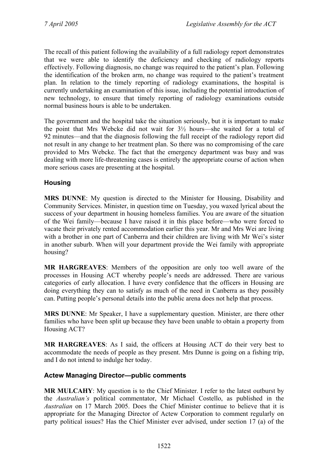The recall of this patient following the availability of a full radiology report demonstrates that we were able to identify the deficiency and checking of radiology reports effectively. Following diagnosis, no change was required to the patient's plan. Following the identification of the broken arm, no change was required to the patient's treatment plan. In relation to the timely reporting of radiology examinations, the hospital is currently undertaking an examination of this issue, including the potential introduction of new technology, to ensure that timely reporting of radiology examinations outside normal business hours is able to be undertaken.

The government and the hospital take the situation seriously, but it is important to make the point that Mrs Webcke did not wait for 3½ hours—she waited for a total of 92 minutes—and that the diagnosis following the full receipt of the radiology report did not result in any change to her treatment plan. So there was no compromising of the care provided to Mrs Webcke. The fact that the emergency department was busy and was dealing with more life-threatening cases is entirely the appropriate course of action when more serious cases are presenting at the hospital.

### **Housing**

**MRS DUNNE**: My question is directed to the Minister for Housing, Disability and Community Services. Minister, in question time on Tuesday, you waxed lyrical about the success of your department in housing homeless families. You are aware of the situation of the Wei family—because I have raised it in this place before—who were forced to vacate their privately rented accommodation earlier this year. Mr and Mrs Wei are living with a brother in one part of Canberra and their children are living with Mr Wei's sister in another suburb. When will your department provide the Wei family with appropriate housing?

**MR HARGREAVES**: Members of the opposition are only too well aware of the processes in Housing ACT whereby people's needs are addressed. There are various categories of early allocation. I have every confidence that the officers in Housing are doing everything they can to satisfy as much of the need in Canberra as they possibly can. Putting people's personal details into the public arena does not help that process.

**MRS DUNNE**: Mr Speaker, I have a supplementary question. Minister, are there other families who have been split up because they have been unable to obtain a property from Housing ACT?

**MR HARGREAVES**: As I said, the officers at Housing ACT do their very best to accommodate the needs of people as they present. Mrs Dunne is going on a fishing trip, and I do not intend to indulge her today.

### **Actew Managing Director—public comments**

**MR MULCAHY**: My question is to the Chief Minister. I refer to the latest outburst by the *Australian's* political commentator, Mr Michael Costello, as published in the *Australian* on 17 March 2005. Does the Chief Minister continue to believe that it is appropriate for the Managing Director of Actew Corporation to comment regularly on party political issues? Has the Chief Minister ever advised, under section 17 (a) of the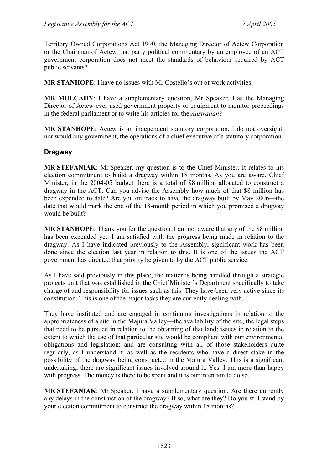Territory Owned Corporations Act 1990, the Managing Director of Actew Corporation or the Chairman of Actew that party political commentary by an employee of an ACT government corporation does not meet the standards of behaviour required by ACT public servants?

**MR STANHOPE**: I have no issues with Mr Costello's out of work activities.

**MR MULCAHY**: I have a supplementary question, Mr Speaker. Has the Managing Director of Actew ever used government property or equipment to monitor proceedings in the federal parliament or to write his articles for the *Australian*?

**MR STANHOPE**: Actew is an independent statutory corporation. I do not oversight, nor would any government, the operations of a chief executive of a statutory corporation.

#### **Dragway**

**MR STEFANIAK**: Mr Speaker, my question is to the Chief Minister. It relates to his election commitment to build a dragway within 18 months. As you are aware, Chief Minister, in the 2004-05 budget there is a total of \$8 million allocated to construct a dragway in the ACT. Can you advise the Assembly how much of that \$8 million has been expended to date? Are you on track to have the dragway built by May 2006—the date that would mark the end of the 18-month period in which you promised a dragway would be built?

**MR STANHOPE**: Thank you for the question. I am not aware that any of the \$8 million has been expended yet. I am satisfied with the progress being made in relation to the dragway. As I have indicated previously to the Assembly, significant work has been done since the election last year in relation to this. It is one of the issues the ACT government has directed that priority be given to by the ACT public service.

As I have said previously in this place, the matter is being handled through a strategic projects unit that was established in the Chief Minister's Department specifically to take charge of and responsibility for issues such as this. They have been very active since its constitution. This is one of the major tasks they are currently dealing with.

They have instituted and are engaged in continuing investigations in relation to the appropriateness of a site in the Majura Valley—the availability of the site; the legal steps that need to be pursued in relation to the obtaining of that land; issues in relation to the extent to which the use of that particular site would be compliant with our environmental obligations and legislation; and are consulting with all of those stakeholders quite regularly, as I understand it, as well as the residents who have a direct stake in the possibility of the dragway being constructed in the Majura Valley. This is a significant undertaking; there are significant issues involved around it. Yes, I am more than happy with progress. The money is there to be spent and it is our intention to do so.

**MR STEFANIAK**: Mr Speaker, I have a supplementary question. Are there currently any delays in the construction of the dragway? If so, what are they? Do you still stand by your election commitment to construct the dragway within 18 months?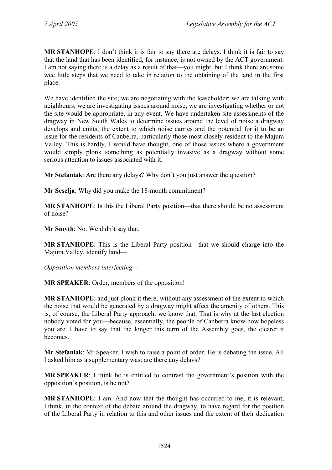**MR STANHOPE**: I don't think it is fair to say there are delays. I think it is fair to say that the land that has been identified, for instance, is not owned by the ACT government. I am not saying there is a delay as a result of that—you might, but I think there are some wee little steps that we need to take in relation to the obtaining of the land in the first place.

We have identified the site; we are negotiating with the leaseholder; we are talking with neighbours; we are investigating issues around noise; we are investigating whether or not the site would be appropriate, in any event. We have undertaken site assessments of the dragway in New South Wales to determine issues around the level of noise a dragway develops and emits, the extent to which noise carries and the potential for it to be an issue for the residents of Canberra, particularly those most closely resident to the Majura Valley. This is hardly, I would have thought, one of those issues where a government would simply plonk something as potentially invasive as a dragway without some serious attention to issues associated with it.

**Mr Stefaniak**: Are there any delays? Why don't you just answer the question?

**Mr Seselja**: Why did you make the 18-month commitment?

**MR STANHOPE**: Is this the Liberal Party position—that there should be no assessment of noise?

**Mr Smyth**: No. We didn't say that.

**MR STANHOPE**: This is the Liberal Party position—that we should charge into the Majura Valley, identify land—

*Opposition members interjecting—* 

**MR SPEAKER**: Order, members of the opposition!

**MR STANHOPE**: and just plonk it there, without any assessment of the extent to which the noise that would be generated by a dragway might affect the amenity of others. This is, of course, the Liberal Party approach; we know that. That is why at the last election nobody voted for you—because, essentially, the people of Canberra know how hopeless you are. I have to say that the longer this term of the Assembly goes, the clearer it becomes.

**Mr Stefaniak**: Mr Speaker, I wish to raise a point of order. He is debating the issue. All I asked him as a supplementary was: are there any delays?

**MR SPEAKER**: I think he is entitled to contrast the government's position with the opposition's position, is he not?

**MR STANHOPE**: I am. And now that the thought has occurred to me, it is relevant, I think, in the context of the debate around the dragway, to have regard for the position of the Liberal Party in relation to this and other issues and the extent of their dedication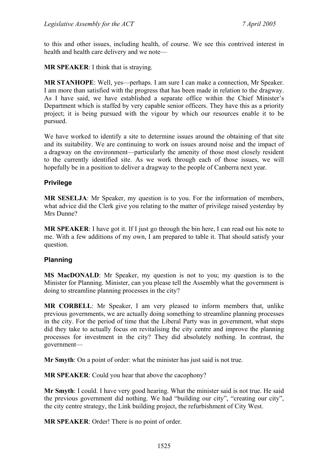to this and other issues, including health, of course. We see this contrived interest in health and health care delivery and we note—

**MR SPEAKER**: I think that is straying.

**MR STANHOPE**: Well, yes—perhaps. I am sure I can make a connection, Mr Speaker. I am more than satisfied with the progress that has been made in relation to the dragway. As I have said, we have established a separate office within the Chief Minister's Department which is staffed by very capable senior officers. They have this as a priority project; it is being pursued with the vigour by which our resources enable it to be pursued.

We have worked to identify a site to determine issues around the obtaining of that site and its suitability. We are continuing to work on issues around noise and the impact of a dragway on the environment—particularly the amenity of those most closely resident to the currently identified site. As we work through each of those issues, we will hopefully be in a position to deliver a dragway to the people of Canberra next year.

### **Privilege**

**MR SESELJA**: Mr Speaker, my question is to you. For the information of members, what advice did the Clerk give you relating to the matter of privilege raised vesterday by Mrs Dunne?

**MR SPEAKER**: I have got it. If I just go through the bin here, I can read out his note to me. With a few additions of my own, I am prepared to table it. That should satisfy your question.

### **Planning**

**MS MacDONALD**: Mr Speaker, my question is not to you; my question is to the Minister for Planning. Minister, can you please tell the Assembly what the government is doing to streamline planning processes in the city?

**MR CORBELL**: Mr Speaker, I am very pleased to inform members that, unlike previous governments, we are actually doing something to streamline planning processes in the city. For the period of time that the Liberal Party was in government, what steps did they take to actually focus on revitalising the city centre and improve the planning processes for investment in the city? They did absolutely nothing. In contrast, the government—

**Mr Smyth**: On a point of order: what the minister has just said is not true.

**MR SPEAKER**: Could you hear that above the cacophony?

**Mr Smyth**: I could. I have very good hearing. What the minister said is not true. He said the previous government did nothing. We had "building our city", "creating our city", the city centre strategy, the Link building project, the refurbishment of City West.

**MR SPEAKER**: Order! There is no point of order.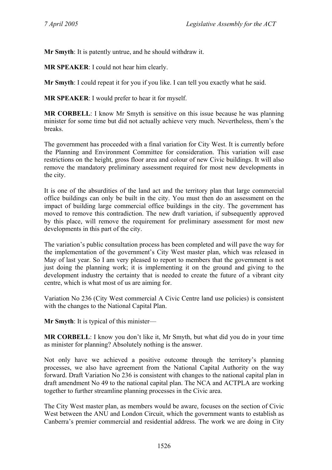**Mr Smyth**: It is patently untrue, and he should withdraw it.

**MR SPEAKER**: I could not hear him clearly.

**Mr Smyth**: I could repeat it for you if you like. I can tell you exactly what he said.

**MR SPEAKER**: I would prefer to hear it for myself.

**MR CORBELL**: I know Mr Smyth is sensitive on this issue because he was planning minister for some time but did not actually achieve very much. Nevertheless, them's the breaks.

The government has proceeded with a final variation for City West. It is currently before the Planning and Environment Committee for consideration. This variation will ease restrictions on the height, gross floor area and colour of new Civic buildings. It will also remove the mandatory preliminary assessment required for most new developments in the city.

It is one of the absurdities of the land act and the territory plan that large commercial office buildings can only be built in the city. You must then do an assessment on the impact of building large commercial office buildings in the city. The government has moved to remove this contradiction. The new draft variation, if subsequently approved by this place, will remove the requirement for preliminary assessment for most new developments in this part of the city.

The variation's public consultation process has been completed and will pave the way for the implementation of the government's City West master plan, which was released in May of last year. So I am very pleased to report to members that the government is not just doing the planning work; it is implementing it on the ground and giving to the development industry the certainty that is needed to create the future of a vibrant city centre, which is what most of us are aiming for.

Variation No 236 (City West commercial A Civic Centre land use policies) is consistent with the changes to the National Capital Plan.

**Mr Smyth**: It is typical of this minister—

**MR CORBELL**: I know you don't like it, Mr Smyth, but what did you do in your time as minister for planning? Absolutely nothing is the answer.

Not only have we achieved a positive outcome through the territory's planning processes, we also have agreement from the National Capital Authority on the way forward. Draft Variation No 236 is consistent with changes to the national capital plan in draft amendment No 49 to the national capital plan. The NCA and ACTPLA are working together to further streamline planning processes in the Civic area.

The City West master plan, as members would be aware, focuses on the section of Civic West between the ANU and London Circuit, which the government wants to establish as Canberra's premier commercial and residential address. The work we are doing in City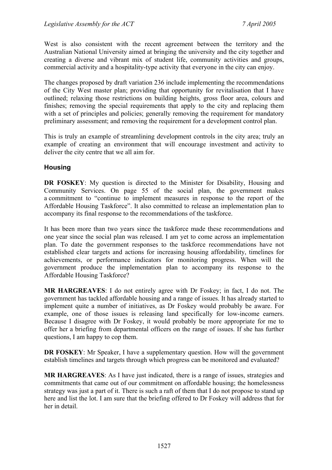West is also consistent with the recent agreement between the territory and the Australian National University aimed at bringing the university and the city together and creating a diverse and vibrant mix of student life, community activities and groups, commercial activity and a hospitality-type activity that everyone in the city can enjoy.

The changes proposed by draft variation 236 include implementing the recommendations of the City West master plan; providing that opportunity for revitalisation that I have outlined; relaxing those restrictions on building heights, gross floor area, colours and finishes; removing the special requirements that apply to the city and replacing them with a set of principles and policies; generally removing the requirement for mandatory preliminary assessment; and removing the requirement for a development control plan.

This is truly an example of streamlining development controls in the city area; truly an example of creating an environment that will encourage investment and activity to deliver the city centre that we all aim for.

#### **Housing**

**DR FOSKEY:** My question is directed to the Minister for Disability, Housing and Community Services. On page 55 of the social plan, the government makes a commitment to "continue to implement measures in response to the report of the Affordable Housing Taskforce". It also committed to release an implementation plan to accompany its final response to the recommendations of the taskforce.

It has been more than two years since the taskforce made these recommendations and one year since the social plan was released. I am yet to come across an implementation plan. To date the government responses to the taskforce recommendations have not established clear targets and actions for increasing housing affordability, timelines for achievements, or performance indicators for monitoring progress. When will the government produce the implementation plan to accompany its response to the Affordable Housing Taskforce?

**MR HARGREAVES**: I do not entirely agree with Dr Foskey; in fact, I do not. The government has tackled affordable housing and a range of issues. It has already started to implement quite a number of initiatives, as Dr Foskey would probably be aware. For example, one of those issues is releasing land specifically for low-income earners. Because I disagree with Dr Foskey, it would probably be more appropriate for me to offer her a briefing from departmental officers on the range of issues. If she has further questions, I am happy to cop them.

**DR FOSKEY:** Mr Speaker, I have a supplementary question. How will the government establish timelines and targets through which progress can be monitored and evaluated?

**MR HARGREAVES**: As I have just indicated, there is a range of issues, strategies and commitments that came out of our commitment on affordable housing; the homelessness strategy was just a part of it. There is such a raft of them that I do not propose to stand up here and list the lot. I am sure that the briefing offered to Dr Foskey will address that for her in detail.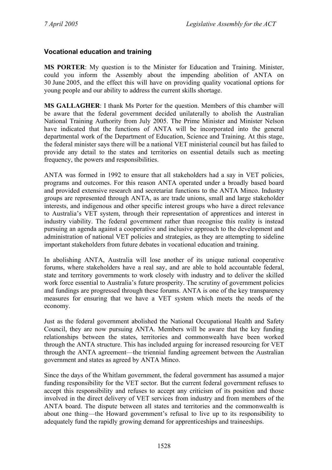### **Vocational education and training**

**MS PORTER**: My question is to the Minister for Education and Training. Minister, could you inform the Assembly about the impending abolition of ANTA on 30 June 2005, and the effect this will have on providing quality vocational options for young people and our ability to address the current skills shortage.

**MS GALLAGHER**: I thank Ms Porter for the question. Members of this chamber will be aware that the federal government decided unilaterally to abolish the Australian National Training Authority from July 2005. The Prime Minister and Minister Nelson have indicated that the functions of ANTA will be incorporated into the general departmental work of the Department of Education, Science and Training. At this stage, the federal minister says there will be a national VET ministerial council but has failed to provide any detail to the states and territories on essential details such as meeting frequency, the powers and responsibilities.

ANTA was formed in 1992 to ensure that all stakeholders had a say in VET policies, programs and outcomes. For this reason ANTA operated under a broadly based board and provided extensive research and secretariat functions to the ANTA Minco. Industry groups are represented through ANTA, as are trade unions, small and large stakeholder interests, and indigenous and other specific interest groups who have a direct relevance to Australia's VET system, through their representation of apprentices and interest in industry viability. The federal government rather than recognise this reality is instead pursuing an agenda against a cooperative and inclusive approach to the development and administration of national VET policies and strategies, as they are attempting to sideline important stakeholders from future debates in vocational education and training.

In abolishing ANTA, Australia will lose another of its unique national cooperative forums, where stakeholders have a real say, and are able to hold accountable federal, state and territory governments to work closely with industry and to deliver the skilled work force essential to Australia's future prosperity. The scrutiny of government policies and fundings are progressed through these forums. ANTA is one of the key transparency measures for ensuring that we have a VET system which meets the needs of the economy.

Just as the federal government abolished the National Occupational Health and Safety Council, they are now pursuing ANTA. Members will be aware that the key funding relationships between the states, territories and commonwealth have been worked through the ANTA structure. This has included arguing for increased resourcing for VET through the ANTA agreement—the triennial funding agreement between the Australian government and states as agreed by ANTA Minco.

Since the days of the Whitlam government, the federal government has assumed a major funding responsibility for the VET sector. But the current federal government refuses to accept this responsibility and refuses to accept any criticism of its position and those involved in the direct delivery of VET services from industry and from members of the ANTA board. The dispute between all states and territories and the commonwealth is about one thing—the Howard government's refusal to live up to its responsibility to adequately fund the rapidly growing demand for apprenticeships and traineeships.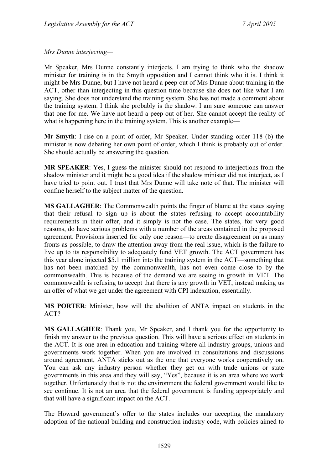*Mrs Dunne interjecting—* 

Mr Speaker, Mrs Dunne constantly interjects. I am trying to think who the shadow minister for training is in the Smyth opposition and I cannot think who it is. I think it might be Mrs Dunne, but I have not heard a peep out of Mrs Dunne about training in the ACT, other than interjecting in this question time because she does not like what I am saying. She does not understand the training system. She has not made a comment about the training system. I think she probably is the shadow. I am sure someone can answer that one for me. We have not heard a peep out of her. She cannot accept the reality of what is happening here in the training system. This is another example—

**Mr Smyth**: I rise on a point of order, Mr Speaker. Under standing order 118 (b) the minister is now debating her own point of order, which I think is probably out of order. She should actually be answering the question.

**MR SPEAKER**: Yes, I guess the minister should not respond to interjections from the shadow minister and it might be a good idea if the shadow minister did not interject, as I have tried to point out. I trust that Mrs Dunne will take note of that. The minister will confine herself to the subject matter of the question.

**MS GALLAGHER**: The Commonwealth points the finger of blame at the states saying that their refusal to sign up is about the states refusing to accept accountability requirements in their offer, and it simply is not the case. The states, for very good reasons, do have serious problems with a number of the areas contained in the proposed agreement. Provisions inserted for only one reason—to create disagreement on as many fronts as possible, to draw the attention away from the real issue, which is the failure to live up to its responsibility to adequately fund VET growth. The ACT government has this year alone injected \$5.1 million into the training system in the ACT—something that has not been matched by the commonwealth, has not even come close to by the commonwealth. This is because of the demand we are seeing in growth in VET. The commonwealth is refusing to accept that there is any growth in VET, instead making us an offer of what we get under the agreement with CPI indexation, essentially.

**MS PORTER**: Minister, how will the abolition of ANTA impact on students in the ACT?

**MS GALLAGHER**: Thank you, Mr Speaker, and I thank you for the opportunity to finish my answer to the previous question. This will have a serious effect on students in the ACT. It is one area in education and training where all industry groups, unions and governments work together. When you are involved in consultations and discussions around agreement, ANTA sticks out as the one that everyone works cooperatively on. You can ask any industry person whether they get on with trade unions or state governments in this area and they will say, "Yes", because it is an area where we work together. Unfortunately that is not the environment the federal government would like to see continue. It is not an area that the federal government is funding appropriately and that will have a significant impact on the ACT.

The Howard government's offer to the states includes our accepting the mandatory adoption of the national building and construction industry code, with policies aimed to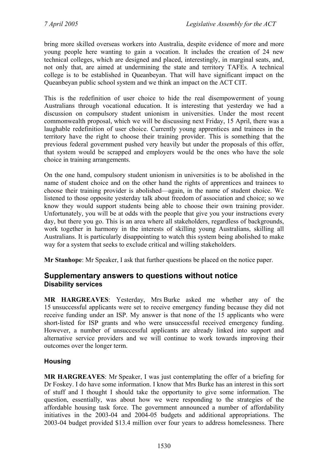bring more skilled overseas workers into Australia, despite evidence of more and more young people here wanting to gain a vocation. It includes the creation of 24 new technical colleges, which are designed and placed, interestingly, in marginal seats, and, not only that, are aimed at undermining the state and territory TAFEs. A technical college is to be established in Queanbeyan. That will have significant impact on the Queanbeyan public school system and we think an impact on the ACT CIT.

This is the redefinition of user choice to hide the real disempowerment of young Australians through vocational education. It is interesting that yesterday we had a discussion on compulsory student unionism in universities. Under the most recent commonwealth proposal, which we will be discussing next Friday, 15 April, there was a laughable redefinition of user choice. Currently young apprentices and trainees in the territory have the right to choose their training provider. This is something that the previous federal government pushed very heavily but under the proposals of this offer, that system would be scrapped and employers would be the ones who have the sole choice in training arrangements.

On the one hand, compulsory student unionism in universities is to be abolished in the name of student choice and on the other hand the rights of apprentices and trainees to choose their training provider is abolished—again, in the name of student choice. We listened to those opposite yesterday talk about freedom of association and choice; so we know they would support students being able to choose their own training provider. Unfortunately, you will be at odds with the people that give you your instructions every day, but there you go. This is an area where all stakeholders, regardless of backgrounds, work together in harmony in the interests of skilling young Australians, skilling all Australians. It is particularly disappointing to watch this system being abolished to make way for a system that seeks to exclude critical and willing stakeholders.

**Mr Stanhope**: Mr Speaker, I ask that further questions be placed on the notice paper.

## **Supplementary answers to questions without notice Disability services**

**MR HARGREAVES**: Yesterday, Mrs Burke asked me whether any of the 15 unsuccessful applicants were set to receive emergency funding because they did not receive funding under an ISP. My answer is that none of the 15 applicants who were short-listed for ISP grants and who were unsuccessful received emergency funding. However, a number of unsuccessful applicants are already linked into support and alternative service providers and we will continue to work towards improving their outcomes over the longer term.

### **Housing**

**MR HARGREAVES**: Mr Speaker, I was just contemplating the offer of a briefing for Dr Foskey. I do have some information. I know that Mrs Burke has an interest in this sort of stuff and I thought I should take the opportunity to give some information. The question, essentially, was about how we were responding to the strategies of the affordable housing task force. The government announced a number of affordability initiatives in the 2003-04 and 2004-05 budgets and additional appropriations. The 2003-04 budget provided \$13.4 million over four years to address homelessness. There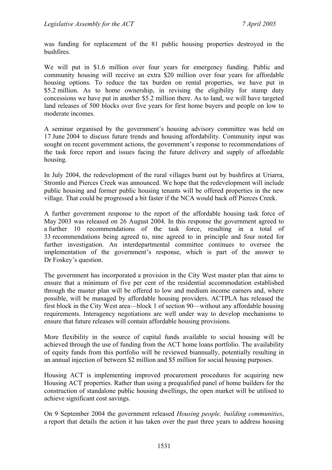was funding for replacement of the 81 public housing properties destroyed in the bushfires.

We will put in \$1.6 million over four years for emergency funding. Public and community housing will receive an extra \$20 million over four years for affordable housing options. To reduce the tax burden on rental properties, we have put in \$5.2 million. As to home ownership, in revising the eligibility for stamp duty concessions we have put in another \$5.2 million there. As to land, we will have targeted land releases of 500 blocks over five years for first home buyers and people on low to moderate incomes.

A seminar organised by the government's housing advisory committee was held on 17 June 2004 to discuss future trends and housing affordability. Community input was sought on recent government actions, the government's response to recommendations of the task force report and issues facing the future delivery and supply of affordable housing.

In July 2004, the redevelopment of the rural villages burnt out by bushfires at Uriarra, Stromlo and Pierces Creek was announced. We hope that the redevelopment will include public housing and former public housing tenants will be offered properties in the new village. That could be progressed a bit faster if the NCA would back off Pierces Creek.

A further government response to the report of the affordable housing task force of May 2003 was released on 26 August 2004. In this response the government agreed to a further 10 recommendations of the task force, resulting in a total of 33 recommendations being agreed to, nine agreed to in principle and four noted for further investigation. An interdepartmental committee continues to oversee the implementation of the government's response, which is part of the answer to Dr Foskey's question.

The government has incorporated a provision in the City West master plan that aims to ensure that a minimum of five per cent of the residential accommodation established through the master plan will be offered to low and medium income earners and, where possible, will be managed by affordable housing providers. ACTPLA has released the first block in the City West area—block 1 of section 90—without any affordable housing requirements. Interagency negotiations are well under way to develop mechanisms to ensure that future releases will contain affordable housing provisions.

More flexibility in the source of capital funds available to social housing will be achieved through the use of funding from the ACT home loans portfolio. The availability of equity funds from this portfolio will be reviewed biannually, potentially resulting in an annual injection of between \$2 million and \$5 million for social housing purposes.

Housing ACT is implementing improved procurement procedures for acquiring new Housing ACT properties. Rather than using a prequalified panel of home builders for the construction of standalone public housing dwellings, the open market will be utilised to achieve significant cost savings.

On 9 September 2004 the government released *Housing people, building communities*, a report that details the action it has taken over the past three years to address housing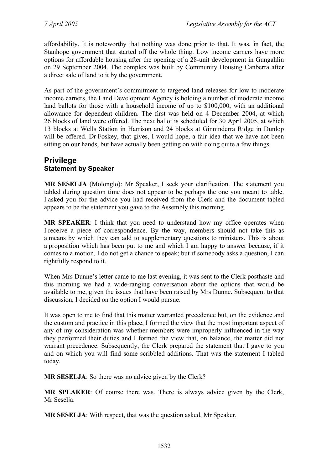affordability. It is noteworthy that nothing was done prior to that. It was, in fact, the Stanhope government that started off the whole thing. Low income earners have more options for affordable housing after the opening of a 28-unit development in Gungahlin on 29 September 2004. The complex was built by Community Housing Canberra after a direct sale of land to it by the government.

As part of the government's commitment to targeted land releases for low to moderate income earners, the Land Development Agency is holding a number of moderate income land ballots for those with a household income of up to \$100,000, with an additional allowance for dependent children. The first was held on 4 December 2004, at which 26 blocks of land were offered. The next ballot is scheduled for 30 April 2005, at which 13 blocks at Wells Station in Harrison and 24 blocks at Ginninderra Ridge in Dunlop will be offered. Dr Foskey, that gives, I would hope, a fair idea that we have not been sitting on our hands, but have actually been getting on with doing quite a few things.

### **Privilege Statement by Speaker**

**MR SESELJA** (Molonglo): Mr Speaker, I seek your clarification. The statement you tabled during question time does not appear to be perhaps the one you meant to table. I asked you for the advice you had received from the Clerk and the document tabled appears to be the statement you gave to the Assembly this morning.

**MR SPEAKER**: I think that you need to understand how my office operates when I receive a piece of correspondence. By the way, members should not take this as a means by which they can add to supplementary questions to ministers. This is about a proposition which has been put to me and which I am happy to answer because, if it comes to a motion, I do not get a chance to speak; but if somebody asks a question, I can rightfully respond to it.

When Mrs Dunne's letter came to me last evening, it was sent to the Clerk posthaste and this morning we had a wide-ranging conversation about the options that would be available to me, given the issues that have been raised by Mrs Dunne. Subsequent to that discussion, I decided on the option I would pursue.

It was open to me to find that this matter warranted precedence but, on the evidence and the custom and practice in this place, I formed the view that the most important aspect of any of my consideration was whether members were improperly influenced in the way they performed their duties and I formed the view that, on balance, the matter did not warrant precedence. Subsequently, the Clerk prepared the statement that I gave to you and on which you will find some scribbled additions. That was the statement I tabled today.

**MR SESELJA**: So there was no advice given by the Clerk?

**MR SPEAKER**: Of course there was. There is always advice given by the Clerk, Mr Seselja.

**MR SESELJA**: With respect, that was the question asked, Mr Speaker.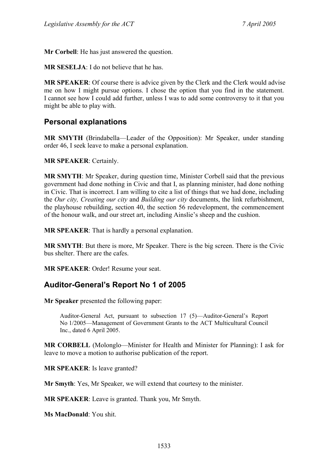**Mr Corbell**: He has just answered the question.

**MR SESELJA**: I do not believe that he has.

**MR SPEAKER**: Of course there is advice given by the Clerk and the Clerk would advise me on how I might pursue options. I chose the option that you find in the statement. I cannot see how I could add further, unless I was to add some controversy to it that you might be able to play with.

## **Personal explanations**

**MR SMYTH** (Brindabella—Leader of the Opposition): Mr Speaker, under standing order 46, I seek leave to make a personal explanation.

**MR SPEAKER**: Certainly.

**MR SMYTH**: Mr Speaker, during question time, Minister Corbell said that the previous government had done nothing in Civic and that I, as planning minister, had done nothing in Civic. That is incorrect. I am willing to cite a list of things that we had done, including the *Our city, Creating our city* and *Building our city* documents, the link refurbishment, the playhouse rebuilding, section 40, the section 56 redevelopment, the commencement of the honour walk, and our street art, including Ainslie's sheep and the cushion.

**MR SPEAKER**: That is hardly a personal explanation.

**MR SMYTH**: But there is more, Mr Speaker. There is the big screen. There is the Civic bus shelter. There are the cafes.

**MR SPEAKER**: Order! Resume your seat.

# **Auditor-General's Report No 1 of 2005**

**Mr Speaker** presented the following paper:

Auditor-General Act, pursuant to subsection 17 (5)—Auditor-General's Report No 1/2005—Management of Government Grants to the ACT Multicultural Council Inc., dated 6 April 2005.

**MR CORBELL** (Molonglo—Minister for Health and Minister for Planning): I ask for leave to move a motion to authorise publication of the report.

**MR SPEAKER**: Is leave granted?

**Mr Smyth**: Yes, Mr Speaker, we will extend that courtesy to the minister.

**MR SPEAKER**: Leave is granted. Thank you, Mr Smyth.

**Ms MacDonald**: You shit.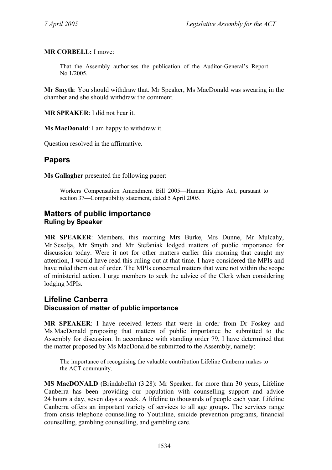**MR CORBELL:** I move:

That the Assembly authorises the publication of the Auditor-General's Report No 1/2005.

**Mr Smyth**: You should withdraw that. Mr Speaker, Ms MacDonald was swearing in the chamber and she should withdraw the comment.

**MR SPEAKER**: I did not hear it.

**Ms MacDonald**: I am happy to withdraw it.

Question resolved in the affirmative.

## **Papers**

**Ms Gallagher** presented the following paper:

Workers Compensation Amendment Bill 2005—Human Rights Act, pursuant to section 37—Compatibility statement, dated 5 April 2005.

#### **Matters of public importance Ruling by Speaker**

**MR SPEAKER**: Members, this morning Mrs Burke, Mrs Dunne, Mr Mulcahy, Mr Seselja, Mr Smyth and Mr Stefaniak lodged matters of public importance for discussion today. Were it not for other matters earlier this morning that caught my attention, I would have read this ruling out at that time. I have considered the MPIs and have ruled them out of order. The MPIs concerned matters that were not within the scope of ministerial action. I urge members to seek the advice of the Clerk when considering lodging MPIs.

### **Lifeline Canberra Discussion of matter of public importance**

**MR SPEAKER**: I have received letters that were in order from Dr Foskey and Ms MacDonald proposing that matters of public importance be submitted to the Assembly for discussion. In accordance with standing order 79, I have determined that the matter proposed by Ms MacDonald be submitted to the Assembly, namely:

The importance of recognising the valuable contribution Lifeline Canberra makes to the ACT community.

**MS MacDONALD** (Brindabella) (3.28): Mr Speaker, for more than 30 years, Lifeline Canberra has been providing our population with counselling support and advice 24 hours a day, seven days a week. A lifeline to thousands of people each year, Lifeline Canberra offers an important variety of services to all age groups. The services range from crisis telephone counselling to Youthline, suicide prevention programs, financial counselling, gambling counselling, and gambling care.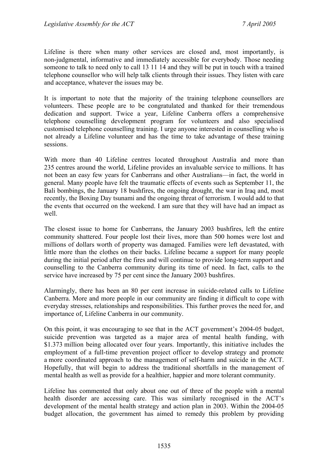Lifeline is there when many other services are closed and, most importantly, is non-judgmental, informative and immediately accessible for everybody. Those needing someone to talk to need only to call 13 11 14 and they will be put in touch with a trained telephone counsellor who will help talk clients through their issues. They listen with care and acceptance, whatever the issues may be.

It is important to note that the majority of the training telephone counsellors are volunteers. These people are to be congratulated and thanked for their tremendous dedication and support. Twice a year, Lifeline Canberra offers a comprehensive telephone counselling development program for volunteers and also specialised customised telephone counselling training. I urge anyone interested in counselling who is not already a Lifeline volunteer and has the time to take advantage of these training sessions.

With more than 40 Lifeline centres located throughout Australia and more than 235 centres around the world, Lifeline provides an invaluable service to millions. It has not been an easy few years for Canberrans and other Australians—in fact, the world in general. Many people have felt the traumatic effects of events such as September 11, the Bali bombings, the January 18 bushfires, the ongoing drought, the war in Iraq and, most recently, the Boxing Day tsunami and the ongoing threat of terrorism. I would add to that the events that occurred on the weekend. I am sure that they will have had an impact as well.

The closest issue to home for Canberrans, the January 2003 bushfires, left the entire community shattered. Four people lost their lives, more than 500 homes were lost and millions of dollars worth of property was damaged. Families were left devastated, with little more than the clothes on their backs. Lifeline became a support for many people during the initial period after the fires and will continue to provide long-term support and counselling to the Canberra community during its time of need. In fact, calls to the service have increased by 75 per cent since the January 2003 bushfires.

Alarmingly, there has been an 80 per cent increase in suicide-related calls to Lifeline Canberra. More and more people in our community are finding it difficult to cope with everyday stresses, relationships and responsibilities. This further proves the need for, and importance of, Lifeline Canberra in our community.

On this point, it was encouraging to see that in the ACT government's 2004-05 budget, suicide prevention was targeted as a major area of mental health funding, with \$1.373 million being allocated over four years. Importantly, this initiative includes the employment of a full-time prevention project officer to develop strategy and promote a more coordinated approach to the management of self-harm and suicide in the ACT. Hopefully, that will begin to address the traditional shortfalls in the management of mental health as well as provide for a healthier, happier and more tolerant community.

Lifeline has commented that only about one out of three of the people with a mental health disorder are accessing care. This was similarly recognised in the ACT's development of the mental health strategy and action plan in 2003. Within the 2004-05 budget allocation, the government has aimed to remedy this problem by providing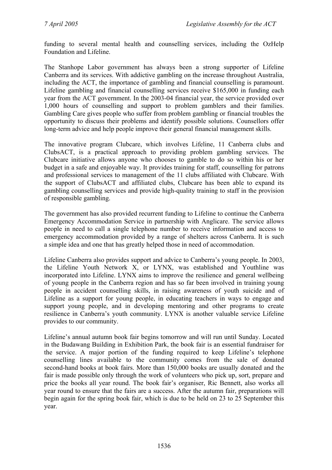funding to several mental health and counselling services, including the OzHelp Foundation and Lifeline.

The Stanhope Labor government has always been a strong supporter of Lifeline Canberra and its services. With addictive gambling on the increase throughout Australia, including the ACT, the importance of gambling and financial counselling is paramount. Lifeline gambling and financial counselling services receive \$165,000 in funding each year from the ACT government. In the 2003-04 financial year, the service provided over 1,000 hours of counselling and support to problem gamblers and their families. Gambling Care gives people who suffer from problem gambling or financial troubles the opportunity to discuss their problems and identify possible solutions. Counsellors offer long-term advice and help people improve their general financial management skills.

The innovative program Clubcare, which involves Lifeline, 11 Canberra clubs and ClubsACT, is a practical approach to providing problem gambling services. The Clubcare initiative allows anyone who chooses to gamble to do so within his or her budget in a safe and enjoyable way. It provides training for staff, counselling for patrons and professional services to management of the 11 clubs affiliated with Clubcare. With the support of ClubsACT and affiliated clubs, Clubcare has been able to expand its gambling counselling services and provide high-quality training to staff in the provision of responsible gambling.

The government has also provided recurrent funding to Lifeline to continue the Canberra Emergency Accommodation Service in partnership with Anglicare. The service allows people in need to call a single telephone number to receive information and access to emergency accommodation provided by a range of shelters across Canberra. It is such a simple idea and one that has greatly helped those in need of accommodation.

Lifeline Canberra also provides support and advice to Canberra's young people. In 2003, the Lifeline Youth Network X, or LYNX, was established and Youthline was incorporated into Lifeline. LYNX aims to improve the resilience and general wellbeing of young people in the Canberra region and has so far been involved in training young people in accident counselling skills, in raising awareness of youth suicide and of Lifeline as a support for young people, in educating teachers in ways to engage and support young people, and in developing mentoring and other programs to create resilience in Canberra's youth community. LYNX is another valuable service Lifeline provides to our community.

Lifeline's annual autumn book fair begins tomorrow and will run until Sunday. Located in the Budawang Building in Exhibition Park, the book fair is an essential fundraiser for the service. A major portion of the funding required to keep Lifeline's telephone counselling lines available to the community comes from the sale of donated second-hand books at book fairs. More than 150,000 books are usually donated and the fair is made possible only through the work of volunteers who pick up, sort, prepare and price the books all year round. The book fair's organiser, Ric Bennett, also works all year round to ensure that the fairs are a success. After the autumn fair, preparations will begin again for the spring book fair, which is due to be held on 23 to 25 September this year.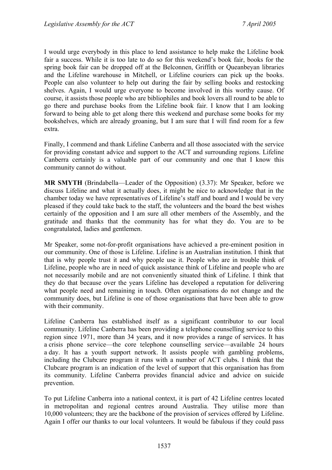I would urge everybody in this place to lend assistance to help make the Lifeline book fair a success. While it is too late to do so for this weekend's book fair, books for the spring book fair can be dropped off at the Belconnen, Griffith or Queanbeyan libraries and the Lifeline warehouse in Mitchell, or Lifeline couriers can pick up the books. People can also volunteer to help out during the fair by selling books and restocking shelves. Again, I would urge everyone to become involved in this worthy cause. Of course, it assists those people who are bibliophiles and book lovers all round to be able to go there and purchase books from the Lifeline book fair. I know that I am looking forward to being able to get along there this weekend and purchase some books for my bookshelves, which are already groaning, but I am sure that I will find room for a few extra.

Finally, I commend and thank Lifeline Canberra and all those associated with the service for providing constant advice and support to the ACT and surrounding regions. Lifeline Canberra certainly is a valuable part of our community and one that I know this community cannot do without.

**MR SMYTH** (Brindabella—Leader of the Opposition) (3.37): Mr Speaker, before we discuss Lifeline and what it actually does, it might be nice to acknowledge that in the chamber today we have representatives of Lifeline's staff and board and I would be very pleased if they could take back to the staff, the volunteers and the board the best wishes certainly of the opposition and I am sure all other members of the Assembly, and the gratitude and thanks that the community has for what they do. You are to be congratulated, ladies and gentlemen.

Mr Speaker, some not-for-profit organisations have achieved a pre-eminent position in our community. One of those is Lifeline. Lifeline is an Australian institution. I think that that is why people trust it and why people use it. People who are in trouble think of Lifeline, people who are in need of quick assistance think of Lifeline and people who are not necessarily mobile and are not conveniently situated think of Lifeline. I think that they do that because over the years Lifeline has developed a reputation for delivering what people need and remaining in touch. Often organisations do not change and the community does, but Lifeline is one of those organisations that have been able to grow with their community.

Lifeline Canberra has established itself as a significant contributor to our local community. Lifeline Canberra has been providing a telephone counselling service to this region since 1971, more than 34 years, and it now provides a range of services. It has a crisis phone service—the core telephone counselling service—available 24 hours a day. It has a youth support network. It assists people with gambling problems, including the Clubcare program it runs with a number of ACT clubs. I think that the Clubcare program is an indication of the level of support that this organisation has from its community. Lifeline Canberra provides financial advice and advice on suicide prevention.

To put Lifeline Canberra into a national context, it is part of 42 Lifeline centres located in metropolitan and regional centres around Australia. They utilise more than 10,000 volunteers; they are the backbone of the provision of services offered by Lifeline. Again I offer our thanks to our local volunteers. It would be fabulous if they could pass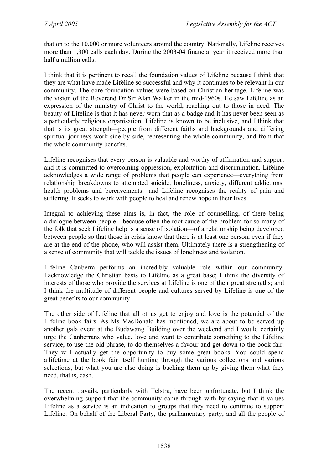that on to the 10,000 or more volunteers around the country. Nationally, Lifeline receives more than 1,300 calls each day. During the 2003-04 financial year it received more than half a million calls.

I think that it is pertinent to recall the foundation values of Lifeline because I think that they are what have made Lifeline so successful and why it continues to be relevant in our community. The core foundation values were based on Christian heritage. Lifeline was the vision of the Reverend Dr Sir Alan Walker in the mid-1960s. He saw Lifeline as an expression of the ministry of Christ to the world, reaching out to those in need. The beauty of Lifeline is that it has never worn that as a badge and it has never been seen as a particularly religious organisation. Lifeline is known to be inclusive, and I think that that is its great strength—people from different faiths and backgrounds and differing spiritual journeys work side by side, representing the whole community, and from that the whole community benefits.

Lifeline recognises that every person is valuable and worthy of affirmation and support and it is committed to overcoming oppression, exploitation and discrimination. Lifeline acknowledges a wide range of problems that people can experience—everything from relationship breakdowns to attempted suicide, loneliness, anxiety, different addictions, health problems and bereavements—and Lifeline recognises the reality of pain and suffering. It seeks to work with people to heal and renew hope in their lives.

Integral to achieving these aims is, in fact, the role of counselling, of there being a dialogue between people—because often the root cause of the problem for so many of the folk that seek Lifeline help is a sense of isolation—of a relationship being developed between people so that those in crisis know that there is at least one person, even if they are at the end of the phone, who will assist them. Ultimately there is a strengthening of a sense of community that will tackle the issues of loneliness and isolation.

Lifeline Canberra performs an incredibly valuable role within our community. I acknowledge the Christian basis to Lifeline as a great base; I think the diversity of interests of those who provide the services at Lifeline is one of their great strengths; and I think the multitude of different people and cultures served by Lifeline is one of the great benefits to our community.

The other side of Lifeline that all of us get to enjoy and love is the potential of the Lifeline book fairs. As Ms MacDonald has mentioned, we are about to be served up another gala event at the Budawang Building over the weekend and I would certainly urge the Canberrans who value, love and want to contribute something to the Lifeline service, to use the old phrase, to do themselves a favour and get down to the book fair. They will actually get the opportunity to buy some great books. You could spend a lifetime at the book fair itself hunting through the various collections and various selections, but what you are also doing is backing them up by giving them what they need, that is, cash.

The recent travails, particularly with Telstra, have been unfortunate, but I think the overwhelming support that the community came through with by saying that it values Lifeline as a service is an indication to groups that they need to continue to support Lifeline. On behalf of the Liberal Party, the parliamentary party, and all the people of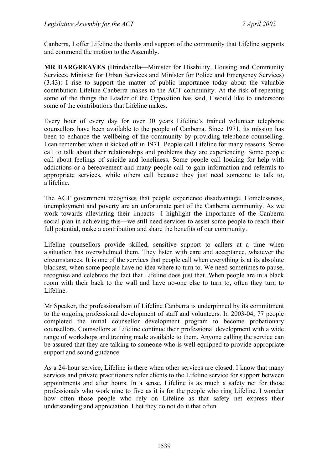Canberra, I offer Lifeline the thanks and support of the community that Lifeline supports and commend the motion to the Assembly.

**MR HARGREAVES** (Brindabella—Minister for Disability, Housing and Community Services, Minister for Urban Services and Minister for Police and Emergency Services) (3.43): I rise to support the matter of public importance today about the valuable contribution Lifeline Canberra makes to the ACT community. At the risk of repeating some of the things the Leader of the Opposition has said, I would like to underscore some of the contributions that Lifeline makes.

Every hour of every day for over 30 years Lifeline's trained volunteer telephone counsellors have been available to the people of Canberra. Since 1971, its mission has been to enhance the wellbeing of the community by providing telephone counselling. I can remember when it kicked off in 1971. People call Lifeline for many reasons. Some call to talk about their relationships and problems they are experiencing. Some people call about feelings of suicide and loneliness. Some people call looking for help with addictions or a bereavement and many people call to gain information and referrals to appropriate services, while others call because they just need someone to talk to, a lifeline.

The ACT government recognises that people experience disadvantage. Homelessness, unemployment and poverty are an unfortunate part of the Canberra community. As we work towards alleviating their impacts—I highlight the importance of the Canberra social plan in achieving this—we still need services to assist some people to reach their full potential, make a contribution and share the benefits of our community.

Lifeline counsellors provide skilled, sensitive support to callers at a time when a situation has overwhelmed them. They listen with care and acceptance, whatever the circumstances. It is one of the services that people call when everything is at its absolute blackest, when some people have no idea where to turn to. We need sometimes to pause, recognise and celebrate the fact that Lifeline does just that. When people are in a black room with their back to the wall and have no-one else to turn to, often they turn to Lifeline.

Mr Speaker, the professionalism of Lifeline Canberra is underpinned by its commitment to the ongoing professional development of staff and volunteers. In 2003-04, 77 people completed the initial counsellor development program to become probationary counsellors. Counsellors at Lifeline continue their professional development with a wide range of workshops and training made available to them. Anyone calling the service can be assured that they are talking to someone who is well equipped to provide appropriate support and sound guidance.

As a 24-hour service, Lifeline is there when other services are closed. I know that many services and private practitioners refer clients to the Lifeline service for support between appointments and after hours. In a sense, Lifeline is as much a safety net for those professionals who work nine to five as it is for the people who ring Lifeline. I wonder how often those people who rely on Lifeline as that safety net express their understanding and appreciation. I bet they do not do it that often.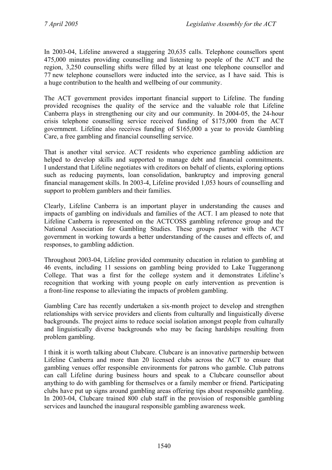In 2003-04, Lifeline answered a staggering 20,635 calls. Telephone counsellors spent 475,000 minutes providing counselling and listening to people of the ACT and the region, 3,250 counselling shifts were filled by at least one telephone counsellor and 77 new telephone counsellors were inducted into the service, as I have said. This is a huge contribution to the health and wellbeing of our community.

The ACT government provides important financial support to Lifeline. The funding provided recognises the quality of the service and the valuable role that Lifeline Canberra plays in strengthening our city and our community. In 2004-05, the 24-hour crisis telephone counselling service received funding of \$175,000 from the ACT government. Lifeline also receives funding of \$165,000 a year to provide Gambling Care, a free gambling and financial counselling service.

That is another vital service. ACT residents who experience gambling addiction are helped to develop skills and supported to manage debt and financial commitments. I understand that Lifeline negotiates with creditors on behalf of clients, exploring options such as reducing payments, loan consolidation, bankruptcy and improving general financial management skills. In 2003-4, Lifeline provided 1,053 hours of counselling and support to problem gamblers and their families.

Clearly, Lifeline Canberra is an important player in understanding the causes and impacts of gambling on individuals and families of the ACT. I am pleased to note that Lifeline Canberra is represented on the ACTCOSS gambling reference group and the National Association for Gambling Studies. These groups partner with the ACT government in working towards a better understanding of the causes and effects of, and responses, to gambling addiction.

Throughout 2003-04, Lifeline provided community education in relation to gambling at 46 events, including 11 sessions on gambling being provided to Lake Tuggeranong College. That was a first for the college system and it demonstrates Lifeline's recognition that working with young people on early intervention as prevention is a front-line response to alleviating the impacts of problem gambling.

Gambling Care has recently undertaken a six-month project to develop and strengthen relationships with service providers and clients from culturally and linguistically diverse backgrounds. The project aims to reduce social isolation amongst people from culturally and linguistically diverse backgrounds who may be facing hardships resulting from problem gambling.

I think it is worth talking about Clubcare. Clubcare is an innovative partnership between Lifeline Canberra and more than 20 licensed clubs across the ACT to ensure that gambling venues offer responsible environments for patrons who gamble. Club patrons can call Lifeline during business hours and speak to a Clubcare counsellor about anything to do with gambling for themselves or a family member or friend. Participating clubs have put up signs around gambling areas offering tips about responsible gambling. In 2003-04, Clubcare trained 800 club staff in the provision of responsible gambling services and launched the inaugural responsible gambling awareness week.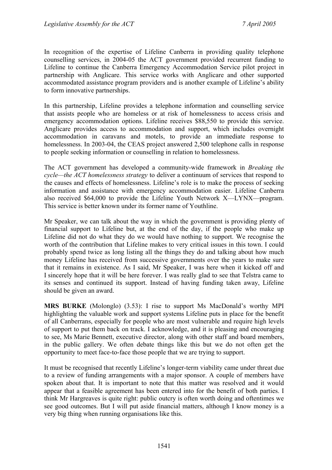In recognition of the expertise of Lifeline Canberra in providing quality telephone counselling services, in 2004-05 the ACT government provided recurrent funding to Lifeline to continue the Canberra Emergency Accommodation Service pilot project in partnership with Anglicare. This service works with Anglicare and other supported accommodated assistance program providers and is another example of Lifeline's ability to form innovative partnerships.

In this partnership, Lifeline provides a telephone information and counselling service that assists people who are homeless or at risk of homelessness to access crisis and emergency accommodation options. Lifeline receives \$88,550 to provide this service. Anglicare provides access to accommodation and support, which includes overnight accommodation in caravans and motels, to provide an immediate response to homelessness. In 2003-04, the CEAS project answered 2,500 telephone calls in response to people seeking information or counselling in relation to homelessness.

The ACT government has developed a community-wide framework in *Breaking the cycle—the ACT homelessness strategy* to deliver a continuum of services that respond to the causes and effects of homelessness. Lifeline's role is to make the process of seeking information and assistance with emergency accommodation easier. Lifeline Canberra also received \$64,000 to provide the Lifeline Youth Network X—LYNX—program. This service is better known under its former name of Youthline.

Mr Speaker, we can talk about the way in which the government is providing plenty of financial support to Lifeline but, at the end of the day, if the people who make up Lifeline did not do what they do we would have nothing to support. We recognise the worth of the contribution that Lifeline makes to very critical issues in this town. I could probably spend twice as long listing all the things they do and talking about how much money Lifeline has received from successive governments over the years to make sure that it remains in existence. As I said, Mr Speaker, I was here when it kicked off and I sincerely hope that it will be here forever. I was really glad to see that Telstra came to its senses and continued its support. Instead of having funding taken away, Lifeline should be given an award.

**MRS BURKE** (Molonglo) (3.53): I rise to support Ms MacDonald's worthy MPI highlighting the valuable work and support systems Lifeline puts in place for the benefit of all Canberrans, especially for people who are most vulnerable and require high levels of support to put them back on track. I acknowledge, and it is pleasing and encouraging to see, Ms Marie Bennett, executive director, along with other staff and board members, in the public gallery. We often debate things like this but we do not often get the opportunity to meet face-to-face those people that we are trying to support.

It must be recognised that recently Lifeline's longer-term viability came under threat due to a review of funding arrangements with a major sponsor. A couple of members have spoken about that. It is important to note that this matter was resolved and it would appear that a feasible agreement has been entered into for the benefit of both parties. I think Mr Hargreaves is quite right: public outcry is often worth doing and oftentimes we see good outcomes. But I will put aside financial matters, although I know money is a very big thing when running organisations like this.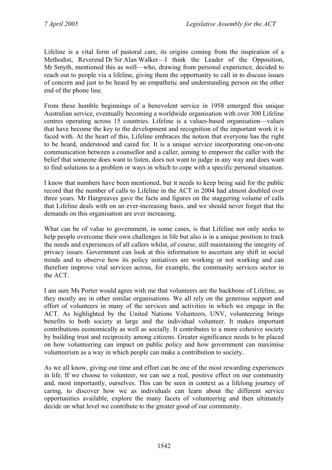Lifeline is a vital form of pastoral care, its origins coming from the inspiration of a Methodist, Reverend Dr Sir Alan Walker—I think the Leader of the Opposition, Mr Smyth, mentioned this as well—who, drawing from personal experience, decided to reach out to people via a lifeline, giving them the opportunity to call in to discuss issues of concern and just to be heard by an empathetic and understanding person on the other end of the phone line.

From these humble beginnings of a benevolent service in 1958 emerged this unique Australian service, eventually becoming a worldwide organisation with over 300 Lifeline centres operating across 15 countries. Lifeline is a values-based organisation—values that have become the key to the development and recognition of the important work it is faced with. At the heart of this, Lifeline embraces the notion that everyone has the right to be heard, understood and cared for. It is a unique service incorporating one-on-one communication between a counsellor and a caller, aiming to empower the caller with the belief that someone does want to listen, does not want to judge in any way and does want to find solutions to a problem or ways in which to cope with a specific personal situation.

I know that numbers have been mentioned, but it needs to keep being said for the public record that the number of calls to Lifeline in the ACT in 2004 had almost doubled over three years. Mr Hargreaves gave the facts and figures on the staggering volume of calls that Lifeline deals with on an ever-increasing basis, and we should never forget that the demands on this organisation are ever increasing.

What can be of value to government, in some cases, is that Lifeline not only seeks to help people overcome their own challenges in life but also is in a unique position to track the needs and experiences of all callers whilst, of course, still maintaining the integrity of privacy issues. Government can look at this information to ascertain any shift in social trends and to observe how its policy initiatives are working or not working and can therefore improve vital services across, for example, the community services sector in the ACT.

I am sure Ms Porter would agree with me that volunteers are the backbone of Lifeline, as they mostly are in other similar organisations. We all rely on the generous support and effort of volunteers in many of the services and activities in which we engage in the ACT. As highlighted by the United Nations Volunteers, UNV, volunteering brings benefits to both society at large and the individual volunteer. It makes important contributions economically as well as socially. It contributes to a more cohesive society by building trust and reciprocity among citizens. Greater significance needs to be placed on how volunteering can impact on public policy and how government can maximise volunteerism as a way in which people can make a contribution to society.

As we all know, giving our time and effort can be one of the most rewarding experiences in life. If we choose to volunteer, we can see a real, positive effect on our community and, most importantly, ourselves. This can be seen in context as a lifelong journey of caring, to discover how we as individuals can learn about the different service opportunities available, explore the many facets of volunteering and then ultimately decide on what level we contribute to the greater good of our community.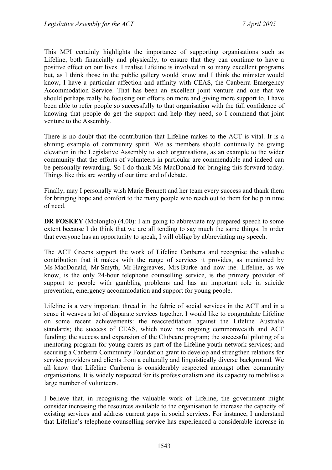This MPI certainly highlights the importance of supporting organisations such as Lifeline, both financially and physically, to ensure that they can continue to have a positive effect on our lives. I realise Lifeline is involved in so many excellent programs but, as I think those in the public gallery would know and I think the minister would know, I have a particular affection and affinity with CEAS, the Canberra Emergency Accommodation Service. That has been an excellent joint venture and one that we should perhaps really be focusing our efforts on more and giving more support to. I have been able to refer people so successfully to that organisation with the full confidence of knowing that people do get the support and help they need, so I commend that joint venture to the Assembly.

There is no doubt that the contribution that Lifeline makes to the ACT is vital. It is a shining example of community spirit. We as members should continually be giving elevation in the Legislative Assembly to such organisations, as an example to the wider community that the efforts of volunteers in particular are commendable and indeed can be personally rewarding. So I do thank Ms MacDonald for bringing this forward today. Things like this are worthy of our time and of debate.

Finally, may I personally wish Marie Bennett and her team every success and thank them for bringing hope and comfort to the many people who reach out to them for help in time of need.

**DR FOSKEY** (Molonglo) (4.00): I am going to abbreviate my prepared speech to some extent because I do think that we are all tending to say much the same things. In order that everyone has an opportunity to speak, I will oblige by abbreviating my speech.

The ACT Greens support the work of Lifeline Canberra and recognise the valuable contribution that it makes with the range of services it provides, as mentioned by Ms MacDonald, Mr Smyth, Mr Hargreaves, Mrs Burke and now me. Lifeline, as we know, is the only 24-hour telephone counselling service, is the primary provider of support to people with gambling problems and has an important role in suicide prevention, emergency accommodation and support for young people.

Lifeline is a very important thread in the fabric of social services in the ACT and in a sense it weaves a lot of disparate services together. I would like to congratulate Lifeline on some recent achievements: the reaccreditation against the Lifeline Australia standards; the success of CEAS, which now has ongoing commonwealth and ACT funding; the success and expansion of the Clubcare program; the successful piloting of a mentoring program for young carers as part of the Lifeline youth network services; and securing a Canberra Community Foundation grant to develop and strengthen relations for service providers and clients from a culturally and linguistically diverse background. We all know that Lifeline Canberra is considerably respected amongst other community organisations. It is widely respected for its professionalism and its capacity to mobilise a large number of volunteers.

I believe that, in recognising the valuable work of Lifeline, the government might consider increasing the resources available to the organisation to increase the capacity of existing services and address current gaps in social services. For instance, I understand that Lifeline's telephone counselling service has experienced a considerable increase in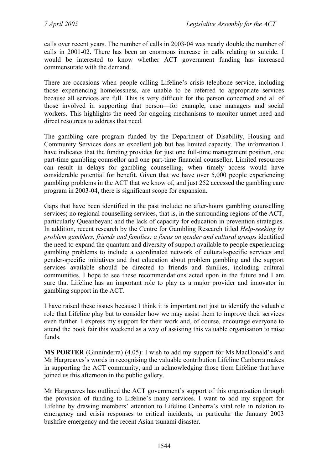calls over recent years. The number of calls in 2003-04 was nearly double the number of calls in 2001-02. There has been an enormous increase in calls relating to suicide. I would be interested to know whether ACT government funding has increased commensurate with the demand.

There are occasions when people calling Lifeline's crisis telephone service, including those experiencing homelessness, are unable to be referred to appropriate services because all services are full. This is very difficult for the person concerned and all of those involved in supporting that person—for example, case managers and social workers. This highlights the need for ongoing mechanisms to monitor unmet need and direct resources to address that need.

The gambling care program funded by the Department of Disability, Housing and Community Services does an excellent job but has limited capacity. The information I have indicates that the funding provides for just one full-time management position, one part-time gambling counsellor and one part-time financial counsellor. Limited resources can result in delays for gambling counselling, when timely access would have considerable potential for benefit. Given that we have over 5,000 people experiencing gambling problems in the ACT that we know of, and just 252 accessed the gambling care program in 2003-04, there is significant scope for expansion.

Gaps that have been identified in the past include: no after-hours gambling counselling services; no regional counselling services, that is, in the surrounding regions of the ACT, particularly Queanbeyan; and the lack of capacity for education in prevention strategies. In addition, recent research by the Centre for Gambling Research titled *Help-seeking by problem gamblers, friends and families: a focus on gender and cultural groups* identified the need to expand the quantum and diversity of support available to people experiencing gambling problems to include a coordinated network of cultural-specific services and gender-specific initiatives and that education about problem gambling and the support services available should be directed to friends and families, including cultural communities. I hope to see these recommendations acted upon in the future and I am sure that Lifeline has an important role to play as a major provider and innovator in gambling support in the ACT.

I have raised these issues because I think it is important not just to identify the valuable role that Lifeline play but to consider how we may assist them to improve their services even further. I express my support for their work and, of course, encourage everyone to attend the book fair this weekend as a way of assisting this valuable organisation to raise funds.

**MS PORTER** (Ginninderra) (4.05): I wish to add my support for Ms MacDonald's and Mr Hargreaves's words in recognising the valuable contribution Lifeline Canberra makes in supporting the ACT community, and in acknowledging those from Lifeline that have joined us this afternoon in the public gallery.

Mr Hargreaves has outlined the ACT government's support of this organisation through the provision of funding to Lifeline's many services. I want to add my support for Lifeline by drawing members' attention to Lifeline Canberra's vital role in relation to emergency and crisis responses to critical incidents, in particular the January 2003 bushfire emergency and the recent Asian tsunami disaster.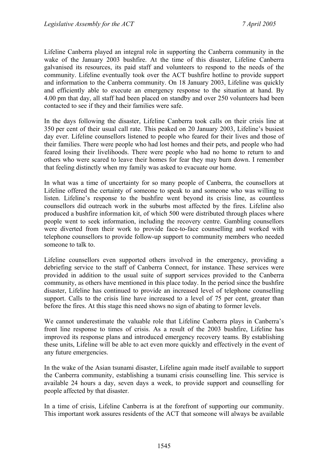Lifeline Canberra played an integral role in supporting the Canberra community in the wake of the January 2003 bushfire. At the time of this disaster, Lifeline Canberra galvanised its resources, its paid staff and volunteers to respond to the needs of the community. Lifeline eventually took over the ACT bushfire hotline to provide support and information to the Canberra community. On 18 January 2003, Lifeline was quickly and efficiently able to execute an emergency response to the situation at hand. By 4.00 pm that day, all staff had been placed on standby and over 250 volunteers had been contacted to see if they and their families were safe.

In the days following the disaster, Lifeline Canberra took calls on their crisis line at 350 per cent of their usual call rate. This peaked on 20 January 2003, Lifeline's busiest day ever. Lifeline counsellors listened to people who feared for their lives and those of their families. There were people who had lost homes and their pets, and people who had feared losing their livelihoods. There were people who had no home to return to and others who were scared to leave their homes for fear they may burn down. I remember that feeling distinctly when my family was asked to evacuate our home.

In what was a time of uncertainty for so many people of Canberra, the counsellors at Lifeline offered the certainty of someone to speak to and someone who was willing to listen. Lifeline's response to the bushfire went beyond its crisis line, as countless counsellors did outreach work in the suburbs most affected by the fires. Lifeline also produced a bushfire information kit, of which 500 were distributed through places where people went to seek information, including the recovery centre. Gambling counsellors were diverted from their work to provide face-to-face counselling and worked with telephone counsellors to provide follow-up support to community members who needed someone to talk to.

Lifeline counsellors even supported others involved in the emergency, providing a debriefing service to the staff of Canberra Connect, for instance. These services were provided in addition to the usual suite of support services provided to the Canberra community, as others have mentioned in this place today. In the period since the bushfire disaster, Lifeline has continued to provide an increased level of telephone counselling support. Calls to the crisis line have increased to a level of 75 per cent, greater than before the fires. At this stage this need shows no sign of abating to former levels.

We cannot underestimate the valuable role that Lifeline Canberra plays in Canberra's front line response to times of crisis. As a result of the 2003 bushfire, Lifeline has improved its response plans and introduced emergency recovery teams. By establishing these units, Lifeline will be able to act even more quickly and effectively in the event of any future emergencies.

In the wake of the Asian tsunami disaster, Lifeline again made itself available to support the Canberra community, establishing a tsunami crisis counselling line. This service is available 24 hours a day, seven days a week, to provide support and counselling for people affected by that disaster.

In a time of crisis, Lifeline Canberra is at the forefront of supporting our community. This important work assures residents of the ACT that someone will always be available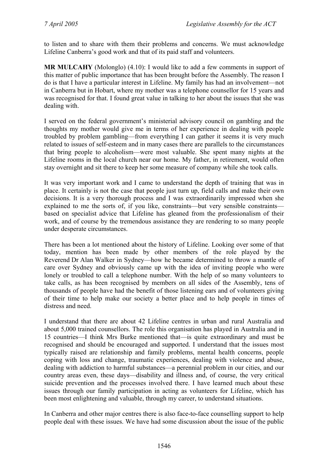to listen and to share with them their problems and concerns. We must acknowledge Lifeline Canberra's good work and that of its paid staff and volunteers.

**MR MULCAHY** (Molonglo) (4.10): I would like to add a few comments in support of this matter of public importance that has been brought before the Assembly. The reason I do is that I have a particular interest in Lifeline. My family has had an involvement—not in Canberra but in Hobart, where my mother was a telephone counsellor for 15 years and was recognised for that. I found great value in talking to her about the issues that she was dealing with.

I served on the federal government's ministerial advisory council on gambling and the thoughts my mother would give me in terms of her experience in dealing with people troubled by problem gambling—from everything I can gather it seems it is very much related to issues of self-esteem and in many cases there are parallels to the circumstances that bring people to alcoholism—were most valuable. She spent many nights at the Lifeline rooms in the local church near our home. My father, in retirement, would often stay overnight and sit there to keep her some measure of company while she took calls.

It was very important work and I came to understand the depth of training that was in place. It certainly is not the case that people just turn up, field calls and make their own decisions. It is a very thorough process and I was extraordinarily impressed when she explained to me the sorts of, if you like, constraints—but very sensible constraints based on specialist advice that Lifeline has gleaned from the professionalism of their work, and of course by the tremendous assistance they are rendering to so many people under desperate circumstances.

There has been a lot mentioned about the history of Lifeline. Looking over some of that today, mention has been made by other members of the role played by the Reverend Dr Alan Walker in Sydney—how he became determined to throw a mantle of care over Sydney and obviously came up with the idea of inviting people who were lonely or troubled to call a telephone number. With the help of so many volunteers to take calls, as has been recognised by members on all sides of the Assembly, tens of thousands of people have had the benefit of those listening ears and of volunteers giving of their time to help make our society a better place and to help people in times of distress and need.

I understand that there are about 42 Lifeline centres in urban and rural Australia and about 5,000 trained counsellors. The role this organisation has played in Australia and in 15 countries—I think Mrs Burke mentioned that—is quite extraordinary and must be recognised and should be encouraged and supported. I understand that the issues most typically raised are relationship and family problems, mental health concerns, people coping with loss and change, traumatic experiences, dealing with violence and abuse, dealing with addiction to harmful substances—a perennial problem in our cities, and our country areas even, these days—disability and illness and, of course, the very critical suicide prevention and the processes involved there. I have learned much about these issues through our family participation in acting as volunteers for Lifeline, which has been most enlightening and valuable, through my career, to understand situations.

In Canberra and other major centres there is also face-to-face counselling support to help people deal with these issues. We have had some discussion about the issue of the public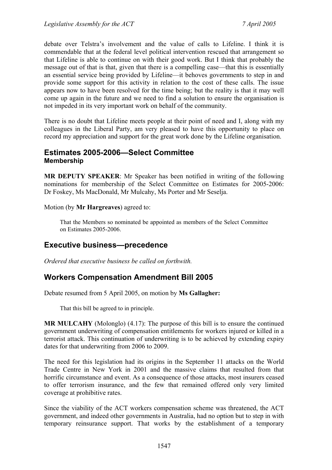debate over Telstra's involvement and the value of calls to Lifeline. I think it is commendable that at the federal level political intervention rescued that arrangement so that Lifeline is able to continue on with their good work. But I think that probably the message out of that is that, given that there is a compelling case—that this is essentially an essential service being provided by Lifeline—it behoves governments to step in and provide some support for this activity in relation to the cost of these calls. The issue appears now to have been resolved for the time being; but the reality is that it may well come up again in the future and we need to find a solution to ensure the organisation is not impeded in its very important work on behalf of the community.

There is no doubt that Lifeline meets people at their point of need and I, along with my colleagues in the Liberal Party, am very pleased to have this opportunity to place on record my appreciation and support for the great work done by the Lifeline organisation.

## **Estimates 2005-2006—Select Committee Membership**

**MR DEPUTY SPEAKER**: Mr Speaker has been notified in writing of the following nominations for membership of the Select Committee on Estimates for 2005-2006: Dr Foskey, Ms MacDonald, Mr Mulcahy, Ms Porter and Mr Seselja.

Motion (by **Mr Hargreaves**) agreed to:

That the Members so nominated be appointed as members of the Select Committee on Estimates 2005-2006.

# **Executive business—precedence**

*Ordered that executive business be called on forthwith.* 

# **Workers Compensation Amendment Bill 2005**

Debate resumed from 5 April 2005, on motion by **Ms Gallagher:** 

That this bill be agreed to in principle.

**MR MULCAHY** (Molonglo) (4.17): The purpose of this bill is to ensure the continued government underwriting of compensation entitlements for workers injured or killed in a terrorist attack. This continuation of underwriting is to be achieved by extending expiry dates for that underwriting from 2006 to 2009.

The need for this legislation had its origins in the September 11 attacks on the World Trade Centre in New York in 2001 and the massive claims that resulted from that horrific circumstance and event. As a consequence of those attacks, most insurers ceased to offer terrorism insurance, and the few that remained offered only very limited coverage at prohibitive rates.

Since the viability of the ACT workers compensation scheme was threatened, the ACT government, and indeed other governments in Australia, had no option but to step in with temporary reinsurance support. That works by the establishment of a temporary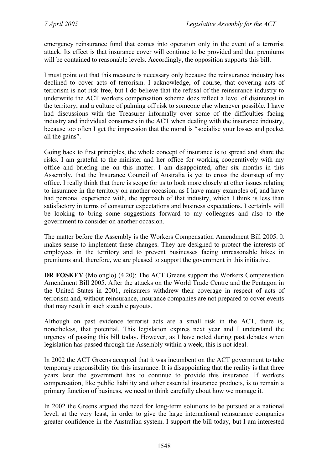emergency reinsurance fund that comes into operation only in the event of a terrorist attack. Its effect is that insurance cover will continue to be provided and that premiums will be contained to reasonable levels. Accordingly, the opposition supports this bill.

I must point out that this measure is necessary only because the reinsurance industry has declined to cover acts of terrorism. I acknowledge, of course, that covering acts of terrorism is not risk free, but I do believe that the refusal of the reinsurance industry to underwrite the ACT workers compensation scheme does reflect a level of disinterest in the territory, and a culture of palming off risk to someone else whenever possible. I have had discussions with the Treasurer informally over some of the difficulties facing industry and individual consumers in the ACT when dealing with the insurance industry, because too often I get the impression that the moral is "socialise your losses and pocket all the gains".

Going back to first principles, the whole concept of insurance is to spread and share the risks. I am grateful to the minister and her office for working cooperatively with my office and briefing me on this matter. I am disappointed, after six months in this Assembly, that the Insurance Council of Australia is yet to cross the doorstep of my office. I really think that there is scope for us to look more closely at other issues relating to insurance in the territory on another occasion, as I have many examples of, and have had personal experience with, the approach of that industry, which I think is less than satisfactory in terms of consumer expectations and business expectations. I certainly will be looking to bring some suggestions forward to my colleagues and also to the government to consider on another occasion.

The matter before the Assembly is the Workers Compensation Amendment Bill 2005. It makes sense to implement these changes. They are designed to protect the interests of employees in the territory and to prevent businesses facing unreasonable hikes in premiums and, therefore, we are pleased to support the government in this initiative.

**DR FOSKEY** (Molonglo) (4.20): The ACT Greens support the Workers Compensation Amendment Bill 2005. After the attacks on the World Trade Centre and the Pentagon in the United States in 2001, reinsurers withdrew their coverage in respect of acts of terrorism and, without reinsurance, insurance companies are not prepared to cover events that may result in such sizeable payouts.

Although on past evidence terrorist acts are a small risk in the ACT, there is, nonetheless, that potential. This legislation expires next year and I understand the urgency of passing this bill today. However, as I have noted during past debates when legislation has passed through the Assembly within a week, this is not ideal.

In 2002 the ACT Greens accepted that it was incumbent on the ACT government to take temporary responsibility for this insurance. It is disappointing that the reality is that three years later the government has to continue to provide this insurance. If workers compensation, like public liability and other essential insurance products, is to remain a primary function of business, we need to think carefully about how we manage it.

In 2002 the Greens argued the need for long-term solutions to be pursued at a national level, at the very least, in order to give the large international reinsurance companies greater confidence in the Australian system. I support the bill today, but I am interested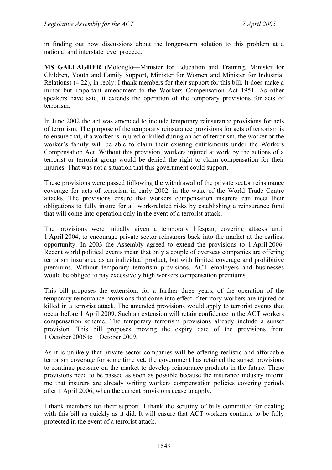in finding out how discussions about the longer-term solution to this problem at a national and interstate level proceed.

**MS GALLAGHER** (Molonglo—Minister for Education and Training, Minister for Children, Youth and Family Support, Minister for Women and Minister for Industrial Relations) (4.22), in reply: I thank members for their support for this bill. It does make a minor but important amendment to the Workers Compensation Act 1951. As other speakers have said, it extends the operation of the temporary provisions for acts of terrorism.

In June 2002 the act was amended to include temporary reinsurance provisions for acts of terrorism. The purpose of the temporary reinsurance provisions for acts of terrorism is to ensure that, if a worker is injured or killed during an act of terrorism, the worker or the worker's family will be able to claim their existing entitlements under the Workers Compensation Act. Without this provision, workers injured at work by the actions of a terrorist or terrorist group would be denied the right to claim compensation for their injuries. That was not a situation that this government could support.

These provisions were passed following the withdrawal of the private sector reinsurance coverage for acts of terrorism in early 2002, in the wake of the World Trade Centre attacks. The provisions ensure that workers compensation insurers can meet their obligations to fully insure for all work-related risks by establishing a reinsurance fund that will come into operation only in the event of a terrorist attack.

The provisions were initially given a temporary lifespan, covering attacks until 1 April 2004, to encourage private sector reinsurers back into the market at the earliest opportunity. In 2003 the Assembly agreed to extend the provisions to 1 April 2006. Recent world political events mean that only a couple of overseas companies are offering terrorism insurance as an individual product, but with limited coverage and prohibitive premiums. Without temporary terrorism provisions, ACT employers and businesses would be obliged to pay excessively high workers compensation premiums.

This bill proposes the extension, for a further three years, of the operation of the temporary reinsurance provisions that come into effect if territory workers are injured or killed in a terrorist attack. The amended provisions would apply to terrorist events that occur before 1 April 2009. Such an extension will retain confidence in the ACT workers compensation scheme. The temporary terrorism provisions already include a sunset provision. This bill proposes moving the expiry date of the provisions from 1 October 2006 to 1 October 2009.

As it is unlikely that private sector companies will be offering realistic and affordable terrorism coverage for some time yet, the government has retained the sunset provisions to continue pressure on the market to develop reinsurance products in the future. These provisions need to be passed as soon as possible because the insurance industry inform me that insurers are already writing workers compensation policies covering periods after 1 April 2006, when the current provisions cease to apply.

I thank members for their support. I thank the scrutiny of bills committee for dealing with this bill as quickly as it did. It will ensure that ACT workers continue to be fully protected in the event of a terrorist attack.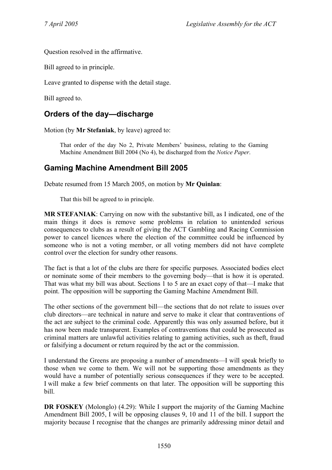Question resolved in the affirmative.

Bill agreed to in principle.

Leave granted to dispense with the detail stage.

Bill agreed to.

# **Orders of the day—discharge**

Motion (by **Mr Stefaniak**, by leave) agreed to:

That order of the day No 2, Private Members' business, relating to the Gaming Machine Amendment Bill 2004 (No 4), be discharged from the *Notice Paper*.

# **Gaming Machine Amendment Bill 2005**

Debate resumed from 15 March 2005, on motion by **Mr Quinlan**:

That this bill be agreed to in principle.

**MR STEFANIAK**: Carrying on now with the substantive bill, as I indicated, one of the main things it does is remove some problems in relation to unintended serious consequences to clubs as a result of giving the ACT Gambling and Racing Commission power to cancel licences where the election of the committee could be influenced by someone who is not a voting member, or all voting members did not have complete control over the election for sundry other reasons.

The fact is that a lot of the clubs are there for specific purposes. Associated bodies elect or nominate some of their members to the governing body—that is how it is operated. That was what my bill was about. Sections 1 to 5 are an exact copy of that—I make that point. The opposition will be supporting the Gaming Machine Amendment Bill.

The other sections of the government bill—the sections that do not relate to issues over club directors—are technical in nature and serve to make it clear that contraventions of the act are subject to the criminal code. Apparently this was only assumed before, but it has now been made transparent. Examples of contraventions that could be prosecuted as criminal matters are unlawful activities relating to gaming activities, such as theft, fraud or falsifying a document or return required by the act or the commission.

I understand the Greens are proposing a number of amendments—I will speak briefly to those when we come to them. We will not be supporting those amendments as they would have a number of potentially serious consequences if they were to be accepted. I will make a few brief comments on that later. The opposition will be supporting this bill.

**DR FOSKEY** (Molonglo) (4.29): While I support the majority of the Gaming Machine Amendment Bill 2005, I will be opposing clauses 9, 10 and 11 of the bill. I support the majority because I recognise that the changes are primarily addressing minor detail and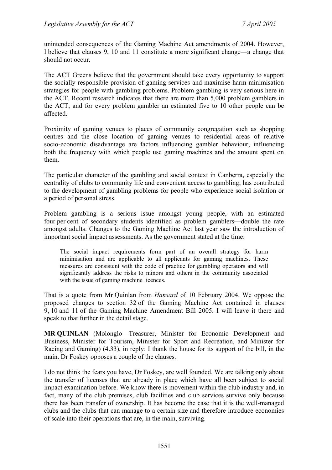unintended consequences of the Gaming Machine Act amendments of 2004. However, I believe that clauses 9, 10 and 11 constitute a more significant change—a change that should not occur.

The ACT Greens believe that the government should take every opportunity to support the socially responsible provision of gaming services and maximise harm minimisation strategies for people with gambling problems. Problem gambling is very serious here in the ACT. Recent research indicates that there are more than 5,000 problem gamblers in the ACT, and for every problem gambler an estimated five to 10 other people can be affected.

Proximity of gaming venues to places of community congregation such as shopping centres and the close location of gaming venues to residential areas of relative socio-economic disadvantage are factors influencing gambler behaviour, influencing both the frequency with which people use gaming machines and the amount spent on them.

The particular character of the gambling and social context in Canberra, especially the centrality of clubs to community life and convenient access to gambling, has contributed to the development of gambling problems for people who experience social isolation or a period of personal stress.

Problem gambling is a serious issue amongst young people, with an estimated four per cent of secondary students identified as problem gamblers—double the rate amongst adults. Changes to the Gaming Machine Act last year saw the introduction of important social impact assessments. As the government stated at the time:

The social impact requirements form part of an overall strategy for harm minimisation and are applicable to all applicants for gaming machines. These measures are consistent with the code of practice for gambling operators and will significantly address the risks to minors and others in the community associated with the issue of gaming machine licences.

That is a quote from Mr Quinlan from *Hansard* of 10 February 2004. We oppose the proposed changes to section 32 of the Gaming Machine Act contained in clauses 9, 10 and 11 of the Gaming Machine Amendment Bill 2005. I will leave it there and speak to that further in the detail stage.

**MR QUINLAN** (Molonglo—Treasurer, Minister for Economic Development and Business, Minister for Tourism, Minister for Sport and Recreation, and Minister for Racing and Gaming) (4.33), in reply: I thank the house for its support of the bill, in the main. Dr Foskey opposes a couple of the clauses.

I do not think the fears you have, Dr Foskey, are well founded. We are talking only about the transfer of licenses that are already in place which have all been subject to social impact examination before. We know there is movement within the club industry and, in fact, many of the club premises, club facilities and club services survive only because there has been transfer of ownership. It has become the case that it is the well-managed clubs and the clubs that can manage to a certain size and therefore introduce economies of scale into their operations that are, in the main, surviving.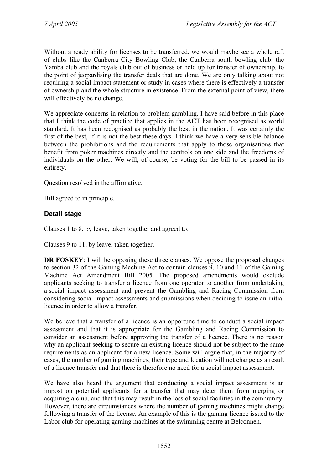Without a ready ability for licenses to be transferred, we would maybe see a whole raft of clubs like the Canberra City Bowling Club, the Canberra south bowling club, the Yamba club and the royals club out of business or held up for transfer of ownership, to the point of jeopardising the transfer deals that are done. We are only talking about not requiring a social impact statement or study in cases where there is effectively a transfer of ownership and the whole structure in existence. From the external point of view, there will effectively be no change.

We appreciate concerns in relation to problem gambling. I have said before in this place that I think the code of practice that applies in the ACT has been recognised as world standard. It has been recognised as probably the best in the nation. It was certainly the first of the best, if it is not the best these days. I think we have a very sensible balance between the prohibitions and the requirements that apply to those organisations that benefit from poker machines directly and the controls on one side and the freedoms of individuals on the other. We will, of course, be voting for the bill to be passed in its entirety.

Question resolved in the affirmative.

Bill agreed to in principle.

#### **Detail stage**

Clauses 1 to 8, by leave, taken together and agreed to.

Clauses 9 to 11, by leave, taken together.

**DR FOSKEY:** I will be opposing these three clauses. We oppose the proposed changes to section 32 of the Gaming Machine Act to contain clauses 9, 10 and 11 of the Gaming Machine Act Amendment Bill 2005. The proposed amendments would exclude applicants seeking to transfer a licence from one operator to another from undertaking a social impact assessment and prevent the Gambling and Racing Commission from considering social impact assessments and submissions when deciding to issue an initial licence in order to allow a transfer.

We believe that a transfer of a licence is an opportune time to conduct a social impact assessment and that it is appropriate for the Gambling and Racing Commission to consider an assessment before approving the transfer of a licence. There is no reason why an applicant seeking to secure an existing licence should not be subject to the same requirements as an applicant for a new licence. Some will argue that, in the majority of cases, the number of gaming machines, their type and location will not change as a result of a licence transfer and that there is therefore no need for a social impact assessment.

We have also heard the argument that conducting a social impact assessment is an impost on potential applicants for a transfer that may deter them from merging or acquiring a club, and that this may result in the loss of social facilities in the community. However, there are circumstances where the number of gaming machines might change following a transfer of the license. An example of this is the gaming licence issued to the Labor club for operating gaming machines at the swimming centre at Belconnen.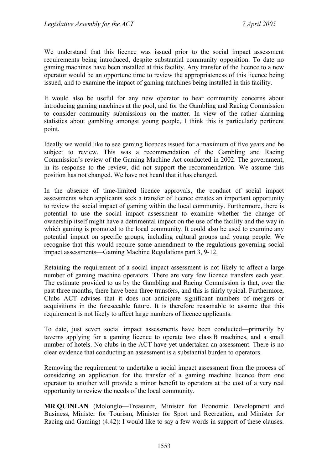We understand that this licence was issued prior to the social impact assessment requirements being introduced, despite substantial community opposition. To date no gaming machines have been installed at this facility. Any transfer of the licence to a new operator would be an opportune time to review the appropriateness of this licence being issued, and to examine the impact of gaming machines being installed in this facility.

It would also be useful for any new operator to hear community concerns about introducing gaming machines at the pool, and for the Gambling and Racing Commission to consider community submissions on the matter. In view of the rather alarming statistics about gambling amongst young people, I think this is particularly pertinent point.

Ideally we would like to see gaming licences issued for a maximum of five years and be subject to review. This was a recommendation of the Gambling and Racing Commission's review of the Gaming Machine Act conducted in 2002. The government, in its response to the review, did not support the recommendation. We assume this position has not changed. We have not heard that it has changed.

In the absence of time-limited licence approvals, the conduct of social impact assessments when applicants seek a transfer of licence creates an important opportunity to review the social impact of gaming within the local community. Furthermore, there is potential to use the social impact assessment to examine whether the change of ownership itself might have a detrimental impact on the use of the facility and the way in which gaming is promoted to the local community. It could also be used to examine any potential impact on specific groups, including cultural groups and young people. We recognise that this would require some amendment to the regulations governing social impact assessments—Gaming Machine Regulations part 3, 9-12.

Retaining the requirement of a social impact assessment is not likely to affect a large number of gaming machine operators. There are very few licence transfers each year. The estimate provided to us by the Gambling and Racing Commission is that, over the past three months, there have been three transfers, and this is fairly typical. Furthermore, Clubs ACT advises that it does not anticipate significant numbers of mergers or acquisitions in the foreseeable future. It is therefore reasonable to assume that this requirement is not likely to affect large numbers of licence applicants.

To date, just seven social impact assessments have been conducted—primarily by taverns applying for a gaming licence to operate two class B machines, and a small number of hotels. No clubs in the ACT have yet undertaken an assessment. There is no clear evidence that conducting an assessment is a substantial burden to operators.

Removing the requirement to undertake a social impact assessment from the process of considering an application for the transfer of a gaming machine licence from one operator to another will provide a minor benefit to operators at the cost of a very real opportunity to review the needs of the local community.

**MR QUINLAN** (Molonglo—Treasurer, Minister for Economic Development and Business, Minister for Tourism, Minister for Sport and Recreation, and Minister for Racing and Gaming) (4.42): I would like to say a few words in support of these clauses.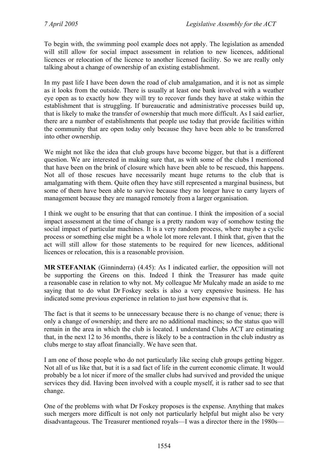To begin with, the swimming pool example does not apply. The legislation as amended will still allow for social impact assessment in relation to new licences, additional licences or relocation of the licence to another licensed facility. So we are really only talking about a change of ownership of an existing establishment.

In my past life I have been down the road of club amalgamation, and it is not as simple as it looks from the outside. There is usually at least one bank involved with a weather eye open as to exactly how they will try to recover funds they have at stake within the establishment that is struggling. If bureaucratic and administrative processes build up, that is likely to make the transfer of ownership that much more difficult. As I said earlier, there are a number of establishments that people use today that provide facilities within the community that are open today only because they have been able to be transferred into other ownership.

We might not like the idea that club groups have become bigger, but that is a different question. We are interested in making sure that, as with some of the clubs I mentioned that have been on the brink of closure which have been able to be rescued, this happens. Not all of those rescues have necessarily meant huge returns to the club that is amalgamating with them. Quite often they have still represented a marginal business, but some of them have been able to survive because they no longer have to carry layers of management because they are managed remotely from a larger organisation.

I think we ought to be ensuring that that can continue. I think the imposition of a social impact assessment at the time of change is a pretty random way of somehow testing the social impact of particular machines. It is a very random process, where maybe a cyclic process or something else might be a whole lot more relevant. I think that, given that the act will still allow for those statements to be required for new licences, additional licences or relocation, this is a reasonable provision.

**MR STEFANIAK** (Ginninderra) (4.45): As I indicated earlier, the opposition will not be supporting the Greens on this. Indeed I think the Treasurer has made quite a reasonable case in relation to why not. My colleague Mr Mulcahy made an aside to me saying that to do what Dr Foskey seeks is also a very expensive business. He has indicated some previous experience in relation to just how expensive that is.

The fact is that it seems to be unnecessary because there is no change of venue; there is only a change of ownership; and there are no additional machines; so the status quo will remain in the area in which the club is located. I understand Clubs ACT are estimating that, in the next 12 to 36 months, there is likely to be a contraction in the club industry as clubs merge to stay afloat financially. We have seen that.

I am one of those people who do not particularly like seeing club groups getting bigger. Not all of us like that, but it is a sad fact of life in the current economic climate. It would probably be a lot nicer if more of the smaller clubs had survived and provided the unique services they did. Having been involved with a couple myself, it is rather sad to see that change.

One of the problems with what Dr Foskey proposes is the expense. Anything that makes such mergers more difficult is not only not particularly helpful but might also be very disadvantageous. The Treasurer mentioned royals—I was a director there in the 1980s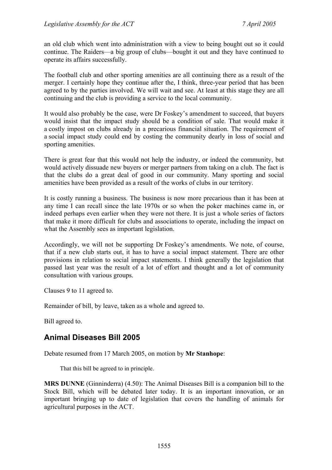an old club which went into administration with a view to being bought out so it could continue. The Raiders—a big group of clubs—bought it out and they have continued to operate its affairs successfully.

The football club and other sporting amenities are all continuing there as a result of the merger. I certainly hope they continue after the, I think, three-year period that has been agreed to by the parties involved. We will wait and see. At least at this stage they are all continuing and the club is providing a service to the local community.

It would also probably be the case, were Dr Foskey's amendment to succeed, that buyers would insist that the impact study should be a condition of sale. That would make it a costly impost on clubs already in a precarious financial situation. The requirement of a social impact study could end by costing the community dearly in loss of social and sporting amenities.

There is great fear that this would not help the industry, or indeed the community, but would actively dissuade new buyers or merger partners from taking on a club. The fact is that the clubs do a great deal of good in our community. Many sporting and social amenities have been provided as a result of the works of clubs in our territory.

It is costly running a business. The business is now more precarious than it has been at any time I can recall since the late 1970s or so when the poker machines came in, or indeed perhaps even earlier when they were not there. It is just a whole series of factors that make it more difficult for clubs and associations to operate, including the impact on what the Assembly sees as important legislation.

Accordingly, we will not be supporting Dr Foskey's amendments. We note, of course, that if a new club starts out, it has to have a social impact statement. There are other provisions in relation to social impact statements. I think generally the legislation that passed last year was the result of a lot of effort and thought and a lot of community consultation with various groups.

Clauses 9 to 11 agreed to.

Remainder of bill, by leave, taken as a whole and agreed to.

Bill agreed to.

# **Animal Diseases Bill 2005**

Debate resumed from 17 March 2005, on motion by **Mr Stanhope**:

That this bill be agreed to in principle.

**MRS DUNNE** (Ginninderra) (4.50): The Animal Diseases Bill is a companion bill to the Stock Bill, which will be debated later today. It is an important innovation, or an important bringing up to date of legislation that covers the handling of animals for agricultural purposes in the ACT.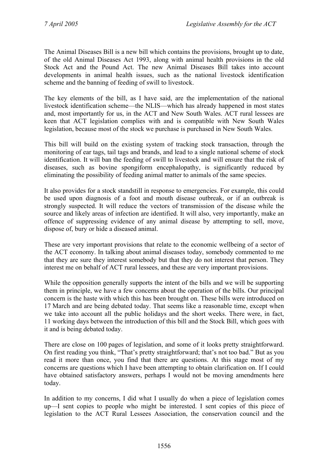The Animal Diseases Bill is a new bill which contains the provisions, brought up to date, of the old Animal Diseases Act 1993, along with animal health provisions in the old Stock Act and the Pound Act. The new Animal Diseases Bill takes into account developments in animal health issues, such as the national livestock identification scheme and the banning of feeding of swill to livestock.

The key elements of the bill, as I have said, are the implementation of the national livestock identification scheme—the NLIS—which has already happened in most states and, most importantly for us, in the ACT and New South Wales. ACT rural lessees are keen that ACT legislation complies with and is compatible with New South Wales legislation, because most of the stock we purchase is purchased in New South Wales.

This bill will build on the existing system of tracking stock transaction, through the monitoring of ear tags, tail tags and brands, and lead to a single national scheme of stock identification. It will ban the feeding of swill to livestock and will ensure that the risk of diseases, such as bovine spongiform encephalopathy, is significantly reduced by eliminating the possibility of feeding animal matter to animals of the same species.

It also provides for a stock standstill in response to emergencies. For example, this could be used upon diagnosis of a foot and mouth disease outbreak, or if an outbreak is strongly suspected. It will reduce the vectors of transmission of the disease while the source and likely areas of infection are identified. It will also, very importantly, make an offence of suppressing evidence of any animal disease by attempting to sell, move, dispose of, bury or hide a diseased animal.

These are very important provisions that relate to the economic wellbeing of a sector of the ACT economy. In talking about animal diseases today, somebody commented to me that they are sure they interest somebody but that they do not interest that person. They interest me on behalf of ACT rural lessees, and these are very important provisions.

While the opposition generally supports the intent of the bills and we will be supporting them in principle, we have a few concerns about the operation of the bills. Our principal concern is the haste with which this has been brought on. These bills were introduced on 17 March and are being debated today. That seems like a reasonable time, except when we take into account all the public holidays and the short weeks. There were, in fact, 11 working days between the introduction of this bill and the Stock Bill, which goes with it and is being debated today.

There are close on 100 pages of legislation, and some of it looks pretty straightforward. On first reading you think, "That's pretty straightforward; that's not too bad." But as you read it more than once, you find that there are questions. At this stage most of my concerns are questions which I have been attempting to obtain clarification on. If I could have obtained satisfactory answers, perhaps I would not be moving amendments here today.

In addition to my concerns, I did what I usually do when a piece of legislation comes up—I sent copies to people who might be interested. I sent copies of this piece of legislation to the ACT Rural Lessees Association, the conservation council and the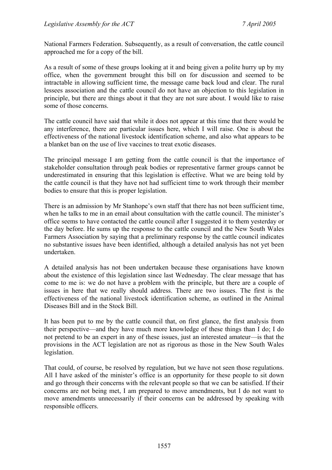National Farmers Federation. Subsequently, as a result of conversation, the cattle council approached me for a copy of the bill.

As a result of some of these groups looking at it and being given a polite hurry up by my office, when the government brought this bill on for discussion and seemed to be intractable in allowing sufficient time, the message came back loud and clear. The rural lessees association and the cattle council do not have an objection to this legislation in principle, but there are things about it that they are not sure about. I would like to raise some of those concerns.

The cattle council have said that while it does not appear at this time that there would be any interference, there are particular issues here, which I will raise. One is about the effectiveness of the national livestock identification scheme, and also what appears to be a blanket ban on the use of live vaccines to treat exotic diseases.

The principal message I am getting from the cattle council is that the importance of stakeholder consultation through peak bodies or representative farmer groups cannot be underestimated in ensuring that this legislation is effective. What we are being told by the cattle council is that they have not had sufficient time to work through their member bodies to ensure that this is proper legislation.

There is an admission by Mr Stanhope's own staff that there has not been sufficient time, when he talks to me in an email about consultation with the cattle council. The minister's office seems to have contacted the cattle council after I suggested it to them yesterday or the day before. He sums up the response to the cattle council and the New South Wales Farmers Association by saying that a preliminary response by the cattle council indicates no substantive issues have been identified, although a detailed analysis has not yet been undertaken.

A detailed analysis has not been undertaken because these organisations have known about the existence of this legislation since last Wednesday. The clear message that has come to me is: we do not have a problem with the principle, but there are a couple of issues in here that we really should address. There are two issues. The first is the effectiveness of the national livestock identification scheme, as outlined in the Animal Diseases Bill and in the Stock Bill.

It has been put to me by the cattle council that, on first glance, the first analysis from their perspective—and they have much more knowledge of these things than I do; I do not pretend to be an expert in any of these issues, just an interested amateur—is that the provisions in the ACT legislation are not as rigorous as those in the New South Wales legislation.

That could, of course, be resolved by regulation, but we have not seen those regulations. All I have asked of the minister's office is an opportunity for these people to sit down and go through their concerns with the relevant people so that we can be satisfied. If their concerns are not being met, I am prepared to move amendments, but I do not want to move amendments unnecessarily if their concerns can be addressed by speaking with responsible officers.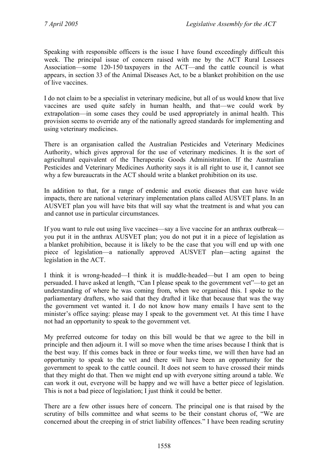Speaking with responsible officers is the issue I have found exceedingly difficult this week. The principal issue of concern raised with me by the ACT Rural Lessees Association—some 120-150 taxpayers in the ACT—and the cattle council is what appears, in section 33 of the Animal Diseases Act, to be a blanket prohibition on the use of live vaccines.

I do not claim to be a specialist in veterinary medicine, but all of us would know that live vaccines are used quite safely in human health, and that—we could work by extrapolation—in some cases they could be used appropriately in animal health. This provision seems to override any of the nationally agreed standards for implementing and using veterinary medicines.

There is an organisation called the Australian Pesticides and Veterinary Medicines Authority, which gives approval for the use of veterinary medicines. It is the sort of agricultural equivalent of the Therapeutic Goods Administration. If the Australian Pesticides and Veterinary Medicines Authority says it is all right to use it, I cannot see why a few bureaucrats in the ACT should write a blanket prohibition on its use.

In addition to that, for a range of endemic and exotic diseases that can have wide impacts, there are national veterinary implementation plans called AUSVET plans. In an AUSVET plan you will have bits that will say what the treatment is and what you can and cannot use in particular circumstances.

If you want to rule out using live vaccines—say a live vaccine for an anthrax outbreak you put it in the anthrax AUSVET plan; you do not put it in a piece of legislation as a blanket prohibition, because it is likely to be the case that you will end up with one piece of legislation—a nationally approved AUSVET plan—acting against the legislation in the ACT.

I think it is wrong-headed—I think it is muddle-headed—but I am open to being persuaded. I have asked at length, "Can I please speak to the government vet"—to get an understanding of where he was coming from, when we organised this. I spoke to the parliamentary drafters, who said that they drafted it like that because that was the way the government vet wanted it. I do not know how many emails I have sent to the minister's office saying: please may I speak to the government vet. At this time I have not had an opportunity to speak to the government vet.

My preferred outcome for today on this bill would be that we agree to the bill in principle and then adjourn it. I will so move when the time arises because I think that is the best way. If this comes back in three or four weeks time, we will then have had an opportunity to speak to the vet and there will have been an opportunity for the government to speak to the cattle council. It does not seem to have crossed their minds that they might do that. Then we might end up with everyone sitting around a table. We can work it out, everyone will be happy and we will have a better piece of legislation. This is not a bad piece of legislation; I just think it could be better.

There are a few other issues here of concern. The principal one is that raised by the scrutiny of bills committee and what seems to be their constant chorus of, "We are concerned about the creeping in of strict liability offences." I have been reading scrutiny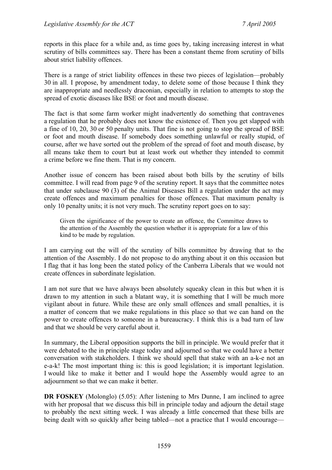reports in this place for a while and, as time goes by, taking increasing interest in what scrutiny of bills committees say. There has been a constant theme from scrutiny of bills about strict liability offences.

There is a range of strict liability offences in these two pieces of legislation—probably 30 in all. I propose, by amendment today, to delete some of those because I think they are inappropriate and needlessly draconian, especially in relation to attempts to stop the spread of exotic diseases like BSE or foot and mouth disease.

The fact is that some farm worker might inadvertently do something that contravenes a regulation that he probably does not know the existence of. Then you get slapped with a fine of 10, 20, 30 or 50 penalty units. That fine is not going to stop the spread of BSE or foot and mouth disease. If somebody does something unlawful or really stupid, of course, after we have sorted out the problem of the spread of foot and mouth disease, by all means take them to court but at least work out whether they intended to commit a crime before we fine them. That is my concern.

Another issue of concern has been raised about both bills by the scrutiny of bills committee. I will read from page 9 of the scrutiny report. It says that the committee notes that under subclause 90 (3) of the Animal Diseases Bill a regulation under the act may create offences and maximum penalties for those offences. That maximum penalty is only 10 penalty units; it is not very much. The scrutiny report goes on to say:

Given the significance of the power to create an offence, the Committee draws to the attention of the Assembly the question whether it is appropriate for a law of this kind to be made by regulation.

I am carrying out the will of the scrutiny of bills committee by drawing that to the attention of the Assembly. I do not propose to do anything about it on this occasion but I flag that it has long been the stated policy of the Canberra Liberals that we would not create offences in subordinate legislation.

I am not sure that we have always been absolutely squeaky clean in this but when it is drawn to my attention in such a blatant way, it is something that I will be much more vigilant about in future. While these are only small offences and small penalties, it is a matter of concern that we make regulations in this place so that we can hand on the power to create offences to someone in a bureaucracy. I think this is a bad turn of law and that we should be very careful about it.

In summary, the Liberal opposition supports the bill in principle. We would prefer that it were debated to the in principle stage today and adjourned so that we could have a better conversation with stakeholders. I think we should spell that stake with an a-k-e not an e-a-k! The most important thing is: this is good legislation; it is important legislation. I would like to make it better and I would hope the Assembly would agree to an adjournment so that we can make it better.

**DR FOSKEY** (Molonglo) (5.05): After listening to Mrs Dunne, I am inclined to agree with her proposal that we discuss this bill in principle today and adjourn the detail stage to probably the next sitting week. I was already a little concerned that these bills are being dealt with so quickly after being tabled—not a practice that I would encourage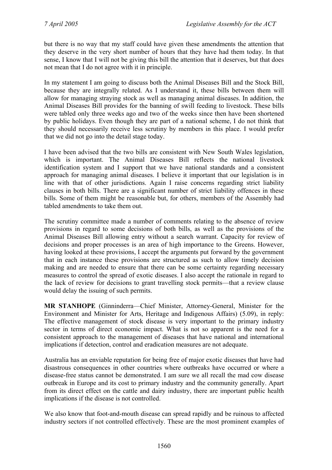but there is no way that my staff could have given these amendments the attention that they deserve in the very short number of hours that they have had them today. In that sense, I know that I will not be giving this bill the attention that it deserves, but that does not mean that I do not agree with it in principle.

In my statement I am going to discuss both the Animal Diseases Bill and the Stock Bill, because they are integrally related. As I understand it, these bills between them will allow for managing straying stock as well as managing animal diseases. In addition, the Animal Diseases Bill provides for the banning of swill feeding to livestock. These bills were tabled only three weeks ago and two of the weeks since then have been shortened by public holidays. Even though they are part of a national scheme, I do not think that they should necessarily receive less scrutiny by members in this place. I would prefer that we did not go into the detail stage today.

I have been advised that the two bills are consistent with New South Wales legislation, which is important. The Animal Diseases Bill reflects the national livestock identification system and I support that we have national standards and a consistent approach for managing animal diseases. I believe it important that our legislation is in line with that of other jurisdictions. Again I raise concerns regarding strict liability clauses in both bills. There are a significant number of strict liability offences in these bills. Some of them might be reasonable but, for others, members of the Assembly had tabled amendments to take them out.

The scrutiny committee made a number of comments relating to the absence of review provisions in regard to some decisions of both bills, as well as the provisions of the Animal Diseases Bill allowing entry without a search warrant. Capacity for review of decisions and proper processes is an area of high importance to the Greens. However, having looked at these provisions, I accept the arguments put forward by the government that in each instance these provisions are structured as such to allow timely decision making and are needed to ensure that there can be some certainty regarding necessary measures to control the spread of exotic diseases. I also accept the rationale in regard to the lack of review for decisions to grant travelling stock permits—that a review clause would delay the issuing of such permits.

**MR STANHOPE** (Ginninderra—Chief Minister, Attorney-General, Minister for the Environment and Minister for Arts, Heritage and Indigenous Affairs) (5.09), in reply: The effective management of stock disease is very important to the primary industry sector in terms of direct economic impact. What is not so apparent is the need for a consistent approach to the management of diseases that have national and international implications if detection, control and eradication measures are not adequate.

Australia has an enviable reputation for being free of major exotic diseases that have had disastrous consequences in other countries where outbreaks have occurred or where a disease-free status cannot be demonstrated. I am sure we all recall the mad cow disease outbreak in Europe and its cost to primary industry and the community generally. Apart from its direct effect on the cattle and dairy industry, there are important public health implications if the disease is not controlled.

We also know that foot-and-mouth disease can spread rapidly and be ruinous to affected industry sectors if not controlled effectively. These are the most prominent examples of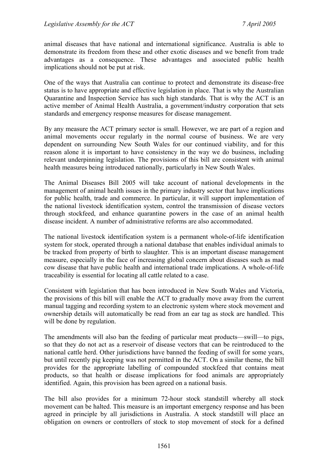animal diseases that have national and international significance. Australia is able to demonstrate its freedom from these and other exotic diseases and we benefit from trade advantages as a consequence. These advantages and associated public health implications should not be put at risk.

One of the ways that Australia can continue to protect and demonstrate its disease-free status is to have appropriate and effective legislation in place. That is why the Australian Quarantine and Inspection Service has such high standards. That is why the ACT is an active member of Animal Health Australia, a government/industry corporation that sets standards and emergency response measures for disease management.

By any measure the ACT primary sector is small. However, we are part of a region and animal movements occur regularly in the normal course of business. We are very dependent on surrounding New South Wales for our continued viability, and for this reason alone it is important to have consistency in the way we do business, including relevant underpinning legislation. The provisions of this bill are consistent with animal health measures being introduced nationally, particularly in New South Wales.

The Animal Diseases Bill 2005 will take account of national developments in the management of animal health issues in the primary industry sector that have implications for public health, trade and commerce. In particular, it will support implementation of the national livestock identification system, control the transmission of disease vectors through stockfeed, and enhance quarantine powers in the case of an animal health disease incident. A number of administrative reforms are also accommodated.

The national livestock identification system is a permanent whole-of-life identification system for stock, operated through a national database that enables individual animals to be tracked from property of birth to slaughter. This is an important disease management measure, especially in the face of increasing global concern about diseases such as mad cow disease that have public health and international trade implications. A whole-of-life traceability is essential for locating all cattle related to a case.

Consistent with legislation that has been introduced in New South Wales and Victoria, the provisions of this bill will enable the ACT to gradually move away from the current manual tagging and recording system to an electronic system where stock movement and ownership details will automatically be read from an ear tag as stock are handled. This will be done by regulation.

The amendments will also ban the feeding of particular meat products—swill—to pigs, so that they do not act as a reservoir of disease vectors that can be reintroduced to the national cattle herd. Other jurisdictions have banned the feeding of swill for some years, but until recently pig keeping was not permitted in the ACT. On a similar theme, the bill provides for the appropriate labelling of compounded stockfeed that contains meat products, so that health or disease implications for food animals are appropriately identified. Again, this provision has been agreed on a national basis.

The bill also provides for a minimum 72-hour stock standstill whereby all stock movement can be halted. This measure is an important emergency response and has been agreed in principle by all jurisdictions in Australia. A stock standstill will place an obligation on owners or controllers of stock to stop movement of stock for a defined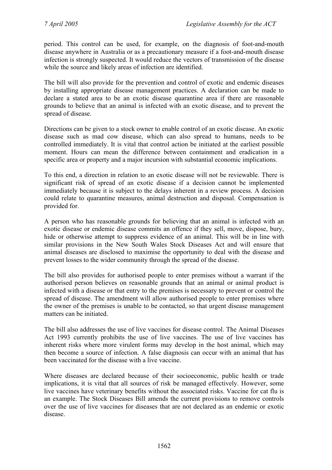period. This control can be used, for example, on the diagnosis of foot-and-mouth disease anywhere in Australia or as a precautionary measure if a foot-and-mouth disease infection is strongly suspected. It would reduce the vectors of transmission of the disease while the source and likely areas of infection are identified.

The bill will also provide for the prevention and control of exotic and endemic diseases by installing appropriate disease management practices. A declaration can be made to declare a stated area to be an exotic disease quarantine area if there are reasonable grounds to believe that an animal is infected with an exotic disease, and to prevent the spread of disease.

Directions can be given to a stock owner to enable control of an exotic disease. An exotic disease such as mad cow disease, which can also spread to humans, needs to be controlled immediately. It is vital that control action be initiated at the earliest possible moment. Hours can mean the difference between containment and eradication in a specific area or property and a major incursion with substantial economic implications.

To this end, a direction in relation to an exotic disease will not be reviewable. There is significant risk of spread of an exotic disease if a decision cannot be implemented immediately because it is subject to the delays inherent in a review process. A decision could relate to quarantine measures, animal destruction and disposal. Compensation is provided for.

A person who has reasonable grounds for believing that an animal is infected with an exotic disease or endemic disease commits an offence if they sell, move, dispose, bury, hide or otherwise attempt to suppress evidence of an animal. This will be in line with similar provisions in the New South Wales Stock Diseases Act and will ensure that animal diseases are disclosed to maximise the opportunity to deal with the disease and prevent losses to the wider community through the spread of the disease.

The bill also provides for authorised people to enter premises without a warrant if the authorised person believes on reasonable grounds that an animal or animal product is infected with a disease or that entry to the premises is necessary to prevent or control the spread of disease. The amendment will allow authorised people to enter premises where the owner of the premises is unable to be contacted, so that urgent disease management matters can be initiated.

The bill also addresses the use of live vaccines for disease control. The Animal Diseases Act 1993 currently prohibits the use of live vaccines. The use of live vaccines has inherent risks where more virulent forms may develop in the host animal, which may then become a source of infection. A false diagnosis can occur with an animal that has been vaccinated for the disease with a live vaccine.

Where diseases are declared because of their socioeconomic, public health or trade implications, it is vital that all sources of risk be managed effectively. However, some live vaccines have veterinary benefits without the associated risks. Vaccine for cat flu is an example. The Stock Diseases Bill amends the current provisions to remove controls over the use of live vaccines for diseases that are not declared as an endemic or exotic disease.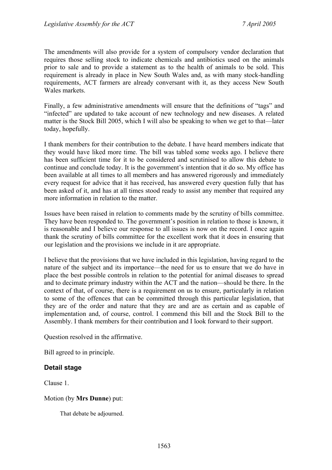The amendments will also provide for a system of compulsory vendor declaration that requires those selling stock to indicate chemicals and antibiotics used on the animals prior to sale and to provide a statement as to the health of animals to be sold. This requirement is already in place in New South Wales and, as with many stock-handling requirements, ACT farmers are already conversant with it, as they access New South Wales markets.

Finally, a few administrative amendments will ensure that the definitions of "tags" and "infected" are updated to take account of new technology and new diseases. A related matter is the Stock Bill 2005, which I will also be speaking to when we get to that—later today, hopefully.

I thank members for their contribution to the debate. I have heard members indicate that they would have liked more time. The bill was tabled some weeks ago. I believe there has been sufficient time for it to be considered and scrutinised to allow this debate to continue and conclude today. It is the government's intention that it do so. My office has been available at all times to all members and has answered rigorously and immediately every request for advice that it has received, has answered every question fully that has been asked of it, and has at all times stood ready to assist any member that required any more information in relation to the matter.

Issues have been raised in relation to comments made by the scrutiny of bills committee. They have been responded to. The government's position in relation to those is known, it is reasonable and I believe our response to all issues is now on the record. I once again thank the scrutiny of bills committee for the excellent work that it does in ensuring that our legislation and the provisions we include in it are appropriate.

I believe that the provisions that we have included in this legislation, having regard to the nature of the subject and its importance—the need for us to ensure that we do have in place the best possible controls in relation to the potential for animal diseases to spread and to decimate primary industry within the ACT and the nation—should be there. In the context of that, of course, there is a requirement on us to ensure, particularly in relation to some of the offences that can be committed through this particular legislation, that they are of the order and nature that they are and are as certain and as capable of implementation and, of course, control. I commend this bill and the Stock Bill to the Assembly. I thank members for their contribution and I look forward to their support.

Question resolved in the affirmative.

Bill agreed to in principle.

## **Detail stage**

Clause 1.

## Motion (by **Mrs Dunne**) put:

That debate be adjourned.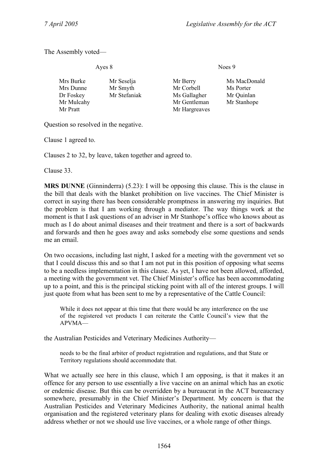The Assembly voted—

Noes 9

| Mr Seselja   | Mr Berry      | Ms MacDonald |
|--------------|---------------|--------------|
| Mr Smyth     | Mr Corbell    | Ms Porter    |
| Mr Stefaniak | Ms Gallagher  | Mr Quinlan   |
|              | Mr Gentleman  | Mr Stanhope  |
|              | Mr Hargreaves |              |
|              |               |              |

Question so resolved in the negative.

Clause 1 agreed to.

Clauses 2 to 32, by leave, taken together and agreed to.

Clause 33.

**MRS DUNNE** (Ginninderra) (5.23): I will be opposing this clause. This is the clause in the bill that deals with the blanket prohibition on live vaccines. The Chief Minister is correct in saying there has been considerable promptness in answering my inquiries. But the problem is that I am working through a mediator. The way things work at the moment is that I ask questions of an adviser in Mr Stanhope's office who knows about as much as I do about animal diseases and their treatment and there is a sort of backwards and forwards and then he goes away and asks somebody else some questions and sends me an email.

On two occasions, including last night, I asked for a meeting with the government vet so that I could discuss this and so that I am not put in this position of opposing what seems to be a needless implementation in this clause. As yet, I have not been allowed, afforded, a meeting with the government vet. The Chief Minister's office has been accommodating up to a point, and this is the principal sticking point with all of the interest groups. I will just quote from what has been sent to me by a representative of the Cattle Council:

While it does not appear at this time that there would be any interference on the use of the registered vet products I can reiterate the Cattle Council's view that the APVMA—

the Australian Pesticides and Veterinary Medicines Authority—

needs to be the final arbiter of product registration and regulations, and that State or Territory regulations should accommodate that.

What we actually see here in this clause, which I am opposing, is that it makes it an offence for any person to use essentially a live vaccine on an animal which has an exotic or endemic disease. But this can be overridden by a bureaucrat in the ACT bureaucracy somewhere, presumably in the Chief Minister's Department. My concern is that the Australian Pesticides and Veterinary Medicines Authority, the national animal health organisation and the registered veterinary plans for dealing with exotic diseases already address whether or not we should use live vaccines, or a whole range of other things.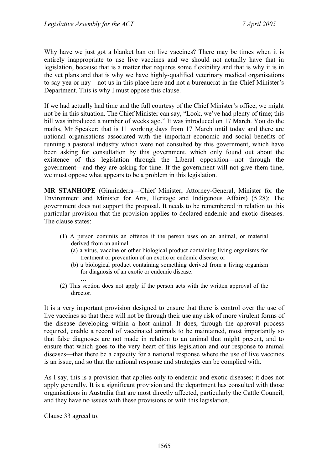Why have we just got a blanket ban on live vaccines? There may be times when it is entirely inappropriate to use live vaccines and we should not actually have that in legislation, because that is a matter that requires some flexibility and that is why it is in the vet plans and that is why we have highly-qualified veterinary medical organisations to say yea or nay—not us in this place here and not a bureaucrat in the Chief Minister's Department. This is why I must oppose this clause.

If we had actually had time and the full courtesy of the Chief Minister's office, we might not be in this situation. The Chief Minister can say, "Look, we've had plenty of time; this bill was introduced a number of weeks ago." It was introduced on 17 March. You do the maths, Mr Speaker: that is 11 working days from 17 March until today and there are national organisations associated with the important economic and social benefits of running a pastoral industry which were not consulted by this government, which have been asking for consultation by this government, which only found out about the existence of this legislation through the Liberal opposition—not through the government—and they are asking for time. If the government will not give them time, we must oppose what appears to be a problem in this legislation.

**MR STANHOPE** (Ginninderra—Chief Minister, Attorney-General, Minister for the Environment and Minister for Arts, Heritage and Indigenous Affairs) (5.28): The government does not support the proposal. It needs to be remembered in relation to this particular provision that the provision applies to declared endemic and exotic diseases. The clause states:

- (1) A person commits an offence if the person uses on an animal, or material derived from an animal—
	- (a) a virus, vaccine or other biological product containing living organisms for treatment or prevention of an exotic or endemic disease; or
	- (b) a biological product containing something derived from a living organism for diagnosis of an exotic or endemic disease.
- (2) This section does not apply if the person acts with the written approval of the director.

It is a very important provision designed to ensure that there is control over the use of live vaccines so that there will not be through their use any risk of more virulent forms of the disease developing within a host animal. It does, through the approval process required, enable a record of vaccinated animals to be maintained, most importantly so that false diagnoses are not made in relation to an animal that might present, and to ensure that which goes to the very heart of this legislation and our response to animal diseases—that there be a capacity for a national response where the use of live vaccines is an issue, and so that the national response and strategies can be complied with.

As I say, this is a provision that applies only to endemic and exotic diseases; it does not apply generally. It is a significant provision and the department has consulted with those organisations in Australia that are most directly affected, particularly the Cattle Council, and they have no issues with these provisions or with this legislation.

Clause 33 agreed to.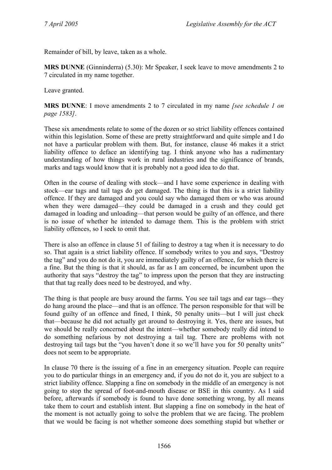Remainder of bill, by leave, taken as a whole.

**MRS DUNNE** (Ginninderra) (5.30): Mr Speaker, I seek leave to move amendments 2 to 7 circulated in my name together.

Leave granted.

**MRS DUNNE**: I move amendments 2 to 7 circulated in my name *[see schedule 1 on page 1583]*.

These six amendments relate to some of the dozen or so strict liability offences contained within this legislation. Some of these are pretty straightforward and quite simple and I do not have a particular problem with them. But, for instance, clause 46 makes it a strict liability offence to deface an identifying tag. I think anyone who has a rudimentary understanding of how things work in rural industries and the significance of brands, marks and tags would know that it is probably not a good idea to do that.

Often in the course of dealing with stock—and I have some experience in dealing with stock—ear tags and tail tags do get damaged. The thing is that this is a strict liability offence. If they are damaged and you could say who damaged them or who was around when they were damaged—they could be damaged in a crush and they could get damaged in loading and unloading—that person would be guilty of an offence, and there is no issue of whether he intended to damage them. This is the problem with strict liability offences, so I seek to omit that.

There is also an offence in clause 51 of failing to destroy a tag when it is necessary to do so. That again is a strict liability offence. If somebody writes to you and says, "Destroy the tag" and you do not do it, you are immediately guilty of an offence, for which there is a fine. But the thing is that it should, as far as I am concerned, be incumbent upon the authority that says "destroy the tag" to impress upon the person that they are instructing that that tag really does need to be destroyed, and why.

The thing is that people are busy around the farms. You see tail tags and ear tags—they do hang around the place—and that is an offence. The person responsible for that will be found guilty of an offence and fined, I think, 50 penalty units—but I will just check that—because he did not actually get around to destroying it. Yes, there are issues, but we should be really concerned about the intent—whether somebody really did intend to do something nefarious by not destroying a tail tag. There are problems with not destroying tail tags but the "you haven't done it so we'll have you for 50 penalty units" does not seem to be appropriate.

In clause 70 there is the issuing of a fine in an emergency situation. People can require you to do particular things in an emergency and, if you do not do it, you are subject to a strict liability offence. Slapping a fine on somebody in the middle of an emergency is not going to stop the spread of foot-and-mouth disease or BSE in this country. As I said before, afterwards if somebody is found to have done something wrong, by all means take them to court and establish intent. But slapping a fine on somebody in the heat of the moment is not actually going to solve the problem that we are facing. The problem that we would be facing is not whether someone does something stupid but whether or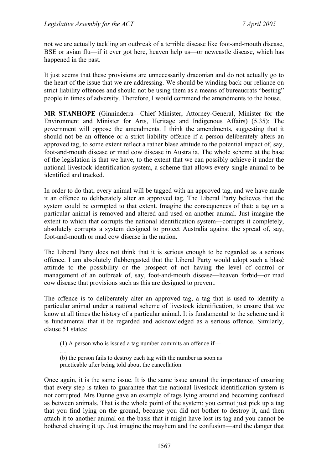not we are actually tackling an outbreak of a terrible disease like foot-and-mouth disease, BSE or avian flu—if it ever got here, heaven help us—or newcastle disease, which has happened in the past.

It just seems that these provisions are unnecessarily draconian and do not actually go to the heart of the issue that we are addressing. We should be winding back our reliance on strict liability offences and should not be using them as a means of bureaucrats "besting" people in times of adversity. Therefore, I would commend the amendments to the house.

**MR STANHOPE** (Ginninderra—Chief Minister, Attorney-General, Minister for the Environment and Minister for Arts, Heritage and Indigenous Affairs) (5.35): The government will oppose the amendments. I think the amendments, suggesting that it should not be an offence or a strict liability offence if a person deliberately alters an approved tag, to some extent reflect a rather blase attitude to the potential impact of, say, foot-and-mouth disease or mad cow disease in Australia. The whole scheme at the base of the legislation is that we have, to the extent that we can possibly achieve it under the national livestock identification system, a scheme that allows every single animal to be identified and tracked.

In order to do that, every animal will be tagged with an approved tag, and we have made it an offence to deliberately alter an approved tag. The Liberal Party believes that the system could be corrupted to that extent. Imagine the consequences of that: a tag on a particular animal is removed and altered and used on another animal. Just imagine the extent to which that corrupts the national identification system—corrupts it completely, absolutely corrupts a system designed to protect Australia against the spread of, say, foot-and-mouth or mad cow disease in the nation.

The Liberal Party does not think that it is serious enough to be regarded as a serious offence. I am absolutely flabbergasted that the Liberal Party would adopt such a blasé attitude to the possibility or the prospect of not having the level of control or management of an outbreak of, say, foot-and-mouth disease—heaven forbid—or mad cow disease that provisions such as this are designed to prevent.

The offence is to deliberately alter an approved tag, a tag that is used to identify a particular animal under a national scheme of livestock identification, to ensure that we know at all times the history of a particular animal. It is fundamental to the scheme and it is fundamental that it be regarded and acknowledged as a serious offence. Similarly, clause 51 states:

(1) A person who is issued a tag number commits an offence if—

… (b) the person fails to destroy each tag with the number as soon as practicable after being told about the cancellation.

Once again, it is the same issue. It is the same issue around the importance of ensuring that every step is taken to guarantee that the national livestock identification system is not corrupted. Mrs Dunne gave an example of tags lying around and becoming confused as between animals. That is the whole point of the system: you cannot just pick up a tag that you find lying on the ground, because you did not bother to destroy it, and then attach it to another animal on the basis that it might have lost its tag and you cannot be bothered chasing it up. Just imagine the mayhem and the confusion—and the danger that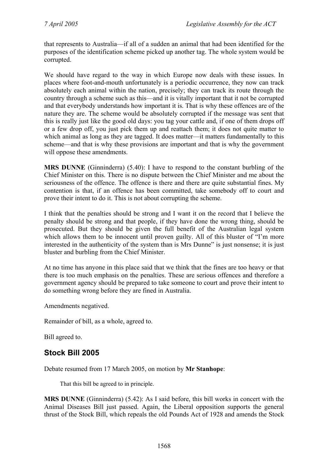that represents to Australia—if all of a sudden an animal that had been identified for the purposes of the identification scheme picked up another tag. The whole system would be corrupted.

We should have regard to the way in which Europe now deals with these issues. In places where foot-and-mouth unfortunately is a periodic occurrence, they now can track absolutely each animal within the nation, precisely; they can track its route through the country through a scheme such as this—and it is vitally important that it not be corrupted and that everybody understands how important it is. That is why these offences are of the nature they are. The scheme would be absolutely corrupted if the message was sent that this is really just like the good old days: you tag your cattle and, if one of them drops off or a few drop off, you just pick them up and reattach them; it does not quite matter to which animal as long as they are tagged. It does matter—it matters fundamentally to this scheme—and that is why these provisions are important and that is why the government will oppose these amendments.

**MRS DUNNE** (Ginninderra) (5.40): I have to respond to the constant burbling of the Chief Minister on this. There is no dispute between the Chief Minister and me about the seriousness of the offence. The offence is there and there are quite substantial fines. My contention is that, if an offence has been committed, take somebody off to court and prove their intent to do it. This is not about corrupting the scheme.

I think that the penalties should be strong and I want it on the record that I believe the penalty should be strong and that people, if they have done the wrong thing, should be prosecuted. But they should be given the full benefit of the Australian legal system which allows them to be innocent until proven guilty. All of this bluster of "I'm more interested in the authenticity of the system than is Mrs Dunne" is just nonsense; it is just bluster and burbling from the Chief Minister.

At no time has anyone in this place said that we think that the fines are too heavy or that there is too much emphasis on the penalties. These are serious offences and therefore a government agency should be prepared to take someone to court and prove their intent to do something wrong before they are fined in Australia.

Amendments negatived.

Remainder of bill, as a whole, agreed to.

Bill agreed to.

# **Stock Bill 2005**

Debate resumed from 17 March 2005, on motion by **Mr Stanhope**:

That this bill be agreed to in principle.

**MRS DUNNE** (Ginninderra) (5.42): As I said before, this bill works in concert with the Animal Diseases Bill just passed. Again, the Liberal opposition supports the general thrust of the Stock Bill, which repeals the old Pounds Act of 1928 and amends the Stock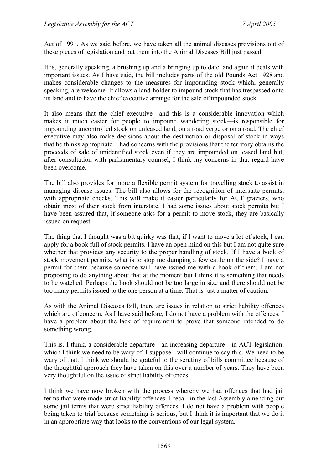Act of 1991. As we said before, we have taken all the animal diseases provisions out of these pieces of legislation and put them into the Animal Diseases Bill just passed.

It is, generally speaking, a brushing up and a bringing up to date, and again it deals with important issues. As I have said, the bill includes parts of the old Pounds Act 1928 and makes considerable changes to the measures for impounding stock which, generally speaking, are welcome. It allows a land-holder to impound stock that has trespassed onto its land and to have the chief executive arrange for the sale of impounded stock.

It also means that the chief executive—and this is a considerable innovation which makes it much easier for people to impound wandering stock—is responsible for impounding uncontrolled stock on unleased land, on a road verge or on a road. The chief executive may also make decisions about the destruction or disposal of stock in ways that he thinks appropriate. I had concerns with the provisions that the territory obtains the proceeds of sale of unidentified stock even if they are impounded on leased land but, after consultation with parliamentary counsel, I think my concerns in that regard have been overcome.

The bill also provides for more a flexible permit system for travelling stock to assist in managing disease issues. The bill also allows for the recognition of interstate permits, with appropriate checks. This will make it easier particularly for ACT graziers, who obtain most of their stock from interstate. I had some issues about stock permits but I have been assured that, if someone asks for a permit to move stock, they are basically issued on request.

The thing that I thought was a bit quirky was that, if I want to move a lot of stock, I can apply for a book full of stock permits. I have an open mind on this but I am not quite sure whether that provides any security to the proper handling of stock. If I have a book of stock movement permits, what is to stop me dumping a few cattle on the side? I have a permit for them because someone will have issued me with a book of them. I am not proposing to do anything about that at the moment but I think it is something that needs to be watched. Perhaps the book should not be too large in size and there should not be too many permits issued to the one person at a time. That is just a matter of caution.

As with the Animal Diseases Bill, there are issues in relation to strict liability offences which are of concern. As I have said before, I do not have a problem with the offences; I have a problem about the lack of requirement to prove that someone intended to do something wrong.

This is, I think, a considerable departure—an increasing departure—in ACT legislation, which I think we need to be wary of. I suppose I will continue to say this. We need to be wary of that. I think we should be grateful to the scrutiny of bills committee because of the thoughtful approach they have taken on this over a number of years. They have been very thoughtful on the issue of strict liability offences.

I think we have now broken with the process whereby we had offences that had jail terms that were made strict liability offences. I recall in the last Assembly amending out some jail terms that were strict liability offences. I do not have a problem with people being taken to trial because something is serious, but I think it is important that we do it in an appropriate way that looks to the conventions of our legal system.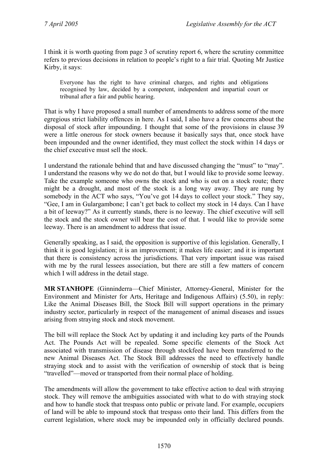I think it is worth quoting from page 3 of scrutiny report 6, where the scrutiny committee refers to previous decisions in relation to people's right to a fair trial. Quoting Mr Justice Kirby, it says:

Everyone has the right to have criminal charges, and rights and obligations recognised by law, decided by a competent, independent and impartial court or tribunal after a fair and public hearing.

That is why I have proposed a small number of amendments to address some of the more egregious strict liability offences in here. As I said, I also have a few concerns about the disposal of stock after impounding. I thought that some of the provisions in clause 39 were a little onerous for stock owners because it basically says that, once stock have been impounded and the owner identified, they must collect the stock within 14 days or the chief executive must sell the stock.

I understand the rationale behind that and have discussed changing the "must" to "may". I understand the reasons why we do not do that, but I would like to provide some leeway. Take the example someone who owns the stock and who is out on a stock route; there might be a drought, and most of the stock is a long way away. They are rung by somebody in the ACT who says, "You've got 14 days to collect your stock." They say, "Gee, I am in Gulargambone; I can't get back to collect my stock in 14 days. Can I have a bit of leeway?" As it currently stands, there is no leeway. The chief executive will sell the stock and the stock owner will bear the cost of that. I would like to provide some leeway. There is an amendment to address that issue.

Generally speaking, as I said, the opposition is supportive of this legislation. Generally, I think it is good legislation; it is an improvement; it makes life easier; and it is important that there is consistency across the jurisdictions. That very important issue was raised with me by the rural lessees association, but there are still a few matters of concern which I will address in the detail stage.

**MR STANHOPE** (Ginninderra—Chief Minister, Attorney-General, Minister for the Environment and Minister for Arts, Heritage and Indigenous Affairs) (5.50), in reply: Like the Animal Diseases Bill, the Stock Bill will support operations in the primary industry sector, particularly in respect of the management of animal diseases and issues arising from straying stock and stock movement.

The bill will replace the Stock Act by updating it and including key parts of the Pounds Act. The Pounds Act will be repealed. Some specific elements of the Stock Act associated with transmission of disease through stockfeed have been transferred to the new Animal Diseases Act. The Stock Bill addresses the need to effectively handle straying stock and to assist with the verification of ownership of stock that is being "travelled"—moved or transported from their normal place of holding.

The amendments will allow the government to take effective action to deal with straying stock. They will remove the ambiguities associated with what to do with straying stock and how to handle stock that trespass onto public or private land. For example, occupiers of land will be able to impound stock that trespass onto their land. This differs from the current legislation, where stock may be impounded only in officially declared pounds.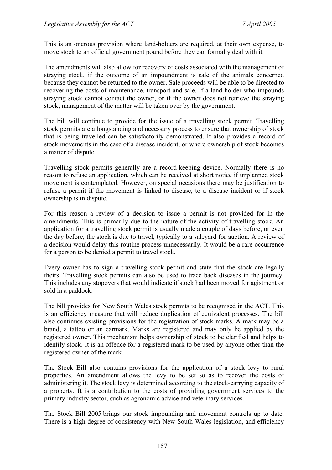This is an onerous provision where land-holders are required, at their own expense, to move stock to an official government pound before they can formally deal with it.

The amendments will also allow for recovery of costs associated with the management of straying stock, if the outcome of an impoundment is sale of the animals concerned because they cannot be returned to the owner. Sale proceeds will be able to be directed to recovering the costs of maintenance, transport and sale. If a land-holder who impounds straying stock cannot contact the owner, or if the owner does not retrieve the straying stock, management of the matter will be taken over by the government.

The bill will continue to provide for the issue of a travelling stock permit. Travelling stock permits are a longstanding and necessary process to ensure that ownership of stock that is being travelled can be satisfactorily demonstrated. It also provides a record of stock movements in the case of a disease incident, or where ownership of stock becomes a matter of dispute.

Travelling stock permits generally are a record-keeping device. Normally there is no reason to refuse an application, which can be received at short notice if unplanned stock movement is contemplated. However, on special occasions there may be justification to refuse a permit if the movement is linked to disease, to a disease incident or if stock ownership is in dispute.

For this reason a review of a decision to issue a permit is not provided for in the amendments. This is primarily due to the nature of the activity of travelling stock. An application for a travelling stock permit is usually made a couple of days before, or even the day before, the stock is due to travel, typically to a saleyard for auction. A review of a decision would delay this routine process unnecessarily. It would be a rare occurrence for a person to be denied a permit to travel stock.

Every owner has to sign a travelling stock permit and state that the stock are legally theirs. Travelling stock permits can also be used to trace back diseases in the journey. This includes any stopovers that would indicate if stock had been moved for agistment or sold in a paddock.

The bill provides for New South Wales stock permits to be recognised in the ACT. This is an efficiency measure that will reduce duplication of equivalent processes. The bill also continues existing provisions for the registration of stock marks. A mark may be a brand, a tattoo or an earmark. Marks are registered and may only be applied by the registered owner. This mechanism helps ownership of stock to be clarified and helps to identify stock. It is an offence for a registered mark to be used by anyone other than the registered owner of the mark.

The Stock Bill also contains provisions for the application of a stock levy to rural properties. An amendment allows the levy to be set so as to recover the costs of administering it. The stock levy is determined according to the stock-carrying capacity of a property. It is a contribution to the costs of providing government services to the primary industry sector, such as agronomic advice and veterinary services.

The Stock Bill 2005 brings our stock impounding and movement controls up to date. There is a high degree of consistency with New South Wales legislation, and efficiency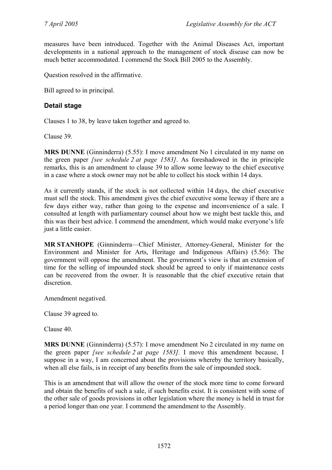measures have been introduced. Together with the Animal Diseases Act, important developments in a national approach to the management of stock disease can now be much better accommodated. I commend the Stock Bill 2005 to the Assembly.

Question resolved in the affirmative.

Bill agreed to in principal.

## **Detail stage**

Clauses 1 to 38, by leave taken together and agreed to.

Clause 39.

**MRS DUNNE** (Ginninderra) (5.55): I move amendment No 1 circulated in my name on the green paper *[see schedule 2 at page 1583]*. As foreshadowed in the in principle remarks, this is an amendment to clause 39 to allow some leeway to the chief executive in a case where a stock owner may not be able to collect his stock within 14 days.

As it currently stands, if the stock is not collected within 14 days, the chief executive must sell the stock. This amendment gives the chief executive some leeway if there are a few days either way, rather than going to the expense and inconvenience of a sale. I consulted at length with parliamentary counsel about how we might best tackle this, and this was their best advice. I commend the amendment, which would make everyone's life just a little easier.

**MR STANHOPE** (Ginninderra—Chief Minister, Attorney-General, Minister for the Environment and Minister for Arts, Heritage and Indigenous Affairs) (5.56): The government will oppose the amendment. The government's view is that an extension of time for the selling of impounded stock should be agreed to only if maintenance costs can be recovered from the owner. It is reasonable that the chief executive retain that discretion.

Amendment negatived.

Clause 39 agreed to.

Clause 40.

**MRS DUNNE** (Ginninderra) (5.57): I move amendment No 2 circulated in my name on the green paper *[see schedule 2 at page 1583].* I move this amendment because, I suppose in a way, I am concerned about the provisions whereby the territory basically, when all else fails, is in receipt of any benefits from the sale of impounded stock.

This is an amendment that will allow the owner of the stock more time to come forward and obtain the benefits of such a sale, if such benefits exist. It is consistent with some of the other sale of goods provisions in other legislation where the money is held in trust for a period longer than one year. I commend the amendment to the Assembly.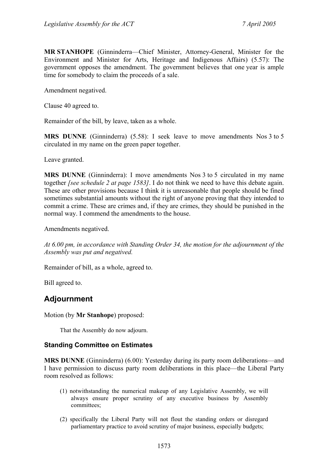**MR STANHOPE** (Ginninderra—Chief Minister, Attorney-General, Minister for the Environment and Minister for Arts, Heritage and Indigenous Affairs) (5.57): The government opposes the amendment. The government believes that one year is ample time for somebody to claim the proceeds of a sale.

Amendment negatived.

Clause 40 agreed to.

Remainder of the bill, by leave, taken as a whole.

**MRS DUNNE** (Ginninderra) (5.58): I seek leave to move amendments Nos 3 to 5 circulated in my name on the green paper together.

Leave granted.

**MRS DUNNE** (Ginninderra): I move amendments Nos 3 to 5 circulated in my name together *[see schedule 2 at page 1583]*. I do not think we need to have this debate again. These are other provisions because I think it is unreasonable that people should be fined sometimes substantial amounts without the right of anyone proving that they intended to commit a crime. These are crimes and, if they are crimes, they should be punished in the normal way. I commend the amendments to the house.

Amendments negatived.

*At 6.00 pm, in accordance with Standing Order 34, the motion for the adjournment of the Assembly was put and negatived.* 

Remainder of bill, as a whole, agreed to.

Bill agreed to.

# **Adjournment**

Motion (by **Mr Stanhope**) proposed:

That the Assembly do now adjourn.

## **Standing Committee on Estimates**

**MRS DUNNE** (Ginninderra) (6.00): Yesterday during its party room deliberations—and I have permission to discuss party room deliberations in this place—the Liberal Party room resolved as follows:

- (1) notwithstanding the numerical makeup of any Legislative Assembly, we will always ensure proper scrutiny of any executive business by Assembly committees;
- (2) specifically the Liberal Party will not flout the standing orders or disregard parliamentary practice to avoid scrutiny of major business, especially budgets;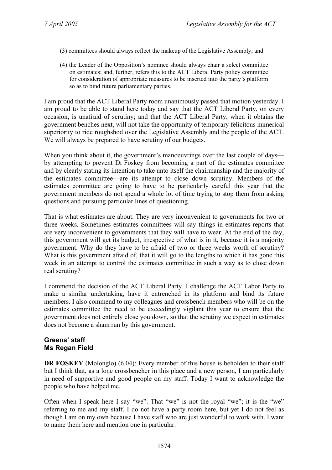- (3) committees should always reflect the makeup of the Legislative Assembly; and
- (4) the Leader of the Opposition's nominee should always chair a select committee on estimates; and, further, refers this to the ACT Liberal Party policy committee for consideration of appropriate measures to be inserted into the party's platform so as to bind future parliamentary parties.

I am proud that the ACT Liberal Party room unanimously passed that motion yesterday. I am proud to be able to stand here today and say that the ACT Liberal Party, on every occasion, is unafraid of scrutiny; and that the ACT Liberal Party, when it obtains the government benches next, will not take the opportunity of temporary felicitous numerical superiority to ride roughshod over the Legislative Assembly and the people of the ACT. We will always be prepared to have scrutiny of our budgets.

When you think about it, the government's manoeuvrings over the last couple of days by attempting to prevent Dr Foskey from becoming a part of the estimates committee and by clearly stating its intention to take unto itself the chairmanship and the majority of the estimates committee—are its attempt to close down scrutiny. Members of the estimates committee are going to have to be particularly careful this year that the government members do not spend a whole lot of time trying to stop them from asking questions and pursuing particular lines of questioning.

That is what estimates are about. They are very inconvenient to governments for two or three weeks. Sometimes estimates committees will say things in estimates reports that are very inconvenient to governments that they will have to wear. At the end of the day, this government will get its budget, irrespective of what is in it, because it is a majority government. Why do they have to be afraid of two or three weeks worth of scrutiny? What is this government afraid of, that it will go to the lengths to which it has gone this week in an attempt to control the estimates committee in such a way as to close down real scrutiny?

I commend the decision of the ACT Liberal Party. I challenge the ACT Labor Party to make a similar undertaking, have it entrenched in its platform and bind its future members. I also commend to my colleagues and crossbench members who will be on the estimates committee the need to be exceedingly vigilant this year to ensure that the government does not entirely close you down, so that the scrutiny we expect in estimates does not become a sham run by this government.

## **Greens' staff Ms Regan Field**

**DR FOSKEY** (Molonglo) (6.04): Every member of this house is beholden to their staff but I think that, as a lone crossbencher in this place and a new person, I am particularly in need of supportive and good people on my staff. Today I want to acknowledge the people who have helped me.

Often when I speak here I say "we". That "we" is not the royal "we"; it is the "we" referring to me and my staff. I do not have a party room here, but yet I do not feel as though I am on my own because I have staff who are just wonderful to work with. I want to name them here and mention one in particular.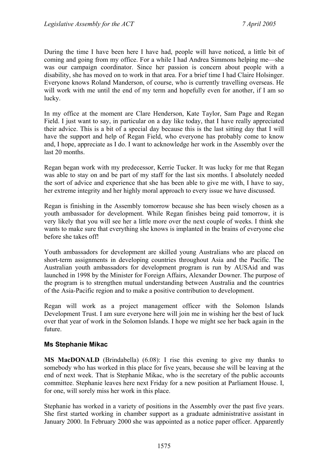During the time I have been here I have had, people will have noticed, a little bit of coming and going from my office. For a while I had Andrea Simmons helping me—she was our campaign coordinator. Since her passion is concern about people with a disability, she has moved on to work in that area. For a brief time I had Claire Holsinger. Everyone knows Roland Manderson, of course, who is currently travelling overseas. He will work with me until the end of my term and hopefully even for another, if I am so lucky.

In my office at the moment are Clare Henderson, Kate Taylor, Sam Page and Regan Field. I just want to say, in particular on a day like today, that I have really appreciated their advice. This is a bit of a special day because this is the last sitting day that I will have the support and help of Regan Field, who everyone has probably come to know and, I hope, appreciate as I do. I want to acknowledge her work in the Assembly over the last 20 months.

Regan began work with my predecessor, Kerrie Tucker. It was lucky for me that Regan was able to stay on and be part of my staff for the last six months. I absolutely needed the sort of advice and experience that she has been able to give me with, I have to say, her extreme integrity and her highly moral approach to every issue we have discussed.

Regan is finishing in the Assembly tomorrow because she has been wisely chosen as a youth ambassador for development. While Regan finishes being paid tomorrow, it is very likely that you will see her a little more over the next couple of weeks. I think she wants to make sure that everything she knows is implanted in the brains of everyone else before she takes off!

Youth ambassadors for development are skilled young Australians who are placed on short-term assignments in developing countries throughout Asia and the Pacific. The Australian youth ambassadors for development program is run by AUSAid and was launched in 1998 by the Minister for Foreign Affairs, Alexander Downer. The purpose of the program is to strengthen mutual understanding between Australia and the countries of the Asia-Pacific region and to make a positive contribution to development.

Regan will work as a project management officer with the Solomon Islands Development Trust. I am sure everyone here will join me in wishing her the best of luck over that year of work in the Solomon Islands. I hope we might see her back again in the future.

## **Ms Stephanie Mikac**

**MS MacDONALD** (Brindabella) (6.08): I rise this evening to give my thanks to somebody who has worked in this place for five years, because she will be leaving at the end of next week. That is Stephanie Mikac, who is the secretary of the public accounts committee. Stephanie leaves here next Friday for a new position at Parliament House. I, for one, will sorely miss her work in this place.

Stephanie has worked in a variety of positions in the Assembly over the past five years. She first started working in chamber support as a graduate administrative assistant in January 2000. In February 2000 she was appointed as a notice paper officer. Apparently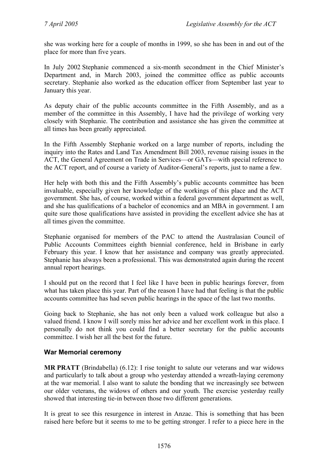she was working here for a couple of months in 1999, so she has been in and out of the place for more than five years.

In July 2002 Stephanie commenced a six-month secondment in the Chief Minister's Department and, in March 2003, joined the committee office as public accounts secretary. Stephanie also worked as the education officer from September last year to January this year.

As deputy chair of the public accounts committee in the Fifth Assembly, and as a member of the committee in this Assembly, I have had the privilege of working very closely with Stephanie. The contribution and assistance she has given the committee at all times has been greatly appreciated.

In the Fifth Assembly Stephanie worked on a large number of reports, including the inquiry into the Rates and Land Tax Amendment Bill 2003, revenue raising issues in the ACT, the General Agreement on Trade in Services—or GATs—with special reference to the ACT report, and of course a variety of Auditor-General's reports, just to name a few.

Her help with both this and the Fifth Assembly's public accounts committee has been invaluable, especially given her knowledge of the workings of this place and the ACT government. She has, of course, worked within a federal government department as well, and she has qualifications of a bachelor of economics and an MBA in government. I am quite sure those qualifications have assisted in providing the excellent advice she has at all times given the committee.

Stephanie organised for members of the PAC to attend the Australasian Council of Public Accounts Committees eighth biennial conference, held in Brisbane in early February this year. I know that her assistance and company was greatly appreciated. Stephanie has always been a professional. This was demonstrated again during the recent annual report hearings.

I should put on the record that I feel like I have been in public hearings forever, from what has taken place this year. Part of the reason I have had that feeling is that the public accounts committee has had seven public hearings in the space of the last two months.

Going back to Stephanie, she has not only been a valued work colleague but also a valued friend. I know I will sorely miss her advice and her excellent work in this place. I personally do not think you could find a better secretary for the public accounts committee. I wish her all the best for the future.

## **War Memorial ceremony**

**MR PRATT** (Brindabella) (6.12): I rise tonight to salute our veterans and war widows and particularly to talk about a group who yesterday attended a wreath-laying ceremony at the war memorial. I also want to salute the bonding that we increasingly see between our older veterans, the widows of others and our youth. The exercise yesterday really showed that interesting tie-in between those two different generations.

It is great to see this resurgence in interest in Anzac. This is something that has been raised here before but it seems to me to be getting stronger. I refer to a piece here in the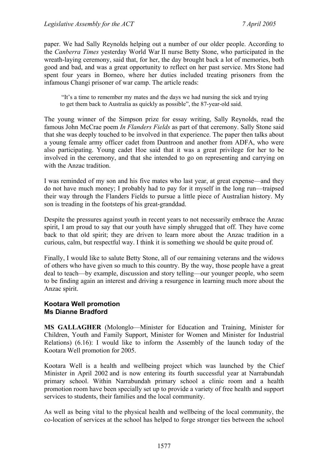paper. We had Sally Reynolds helping out a number of our older people. According to the *Canberra Times* yesterday World War II nurse Betty Stone, who participated in the wreath-laying ceremony, said that, for her, the day brought back a lot of memories, both good and bad, and was a great opportunity to reflect on her past service. Mrs Stone had spent four years in Borneo, where her duties included treating prisoners from the infamous Changi prisoner of war camp. The article reads:

 "It's a time to remember my mates and the days we had nursing the sick and trying to get them back to Australia as quickly as possible", the 87-year-old said.

The young winner of the Simpson prize for essay writing, Sally Reynolds, read the famous John McCrae poem *In Flanders Fields* as part of that ceremony. Sally Stone said that she was deeply touched to be involved in that experience. The paper then talks about a young female army officer cadet from Duntroon and another from ADFA, who were also participating. Young cadet Hoe said that it was a great privilege for her to be involved in the ceremony, and that she intended to go on representing and carrying on with the Anzac tradition.

I was reminded of my son and his five mates who last year, at great expense—and they do not have much money; I probably had to pay for it myself in the long run—traipsed their way through the Flanders Fields to pursue a little piece of Australian history. My son is treading in the footsteps of his great-granddad.

Despite the pressures against youth in recent years to not necessarily embrace the Anzac spirit, I am proud to say that our youth have simply shrugged that off. They have come back to that old spirit; they are driven to learn more about the Anzac tradition in a curious, calm, but respectful way. I think it is something we should be quite proud of.

Finally, I would like to salute Betty Stone, all of our remaining veterans and the widows of others who have given so much to this country. By the way, those people have a great deal to teach—by example, discussion and story telling—our younger people, who seem to be finding again an interest and driving a resurgence in learning much more about the Anzac spirit.

#### **Kootara Well promotion Ms Dianne Bradford**

**MS GALLAGHER** (Molonglo—Minister for Education and Training, Minister for Children, Youth and Family Support, Minister for Women and Minister for Industrial Relations) (6.16): I would like to inform the Assembly of the launch today of the Kootara Well promotion for 2005.

Kootara Well is a health and wellbeing project which was launched by the Chief Minister in April 2002 and is now entering its fourth successful year at Narrabundah primary school. Within Narrabundah primary school a clinic room and a health promotion room have been specially set up to provide a variety of free health and support services to students, their families and the local community.

As well as being vital to the physical health and wellbeing of the local community, the co-location of services at the school has helped to forge stronger ties between the school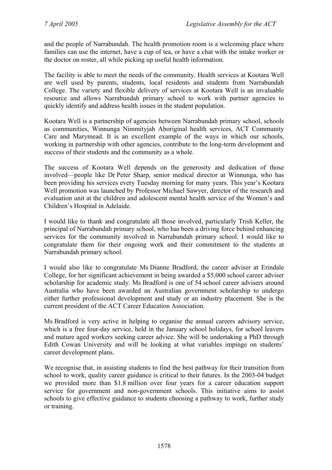and the people of Narrabundah. The health promotion room is a welcoming place where families can use the internet, have a cup of tea, or have a chat with the intake worker or the doctor on roster, all while picking up useful health information.

The facility is able to meet the needs of the community. Health services at Kootara Well are well used by parents, students, local residents and students from Narrabundah College. The variety and flexible delivery of services at Kootara Well is an invaluable resource and allows Narrabundah primary school to work with partner agencies to quickly identify and address health issues in the student population.

Kootara Well is a partnership of agencies between Narrabundah primary school, schools as communities, Winnunga Nimmityjah Aboriginal health services, ACT Community Care and Marymead. It is an excellent example of the ways in which our schools, working in partnership with other agencies, contribute to the long-term development and success of their students and the community as a whole.

The success of Kootara Well depends on the generosity and dedication of those involved—people like Dr Peter Sharp, senior medical director at Winnunga, who has been providing his services every Tuesday morning for many years. This year's Kootara Well promotion was launched by Professor Michael Sawyer, director of the research and evaluation unit at the children and adolescent mental health service of the Women's and Children's Hospital in Adelaide.

I would like to thank and congratulate all those involved, particularly Trish Keller, the principal of Narrabundah primary school, who has been a driving force behind enhancing services for the community involved in Narrabundah primary school. I would like to congratulate them for their ongoing work and their commitment to the students at Narrabundah primary school.

I would also like to congratulate Ms Dianne Bradford, the career adviser at Erindale College, for her significant achievement in being awarded a \$5,000 school career adviser scholarship for academic study. Ms Bradford is one of 54 school career advisers around Australia who have been awarded an Australian government scholarship to undergo either further professional development and study or an industry placement. She is the current president of the ACT Career Education Association.

Ms Bradford is very active in helping to organise the annual careers advisory service, which is a free four-day service, held in the January school holidays, for school leavers and mature aged workers seeking career advice. She will be undertaking a PhD through Edith Cowan University and will be looking at what variables impinge on students' career development plans.

We recognise that, in assisting students to find the best pathway for their transition from school to work, quality career guidance is critical to their futures. In the 2003-04 budget we provided more than \$1.8 million over four years for a career education support service for government and non-government schools. This initiative aims to assist schools to give effective guidance to students choosing a pathway to work, further study or training.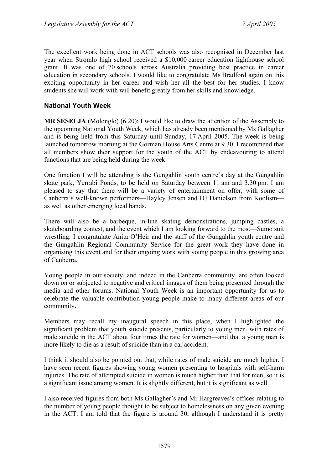The excellent work being done in ACT schools was also recognised in December last year when Stromlo high school received a \$10,000 career education lighthouse school grant. It was one of 70 schools across Australia providing best practice in career education in secondary schools. I would like to congratulate Ms Bradford again on this exciting opportunity in her career and wish her all the best for her studies. I know students she will work with will benefit greatly from her skills and knowledge.

## **National Youth Week**

**MR SESELJA** (Molonglo) (6.20): I would like to draw the attention of the Assembly to the upcoming National Youth Week, which has already been mentioned by Ms Gallagher and is being held from this Saturday until Sunday, 17 April 2005. The week is being launched tomorrow morning at the Gorman House Arts Centre at 9.30. I recommend that all members show their support for the youth of the ACT by endeavouring to attend functions that are being held during the week.

One function I will be attending is the Gungahlin youth centre's day at the Gungahlin skate park, Yerrabi Ponds, to be held on Saturday between 11 am and 3.30 pm. I am pleased to say that there will be a variety of entertainment on offer, with some of Canberra's well-known performers—Hayley Jensen and DJ Danielson from Koolism as well as other emerging local bands.

There will also be a barbeque, in-line skating demonstrations, jumping castles, a skateboarding contest, and the event which I am looking forward to the most—Sumo suit wrestling. I congratulate Anita O'Heir and the staff of the Gungahlin youth centre and the Gungahlin Regional Community Service for the great work they have done in organising this event and for their ongoing work with young people in this growing area of Canberra.

Young people in our society, and indeed in the Canberra community, are often looked down on or subjected to negative and critical images of them being presented through the media and other forums. National Youth Week is an important opportunity for us to celebrate the valuable contribution young people make to many different areas of our community.

Members may recall my inaugural speech in this place, when I highlighted the significant problem that youth suicide presents, particularly to young men, with rates of male suicide in the ACT about four times the rate for women—and that a young man is more likely to die as a result of suicide than in a car accident.

I think it should also be pointed out that, while rates of male suicide are much higher, I have seen recent figures showing young women presenting to hospitals with self-harm injuries. The rate of attempted suicide in women is much higher than that for men, so it is a significant issue among women. It is slightly different, but it is significant as well.

I also received figures from both Ms Gallagher's and Mr Hargreaves's offices relating to the number of young people thought to be subject to homelessness on any given evening in the ACT. I am told that the figure is around 30, although I understand it is pretty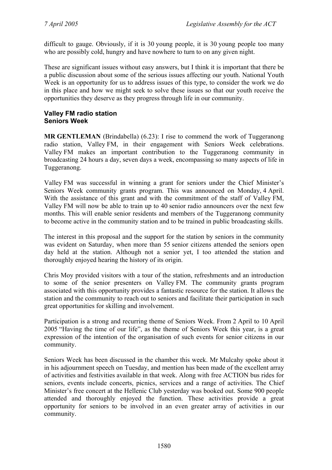difficult to gauge. Obviously, if it is 30 young people, it is 30 young people too many who are possibly cold, hungry and have nowhere to turn to on any given night.

These are significant issues without easy answers, but I think it is important that there be a public discussion about some of the serious issues affecting our youth. National Youth Week is an opportunity for us to address issues of this type, to consider the work we do in this place and how we might seek to solve these issues so that our youth receive the opportunities they deserve as they progress through life in our community.

## **Valley FM radio station Seniors Week**

**MR GENTLEMAN** (Brindabella) (6.23): I rise to commend the work of Tuggeranong radio station, Valley FM, in their engagement with Seniors Week celebrations. Valley FM makes an important contribution to the Tuggeranong community in broadcasting 24 hours a day, seven days a week, encompassing so many aspects of life in Tuggeranong.

Valley FM was successful in winning a grant for seniors under the Chief Minister's Seniors Week community grants program. This was announced on Monday, 4 April. With the assistance of this grant and with the commitment of the staff of Valley FM, Valley FM will now be able to train up to 40 senior radio announcers over the next few months. This will enable senior residents and members of the Tuggeranong community to become active in the community station and to be trained in public broadcasting skills.

The interest in this proposal and the support for the station by seniors in the community was evident on Saturday, when more than 55 senior citizens attended the seniors open day held at the station. Although not a senior yet, I too attended the station and thoroughly enjoyed hearing the history of its origin.

Chris Moy provided visitors with a tour of the station, refreshments and an introduction to some of the senior presenters on Valley FM. The community grants program associated with this opportunity provides a fantastic resource for the station. It allows the station and the community to reach out to seniors and facilitate their participation in such great opportunities for skilling and involvement.

Participation is a strong and recurring theme of Seniors Week. From 2 April to 10 April 2005 "Having the time of our life", as the theme of Seniors Week this year, is a great expression of the intention of the organisation of such events for senior citizens in our community.

Seniors Week has been discussed in the chamber this week. Mr Mulcahy spoke about it in his adjournment speech on Tuesday, and mention has been made of the excellent array of activities and festivities available in that week. Along with free ACTION bus rides for seniors, events include concerts, picnics, services and a range of activities. The Chief Minister's free concert at the Hellenic Club yesterday was booked out. Some 900 people attended and thoroughly enjoyed the function. These activities provide a great opportunity for seniors to be involved in an even greater array of activities in our community.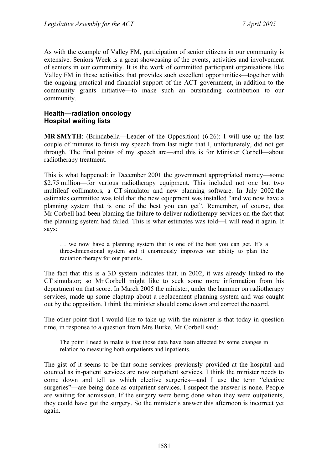As with the example of Valley FM, participation of senior citizens in our community is extensive. Seniors Week is a great showcasing of the events, activities and involvement of seniors in our community. It is the work of committed participant organisations like Valley FM in these activities that provides such excellent opportunities—together with the ongoing practical and financial support of the ACT government, in addition to the community grants initiative—to make such an outstanding contribution to our community.

## **Health—radiation oncology Hospital waiting lists**

**MR SMYTH**: (Brindabella—Leader of the Opposition) (6.26): I will use up the last couple of minutes to finish my speech from last night that I, unfortunately, did not get through. The final points of my speech are—and this is for Minister Corbell—about radiotherapy treatment.

This is what happened: in December 2001 the government appropriated money—some \$2.75 million—for various radiotherapy equipment. This included not one but two multileaf collimators, a CT simulator and new planning software. In July 2002 the estimates committee was told that the new equipment was installed "and we now have a planning system that is one of the best you can get". Remember, of course, that Mr Corbell had been blaming the failure to deliver radiotherapy services on the fact that the planning system had failed. This is what estimates was told—I will read it again. It says:

… we now have a planning system that is one of the best you can get. It's a three-dimensional system and it enormously improves our ability to plan the radiation therapy for our patients.

The fact that this is a 3D system indicates that, in 2002, it was already linked to the CT simulator; so Mr Corbell might like to seek some more information from his department on that score. In March 2005 the minister, under the hammer on radiotherapy services, made up some claptrap about a replacement planning system and was caught out by the opposition. I think the minister should come down and correct the record.

The other point that I would like to take up with the minister is that today in question time, in response to a question from Mrs Burke, Mr Corbell said:

The point I need to make is that those data have been affected by some changes in relation to measuring both outpatients and inpatients.

The gist of it seems to be that some services previously provided at the hospital and counted as in-patient services are now outpatient services. I think the minister needs to come down and tell us which elective surgeries—and I use the term "elective surgeries"—are being done as outpatient services. I suspect the answer is none. People are waiting for admission. If the surgery were being done when they were outpatients, they could have got the surgery. So the minister's answer this afternoon is incorrect yet again.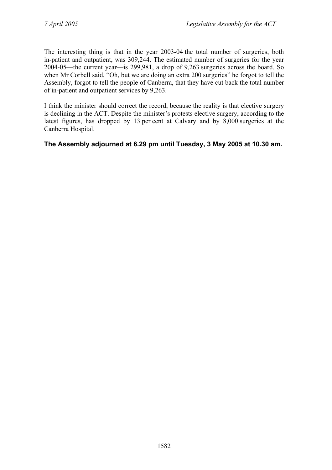The interesting thing is that in the year 2003-04 the total number of surgeries, both in-patient and outpatient, was 309,244. The estimated number of surgeries for the year 2004-05—the current year—is 299,981, a drop of 9,263 surgeries across the board. So when Mr Corbell said, "Oh, but we are doing an extra 200 surgeries" he forgot to tell the Assembly, forgot to tell the people of Canberra, that they have cut back the total number of in-patient and outpatient services by 9,263.

I think the minister should correct the record, because the reality is that elective surgery is declining in the ACT. Despite the minister's protests elective surgery, according to the latest figures, has dropped by 13 per cent at Calvary and by 8,000 surgeries at the Canberra Hospital.

## **The Assembly adjourned at 6.29 pm until Tuesday, 3 May 2005 at 10.30 am.**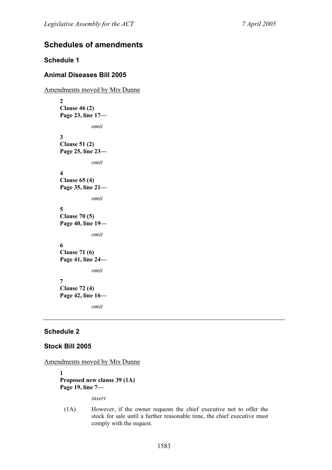# **Schedules of amendments**

## **Schedule 1**

## **Animal Diseases Bill 2005**

Amendments moved by Mrs Dunne **2 Clause 46 (2) Page 23, line 17**  *omit*  **3 Clause 51 (2) Page 25, line 23**  *omit*  **4 Clause 65 (4) Page 35, line 21**  *omit*  **5 Clause 70 (5) Page 40, line 19**  *omit*  **6 Clause 71 (6) Page 41, line 24**  *omit*  **7 Clause 72 (4) Page 42, line 16**  *omit* 

## **Schedule 2**

## **Stock Bill 2005**

Amendments moved by Mrs Dunne

**1 Proposed new clause 39 (1A) Page 19, line 7—** 

*insert* 

(1A) However, if the owner requests the chief executive not to offer the stock for sale until a further reasonable time, the chief executive must comply with the request.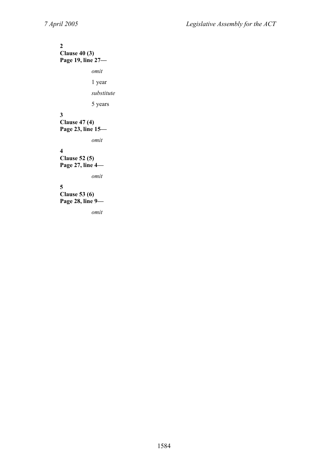## **2 Clause 40 (3)**

**Page 19, line 27—** 

*omit* 

1 year

*substitute* 

5 years

## **3**

**Clause 47 (4) Page 23, line 15—** 

*omit* 

## **4**

**Clause 52 (5) Page 27, line 4—** 

*omit* 

# **5**

**Clause 53 (6) Page 28, line 9—** 

*omit*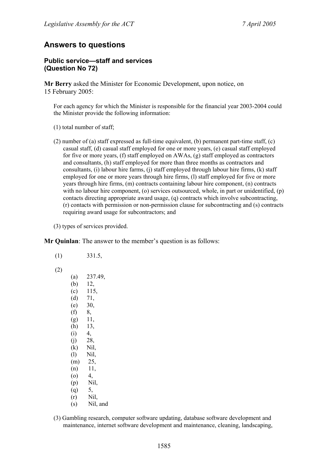## **Answers to questions**

#### **Public service—staff and services (Question No 72)**

**Mr Berry** asked the Minister for Economic Development, upon notice, on 15 February 2005:

For each agency for which the Minister is responsible for the financial year 2003-2004 could the Minister provide the following information:

- (1) total number of staff;
- (2) number of (a) staff expressed as full-time equivalent, (b) permanent part-time staff, (c) casual staff, (d) casual staff employed for one or more years, (e) casual staff employed for five or more years, (f) staff employed on AWAs, (g) staff employed as contractors and consultants, (h) staff employed for more than three months as contractors and consultants, (i) labour hire farms, (j) staff employed through labour hire firms, (k) staff employed for one or more years through hire firms, (l) staff employed for five or more years through hire firms, (m) contracts containing labour hire component, (n) contracts with no labour hire component, (o) services outsourced, whole, in part or unidentified, (p) contacts directing appropriate award usage, (q) contracts which involve subcontracting, (r) contacts with permission or non-permission clause for subcontracting and (s) contracts requiring award usage for subcontractors; and

(3) types of services provided.

**Mr Quinlan**: The answer to the member's question is as follows:

| 331.5,   |
|----------|
|          |
| 237.49,  |
| 12,      |
| 115,     |
| 71,      |
| 30,      |
|          |
| 11,      |
| 13,      |
|          |
| 28,      |
| Nil,     |
| Nil,     |
| 25,      |
| 11,      |
|          |
| Nil,     |
|          |
| Nil,     |
| Nil, and |
|          |

(3) Gambling research, computer software updating, database software development and maintenance, internet software development and maintenance, cleaning, landscaping,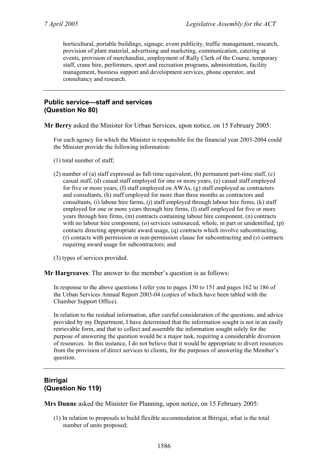horticultural, portable buildings, signage, event publicity, traffic management, research, provision of plant material, advertising and marketing, communication, catering at events, provision of merchandise, employment of Rally Clerk of the Course, temporary staff, crane hire, performers, sport and recreation programs, administration, facility management, business support and development services, phone operator, and consultancy and research.

#### **Public service—staff and services (Question No 80)**

**Mr Berry** asked the Minister for Urban Services, upon notice, on 15 February 2005:

For each agency for which the Minister is responsible for the financial year 2003-2004 could the Minister provide the following information:

- (1) total number of staff;
- (2) number of (a) staff expressed as full-time equivalent, (b) permanent part-time staff, (c) casual staff, (d) casual staff employed for one or more years, (e) casual staff employed for five or more years, (f) staff employed on AWAs, (g) staff employed as contractors and consultants, (h) staff employed for more than three months as contractors and consultants, (i) labour hire farms, (j) staff employed through labour hire firms,  $(k)$  staff employed for one or more years through hire firms, (l) staff employed for five or more years through hire firms, (m) contracts containing labour hire component, (n) contracts with no labour hire component, (o) services outsourced, whole, in part or unidentified, (p) contacts directing appropriate award usage, (q) contracts which involve subcontracting, (r) contacts with permission or non-permission clause for subcontracting and (s) contracts requiring award usage for subcontractors; and
- (3) types of services provided.
- **Mr Hargreaves**: The answer to the member's question is as follows:

In response to the above questions I refer you to pages 150 to 151 and pages 162 to 186 of the Urban Services Annual Report 2003-04 (copies of which have been tabled with the Chamber Support Office).

In relation to the residual information, after careful consideration of the questions, and advice provided by my Department, I have determined that the information sought is not in an easily retrievable form, and that to collect and assemble the information sought solely for the purpose of answering the question would be a major task, requiring a considerable diversion of resources. In this instance, I do not believe that it would be appropriate to divert resources from the provision of direct services to clients, for the purposes of answering the Member's question.

## **Birrigai (Question No 119)**

**Mrs Dunne** asked the Minister for Planning, upon notice, on 15 February 2005:

(1) In relation to proposals to build flexible accommodation at Birrigai, what is the total number of units proposed;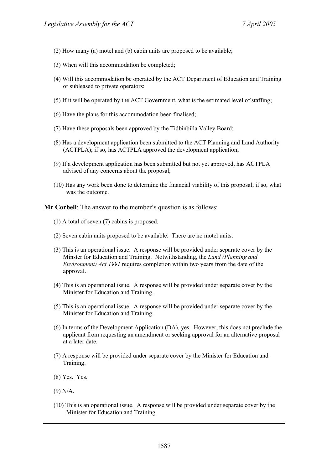- (2) How many (a) motel and (b) cabin units are proposed to be available;
- (3) When will this accommodation be completed;
- (4) Will this accommodation be operated by the ACT Department of Education and Training or subleased to private operators;
- (5) If it will be operated by the ACT Government, what is the estimated level of staffing;
- (6) Have the plans for this accommodation been finalised;
- (7) Have these proposals been approved by the Tidbinbilla Valley Board;
- (8) Has a development application been submitted to the ACT Planning and Land Authority (ACTPLA); if so, has ACTPLA approved the development application;
- (9) If a development application has been submitted but not yet approved, has ACTPLA advised of any concerns about the proposal;
- (10) Has any work been done to determine the financial viability of this proposal; if so, what was the outcome.

**Mr Corbell**: The answer to the member's question is as follows:

- (1) A total of seven (7) cabins is proposed.
- (2) Seven cabin units proposed to be available. There are no motel units.
- (3) This is an operational issue. A response will be provided under separate cover by the Minster for Education and Training. Notwithstanding, the *Land (Planning and Environment) Act 1991* requires completion within two years from the date of the approval.
- (4) This is an operational issue. A response will be provided under separate cover by the Minister for Education and Training.
- (5) This is an operational issue. A response will be provided under separate cover by the Minister for Education and Training.
- (6) In terms of the Development Application (DA), yes. However, this does not preclude the applicant from requesting an amendment or seeking approval for an alternative proposal at a later date.
- (7) A response will be provided under separate cover by the Minister for Education and Training.
- (8) Yes. Yes.
- (9) N/A.
- (10) This is an operational issue. A response will be provided under separate cover by the Minister for Education and Training.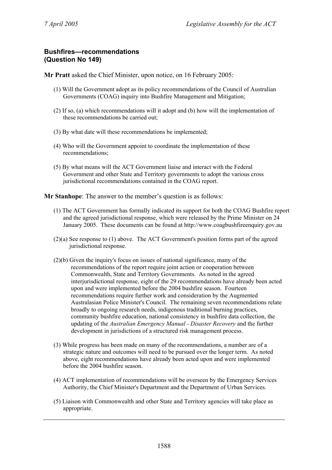## **Bushfires—recommendations (Question No 149)**

**Mr Pratt** asked the Chief Minister, upon notice, on 16 February 2005:

- (1) Will the Government adopt as its policy recommendations of the Council of Australian Governments (COAG) inquiry into Bushfire Management and Mitigation;
- (2) If so, (a) which recommendations will it adopt and (b) how will the implementation of these recommendations be carried out;
- (3) By what date will these recommendations be implemented;
- (4) Who will the Government appoint to coordinate the implementation of these recommendations;
- (5) By what means will the ACT Government liaise and interact with the Federal Government and other State and Territory governments to adopt the various cross jurisdictional recommendations contained in the COAG report.

**Mr Stanhope**: The answer to the member's question is as follows:

- (1) The ACT Government has formally indicated its support for both the COAG Bushfire report and the agreed jurisdictional response, which were released by the Prime Minister on 24 January 2005. These documents can be found at http://www.coagbushfireenquiry.gov.au
- (2)(a) See response to (1) above. The ACT Government's position forms part of the agreed jurisdictional response.
- (2)(b) Given the inquiry's focus on issues of national significance, many of the recommendations of the report require joint action or cooperation between Commonwealth, State and Territory Governments. As noted in the agreed interjurisdictional response, eight of the 29 recommendations have already been acted upon and were implemented before the 2004 bushfire season. Fourteen recommendations require further work and consideration by the Augmented Australasian Police Minister's Council. The remaining seven recommendations relate broadly to ongoing research needs, indigenous traditional burning practices, community bushfire education, national consistency in bushfire data collection, the updating of the *Australian Emergency Manual - Disaster Recovery* and the further development in jurisdictions of a structured risk management process.
- (3) While progress has been made on many of the recommendations, a number are of a strategic nature and outcomes will need to be pursued over the longer term. As noted above, eight recommendations have already been acted upon and were implemented before the 2004 bushfire season.
- (4) ACT implementation of recommendations will be overseen by the Emergency Services Authority, the Chief Minister's Department and the Department of Urban Services.
- (5) Liaison with Commonwealth and other State and Territory agencies will take place as appropriate.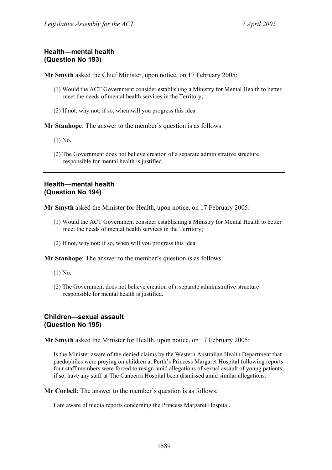# **Health—mental health (Question No 193)**

**Mr Smyth** asked the Chief Minister, upon notice, on 17 February 2005:

- (1) Would the ACT Government consider establishing a Ministry for Mental Health to better meet the needs of mental health services in the Territory;
- (2) If not, why not; if so, when will you progress this idea.

**Mr Stanhope**: The answer to the member's question is as follows:

- (1) No.
- (2) The Government does not believe creation of a separate administrative structure responsible for mental health is justified.

### **Health—mental health (Question No 194)**

**Mr Smyth** asked the Minister for Health, upon notice, on 17 February 2005:

- (1) Would the ACT Government consider establishing a Ministry for Mental Health to better meet the needs of mental health services in the Territory;
- (2) If not, why not; if so, when will you progress this idea.

**Mr Stanhope**: The answer to the member's question is as follows:

- (1) No.
- (2) The Government does not believe creation of a separate administrative structure responsible for mental health is justified.

### **Children—sexual assault (Question No 195)**

**Mr Smyth** asked the Minister for Health, upon notice, on 17 February 2005:

Is the Minister aware of the denied claims by the Western Australian Health Department that paedophiles were preying on children at Perth's Princess Margaret Hospital following reports four staff members were forced to resign amid allegations of sexual assault of young patients; if so, have any staff at The Canberra Hospital been dismissed amid similar allegations.

**Mr Corbell**: The answer to the member's question is as follows:

I am aware of media reports concerning the Princess Margaret Hospital.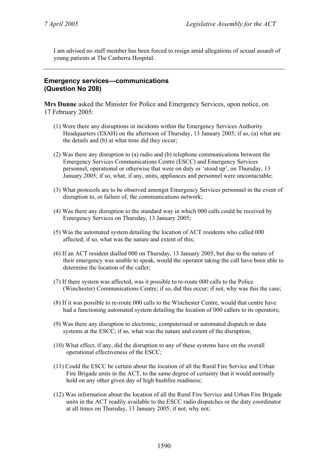I am advised no staff member has been forced to resign amid allegations of sexual assault of young patients at The Canberra Hospital.

### **Emergency services—communications (Question No 208)**

**Mrs Dunne** asked the Minister for Police and Emergency Services, upon notice, on 17 February 2005:

- (1) Were there any disruptions or incidents within the Emergency Services Authority Headquarters (ESAH) on the afternoon of Thursday, 13 January 2005; if so, (a) what are the details and (b) at what time did they occur;
- (2) Was there any disruption to (a) radio and (b) telephone communications between the Emergency Services Communications Centre (ESCC) and Emergency Services personnel, operational or otherwise that were on duty or 'stood up', on Thursday, 13 January 2005; if so, what, if any, units, appliances and personnel were uncontactable;
- (3) What protocols are to be observed amongst Emergency Services personnel in the event of disruption to, or failure of, the communications network;
- (4) Was there any disruption to the standard way in which 000 calls could be received by Emergency Services on Thursday, 13 January 2005;
- (5) Was the automated system detailing the location of ACT residents who called 000 affected; if so, what was the nature and extent of this;
- (6) If an ACT resident dialled 000 on Thursday, 13 January 2005, but due to the nature of their emergency was unable to speak, would the operator taking the call have been able to determine the location of the caller;
- (7) If there system was affected, was it possible to re-route 000 calls to the Police (Winchester) Communications Centre; if so, did this occur; if not, why was this the case;
- (8) If it was possible to re-route 000 calls to the Winchester Centre, would that centre have had a functioning automated system detailing the location of 000 callers to its operators;
- (9) Was there any disruption to electronic, computerised or automated dispatch or data systems at the ESCC; if so, what was the nature and extent of the disruption;
- (10) What effect, if any, did the disruption to any of these systems have on the overall operational effectiveness of the ESCC;
- (11) Could the ESCC be certain about the location of all the Rural Fire Service and Urban Fire Brigade units in the ACT, to the same degree of certainty that it would normally hold on any other given day of high bushfire readiness;
- (12) Was information about the location of all the Rural Fire Service and Urban Fire Brigade units in the ACT readily available to the ESCC radio dispatches or the duty coordinator at all times on Thursday, 13 January 2005; if not, why not;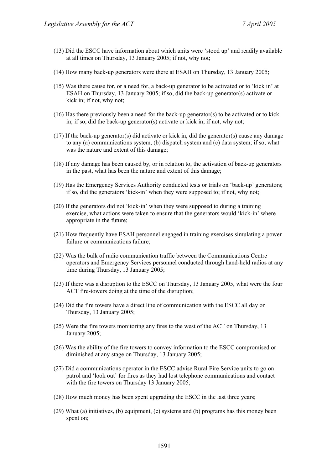- (13) Did the ESCC have information about which units were 'stood up' and readily available at all times on Thursday, 13 January 2005; if not, why not;
- (14) How many back-up generators were there at ESAH on Thursday, 13 January 2005;
- (15) Was there cause for, or a need for, a back-up generator to be activated or to 'kick in' at ESAH on Thursday, 13 January 2005; if so, did the back-up generator(s) activate or kick in; if not, why not;
- (16) Has there previously been a need for the back-up generator(s) to be activated or to kick in; if so, did the back-up generator(s) activate or kick in; if not, why not;
- (17) If the back-up generator(s) did activate or kick in, did the generator(s) cause any damage to any (a) communications system, (b) dispatch system and (c) data system; if so, what was the nature and extent of this damage;
- (18) If any damage has been caused by, or in relation to, the activation of back-up generators in the past, what has been the nature and extent of this damage;
- (19) Has the Emergency Services Authority conducted tests or trials on 'back-up' generators; if so, did the generators 'kick-in' when they were supposed to; if not, why not;
- (20) If the generators did not 'kick-in' when they were supposed to during a training exercise, what actions were taken to ensure that the generators would 'kick-in' where appropriate in the future;
- (21) How frequently have ESAH personnel engaged in training exercises simulating a power failure or communications failure;
- (22) Was the bulk of radio communication traffic between the Communications Centre operators and Emergency Services personnel conducted through hand-held radios at any time during Thursday, 13 January 2005;
- (23) If there was a disruption to the ESCC on Thursday, 13 January 2005, what were the four ACT fire-towers doing at the time of the disruption;
- (24) Did the fire towers have a direct line of communication with the ESCC all day on Thursday, 13 January 2005;
- (25) Were the fire towers monitoring any fires to the west of the ACT on Thursday, 13 January 2005;
- (26) Was the ability of the fire towers to convey information to the ESCC compromised or diminished at any stage on Thursday, 13 January 2005;
- (27) Did a communications operator in the ESCC advise Rural Fire Service units to go on patrol and 'look out' for fires as they had lost telephone communications and contact with the fire towers on Thursday 13 January 2005:
- (28) How much money has been spent upgrading the ESCC in the last three years;
- (29) What (a) initiatives, (b) equipment, (c) systems and (b) programs has this money been spent on;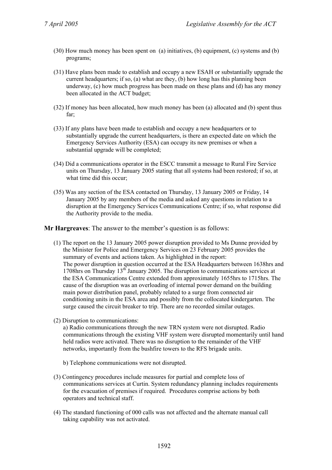- (30) How much money has been spent on (a) initiatives, (b) equipment, (c) systems and (b) programs;
- (31) Have plans been made to establish and occupy a new ESAH or substantially upgrade the current headquarters; if so, (a) what are they, (b) how long has this planning been underway, (c) how much progress has been made on these plans and (d) has any money been allocated in the ACT budget;
- (32) If money has been allocated, how much money has been (a) allocated and (b) spent thus far;
- (33) If any plans have been made to establish and occupy a new headquarters or to substantially upgrade the current headquarters, is there an expected date on which the Emergency Services Authority (ESA) can occupy its new premises or when a substantial upgrade will be completed;
- (34) Did a communications operator in the ESCC transmit a message to Rural Fire Service units on Thursday, 13 January 2005 stating that all systems had been restored; if so, at what time did this occur;
- (35) Was any section of the ESA contacted on Thursday, 13 January 2005 or Friday, 14 January 2005 by any members of the media and asked any questions in relation to a disruption at the Emergency Services Communications Centre; if so, what response did the Authority provide to the media.

**Mr Hargreaves**: The answer to the member's question is as follows:

- (1) The report on the 13 January 2005 power disruption provided to Ms Dunne provided by the Minister for Police and Emergency Services on 23 February 2005 provides the summary of events and actions taken. As highlighted in the report: The power disruption in question occurred at the ESA Headquarters between 1638hrs and 1708hrs on Thursday  $13<sup>th</sup>$  January 2005. The disruption to communications services at the ESA Communications Centre extended from approximately 1655hrs to 1715hrs. The cause of the disruption was an overloading of internal power demand on the building main power distribution panel, probably related to a surge from connected air conditioning units in the ESA area and possibly from the collocated kindergarten. The surge caused the circuit breaker to trip. There are no recorded similar outages.
- (2) Disruption to communications:

a) Radio communications through the new TRN system were not disrupted. Radio communications through the existing VHF system were disrupted momentarily until hand held radios were activated. There was no disruption to the remainder of the VHF networks, importantly from the bushfire towers to the RFS brigade units.

- b) Telephone communications were not disrupted.
- (3) Contingency procedures include measures for partial and complete loss of communications services at Curtin. System redundancy planning includes requirements for the evacuation of premises if required. Procedures comprise actions by both operators and technical staff.
- (4) The standard functioning of 000 calls was not affected and the alternate manual call taking capability was not activated.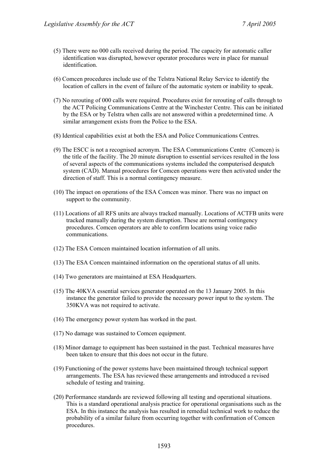- (5) There were no 000 calls received during the period. The capacity for automatic caller identification was disrupted, however operator procedures were in place for manual identification.
- (6) Comcen procedures include use of the Telstra National Relay Service to identify the location of callers in the event of failure of the automatic system or inability to speak.
- (7) No rerouting of 000 calls were required. Procedures exist for rerouting of calls through to the ACT Policing Communications Centre at the Winchester Centre. This can be initiated by the ESA or by Telstra when calls are not answered within a predetermined time. A similar arrangement exists from the Police to the ESA.
- (8) Identical capabilities exist at both the ESA and Police Communications Centres.
- (9) The ESCC is not a recognised acronym. The ESA Communications Centre (Comcen) is the title of the facility. The 20 minute disruption to essential services resulted in the loss of several aspects of the communications systems included the computerised despatch system (CAD). Manual procedures for Comcen operations were then activated under the direction of staff. This is a normal contingency measure.
- (10) The impact on operations of the ESA Comcen was minor. There was no impact on support to the community.
- (11) Locations of all RFS units are always tracked manually. Locations of ACTFB units were tracked manually during the system disruption. These are normal contingency procedures. Comcen operators are able to confirm locations using voice radio communications.
- (12) The ESA Comcen maintained location information of all units.
- (13) The ESA Comcen maintained information on the operational status of all units.
- (14) Two generators are maintained at ESA Headquarters.
- (15) The 40KVA essential services generator operated on the 13 January 2005. In this instance the generator failed to provide the necessary power input to the system. The 350KVA was not required to activate.
- (16) The emergency power system has worked in the past.
- (17) No damage was sustained to Comcen equipment.
- (18) Minor damage to equipment has been sustained in the past. Technical measures have been taken to ensure that this does not occur in the future.
- (19) Functioning of the power systems have been maintained through technical support arrangements. The ESA has reviewed these arrangements and introduced a revised schedule of testing and training.
- (20) Performance standards are reviewed following all testing and operational situations. This is a standard operational analysis practice for operational organisations such as the ESA. In this instance the analysis has resulted in remedial technical work to reduce the probability of a similar failure from occurring together with confirmation of Comcen procedures.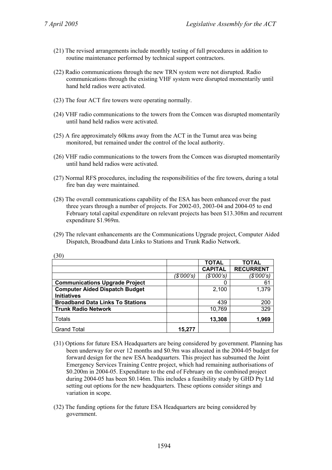$(20)$ 

- (21) The revised arrangements include monthly testing of full procedures in addition to routine maintenance performed by technical support contractors.
- (22) Radio communications through the new TRN system were not disrupted. Radio communications through the existing VHF system were disrupted momentarily until hand held radios were activated.
- (23) The four ACT fire towers were operating normally.
- (24) VHF radio communications to the towers from the Comcen was disrupted momentarily until hand held radios were activated.
- (25) A fire approximately 60kms away from the ACT in the Tumut area was being monitored, but remained under the control of the local authority.
- (26) VHF radio communications to the towers from the Comcen was disrupted momentarily until hand held radios were activated.
- (27) Normal RFS procedures, including the responsibilities of the fire towers, during a total fire ban day were maintained.
- (28) The overall communications capability of the ESA has been enhanced over the past three years through a number of projects. For 2002-03, 2003-04 and 2004-05 to end February total capital expenditure on relevant projects has been \$13.308m and recurrent expenditure \$1.969m.
- (29) The relevant enhancements are the Communications Upgrade project, Computer Aided Dispatch, Broadband data Links to Stations and Trunk Radio Network.

| JV J                                    |            |                |                  |
|-----------------------------------------|------------|----------------|------------------|
|                                         |            | <b>TOTAL</b>   | <b>TOTAL</b>     |
|                                         |            | <b>CAPITAL</b> | <b>RECURRENT</b> |
|                                         | (\$'000's) | (\$'000's)     | (\$'000's)       |
| <b>Communications Upgrade Project</b>   |            | 0              | 61               |
| <b>Computer Aided Dispatch Budget</b>   |            | 2,100          | 1,379            |
| <b>Initiatives</b>                      |            |                |                  |
| <b>Broadband Data Links To Stations</b> |            | 439            | 200              |
| <b>Trunk Radio Network</b>              |            | 10,769         | 329              |
| <b>Totals</b>                           |            | 13,308         | 1,969            |
| <b>Grand Total</b>                      | 15,277     |                |                  |

- (31) Options for future ESA Headquarters are being considered by government. Planning has been underway for over 12 months and \$0.9m was allocated in the 2004-05 budget for forward design for the new ESA headquarters. This project has subsumed the Joint Emergency Services Training Centre project, which had remaining authorisations of \$0.200m in 2004-05. Expenditure to the end of February on the combined project during 2004-05 has been \$0.146m. This includes a feasibility study by GHD Pty Ltd setting out options for the new headquarters. These options consider sitings and variation in scope.
- (32) The funding options for the future ESA Headquarters are being considered by government.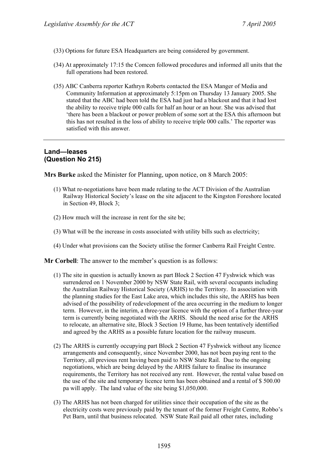- (33) Options for future ESA Headquarters are being considered by government.
- (34) At approximately 17:15 the Comcen followed procedures and informed all units that the full operations had been restored.
- (35) ABC Canberra reporter Kathryn Roberts contacted the ESA Manger of Media and Community Information at approximately 5:15pm on Thursday 13 January 2005. She stated that the ABC had been told the ESA had just had a blackout and that it had lost the ability to receive triple 000 calls for half an hour or an hour. She was advised that 'there has been a blackout or power problem of some sort at the ESA this afternoon but this has not resulted in the loss of ability to receive triple 000 calls.' The reporter was satisfied with this answer.

# **Land—leases (Question No 215)**

**Mrs Burke** asked the Minister for Planning, upon notice, on 8 March 2005:

- (1) What re-negotiations have been made relating to the ACT Division of the Australian Railway Historical Society's lease on the site adjacent to the Kingston Foreshore located in Section 49, Block 3;
- (2) How much will the increase in rent for the site be;
- (3) What will be the increase in costs associated with utility bills such as electricity;
- (4) Under what provisions can the Society utilise the former Canberra Rail Freight Centre.

**Mr Corbell**: The answer to the member's question is as follows:

- (1) The site in question is actually known as part Block 2 Section 47 Fyshwick which was surrendered on 1 November 2000 by NSW State Rail, with several occupants including the Australian Railway Historical Society (ARHS) to the Territory. In association with the planning studies for the East Lake area, which includes this site, the ARHS has been advised of the possibility of redevelopment of the area occurring in the medium to longer term. However, in the interim, a three-year licence with the option of a further three-year term is currently being negotiated with the ARHS. Should the need arise for the ARHS to relocate, an alternative site, Block 3 Section 19 Hume, has been tentatively identified and agreed by the ARHS as a possible future location for the railway museum.
- (2) The ARHS is currently occupying part Block 2 Section 47 Fyshwick without any licence arrangements and consequently, since November 2000, has not been paying rent to the Territory, all previous rent having been paid to NSW State Rail. Due to the ongoing negotiations, which are being delayed by the ARHS failure to finalise its insurance requirements, the Territory has not received any rent. However, the rental value based on the use of the site and temporary licence term has been obtained and a rental of \$ 500.00 pa will apply. The land value of the site being \$1,050,000.
- (3) The ARHS has not been charged for utilities since their occupation of the site as the electricity costs were previously paid by the tenant of the former Freight Centre, Robbo's Pet Barn, until that business relocated. NSW State Rail paid all other rates, including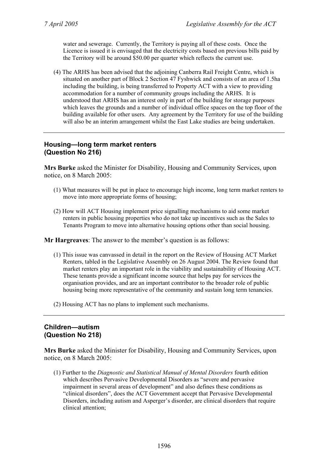water and sewerage. Currently, the Territory is paying all of these costs. Once the Licence is issued it is envisaged that the electricity costs based on previous bills paid by the Territory will be around \$50.00 per quarter which reflects the current use.

(4) The ARHS has been advised that the adjoining Canberra Rail Freight Centre, which is situated on another part of Block 2 Section 47 Fyshwick and consists of an area of 1.5ha including the building, is being transferred to Property ACT with a view to providing accommodation for a number of community groups including the ARHS. It is understood that ARHS has an interest only in part of the building for storage purposes which leaves the grounds and a number of individual office spaces on the top floor of the building available for other users. Any agreement by the Territory for use of the building will also be an interim arrangement whilst the East Lake studies are being undertaken.

# **Housing—long term market renters (Question No 216)**

**Mrs Burke** asked the Minister for Disability, Housing and Community Services, upon notice, on 8 March 2005:

- (1) What measures will be put in place to encourage high income, long term market renters to move into more appropriate forms of housing;
- (2) How will ACT Housing implement price signalling mechanisms to aid some market renters in public housing properties who do not take up incentives such as the Sales to Tenants Program to move into alternative housing options other than social housing.

**Mr Hargreaves**: The answer to the member's question is as follows:

- (1) This issue was canvassed in detail in the report on the Review of Housing ACT Market Renters, tabled in the Legislative Assembly on 26 August 2004. The Review found that market renters play an important role in the viability and sustainability of Housing ACT. These tenants provide a significant income source that helps pay for services the organisation provides, and are an important contributor to the broader role of public housing being more representative of the community and sustain long term tenancies.
- (2) Housing ACT has no plans to implement such mechanisms.

# **Children—autism (Question No 218)**

**Mrs Burke** asked the Minister for Disability, Housing and Community Services, upon notice, on 8 March 2005:

(1) Further to the *Diagnostic and Statistical Manual of Mental Disorders* fourth edition which describes Pervasive Developmental Disorders as "severe and pervasive impairment in several areas of development" and also defines these conditions as "clinical disorders", does the ACT Government accept that Pervasive Developmental Disorders, including autism and Asperger's disorder, are clinical disorders that require clinical attention;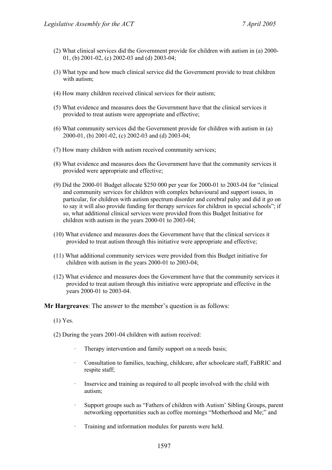- (2) What clinical services did the Government provide for children with autism in (a) 2000- 01, (b) 2001-02, (c) 2002-03 and (d) 2003-04;
- (3) What type and how much clinical service did the Government provide to treat children with autism;
- (4) How many children received clinical services for their autism;
- (5) What evidence and measures does the Government have that the clinical services it provided to treat autism were appropriate and effective;
- (6) What community services did the Government provide for children with autism in (a) 2000-01, (b) 2001-02, (c) 2002-03 and (d) 2003-04;
- (7) How many children with autism received community services;
- (8) What evidence and measures does the Government have that the community services it provided were appropriate and effective;
- (9) Did the 2000-01 Budget allocate \$250 000 per year for 2000-01 to 2003-04 for "clinical and community services for children with complex behavioural and support issues, in particular, for children with autism spectrum disorder and cerebral palsy and did it go on to say it will also provide funding for therapy services for children in special schools"; if so, what additional clinical services were provided from this Budget Initiative for children with autism in the years 2000-01 to 2003-04;
- (10) What evidence and measures does the Government have that the clinical services it provided to treat autism through this initiative were appropriate and effective;
- (11) What additional community services were provided from this Budget initiative for children with autism in the years 2000-01 to 2003-04;
- (12) What evidence and measures does the Government have that the community services it provided to treat autism through this initiative were appropriate and effective in the years 2000-01 to 2003-04.

**Mr Hargreaves**: The answer to the member's question is as follows:

- (1) Yes.
- (2) During the years 2001-04 children with autism received:
	- Therapy intervention and family support on a needs basis;
	- Consultation to families, teaching, childcare, after schoolcare staff, FaBRIC and respite staff;
	- Inservice and training as required to all people involved with the child with autism;
	- · Support groups such as "Fathers of children with Autism' Sibling Groups, parent networking opportunities such as coffee mornings "Motherhood and Me;" and
	- Training and information modules for parents were held.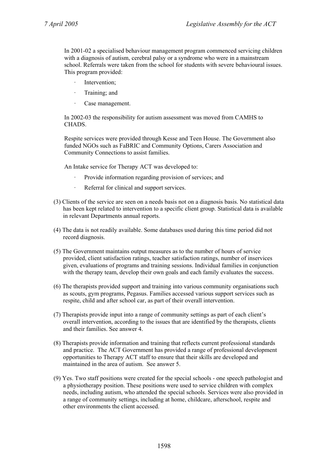In 2001-02 a specialised behaviour management program commenced servicing children with a diagnosis of autism, cerebral palsy or a syndrome who were in a mainstream school. Referrals were taken from the school for students with severe behavioural issues. This program provided:

- Intervention;
- Training; and
- Case management.

In 2002-03 the responsibility for autism assessment was moved from CAMHS to CHADS.

Respite services were provided through Kesse and Teen House. The Government also funded NGOs such as FaBRIC and Community Options, Carers Association and Community Connections to assist families.

An Intake service for Therapy ACT was developed to:

- Provide information regarding provision of services; and
- · Referral for clinical and support services.
- (3) Clients of the service are seen on a needs basis not on a diagnosis basis. No statistical data has been kept related to intervention to a specific client group. Statistical data is available in relevant Departments annual reports.
- (4) The data is not readily available. Some databases used during this time period did not record diagnosis.
- (5) The Government maintains output measures as to the number of hours of service provided, client satisfaction ratings, teacher satisfaction ratings, number of inservices given, evaluations of programs and training sessions. Individual families in conjunction with the therapy team, develop their own goals and each family evaluates the success.
- (6) The therapists provided support and training into various community organisations such as scouts, gym programs, Pegasus. Families accessed various support services such as respite, child and after school car, as part of their overall intervention.
- (7) Therapists provide input into a range of community settings as part of each client's overall intervention, according to the issues that are identified by the therapists, clients and their families. See answer 4.
- (8) Therapists provide information and training that reflects current professional standards and practice. The ACT Government has provided a range of professional development opportunities to Therapy ACT staff to ensure that their skills are developed and maintained in the area of autism. See answer 5.
- (9) Yes. Two staff positions were created for the special schools one speech pathologist and a physiotherapy position. These positions were used to service children with complex needs, including autism, who attended the special schools. Services were also provided in a range of community settings, including at home, childcare, afterschool, respite and other environments the client accessed.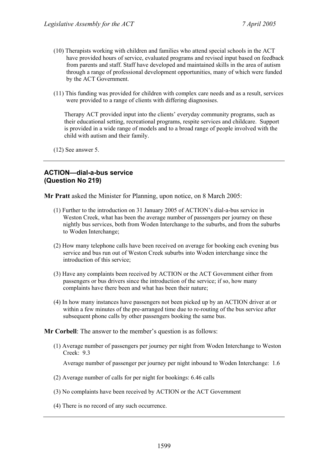- (10) Therapists working with children and families who attend special schools in the ACT have provided hours of service, evaluated programs and revised input based on feedback from parents and staff. Staff have developed and maintained skills in the area of autism through a range of professional development opportunities, many of which were funded by the ACT Government.
- (11) This funding was provided for children with complex care needs and as a result, services were provided to a range of clients with differing diagnosises.

Therapy ACT provided input into the clients' everyday community programs, such as their educational setting, recreational programs, respite services and childcare. Support is provided in a wide range of models and to a broad range of people involved with the child with autism and their family.

(12) See answer 5.

# **ACTION—dial-a-bus service (Question No 219)**

**Mr Pratt** asked the Minister for Planning, upon notice, on 8 March 2005:

- (1) Further to the introduction on 31 January 2005 of ACTION's dial-a-bus service in Weston Creek, what has been the average number of passengers per journey on these nightly bus services, both from Woden Interchange to the suburbs, and from the suburbs to Woden Interchange;
- (2) How many telephone calls have been received on average for booking each evening bus service and bus run out of Weston Creek suburbs into Woden interchange since the introduction of this service;
- (3) Have any complaints been received by ACTION or the ACT Government either from passengers or bus drivers since the introduction of the service; if so, how many complaints have there been and what has been their nature;
- (4) In how many instances have passengers not been picked up by an ACTION driver at or within a few minutes of the pre-arranged time due to re-routing of the bus service after subsequent phone calls by other passengers booking the same bus.

**Mr Corbell**: The answer to the member's question is as follows:

(1) Average number of passengers per journey per night from Woden Interchange to Weston Creek: 9.3

Average number of passenger per journey per night inbound to Woden Interchange: 1.6

- (2) Average number of calls for per night for bookings: 6.46 calls
- (3) No complaints have been received by ACTION or the ACT Government
- (4) There is no record of any such occurrence.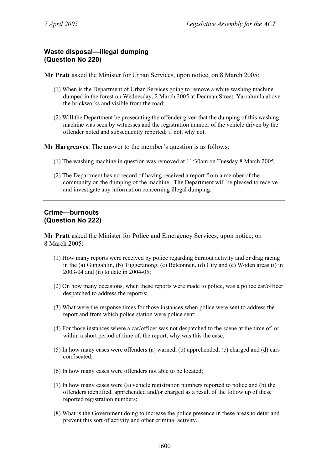# **Waste disposal—illegal dumping (Question No 220)**

**Mr Pratt** asked the Minister for Urban Services, upon notice, on 8 March 2005:

- (1) When is the Department of Urban Services going to remove a white washing machine dumped in the forest on Wednesday, 2 March 2005 at Denman Street, Yarralumla above the brickworks and visible from the road;
- (2) Will the Department be prosecuting the offender given that the dumping of this washing machine was seen by witnesses and the registration number of the vehicle driven by the offender noted and subsequently reported; if not, why not.

**Mr Hargreaves**: The answer to the member's question is as follows:

- (1) The washing machine in question was removed at 11:30am on Tuesday 8 March 2005.
- (2) The Department has no record of having received a report from a member of the community on the dumping of the machine. The Department will be pleased to receive and investigate any information concerning illegal dumping.

# **Crime—burnouts (Question No 222)**

**Mr Pratt** asked the Minister for Police and Emergency Services, upon notice, on 8 March 2005:

- (1) How many reports were received by police regarding burnout activity and or drag racing in the (a) Gungahlin, (b) Tuggeranong, (c) Belconnen, (d) City and (e) Woden areas (i) in 2003-04 and (ii) to date in 2004-05;
- (2) On how many occasions, when these reports were made to police, was a police car/officer despatched to address the report/s;
- (3) What were the response times for those instances when police were sent to address the report and from which police station were police sent;
- (4) For those instances where a car/officer was not despatched to the scene at the time of, or within a short period of time of, the report, why was this the case;
- (5) In how many cases were offenders (a) warned, (b) apprehended, (c) charged and (d) cars confiscated;
- (6) In how many cases were offenders not able to be located;
- (7) In how many cases were (a) vehicle registration numbers reported to police and (b) the offenders identified, apprehended and/or charged as a result of the follow up of these reported registration numbers;
- (8) What is the Government doing to increase the police presence in these areas to deter and prevent this sort of activity and other criminal activity.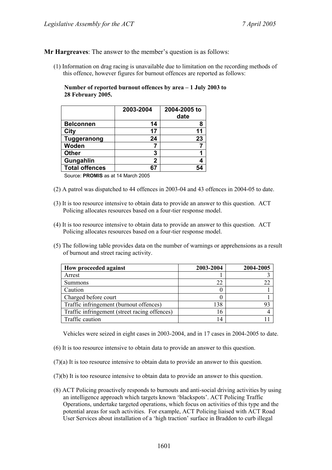**Mr Hargreaves**: The answer to the member's question is as follows:

(1) Information on drag racing is unavailable due to limitation on the recording methods of this offence, however figures for burnout offences are reported as follows:

**Number of reported burnout offences by area – 1 July 2003 to 28 February 2005.** 

|                       | 2003-2004 | 2004-2005 to<br>date |
|-----------------------|-----------|----------------------|
| <b>Belconnen</b>      | 14        | 8                    |
| City                  | 17        | 11                   |
| <b>Tuggeranong</b>    | 24        | 23                   |
| Woden                 |           |                      |
| <b>Other</b>          | 3         |                      |
| Gungahlin             | 2         |                      |
| <b>Total offences</b> | 67        |                      |

Source: **PROMIS** as at 14 March 2005

- (2) A patrol was dispatched to 44 offences in 2003-04 and 43 offences in 2004-05 to date.
- (3) It is too resource intensive to obtain data to provide an answer to this question. ACT Policing allocates resources based on a four-tier response model.
- (4) It is too resource intensive to obtain data to provide an answer to this question. ACT Policing allocates resources based on a four-tier response model.
- (5) The following table provides data on the number of warnings or apprehensions as a result of burnout and street racing activity.

| How proceeded against                         | 2003-2004 | 2004-2005 |
|-----------------------------------------------|-----------|-----------|
| Arrest                                        |           |           |
| <b>Summons</b>                                | 22        |           |
| Caution                                       |           |           |
| Charged before court                          |           |           |
| Traffic infringement (burnout offences)       | 138       |           |
| Traffic infringement (street racing offences) | 16        |           |
| Traffic caution                               | 14        |           |

Vehicles were seized in eight cases in 2003-2004, and in 17 cases in 2004-2005 to date.

- (6) It is too resource intensive to obtain data to provide an answer to this question.
- (7)(a) It is too resource intensive to obtain data to provide an answer to this question.
- (7)(b) It is too resource intensive to obtain data to provide an answer to this question.
- (8) ACT Policing proactively responds to burnouts and anti-social driving activities by using an intelligence approach which targets known 'blackspots'. ACT Policing Traffic Operations, undertake targeted operations, which focus on activities of this type and the potential areas for such activities. For example, ACT Policing liaised with ACT Road User Services about installation of a 'high traction' surface in Braddon to curb illegal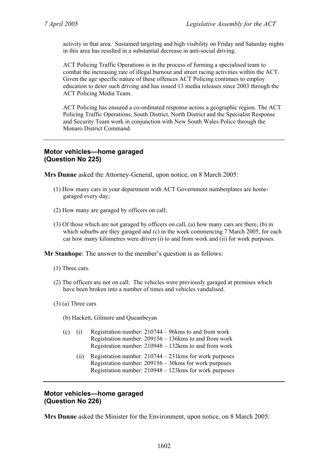activity in that area. Sustained targeting and high visibility on Friday and Saturday nights in this area has resulted in a substantial decrease in anti-social driving.

ACT Policing Traffic Operations is in the process of forming a specialised team to combat the increasing rate of illegal burnout and street racing activities within the ACT. Given the age specific nature of these offences ACT Policing continues to employ education to deter such driving and has issued 13 media releases since 2003 through the ACT Policing Media Team.

ACT Policing has ensured a co-ordinated response across a geographic region. The ACT Policing Traffic Operations, South District, North District and the Specialist Response and Security Team work in conjunction with New South Wales Police through the Monaro District Command.

# **Motor vehicles—home garaged (Question No 225)**

**Mrs Dunne** asked the Attorney-General, upon notice, on 8 March 2005:

- (1) How many cars in your department with ACT Government numberplates are homegaraged every day;
- (2) How many are garaged by officers on call;
- (3) Of those which are not garaged by officers on call, (a) how many cars are there, (b) in which suburbs are they garaged and  $(c)$  in the week commencing 7 March 2005, for each car how many kilometres were driven (i) to and from work and (ii) for work purposes.

**Mr Stanhope**: The answer to the member's question is as follows:

- (1) Three cars.
- (2) The officers are not on call. The vehicles were previously garaged at premises which have been broken into a number of times and vehicles vandalised.
- (3) (a) Three cars
	- (b) Hackett, Gilmore and Queanbeyan

| (c) | Registration number: $210744 - 96$ kms to and from work  |
|-----|----------------------------------------------------------|
|     | Registration number: $209156 - 136$ kms to and from work |
|     | Registration number: $210948 - 132$ kms to and from work |

 (ii) Registration number: 210744 – 231kms for work purposes Registration number: 209156 – 30kms for work purposes Registration number: 210948 – 123kms for work purposes

### **Motor vehicles—home garaged (Question No 226)**

**Mrs Dunne** asked the Minister for the Environment, upon notice, on 8 March 2005: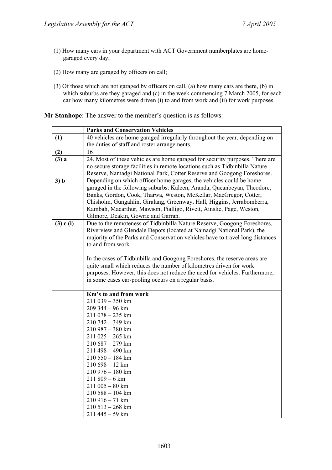- (1) How many cars in your department with ACT Government numberplates are homegaraged every day;
- (2) How many are garaged by officers on call;
- (3) Of those which are not garaged by officers on call, (a) how many cars are there, (b) in which suburbs are they garaged and (c) in the week commencing 7 March 2005, for each car how many kilometres were driven (i) to and from work and (ii) for work purposes.

**Mr Stanhope**: The answer to the member's question is as follows:

|               | <b>Parks and Conservation Vehicles</b>                                                                                                            |  |  |
|---------------|---------------------------------------------------------------------------------------------------------------------------------------------------|--|--|
| (1)           | 40 vehicles are home garaged irregularly throughout the year, depending on                                                                        |  |  |
|               | the duties of staff and roster arrangements.                                                                                                      |  |  |
| (2)           | 16                                                                                                                                                |  |  |
| $(3)$ a       | 24. Most of these vehicles are home garaged for security purposes. There are                                                                      |  |  |
|               | no secure storage facilities in remote locations such as Tidbinbilla Nature                                                                       |  |  |
|               | Reserve, Namadgi National Park, Cotter Reserve and Googong Foreshores.                                                                            |  |  |
| 3) b          | Depending on which officer home garages, the vehicles could be home                                                                               |  |  |
|               | garaged in the following suburbs: Kaleen, Aranda, Queanbeyan, Theodore,                                                                           |  |  |
|               | Banks, Gordon, Cook, Tharwa, Weston, McKellar, MacGregor, Cotter,                                                                                 |  |  |
|               | Chisholm, Gungahlin, Giralang, Greenway, Hall, Higgins, Jerrabomberra,                                                                            |  |  |
|               | Kambah, Macarthur, Mawson, Pialligo, Rivett, Ainslie, Page, Weston,                                                                               |  |  |
|               | Gilmore, Deakin, Gowrie and Garran.                                                                                                               |  |  |
| $(3)$ c $(i)$ | Due to the remoteness of Tidbinbilla Nature Reserve, Googong Foreshores,<br>Riverview and Glendale Depots (located at Namadgi National Park), the |  |  |
|               | majority of the Parks and Conservation vehicles have to travel long distances                                                                     |  |  |
|               | to and from work.                                                                                                                                 |  |  |
|               |                                                                                                                                                   |  |  |
|               | In the cases of Tidbinbilla and Googong Foreshores, the reserve areas are                                                                         |  |  |
|               | quite small which reduces the number of kilometres driven for work                                                                                |  |  |
|               | purposes. However, this does not reduce the need for vehicles. Furthermore,                                                                       |  |  |
|               | in some cases car-pooling occurs on a regular basis.                                                                                              |  |  |
|               |                                                                                                                                                   |  |  |
|               | Km's to and from work                                                                                                                             |  |  |
|               | 211 039 - 350 km                                                                                                                                  |  |  |
|               | 209 344 - 96 km                                                                                                                                   |  |  |
|               | 211 078 - 235 km                                                                                                                                  |  |  |
|               | 210 742 - 349 km                                                                                                                                  |  |  |
|               | 210 987 - 380 km                                                                                                                                  |  |  |
|               | $211025 - 265$ km                                                                                                                                 |  |  |
|               | $210687 - 279$ km                                                                                                                                 |  |  |
|               | 211 498 - 490 km                                                                                                                                  |  |  |
|               | 210 550 - 184 km<br>$210698 - 12$ km                                                                                                              |  |  |
|               | 210 976 - 180 km                                                                                                                                  |  |  |
|               | $211809 - 6$ km                                                                                                                                   |  |  |
|               | $211005 - 80$ km                                                                                                                                  |  |  |
|               | 210 588 - 104 km                                                                                                                                  |  |  |
|               | 210 916 - 71 km                                                                                                                                   |  |  |
|               | $210513 - 268$ km                                                                                                                                 |  |  |
|               | 211 445 – 59 km                                                                                                                                   |  |  |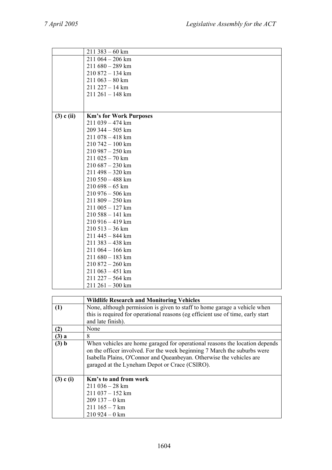|                | $211383 - 60$ km              |
|----------------|-------------------------------|
|                | $211064 - 206$ km             |
|                | $211680 - 289$ km             |
|                | 210 872 - 134 km              |
|                | $211063 - 80$ km              |
|                | $211227 - 14 \text{ km}$      |
|                | $211261 - 148$ km             |
|                |                               |
|                |                               |
| $(3)$ c $(ii)$ | <b>Km's for Work Purposes</b> |
|                | 211 039 - 474 km              |
|                | 209 344 - 505 km              |
|                | 211 078 - 418 km              |
|                | $210742 - 100$ km             |
|                | $210987 - 250$ km             |
|                | $211025 - 70$ km              |
|                | $210687 - 230$ km             |
|                | 211 498 - 320 km              |
|                | $210550 - 488$ km             |
|                | $210698 - 65$ km              |
|                | $210976 - 506$ km             |
|                | $211809 - 250$ km             |
|                | $211005 - 127$ km             |
|                | $210588 - 141$ km             |
|                | 210 916 - 419 km              |
|                | $210513 - 36$ km              |
|                | 211 445 - 844 km              |
|                | 211 383 - 438 km              |
|                | $211064 - 166$ km             |
|                | $211680 - 183$ km             |
|                | $210872 - 260$ km             |
|                | $211063 - 451$ km             |
|                | 211 227 - 564 km              |
|                | $211261 - 300$ km             |
|                |                               |

|               | <b>Wildlife Research and Monitoring Vehicles</b>                                                                                                                                                                                                                                  |
|---------------|-----------------------------------------------------------------------------------------------------------------------------------------------------------------------------------------------------------------------------------------------------------------------------------|
| (1)           | None, although permission is given to staff to home garage a vehicle when<br>this is required for operational reasons (eg efficient use of time, early start                                                                                                                      |
|               | and late finish).                                                                                                                                                                                                                                                                 |
| (2)           | None                                                                                                                                                                                                                                                                              |
| $(3)$ a       | 8                                                                                                                                                                                                                                                                                 |
| (3) b         | When vehicles are home garaged for operational reasons the location depends<br>on the officer involved. For the week beginning 7 March the suburbs were<br>Isabella Plains, O'Connor and Queanbeyan. Otherwise the vehicles are<br>garaged at the Lyneham Depot or Crace (CSIRO). |
| $(3)$ c $(i)$ | Km's to and from work<br>$211036 - 28$ km<br>$211037 - 152$ km<br>$209137 - 0$ km<br>$211\,165 - 7\,\mathrm{km}$<br>$210924 - 0$ km                                                                                                                                               |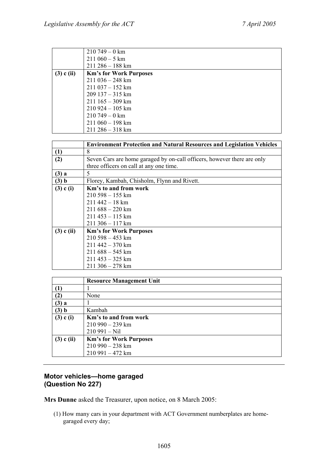|                | $210749 - 0$ km               |
|----------------|-------------------------------|
|                | $211060 - 5$ km               |
|                | $211286 - 188$ km             |
| $(3)$ c $(ii)$ | <b>Km's for Work Purposes</b> |
|                | $211036 - 248$ km             |
|                | $211037 - 152$ km             |
|                | $209137 - 315$ km             |
|                | $211\,165 - 309\,\mathrm{km}$ |
|                | $210924 - 105$ km             |
|                | $210749 - 0$ km               |
|                | $211060 - 198$ km             |
|                | $211286 - 318$ km             |

|                | <b>Environment Protection and Natural Resources and Legislation Vehicles</b> |
|----------------|------------------------------------------------------------------------------|
| (1)            | 8                                                                            |
| (2)            | Seven Cars are home garaged by on-call officers, however there are only      |
|                | three officers on call at any one time.                                      |
| $(3)$ a        | 5                                                                            |
| (3) b          | Florey, Kambah, Chisholm, Flynn and Rivett.                                  |
| $(3)$ c $(i)$  | Km's to and from work                                                        |
|                | $210,598 - 155$ km                                                           |
|                | $211442 - 18$ km                                                             |
|                | $211688 - 220$ km                                                            |
|                | $211453 - 115$ km                                                            |
|                | $211306 - 117$ km                                                            |
| $(3)$ c $(ii)$ | <b>Km's for Work Purposes</b>                                                |
|                | $210598 - 453$ km                                                            |
|                | $211442 - 370$ km                                                            |
|                | $211688 - 545$ km                                                            |
|                | $211453 - 325$ km                                                            |
|                | $211306 - 278$ km                                                            |

|                  | <b>Resource Management Unit</b> |
|------------------|---------------------------------|
| $\left(1\right)$ |                                 |
| $\mathbf{2})$    | None                            |
| $(3)$ a          |                                 |
| (3) b            | Kambah                          |
| $(3)$ c $(i)$    | Km's to and from work           |
|                  | $210990 - 239$ km               |
|                  | $210991 - Nil$                  |
| $(3)$ c $(ii)$   | <b>Km's for Work Purposes</b>   |
|                  | $210990 - 238$ km               |
|                  | $210991 - 472$ km               |

# **Motor vehicles—home garaged (Question No 227)**

**Mrs Dunne** asked the Treasurer, upon notice, on 8 March 2005:

(1) How many cars in your department with ACT Government numberplates are homegaraged every day;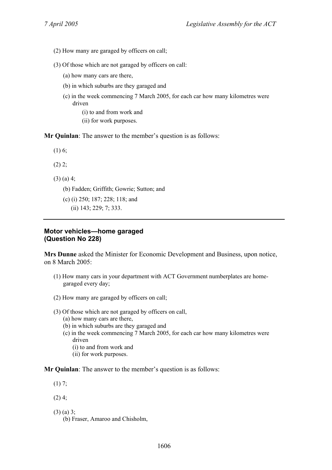- (2) How many are garaged by officers on call;
- (3) Of those which are not garaged by officers on call:
	- (a) how many cars are there,
	- (b) in which suburbs are they garaged and
	- (c) in the week commencing 7 March 2005, for each car how many kilometres were driven

(i) to and from work and

(ii) for work purposes.

**Mr Quinlan**: The answer to the member's question is as follows:

(1) 6;

 $(2)$  2;

- (3) (a) 4;
	- (b) Fadden; Griffith; Gowrie; Sutton; and
	- (c) (i) 250; 187; 228; 118; and
		- (ii) 143; 229; 7; 333.

### **Motor vehicles—home garaged (Question No 228)**

**Mrs Dunne** asked the Minister for Economic Development and Business, upon notice, on 8 March 2005:

- (1) How many cars in your department with ACT Government numberplates are homegaraged every day;
- (2) How many are garaged by officers on call;
- (3) Of those which are not garaged by officers on call,
	- (a) how many cars are there,
	- (b) in which suburbs are they garaged and
	- (c) in the week commencing 7 March 2005, for each car how many kilometres were driven
		- (i) to and from work and
		- (ii) for work purposes.

**Mr Quinlan**: The answer to the member's question is as follows:

- (1) 7;
- $(2)$  4;
- (3) (a) 3;
	- (b) Fraser, Amaroo and Chisholm,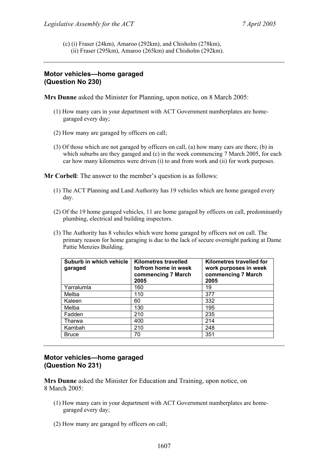(c) (i) Fraser (24km), Amaroo (292km), and Chisholm (278km), (ii) Fraser (295km), Amaroo (265km) and Chisholm (292km).

# **Motor vehicles—home garaged (Question No 230)**

**Mrs Dunne** asked the Minister for Planning, upon notice, on 8 March 2005:

- (1) How many cars in your department with ACT Government numberplates are homegaraged every day;
- (2) How many are garaged by officers on call;
- (3) Of those which are not garaged by officers on call, (a) how many cars are there, (b) in which suburbs are they garaged and (c) in the week commencing 7 March 2005, for each car how many kilometres were driven (i) to and from work and (ii) for work purposes.

**Mr Corbell**: The answer to the member's question is as follows:

- (1) The ACT Planning and Land Authority has 19 vehicles which are home garaged every day.
- (2) Of the 19 home garaged vehicles, 11 are home garaged by officers on call, predominantly plumbing, electrical and building inspectors.
- (3) The Authority has 8 vehicles which were home garaged by officers not on call. The primary reason for home garaging is due to the lack of secure overnight parking at Dame Pattie Menzies Building.

| Suburb in which vehicle<br>garaged | Kilometres travelled<br>to/from home in week<br>commencing 7 March<br>2005 | Kilometres travelled for<br>work purposes in week<br>commencing 7 March<br>2005 |
|------------------------------------|----------------------------------------------------------------------------|---------------------------------------------------------------------------------|
| Yarralumla                         | 160                                                                        | 19                                                                              |
| Melba                              | 110                                                                        | 377                                                                             |
| Kaleen                             | 60                                                                         | 332                                                                             |
| Melba                              | 130                                                                        | 195                                                                             |
| Fadden                             | 210                                                                        | 235                                                                             |
| Tharwa                             | 400                                                                        | 214                                                                             |
| Kambah                             | 210                                                                        | 248                                                                             |
| <b>Bruce</b>                       | 70                                                                         | 351                                                                             |

### **Motor vehicles—home garaged (Question No 231)**

**Mrs Dunne** asked the Minister for Education and Training, upon notice, on 8 March 2005:

- (1) How many cars in your department with ACT Government numberplates are homegaraged every day;
- (2) How many are garaged by officers on call;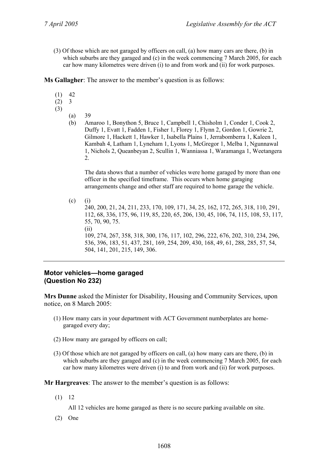(3) Of those which are not garaged by officers on call, (a) how many cars are there, (b) in which suburbs are they garaged and (c) in the week commencing 7 March 2005, for each car how many kilometres were driven (i) to and from work and (ii) for work purposes.

**Ms Gallagher**: The answer to the member's question is as follows:

- $(1)$  42
- $(2)$  3
- (3)
	- (a) 39
	- (b) Amaroo 1, Bonython 5, Bruce 1, Campbell 1, Chisholm 1, Conder 1, Cook 2, Duffy 1, Evatt 1, Fadden 1, Fisher 1, Florey 1, Flynn 2, Gordon 1, Gowrie 2, Gilmore 1, Hackett 1, Hawker 1, Isabella Plains 1, Jerrabomberra 1, Kaleen 1, Kambah 4, Latham 1, Lyneham 1, Lyons 1, McGregor 1, Melba 1, Ngunnawal 1, Nichols 2, Queanbeyan 2, Scullin 1, Wanniassa 1, Waramanga 1, Weetangera 2.

 The data shows that a number of vehicles were home garaged by more than one officer in the specified timeframe. This occurs when home garaging arrangements change and other staff are required to home garage the vehicle.

 $(c)$  (i) 240, 200, 21, 24, 211, 233, 170, 109, 171, 34, 25, 162, 172, 265, 318, 110, 291, 112, 68, 336, 175, 96, 119, 85, 220, 65, 206, 130, 45, 106, 74, 115, 108, 53, 117, 55, 70, 90, 75. (ii) 109, 274, 267, 358, 318, 300, 176, 117, 102, 296, 222, 676, 202, 310, 234, 296, 536, 396, 183, 51, 437, 281, 169, 254, 209, 430, 168, 49, 61, 288, 285, 57, 54, 504, 141, 201, 215, 149, 306.

### **Motor vehicles—home garaged (Question No 232)**

**Mrs Dunne** asked the Minister for Disability, Housing and Community Services, upon notice, on 8 March 2005:

- (1) How many cars in your department with ACT Government numberplates are homegaraged every day;
- (2) How many are garaged by officers on call;
- (3) Of those which are not garaged by officers on call, (a) how many cars are there, (b) in which suburbs are they garaged and  $(c)$  in the week commencing 7 March 2005, for each car how many kilometres were driven (i) to and from work and (ii) for work purposes.

**Mr Hargreaves**: The answer to the member's question is as follows:

(1) 12

All 12 vehicles are home garaged as there is no secure parking available on site.

(2) One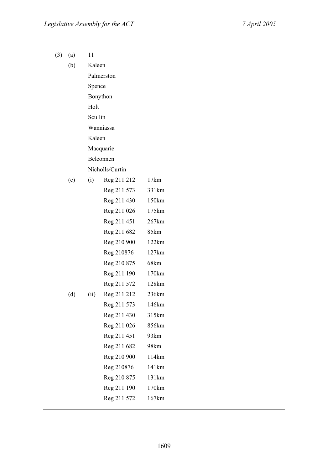(3) (a) 11

| (b) | Kaleen  |                 |                   |
|-----|---------|-----------------|-------------------|
|     |         | Palmerston      |                   |
|     | Spence  |                 |                   |
|     |         | Bonython        |                   |
|     | Holt    |                 |                   |
|     | Scullin |                 |                   |
|     |         | Wanniassa       |                   |
|     | Kaleen  |                 |                   |
|     |         | Macquarie       |                   |
|     |         | Belconnen       |                   |
|     |         | Nicholls/Curtin |                   |
| (c) | (i)     | Reg 211 212     | 17km              |
|     |         | Reg 211 573     | 331km             |
|     |         | Reg 211 430     | 150km             |
|     |         | Reg 211 026     | 175km             |
|     |         | Reg 211 451     | 267km             |
|     |         | Reg 211 682     | 85km              |
|     |         | Reg 210 900     | 122km             |
|     |         | Reg 210876      | 127km             |
|     |         | Reg 210 875     | 68km              |
|     |         | Reg 211 190     | 170km             |
|     |         | Reg 211 572     | 128km             |
| (d) | (ii)    | Reg 211 212     | 236km             |
|     |         | Reg 211 573     | 146km             |
|     |         | Reg 211 430     | 315km             |
|     |         | Reg 211 026     | 856km             |
|     |         | Reg 211 451     | 93km              |
|     |         | Reg 211 682     | 98km              |
|     |         | Reg 210 900     | 114km             |
|     |         | Reg 210876      | 141km             |
|     |         | Reg 210 875     | 131 <sub>km</sub> |
|     |         | Reg 211 190     | 170km             |
|     |         | Reg 211 572     | 167km             |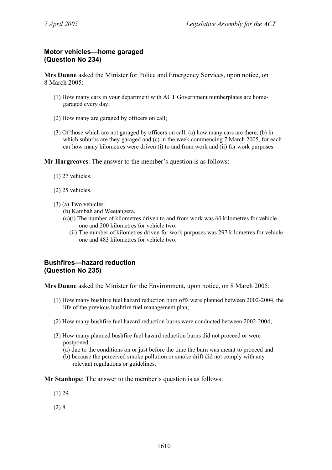# **Motor vehicles—home garaged (Question No 234)**

**Mrs Dunne** asked the Minister for Police and Emergency Services, upon notice, on 8 March 2005:

- (1) How many cars in your department with ACT Government numberplates are homegaraged every day;
- (2) How many are garaged by officers on call;
- (3) Of those which are not garaged by officers on call, (a) how many cars are there, (b) in which suburbs are they garaged and  $(c)$  in the week commencing 7 March 2005, for each car how many kilometres were driven (i) to and from work and (ii) for work purposes.

**Mr Hargreaves**: The answer to the member's question is as follows:

- (1) 27 vehicles.
- (2) 25 vehicles.
- (3) (a) Two vehicles.
	- (b) Kambah and Weetangera.
	- (c)(i) The number of kilometres driven to and from work was 60 kilometres for vehicle one and 200 kilometres for vehicle two.
		- (ii) The number of kilometres driven for work purposes was 297 kilometres for vehicle one and 483 kilometres for vehicle two.

# **Bushfires—hazard reduction (Question No 235)**

**Mrs Dunne** asked the Minister for the Environment, upon notice, on 8 March 2005:

- (1) How many bushfire fuel hazard reduction burn offs were planned between 2002-2004, the life of the previous bushfire fuel management plan;
- (2) How many bushfire fuel hazard reduction burns were conducted between 2002-2004;
- (3) How many planned bushfire fuel hazard reduction burns did not proceed or were postponed
	- (a) due to the conditions on or just before the time the burn was meant to proceed and
	- (b) because the perceived smoke pollution or smoke drift did not comply with any relevant regulations or guidelines.

**Mr Stanhope**: The answer to the member's question is as follows:

- (1) 29
- $(2) 8$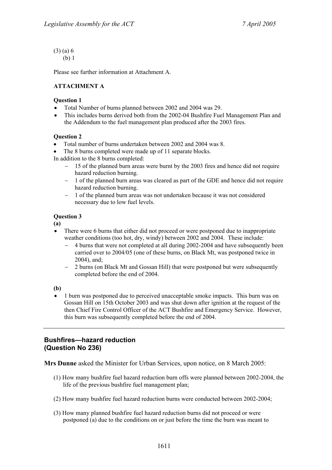(3) (a) 6 (b) 1

Please see further information at Attachment A.

### **ATTACHMENT A**

### **Question 1**

- Total Number of burns planned between 2002 and 2004 was 29.
- This includes burns derived both from the 2002-04 Bushfire Fuel Management Plan and the Addendum to the fuel management plan produced after the 2003 fires.

### **Question 2**

- Total number of burns undertaken between 2002 and 2004 was 8.
- The 8 burns completed were made up of 11 separate blocks.

In addition to the 8 burns completed:

- − 15 of the planned burn areas were burnt by the 2003 fires and hence did not require hazard reduction burning.
- − 1 of the planned burn areas was cleared as part of the GDE and hence did not require hazard reduction burning.
- − 1 of the planned burn areas was not undertaken because it was not considered necessary due to low fuel levels.

### **Question 3**

**(a)** 

- There were 6 burns that either did not proceed or were postponed due to inappropriate weather conditions (too hot, dry, windy) between 2002 and 2004. These include:
	- − 4 burns that were not completed at all during 2002-2004 and have subsequently been carried over to 2004/05 (one of these burns, on Black Mt, was postponed twice in 2004), and;
	- − 2 burns (on Black Mt and Gossan Hill) that were postponed but were subsequently completed before the end of 2004.

#### **(b)**

• 1 burn was postponed due to perceived unacceptable smoke impacts. This burn was on Gossan Hill on 15th October 2003 and was shut down after ignition at the request of the then Chief Fire Control Officer of the ACT Bushfire and Emergency Service. However, this burn was subsequently completed before the end of 2004.

# **Bushfires—hazard reduction (Question No 236)**

**Mrs Dunne** asked the Minister for Urban Services, upon notice, on 8 March 2005:

- (1) How many bushfire fuel hazard reduction burn offs were planned between 2002-2004, the life of the previous bushfire fuel management plan;
- (2) How many bushfire fuel hazard reduction burns were conducted between 2002-2004;
- (3) How many planned bushfire fuel hazard reduction burns did not proceed or were postponed (a) due to the conditions on or just before the time the burn was meant to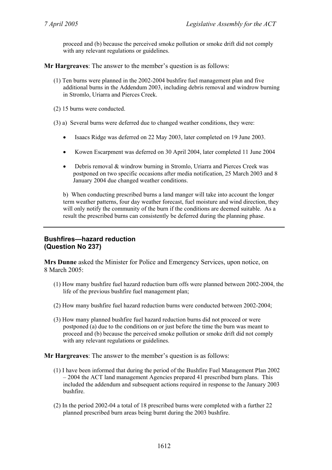proceed and (b) because the perceived smoke pollution or smoke drift did not comply with any relevant regulations or guidelines.

**Mr Hargreaves**: The answer to the member's question is as follows:

- (1) Ten burns were planned in the 2002-2004 bushfire fuel management plan and five additional burns in the Addendum 2003, including debris removal and windrow burning in Stromlo, Uriarra and Pierces Creek.
- (2) 15 burns were conducted.
- (3) a) Several burns were deferred due to changed weather conditions, they were:
	- Isaacs Ridge was deferred on 22 May 2003, later completed on 19 June 2003.
	- Kowen Escarpment was deferred on 30 April 2004, later completed 11 June 2004
	- Debris removal & windrow burning in Stromlo, Uriarra and Pierces Creek was postponed on two specific occasions after media notification, 25 March 2003 and 8 January 2004 due changed weather conditions.

b) When conducting prescribed burns a land manger will take into account the longer term weather patterns, four day weather forecast, fuel moisture and wind direction, they will only notify the community of the burn if the conditions are deemed suitable. As a result the prescribed burns can consistently be deferred during the planning phase.

# **Bushfires—hazard reduction (Question No 237)**

**Mrs Dunne** asked the Minister for Police and Emergency Services, upon notice, on 8 March 2005:

- (1) How many bushfire fuel hazard reduction burn offs were planned between 2002-2004, the life of the previous bushfire fuel management plan;
- (2) How many bushfire fuel hazard reduction burns were conducted between 2002-2004;
- (3) How many planned bushfire fuel hazard reduction burns did not proceed or were postponed (a) due to the conditions on or just before the time the burn was meant to proceed and (b) because the perceived smoke pollution or smoke drift did not comply with any relevant regulations or guidelines.

**Mr Hargreaves**: The answer to the member's question is as follows:

- (1) I have been informed that during the period of the Bushfire Fuel Management Plan 2002 – 2004 the ACT land management Agencies prepared 41 prescribed burn plans. This included the addendum and subsequent actions required in response to the January 2003 bushfire.
- (2) In the period 2002-04 a total of 18 prescribed burns were completed with a further 22 planned prescribed burn areas being burnt during the 2003 bushfire.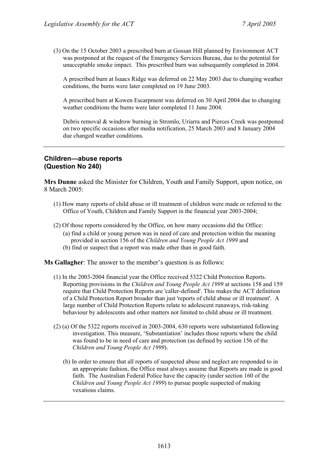(3) On the 15 October 2003 a prescribed burn at Gossan Hill planned by Environment ACT was postponed at the request of the Emergency Services Bureau, due to the potential for unacceptable smoke impact. This prescribed burn was subsequently completed in 2004.

A prescribed burn at Isaacs Ridge was deferred on 22 May 2003 due to changing weather conditions, the burns were later completed on 19 June 2003.

A prescribed burn at Kowen Escarpment was deferred on 30 April 2004 due to changing weather conditions the burns were later completed 11 June 2004.

Debris removal & windrow burning in Stromlo, Uriarra and Pierces Creek was postponed on two specific occasions after media notification, 25 March 2003 and 8 January 2004 due changed weather conditions.

### **Children—abuse reports (Question No 240)**

**Mrs Dunne** asked the Minister for Children, Youth and Family Support, upon notice, on 8 March 2005:

- (1) How many reports of child abuse or ill treatment of children were made or referred to the Office of Youth, Children and Family Support in the financial year 2003-2004;
- (2) Of those reports considered by the Office, on how many occasions did the Office:
	- (a) find a child or young person was in need of care and protection within the meaning provided in section 156 of the *Children and Young People Act 1999* and
	- (b) find or suspect that a report was made other than in good faith.

**Ms Gallagher**: The answer to the member's question is as follows:

- (1) In the 2003-2004 financial year the Office received 5322 Child Protection Reports. Reporting provisions in the *Children and Young People Act 1999* at sections 158 and 159 require that Child Protection Reports are 'caller-defined'. This makes the ACT definition of a Child Protection Report broader than just 'reports of child abuse or ill treatment'. A large number of Child Protection Reports relate to adolescent runaways, risk-taking behaviour by adolescents and other matters not limited to child abuse or ill treatment.
- (2) (a) Of the 5322 reports received in 2003-2004, 630 reports were substantiated following investigation. This measure, 'Substantiation' includes those reports where the child was found to be in need of care and protection (as defined by section 156 of the *Children and Young People Act 1999*).
	- (b) In order to ensure that all reports of suspected abuse and neglect are responded to in an appropriate fashion, the Office must always assume that Reports are made in good faith. The Australian Federal Police have the capacity (under section 160 of the *Children and Young People Act 1999*) to pursue people suspected of making vexatious claims.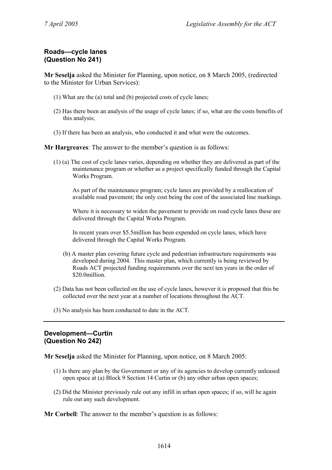# **Roads—cycle lanes (Question No 241)**

**Mr Seselja** asked the Minister for Planning, upon notice, on 8 March 2005, (redirected to the Minister for Urban Services):

- (1) What are the (a) total and (b) projected costs of cycle lanes;
- (2) Has there been an analysis of the usage of cycle lanes; if so, what are the costs benefits of this analysis;
- (3) If there has been an analysis, who conducted it and what were the outcomes.

**Mr Hargreaves**: The answer to the member's question is as follows:

(1) (a) The cost of cycle lanes varies, depending on whether they are delivered as part of the maintenance program or whether as a project specifically funded through the Capital Works Program.

As part of the maintenance program; cycle lanes are provided by a reallocation of available road pavement; the only cost being the cost of the associated line markings.

Where it is necessary to widen the pavement to provide on road cycle lanes these are delivered through the Capital Works Program.

In recent years over \$5.5million has been expended on cycle lanes, which have delivered through the Capital Works Program.

- (b) A master plan covering future cycle and pedestrian infrastructure requirements was developed during 2004. This master plan, which currently is being reviewed by Roads ACT projected funding requirements over the next ten years in the order of \$20.0million.
- (2) Data has not been collected on the use of cycle lanes, however it is proposed that this be collected over the next year at a number of locations throughout the ACT.
- (3) No analysis has been conducted to date in the ACT.

### **Development—Curtin (Question No 242)**

**Mr Seselja** asked the Minister for Planning, upon notice, on 8 March 2005:

- (1) Is there any plan by the Government or any of its agencies to develop currently unleased open space at (a) Block 9 Section 14 Curtin or (b) any other urban open spaces;
- (2) Did the Minister previously rule out any infill in urban open spaces; if so, will he again rule out any such development.

**Mr Corbell**: The answer to the member's question is as follows: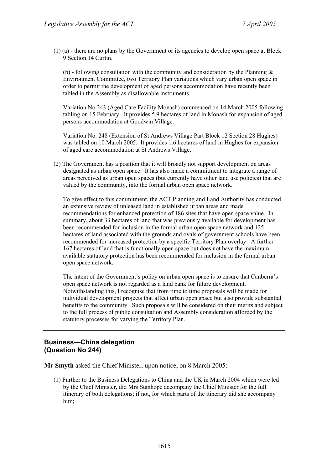(1) (a) - there are no plans by the Government or its agencies to develop open space at Block 9 Section 14 Curtin.

(b) - following consultation with the community and consideration by the Planning  $\&$ Environment Committee, two Territory Plan variations which vary urban open space in order to permit the development of aged persons accommodation have recently been tabled in the Assembly as disallowable instruments.

Variation No 243 (Aged Care Facility Monash) commenced on 14 March 2005 following tabling on 15 February. It provides 5.9 hectares of land in Monash for expansion of aged persons accommodation at Goodwin Village.

Variation No. 248 (Extension of St Andrews Village Part Block 12 Section 28 Hughes) was tabled on 10 March 2005. It provides 1.6 hectares of land in Hughes for expansion of aged care accommodation at St Andrews Village.

(2) The Government has a position that it will broadly not support development on areas designated as urban open space. It has also made a commitment to integrate a range of areas perceived as urban open spaces (but currently have other land use policies) that are valued by the community, into the formal urban open space network.

To give effect to this commitment, the ACT Planning and Land Authority has conducted an extensive review of unleased land in established urban areas and made recommendations for enhanced protection of 186 sites that have open space value. In summary, about 33 hectares of land that was previously available for development has been recommended for inclusion in the formal urban open space network and 125 hectares of land associated with the grounds and ovals of government schools have been recommended for increased protection by a specific Territory Plan overlay. A further 167 hectares of land that is functionally open space but does not have the maximum available statutory protection has been recommended for inclusion in the formal urban open space network.

The intent of the Government's policy on urban open space is to ensure that Canberra's open space network is not regarded as a land bank for future development. Notwithstanding this, I recognise that from time to time proposals will be made for individual development projects that affect urban open space but also provide substantial benefits to the community. Such proposals will be considered on their merits and subject to the full process of public consultation and Assembly consideration afforded by the statutory processes for varying the Territory Plan.

# **Business—China delegation (Question No 244)**

**Mr Smyth** asked the Chief Minister, upon notice, on 8 March 2005:

(1) Further to the Business Delegations to China and the UK in March 2004 which were led by the Chief Minister, did Mrs Stanhope accompany the Chief Minister for the full itinerary of both delegations; if not, for which parts of the itinerary did she accompany him;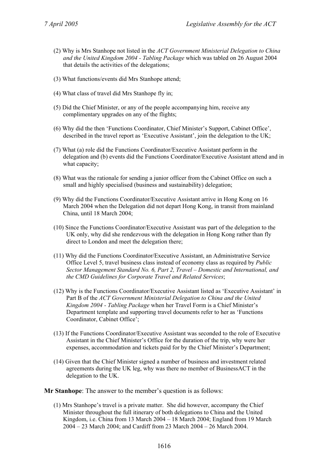- (2) Why is Mrs Stanhope not listed in the *ACT Government Ministerial Delegation to China and the United Kingdom 2004 - Tabling Package* which was tabled on 26 August 2004 that details the activities of the delegations;
- (3) What functions/events did Mrs Stanhope attend;
- (4) What class of travel did Mrs Stanhope fly in;
- (5) Did the Chief Minister, or any of the people accompanying him, receive any complimentary upgrades on any of the flights;
- (6) Why did the then 'Functions Coordinator, Chief Minister's Support, Cabinet Office', described in the travel report as 'Executive Assistant', join the delegation to the UK;
- (7) What (a) role did the Functions Coordinator/Executive Assistant perform in the delegation and (b) events did the Functions Coordinator/Executive Assistant attend and in what capacity;
- (8) What was the rationale for sending a junior officer from the Cabinet Office on such a small and highly specialised (business and sustainability) delegation;
- (9) Why did the Functions Coordinator/Executive Assistant arrive in Hong Kong on 16 March 2004 when the Delegation did not depart Hong Kong, in transit from mainland China, until 18 March 2004;
- (10) Since the Functions Coordinator/Executive Assistant was part of the delegation to the UK only, why did she rendezvous with the delegation in Hong Kong rather than fly direct to London and meet the delegation there;
- (11) Why did the Functions Coordinator/Executive Assistant, an Administrative Service Office Level 5, travel business class instead of economy class as required by *Public Sector Management Standard No. 6, Part 2, Travel – Domestic and International, and the CMD Guidelines for Corporate Travel and Related Services*;
- (12) Why is the Functions Coordinator/Executive Assistant listed as 'Executive Assistant' in Part B of the *ACT Government Ministerial Delegation to China and the United Kingdom 2004 - Tabling Package* when her Travel Form is a Chief Minister's Department template and supporting travel documents refer to her as 'Functions Coordinator, Cabinet Office';
- (13) If the Functions Coordinator/Executive Assistant was seconded to the role of Executive Assistant in the Chief Minister's Office for the duration of the trip, why were her expenses, accommodation and tickets paid for by the Chief Minister's Department;
- (14) Given that the Chief Minister signed a number of business and investment related agreements during the UK leg, why was there no member of BusinessACT in the delegation to the UK.

**Mr Stanhope**: The answer to the member's question is as follows:

(1) Mrs Stanhope's travel is a private matter. She did however, accompany the Chief Minister throughout the full itinerary of both delegations to China and the United Kingdom, i.e. China from 13 March 2004 – 18 March 2004; England from 19 March 2004 – 23 March 2004; and Cardiff from 23 March 2004 – 26 March 2004.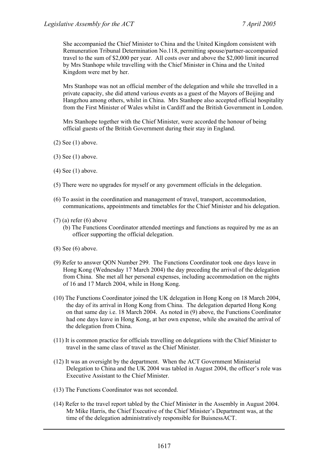She accompanied the Chief Minister to China and the United Kingdom consistent with Remuneration Tribunal Determination No.118, permitting spouse/partner-accompanied travel to the sum of \$2,000 per year. All costs over and above the \$2,000 limit incurred by Mrs Stanhope while travelling with the Chief Minister in China and the United Kingdom were met by her.

Mrs Stanhope was not an official member of the delegation and while she travelled in a private capacity, she did attend various events as a guest of the Mayors of Beijing and Hangzhou among others, whilst in China. Mrs Stanhope also accepted official hospitality from the First Minister of Wales whilst in Cardiff and the British Government in London.

Mrs Stanhope together with the Chief Minister, were accorded the honour of being official guests of the British Government during their stay in England.

- (2) See (1) above.
- (3) See (1) above.
- (4) See (1) above.
- (5) There were no upgrades for myself or any government officials in the delegation.
- (6) To assist in the coordination and management of travel, transport, accommodation, communications, appointments and timetables for the Chief Minister and his delegation.
- $(7)$  (a) refer (6) above
	- (b) The Functions Coordinator attended meetings and functions as required by me as an officer supporting the official delegation.
- (8) See (6) above.
- (9) Refer to answer QON Number 299. The Functions Coordinator took one days leave in Hong Kong (Wednesday 17 March 2004) the day preceding the arrival of the delegation from China. She met all her personal expenses, including accommodation on the nights of 16 and 17 March 2004, while in Hong Kong.
- (10) The Functions Coordinator joined the UK delegation in Hong Kong on 18 March 2004, the day of its arrival in Hong Kong from China. The delegation departed Hong Kong on that same day i.e. 18 March 2004. As noted in (9) above, the Functions Coordinator had one days leave in Hong Kong, at her own expense, while she awaited the arrival of the delegation from China.
- (11) It is common practice for officials travelling on delegations with the Chief Minister to travel in the same class of travel as the Chief Minister.
- (12) It was an oversight by the department. When the ACT Government Ministerial Delegation to China and the UK 2004 was tabled in August 2004, the officer's role was Executive Assistant to the Chief Minister.
- (13) The Functions Coordinator was not seconded.
- (14) Refer to the travel report tabled by the Chief Minister in the Assembly in August 2004. Mr Mike Harris, the Chief Executive of the Chief Minister's Department was, at the time of the delegation administratively responsible for BuisnessACT.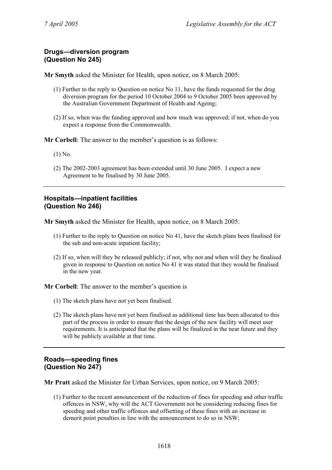### **Drugs—diversion program (Question No 245)**

**Mr Smyth** asked the Minister for Health, upon notice, on 8 March 2005:

- (1) Further to the reply to Question on notice No 11, have the funds requested for the drug diversion program for the period 10 October 2004 to 9 October 2005 been approved by the Australian Government Department of Health and Ageing;
- (2) If so, when was the funding approved and how much was approved; if not, when do you expect a response from the Commonwealth.

**Mr Corbell**: The answer to the member's question is as follows:

- (1) No.
- (2) The 2002-2003 agreement has been extended until 30 June 2005. I expect a new Agreement to be finalised by 30 June 2005.

### **Hospitals—inpatient facilities (Question No 246)**

**Mr Smyth** asked the Minister for Health, upon notice, on 8 March 2005:

- (1) Further to the reply to Question on notice No 41, have the sketch plans been finalised for the sub and non-acute inpatient facility;
- (2) If so, when will they be released publicly; if not, why not and when will they be finalised given in response to Question on notice No 41 it was stated that they would be finalised in the new year.

**Mr Corbell**: The answer to the member's question is

- (1) The sketch plans have not yet been finalised.
- (2) The sketch plans have not yet been finalised as additional time has been allocated to this part of the process in order to ensure that the design of the new facility will meet user requirements. It is anticipated that the plans will be finalized in the near future and they will be publicly available at that time.

### **Roads—speeding fines (Question No 247)**

**Mr Pratt** asked the Minister for Urban Services, upon notice, on 9 March 2005:

(1) Further to the recent announcement of the reduction of fines for speeding and other traffic offences in NSW, why will the ACT Government not be considering reducing fines for speeding and other traffic offences and offsetting of these fines with an increase in demerit point penalties in line with the announcement to do so in NSW;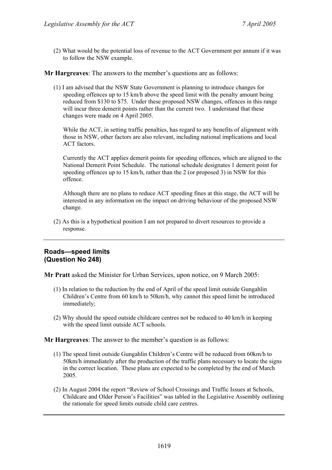(2) What would be the potential loss of revenue to the ACT Government per annum if it was to follow the NSW example.

**Mr Hargreaves**: The answers to the member's questions are as follows:

(1) I am advised that the NSW State Government is planning to introduce changes for speeding offences up to 15 km/h above the speed limit with the penalty amount being reduced from \$130 to \$75. Under these proposed NSW changes, offences in this range will incur three demerit points rather than the current two. I understand that these changes were made on 4 April 2005.

While the ACT, in setting traffic penalties, has regard to any benefits of alignment with those in NSW, other factors are also relevant, including national implications and local ACT factors.

Currently the ACT applies demerit points for speeding offences, which are aligned to the National Demerit Point Schedule. The national schedule designates 1 demerit point for speeding offences up to 15 km/h, rather than the 2 (or proposed 3) in NSW for this offence.

Although there are no plans to reduce ACT speeding fines at this stage, the ACT will be interested in any information on the impact on driving behaviour of the proposed NSW change.

(2) As this is a hypothetical position I am not prepared to divert resources to provide a response.

# **Roads—speed limits (Question No 248)**

**Mr Pratt** asked the Minister for Urban Services, upon notice, on 9 March 2005:

- (1) In relation to the reduction by the end of April of the speed limit outside Gungahlin Children's Centre from 60 km/h to 50km/h, why cannot this speed limit be introduced immediately;
- (2) Why should the speed outside childcare centres not be reduced to 40 km/h in keeping with the speed limit outside ACT schools.

**Mr Hargreaves**: The answer to the member's question is as follows:

- (1) The speed limit outside Gungahlin Children's Centre will be reduced from 60km/h to 50km/h immediately after the production of the traffic plans necessary to locate the signs in the correct location. These plans are expected to be completed by the end of March 2005.
- (2) In August 2004 the report "Review of School Crossings and Traffic Issues at Schools, Childcare and Older Person's Facilities" was tabled in the Legislative Assembly outlining the rationale for speed limits outside child care centres.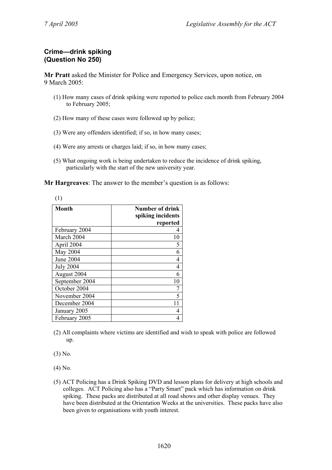# **Crime—drink spiking (Question No 250)**

**Mr Pratt** asked the Minister for Police and Emergency Services, upon notice, on 9 March 2005:

- (1) How many cases of drink spiking were reported to police each month from February 2004 to February 2005;
- (2) How many of these cases were followed up by police;
- (3) Were any offenders identified; if so, in how many cases;
- (4) Were any arrests or charges laid; if so, in how many cases;
- (5) What ongoing work is being undertaken to reduce the incidence of drink spiking, particularly with the start of the new university year.

**Mr Hargreaves**: The answer to the member's question is as follows:

| (1)              |                                             |
|------------------|---------------------------------------------|
| <b>Month</b>     | <b>Number of drink</b><br>spiking incidents |
|                  | reported                                    |
| February 2004    |                                             |
| March 2004       | 10                                          |
| April 2004       | 5                                           |
| May 2004         | 6                                           |
| June 2004        | 4                                           |
| <b>July 2004</b> | 4                                           |
| August 2004      | 6                                           |
| September 2004   | 10                                          |
| October 2004     | 7                                           |
| November 2004    | 5                                           |
| December 2004    | 11                                          |
| January 2005     | 4                                           |
| February 2005    |                                             |

- 
- (2) All complaints where victims are identified and wish to speak with police are followed up.

(3) No.

(4) No.

(5) ACT Policing has a Drink Spiking DVD and lesson plans for delivery at high schools and colleges. ACT Policing also has a "Party Smart" pack which has information on drink spiking. These packs are distributed at all road shows and other display venues. They have been distributed at the Orientation Weeks at the universities. These packs have also been given to organisations with youth interest.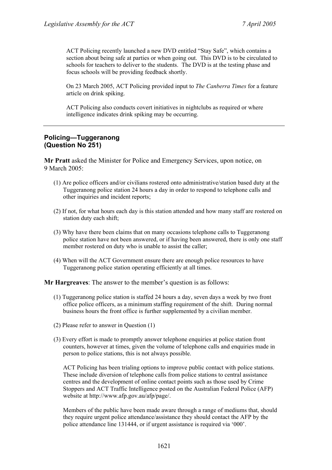ACT Policing recently launched a new DVD entitled "Stay Safe", which contains a section about being safe at parties or when going out. This DVD is to be circulated to schools for teachers to deliver to the students. The DVD is at the testing phase and focus schools will be providing feedback shortly.

On 23 March 2005, ACT Policing provided input to *The Canberra Times* for a feature article on drink spiking.

ACT Policing also conducts covert initiatives in nightclubs as required or where intelligence indicates drink spiking may be occurring.

### **Policing—Tuggeranong (Question No 251)**

**Mr Pratt** asked the Minister for Police and Emergency Services, upon notice, on 9 March 2005:

- (1) Are police officers and/or civilians rostered onto administrative/station based duty at the Tuggeranong police station 24 hours a day in order to respond to telephone calls and other inquiries and incident reports;
- (2) If not, for what hours each day is this station attended and how many staff are rostered on station duty each shift;
- (3) Why have there been claims that on many occasions telephone calls to Tuggeranong police station have not been answered, or if having been answered, there is only one staff member rostered on duty who is unable to assist the caller;
- (4) When will the ACT Government ensure there are enough police resources to have Tuggeranong police station operating efficiently at all times.

**Mr Hargreaves**: The answer to the member's question is as follows:

- (1) Tuggeranong police station is staffed 24 hours a day, seven days a week by two front office police officers, as a minimum staffing requirement of the shift. During normal business hours the front office is further supplemented by a civilian member.
- (2) Please refer to answer in Question (1)
- (3) Every effort is made to promptly answer telephone enquiries at police station front counters, however at times, given the volume of telephone calls and enquiries made in person to police stations, this is not always possible.

ACT Policing has been trialing options to improve public contact with police stations. These include diversion of telephone calls from police stations to central assistance centres and the development of online contact points such as those used by Crime Stoppers and ACT Traffic Intelligence posted on the Australian Federal Police (AFP) website at http://www.afp.gov.au/afp/page/.

Members of the public have been made aware through a range of mediums that, should they require urgent police attendance/assistance they should contact the AFP by the police attendance line 131444, or if urgent assistance is required via '000'.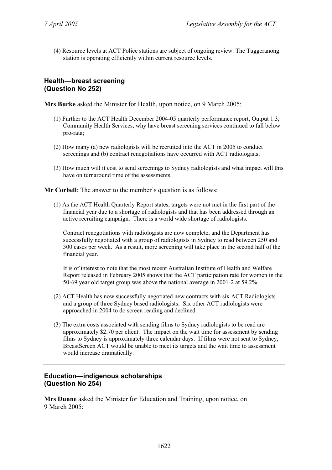(4) Resource levels at ACT Police stations are subject of ongoing review. The Tuggeranong station is operating efficiently within current resource levels.

# **Health—breast screening (Question No 252)**

**Mrs Burke** asked the Minister for Health, upon notice, on 9 March 2005:

- (1) Further to the ACT Health December 2004-05 quarterly performance report, Output 1.3, Community Health Services, why have breast screening services continued to fall below pro-rata;
- (2) How many (a) new radiologists will be recruited into the ACT in 2005 to conduct screenings and (b) contract renegotiations have occurred with ACT radiologists;
- (3) How much will it cost to send screenings to Sydney radiologists and what impact will this have on turnaround time of the assessments.

**Mr Corbell**: The answer to the member's question is as follows:

(1) As the ACT Health Quarterly Report states, targets were not met in the first part of the financial year due to a shortage of radiologists and that has been addressed through an active recruiting campaign. There is a world wide shortage of radiologists.

Contract renegotiations with radiologists are now complete, and the Department has successfully negotiated with a group of radiologists in Sydney to read between 250 and 300 cases per week. As a result, more screening will take place in the second half of the financial year.

It is of interest to note that the most recent Australian Institute of Health and Welfare Report released in February 2005 shows that the ACT participation rate for women in the 50-69 year old target group was above the national average in 2001-2 at 59.2%.

- (2) ACT Health has now successfully negotiated new contracts with six ACT Radiologists and a group of three Sydney based radiologists. Six other ACT radiologists were approached in 2004 to do screen reading and declined.
- (3) The extra costs associated with sending films to Sydney radiologists to be read are approximately \$2.70 per client. The impact on the wait time for assessment by sending films to Sydney is approximately three calendar days. If films were not sent to Sydney, BreastScreen ACT would be unable to meet its targets and the wait time to assessment would increase dramatically.

# **Education—indigenous scholarships (Question No 254)**

**Mrs Dunne** asked the Minister for Education and Training, upon notice, on 9 March 2005: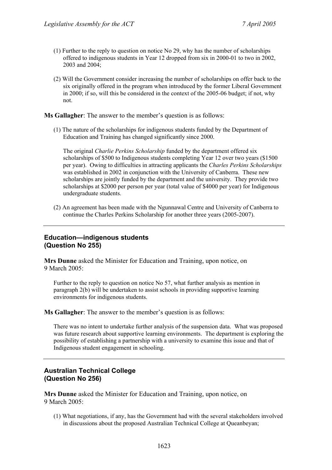- (1) Further to the reply to question on notice No 29, why has the number of scholarships offered to indigenous students in Year 12 dropped from six in 2000-01 to two in 2002, 2003 and 2004;
- (2) Will the Government consider increasing the number of scholarships on offer back to the six originally offered in the program when introduced by the former Liberal Government in 2000; if so, will this be considered in the context of the 2005-06 budget; if not, why not.

**Ms Gallagher**: The answer to the member's question is as follows:

(1) The nature of the scholarships for indigenous students funded by the Department of Education and Training has changed significantly since 2000.

The original *Charlie Perkins Scholarship* funded by the department offered six scholarships of \$500 to Indigenous students completing Year 12 over two years (\$1500 per year). Owing to difficulties in attracting applicants the *Charles Perkins Scholarships*  was established in 2002 in conjunction with the University of Canberra. These new scholarships are jointly funded by the department and the university. They provide two scholarships at \$2000 per person per year (total value of \$4000 per year) for Indigenous undergraduate students.

(2) An agreement has been made with the Ngunnawal Centre and University of Canberra to continue the Charles Perkins Scholarship for another three years (2005-2007).

# **Education—indigenous students (Question No 255)**

**Mrs Dunne** asked the Minister for Education and Training, upon notice, on 9 March 2005:

Further to the reply to question on notice No 57, what further analysis as mention in paragraph 2(b) will be undertaken to assist schools in providing supportive learning environments for indigenous students.

**Ms Gallagher**: The answer to the member's question is as follows:

There was no intent to undertake further analysis of the suspension data. What was proposed was future research about supportive learning environments. The department is exploring the possibility of establishing a partnership with a university to examine this issue and that of Indigenous student engagement in schooling.

# **Australian Technical College (Question No 256)**

**Mrs Dunne** asked the Minister for Education and Training, upon notice, on 9 March 2005:

(1) What negotiations, if any, has the Government had with the several stakeholders involved in discussions about the proposed Australian Technical College at Queanbeyan;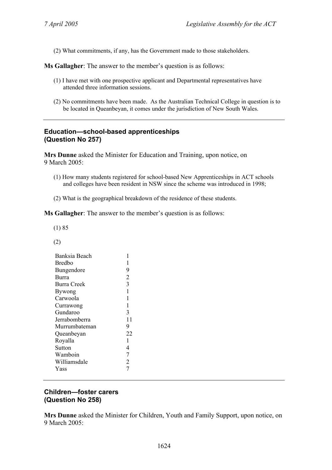(2) What commitments, if any, has the Government made to those stakeholders.

**Ms Gallagher**: The answer to the member's question is as follows:

- (1) I have met with one prospective applicant and Departmental representatives have attended three information sessions.
- (2) No commitments have been made. As the Australian Technical College in question is to be located in Queanbeyan, it comes under the jurisdiction of New South Wales.

# **Education—school-based apprenticeships (Question No 257)**

**Mrs Dunne** asked the Minister for Education and Training, upon notice, on 9 March 2005:

- (1) How many students registered for school-based New Apprenticeships in ACT schools and colleges have been resident in NSW since the scheme was introduced in 1998;
- (2) What is the geographical breakdown of the residence of these students.

**Ms Gallagher**: The answer to the member's question is as follows:

(1) 85

(2)

| Banksia Beach      | 1              |
|--------------------|----------------|
| <b>Bredbo</b>      | $\mathbf{1}$   |
| Bungendore         | 9              |
| Burra              | $\overline{2}$ |
| <b>Burra Creek</b> | $\overline{3}$ |
| Bywong             | $\mathbf{1}$   |
| Carwoola           | $\mathbf{1}$   |
| Currawong          | $\mathbf{1}$   |
| Gundaroo           | 3              |
| Jerrabomberra      | 11             |
| Murrumbateman      | 9              |
| Queanbeyan         | 22             |
| Royalla            | 1              |
| Sutton             | $\overline{4}$ |
| Wamboin            | $\overline{7}$ |
| Williamsdale       | $\overline{2}$ |
| Yass               | $\overline{7}$ |
|                    |                |

### **Children—foster carers (Question No 258)**

**Mrs Dunne** asked the Minister for Children, Youth and Family Support, upon notice, on 9 March 2005: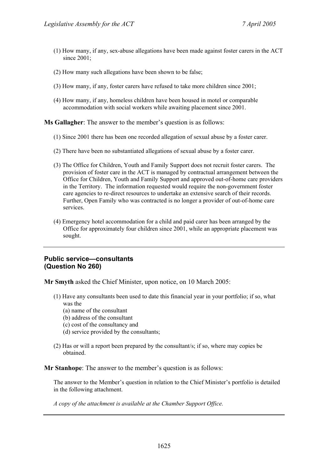- (1) How many, if any, sex-abuse allegations have been made against foster carers in the ACT since 2001;
- (2) How many such allegations have been shown to be false;
- (3) How many, if any, foster carers have refused to take more children since 2001;
- (4) How many, if any, homeless children have been housed in motel or comparable accommodation with social workers while awaiting placement since 2001.

**Ms Gallagher**: The answer to the member's question is as follows:

- (1) Since 2001 there has been one recorded allegation of sexual abuse by a foster carer.
- (2) There have been no substantiated allegations of sexual abuse by a foster carer.
- (3) The Office for Children, Youth and Family Support does not recruit foster carers. The provision of foster care in the ACT is managed by contractual arrangement between the Office for Children, Youth and Family Support and approved out-of-home care providers in the Territory. The information requested would require the non-government foster care agencies to re-direct resources to undertake an extensive search of their records. Further, Open Family who was contracted is no longer a provider of out-of-home care services.
- (4) Emergency hotel accommodation for a child and paid carer has been arranged by the Office for approximately four children since 2001, while an appropriate placement was sought.

#### **Public service—consultants (Question No 260)**

**Mr Smyth** asked the Chief Minister, upon notice, on 10 March 2005:

- (1) Have any consultants been used to date this financial year in your portfolio; if so, what was the
	- (a) name of the consultant
	- (b) address of the consultant
	- (c) cost of the consultancy and
	- (d) service provided by the consultants;
- (2) Has or will a report been prepared by the consultant/s; if so, where may copies be obtained.

**Mr Stanhope**: The answer to the member's question is as follows:

The answer to the Member's question in relation to the Chief Minister's portfolio is detailed in the following attachment.

*A copy of the attachment is available at the Chamber Support Office.*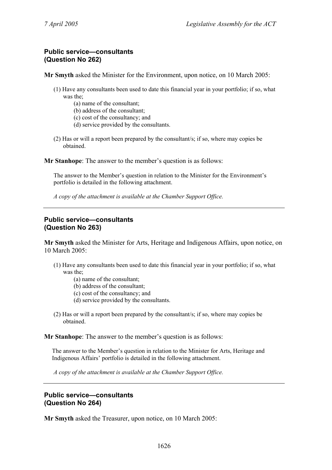# **Public service—consultants (Question No 262)**

**Mr Smyth** asked the Minister for the Environment, upon notice, on 10 March 2005:

- (1) Have any consultants been used to date this financial year in your portfolio; if so, what was the<sup>:</sup>
	- (a) name of the consultant;
	- (b) address of the consultant;
	- (c) cost of the consultancy; and
	- (d) service provided by the consultants.
- (2) Has or will a report been prepared by the consultant/s; if so, where may copies be obtained.

**Mr Stanhope**: The answer to the member's question is as follows:

The answer to the Member's question in relation to the Minister for the Environment's portfolio is detailed in the following attachment.

*A copy of the attachment is available at the Chamber Support Office.* 

# **Public service—consultants (Question No 263)**

**Mr Smyth** asked the Minister for Arts, Heritage and Indigenous Affairs, upon notice, on 10 March 2005:

- (1) Have any consultants been used to date this financial year in your portfolio; if so, what was the;
	- (a) name of the consultant;
	- (b) address of the consultant;
	- (c) cost of the consultancy; and
	- (d) service provided by the consultants.
- (2) Has or will a report been prepared by the consultant/s; if so, where may copies be obtained.

**Mr Stanhope**: The answer to the member's question is as follows:

The answer to the Member's question in relation to the Minister for Arts, Heritage and Indigenous Affairs' portfolio is detailed in the following attachment.

*A copy of the attachment is available at the Chamber Support Office.* 

#### **Public service—consultants (Question No 264)**

**Mr Smyth** asked the Treasurer, upon notice, on 10 March 2005: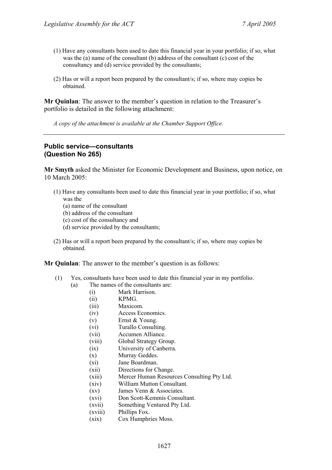- (1) Have any consultants been used to date this financial year in your portfolio; if so, what was the (a) name of the consultant (b) address of the consultant (c) cost of the consultancy and (d) service provided by the consultants;
- (2) Has or will a report been prepared by the consultant/s; if so, where may copies be obtained.

**Mr Quinlan**: The answer to the member's question in relation to the Treasurer's portfolio is detailed in the following attachment:

*A copy of the attachment is available at the Chamber Support Office.* 

#### **Public service—consultants (Question No 265)**

**Mr Smyth** asked the Minister for Economic Development and Business, upon notice, on 10 March 2005:

- (1) Have any consultants been used to date this financial year in your portfolio; if so, what was the
	- (a) name of the consultant
	- (b) address of the consultant
	- (c) cost of the consultancy and
	- (d) service provided by the consultants;
- (2) Has or will a report been prepared by the consultant/s; if so, where may copies be obtained.

**Mr Quinlan**: The answer to the member's question is as follows:

- (1) Yes, consultants have been used to date this financial year in my portfolio.
	- (a) The names of the consultants are:
		- (i) Mark Harrison.
		- (ii) KPMG.
		- (iii) Maxicom.
		- (iv) Access Economics.
		- (v) Ernst & Young.
		- (vi) Turallo Consulting.
		- (vii) Accumen Alliance.
		- (viii) Global Strategy Group.
		- (ix) University of Canberra.
		- (x) Murray Geddes.
		- (xi) Jane Boardman.
		- (xii) Directions for Change.
		- (xiii) Mercer Human Resources Consulting Pty Ltd.
		- (xiv) William Mutton Consultant.
		- (xv) James Venn & Associates.
		- (xvi) Don Scott-Kemmis Consultant.
		- (xvii) Something Ventured Pty Ltd.
		- (xviii) Phillips Fox.
		- (xix) Cox Humphries Moss.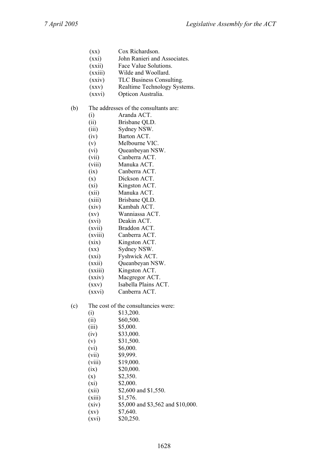- (xx) Cox Richardson.
- (xxi) John Ranieri and Associates.
- (xxii) Face Value Solutions.
- (xxiii) Wilde and Woollard.
- (xxiv) TLC Business Consulting.
- (xxv) Realtime Technology Systems.
- (xxvi) Opticon Australia.
- (b) The addresses of the consultants are:
	- (i) Aranda ACT.
	- (ii) Brisbane QLD.
	- (iii) Sydney NSW.
	- (iv) Barton ACT.
	- (v) Melbourne VIC.
	- (vi) Queanbeyan NSW.
	- (vii) Canberra ACT.
	- (viii) Manuka ACT.
	- (ix) Canberra ACT.
	- (x) Dickson ACT.
	- (xi) Kingston ACT.
	- (xii) Manuka ACT.
	- (xiii) Brisbane QLD.
	- (xiv) Kambah ACT.
	- (xv) Wanniassa ACT.
	- (xvi) Deakin ACT.
	- (xvii) Braddon ACT.
	- (xviii) Canberra ACT.
	- (xix) Kingston ACT.
	- (xx) Sydney NSW. (xxi) Fyshwick ACT.
	-
	- (xxii) Queanbeyan NSW.
	- (xxiii) Kingston ACT.
	- (xxiv) Macgregor ACT.
	- (xxv) Isabella Plains ACT.
	- (xxvi) Canberra ACT.
- (c) The cost of the consultancies were:
	- $(i)$  \$13,200. (ii)  $$60,500.$  (iii) \$5,000.  $(iv)$  \$33,000. (v)  $$31,500.$  $(vi)$  \$6,000. (vii) \$9,999. (viii) \$19,000.  $(ix)$  \$20,000.  $(x)$  \$2,350.
	- $(xi)$  \$2,000.
	- (xii) \$2,600 and \$1,550.
	- (xiii) \$1,576.
	- (xiv) \$5,000 and \$3,562 and \$10,000.
	- $(xv)$  \$7,640.
	- $(xvi)$  \$20,250.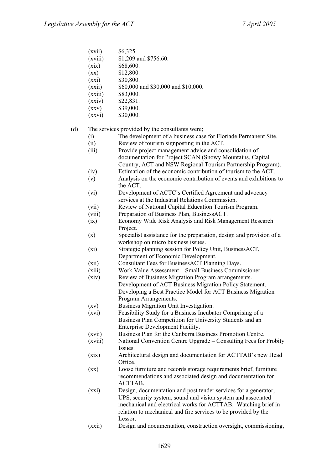- $(xvii)$  \$6,325.
- (xviii) \$1,209 and \$756.60.
- $(xix)$  \$68,600.
- $(xx)$  \$12,800.
- $(xxi)$  \$30,800.
- (xxii) \$60,000 and \$30,000 and \$10,000.
- (xxiii) \$83,000.
- $(xxiv)$  \$22,831.
- $(xxy)$  \$39,000.
- $(xxyi)$  \$30,000.

#### (d) The services provided by the consultants were;

- (i) The development of a business case for Floriade Permanent Site.
- (ii) Review of tourism signposting in the ACT.
- (iii) Provide project management advice and consolidation of documentation for Project SCAN (Snowy Mountains, Capital Country, ACT and NSW Regional Tourism Partnership Program).
- (iv) Estimation of the economic contribution of tourism to the ACT.
- (v) Analysis on the economic contribution of events and exhibitions to the ACT.
- (vi) Development of ACTC's Certified Agreement and advocacy services at the Industrial Relations Commission.
- (vii) Review of National Capital Education Tourism Program.
- (viii) Preparation of Business Plan, BusinessACT.
- (ix) Economy Wide Risk Analysis and Risk Management Research Project.
- (x) Specialist assistance for the preparation, design and provision of a workshop on micro business issues.
- (xi) Strategic planning session for Policy Unit, BusinessACT, Department of Economic Development.
- (xii) Consultant Fees for BusinessACT Planning Days.
- (xiii) Work Value Assessment Small Business Commissioner.
- (xiv) Review of Business Migration Program arrangements. Development of ACT Business Migration Policy Statement. Developing a Best Practice Model for ACT Business Migration Program Arrangements.
- (xv) Business Migration Unit Investigation.
- (xvi) Feasibility Study for a Business Incubator Comprising of a Business Plan Competition for University Students and an Enterprise Development Facility.
- (xvii) Business Plan for the Canberra Business Promotion Centre.
- (xviii) National Convention Centre Upgrade Consulting Fees for Probity **Issues**.
- (xix) Architectural design and documentation for ACTTAB's new Head Office.
- (xx) Loose furniture and records storage requirements brief, furniture recommendations and associated design and documentation for ACTTAB.
- (xxi) Design, documentation and post tender services for a generator, UPS, security system, sound and vision system and associated mechanical and electrical works for ACTTAB. Watching brief in relation to mechanical and fire services to be provided by the Lessor.
- (xxii) Design and documentation, construction oversight, commissioning,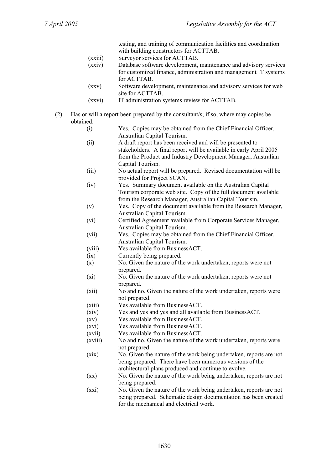testing, and training of communication facilities and coordination with building constructors for ACTTAB.

- (xxiii) Surveyor services for ACTTAB.
- (xxiv) Database software development, maintenance and advisory services for customized finance, administration and management IT systems for ACTTAB.
- (xxv) Software development, maintenance and advisory services for web site for ACTTAB.
- (xxvi) IT administration systems review for ACTTAB.
- (2) Has or will a report been prepared by the consultant/s; if so, where may copies be obtained.
	- (i) Yes. Copies may be obtained from the Chief Financial Officer, Australian Capital Tourism.
	- (ii) A draft report has been received and will be presented to stakeholders. A final report will be available in early April 2005 from the Product and Industry Development Manager, Australian Capital Tourism.
	- (iii) No actual report will be prepared. Revised documentation will be provided for Project SCAN.
	- (iv) Yes. Summary document available on the Australian Capital Tourism corporate web site. Copy of the full document available from the Research Manager, Australian Capital Tourism.
	- (v) Yes. Copy of the document available from the Research Manager, Australian Capital Tourism.
	- (vi) Certified Agreement available from Corporate Services Manager, Australian Capital Tourism.
	- (vii) Yes. Copies may be obtained from the Chief Financial Officer, Australian Capital Tourism.
	- (viii) Yes available from BusinessACT.
	- (ix) Currently being prepared.
	- (x) No. Given the nature of the work undertaken, reports were not prepared.
	- (xi) No. Given the nature of the work undertaken, reports were not prepared.
	- (xii) No and no. Given the nature of the work undertaken, reports were not prepared.
	- (xiii) Yes available from BusinessACT.
	- (xiv) Yes and yes and yes and all available from BusinessACT.
	- (xv) Yes available from BusinessACT.
	- (xvi) Yes available from BusinessACT.
	- (xvii) Yes available from BusinessACT.
	- (xviii) No and no. Given the nature of the work undertaken, reports were not prepared.
	- (xix) No. Given the nature of the work being undertaken, reports are not being prepared. There have been numerous versions of the architectural plans produced and continue to evolve.
	- (xx) No. Given the nature of the work being undertaken, reports are not being prepared.
	- (xxi) No. Given the nature of the work being undertaken, reports are not being prepared. Schematic design documentation has been created for the mechanical and electrical work.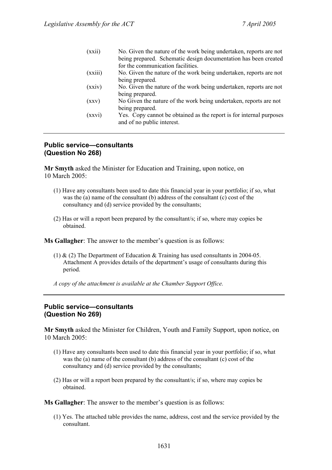| (xxii)  | No. Given the nature of the work being undertaken, reports are not  |
|---------|---------------------------------------------------------------------|
|         | being prepared. Schematic design documentation has been created     |
|         | for the communication facilities.                                   |
| (xxiii) | No. Given the nature of the work being undertaken, reports are not  |
|         | being prepared.                                                     |
| (xxiv)  | No. Given the nature of the work being undertaken, reports are not  |
|         | being prepared.                                                     |
| (xxy)   | No Given the nature of the work being undertaken, reports are not   |
|         | being prepared.                                                     |
| (xxvi)  | Yes. Copy cannot be obtained as the report is for internal purposes |
|         | and of no public interest.                                          |
|         |                                                                     |

#### **Public service—consultants (Question No 268)**

**Mr Smyth** asked the Minister for Education and Training, upon notice, on 10 March 2005:

- (1) Have any consultants been used to date this financial year in your portfolio; if so, what was the (a) name of the consultant (b) address of the consultant (c) cost of the consultancy and (d) service provided by the consultants;
- (2) Has or will a report been prepared by the consultant/s; if so, where may copies be obtained.

**Ms Gallagher**: The answer to the member's question is as follows:

(1)  $\&$  (2) The Department of Education  $\&$  Training has used consultants in 2004-05. Attachment A provides details of the department's usage of consultants during this period.

*A copy of the attachment is available at the Chamber Support Office.* 

## **Public service—consultants (Question No 269)**

**Mr Smyth** asked the Minister for Children, Youth and Family Support, upon notice, on 10 March 2005:

- (1) Have any consultants been used to date this financial year in your portfolio; if so, what was the (a) name of the consultant (b) address of the consultant (c) cost of the consultancy and (d) service provided by the consultants;
- (2) Has or will a report been prepared by the consultant/s; if so, where may copies be obtained.

**Ms Gallagher**: The answer to the member's question is as follows:

(1) Yes. The attached table provides the name, address, cost and the service provided by the consultant.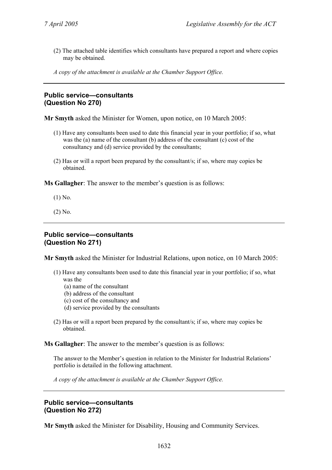- (2) The attached table identifies which consultants have prepared a report and where copies may be obtained.
- *A copy of the attachment is available at the Chamber Support Office.*

## **Public service—consultants (Question No 270)**

**Mr Smyth** asked the Minister for Women, upon notice, on 10 March 2005:

- (1) Have any consultants been used to date this financial year in your portfolio; if so, what was the (a) name of the consultant (b) address of the consultant (c) cost of the consultancy and (d) service provided by the consultants;
- (2) Has or will a report been prepared by the consultant/s; if so, where may copies be obtained.

**Ms Gallagher**: The answer to the member's question is as follows:

- (1) No.
- (2) No.

#### **Public service—consultants (Question No 271)**

**Mr Smyth** asked the Minister for Industrial Relations, upon notice, on 10 March 2005:

- (1) Have any consultants been used to date this financial year in your portfolio; if so, what was the
	- (a) name of the consultant
	- (b) address of the consultant
	- (c) cost of the consultancy and
	- (d) service provided by the consultants
- (2) Has or will a report been prepared by the consultant/s; if so, where may copies be obtained.

**Ms Gallagher**: The answer to the member's question is as follows:

The answer to the Member's question in relation to the Minister for Industrial Relations' portfolio is detailed in the following attachment.

*A copy of the attachment is available at the Chamber Support Office.* 

#### **Public service—consultants (Question No 272)**

**Mr Smyth** asked the Minister for Disability, Housing and Community Services.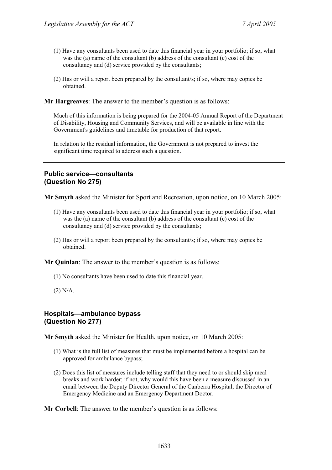- (1) Have any consultants been used to date this financial year in your portfolio; if so, what was the (a) name of the consultant (b) address of the consultant (c) cost of the consultancy and (d) service provided by the consultants;
- (2) Has or will a report been prepared by the consultant/s; if so, where may copies be obtained.
- **Mr Hargreaves**: The answer to the member's question is as follows:

Much of this information is being prepared for the 2004-05 Annual Report of the Department of Disability, Housing and Community Services, and will be available in line with the Government's guidelines and timetable for production of that report.

In relation to the residual information, the Government is not prepared to invest the significant time required to address such a question.

# **Public service—consultants (Question No 275)**

**Mr Smyth** asked the Minister for Sport and Recreation, upon notice, on 10 March 2005:

- (1) Have any consultants been used to date this financial year in your portfolio; if so, what was the (a) name of the consultant (b) address of the consultant (c) cost of the consultancy and (d) service provided by the consultants;
- (2) Has or will a report been prepared by the consultant/s; if so, where may copies be obtained.

**Mr Quinlan**: The answer to the member's question is as follows:

- (1) No consultants have been used to date this financial year.
- (2) N/A.

#### **Hospitals—ambulance bypass (Question No 277)**

**Mr Smyth** asked the Minister for Health, upon notice, on 10 March 2005:

- (1) What is the full list of measures that must be implemented before a hospital can be approved for ambulance bypass;
- (2) Does this list of measures include telling staff that they need to or should skip meal breaks and work harder; if not, why would this have been a measure discussed in an email between the Deputy Director General of the Canberra Hospital, the Director of Emergency Medicine and an Emergency Department Doctor.

**Mr Corbell**: The answer to the member's question is as follows: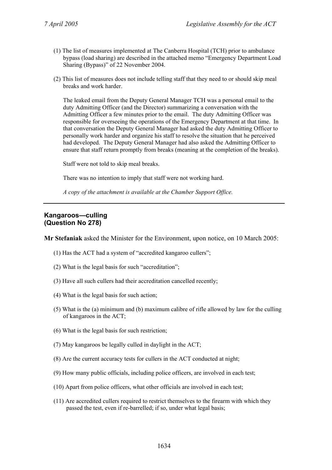- (1) The list of measures implemented at The Canberra Hospital (TCH) prior to ambulance bypass (load sharing) are described in the attached memo "Emergency Department Load Sharing (Bypass)" of 22 November 2004.
- (2) This list of measures does not include telling staff that they need to or should skip meal breaks and work harder.

The leaked email from the Deputy General Manager TCH was a personal email to the duty Admitting Officer (and the Director) summarizing a conversation with the Admitting Officer a few minutes prior to the email. The duty Admitting Officer was responsible for overseeing the operations of the Emergency Department at that time. In that conversation the Deputy General Manager had asked the duty Admitting Officer to personally work harder and organize his staff to resolve the situation that he perceived had developed. The Deputy General Manager had also asked the Admitting Officer to ensure that staff return promptly from breaks (meaning at the completion of the breaks).

Staff were not told to skip meal breaks.

There was no intention to imply that staff were not working hard.

*A copy of the attachment is available at the Chamber Support Office.* 

## **Kangaroos—culling (Question No 278)**

**Mr Stefaniak** asked the Minister for the Environment, upon notice, on 10 March 2005:

- (1) Has the ACT had a system of "accredited kangaroo cullers";
- (2) What is the legal basis for such "accreditation";
- (3) Have all such cullers had their accreditation cancelled recently;
- (4) What is the legal basis for such action;
- (5) What is the (a) minimum and (b) maximum calibre of rifle allowed by law for the culling of kangaroos in the ACT;
- (6) What is the legal basis for such restriction;
- (7) May kangaroos be legally culled in daylight in the ACT;
- (8) Are the current accuracy tests for cullers in the ACT conducted at night;
- (9) How many public officials, including police officers, are involved in each test;
- (10) Apart from police officers, what other officials are involved in each test;
- (11) Are accredited cullers required to restrict themselves to the firearm with which they passed the test, even if re-barrelled; if so, under what legal basis;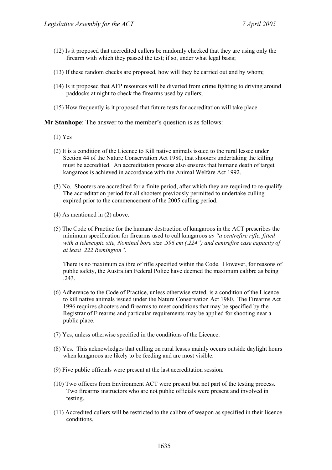- (12) Is it proposed that accredited cullers be randomly checked that they are using only the firearm with which they passed the test; if so, under what legal basis;
- (13) If these random checks are proposed, how will they be carried out and by whom;
- (14) Is it proposed that AFP resources will be diverted from crime fighting to driving around paddocks at night to check the firearms used by cullers;
- (15) How frequently is it proposed that future tests for accreditation will take place.

**Mr Stanhope**: The answer to the member's question is as follows:

- (1) Yes
- (2) It is a condition of the Licence to Kill native animals issued to the rural lessee under Section 44 of the Nature Conservation Act 1980, that shooters undertaking the killing must be accredited. An accreditation process also ensures that humane death of target kangaroos is achieved in accordance with the Animal Welfare Act 1992.
- (3) No. Shooters are accredited for a finite period, after which they are required to re-qualify. The accreditation period for all shooters previously permitted to undertake culling expired prior to the commencement of the 2005 culling period.
- (4) As mentioned in (2) above.
- (5) The Code of Practice for the humane destruction of kangaroos in the ACT prescribes the minimum specification for firearms used to cull kangaroos *as "a centrefire rifle, fitted with a telescopic site, Nominal bore size .596 cm (.224") and centrefire case capacity of at least .222 Remington".*

There is no maximum calibre of rifle specified within the Code. However, for reasons of public safety, the Australian Federal Police have deemed the maximum calibre as being .243.

- (6) Adherence to the Code of Practice, unless otherwise stated, is a condition of the Licence to kill native animals issued under the Nature Conservation Act 1980. The Firearms Act 1996 requires shooters and firearms to meet conditions that may be specified by the Registrar of Firearms and particular requirements may be applied for shooting near a public place.
- (7) Yes, unless otherwise specified in the conditions of the Licence.
- (8) Yes. This acknowledges that culling on rural leases mainly occurs outside daylight hours when kangaroos are likely to be feeding and are most visible.
- (9) Five public officials were present at the last accreditation session.
- (10) Two officers from Environment ACT were present but not part of the testing process. Two firearms instructors who are not public officials were present and involved in testing.
- (11) Accredited cullers will be restricted to the calibre of weapon as specified in their licence conditions.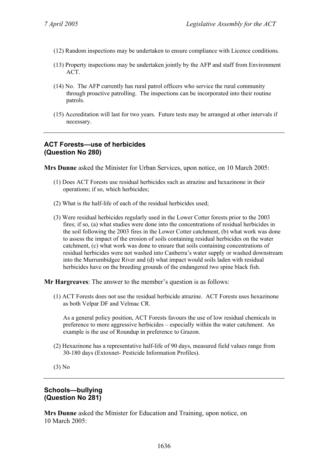- (12) Random inspections may be undertaken to ensure compliance with Licence conditions.
- (13) Property inspections may be undertaken jointly by the AFP and staff from Environment **ACT**
- (14) No. The AFP currently has rural patrol officers who service the rural community through proactive patrolling. The inspections can be incorporated into their routine patrols.
- (15) Accreditation will last for two years. Future tests may be arranged at other intervals if necessary.

## **ACT Forests—use of herbicides (Question No 280)**

**Mrs Dunne** asked the Minister for Urban Services, upon notice, on 10 March 2005:

- (1) Does ACT Forests use residual herbicides such as atrazine and hexazinone in their operations; if so, which herbicides;
- (2) What is the half-life of each of the residual herbicides used;
- (3) Were residual herbicides regularly used in the Lower Cotter forests prior to the 2003 fires; if so, (a) what studies were done into the concentrations of residual herbicides in the soil following the 2003 fires in the Lower Cotter catchment, (b) what work was done to assess the impact of the erosion of soils containing residual herbicides on the water catchment, (c) what work was done to ensure that soils containing concentrations of residual herbicides were not washed into Canberra's water supply or washed downstream into the Murrumbidgee River and (d) what impact would soils laden with residual herbicides have on the breeding grounds of the endangered two spine black fish.

**Mr Hargreaves**: The answer to the member's question is as follows:

(1) ACT Forests does not use the residual herbicide atrazine. ACT Forests uses hexazinone as both Velpar DF and Velmac CR.

As a general policy position, ACT Forests favours the use of low residual chemicals in preference to more aggressive herbicides – especially within the water catchment. An example is the use of Roundup in preference to Grazon.

(2) Hexazinone has a representative half-life of 90 days, measured field values range from 30-180 days (Extoxnet- Pesticide Information Profiles).

(3) No

#### **Schools—bullying (Question No 281)**

**Mrs Dunne** asked the Minister for Education and Training, upon notice, on 10 March 2005: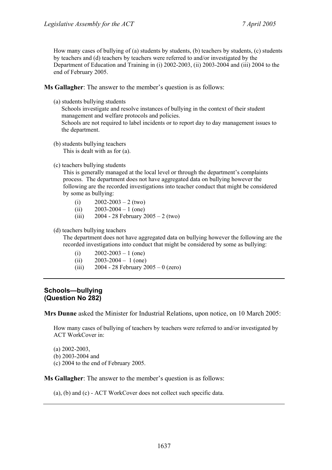How many cases of bullying of (a) students by students, (b) teachers by students, (c) students by teachers and (d) teachers by teachers were referred to and/or investigated by the Department of Education and Training in (i) 2002-2003, (ii) 2003-2004 and (iii) 2004 to the end of February 2005.

**Ms Gallagher**: The answer to the member's question is as follows:

(a) students bullying students

Schools investigate and resolve instances of bullying in the context of their student management and welfare protocols and policies.

Schools are not required to label incidents or to report day to day management issues to the department.

(b) students bullying teachers This is dealt with as for (a).

#### (c) teachers bullying students

This is generally managed at the local level or through the department's complaints process. The department does not have aggregated data on bullying however the following are the recorded investigations into teacher conduct that might be considered by some as bullying:

- (i)  $2002 2003 2$  (two)
- (ii)  $2003-2004-1$  (one)
- (iii) 2004 28 February 2005 2 (two)

#### (d) teachers bullying teachers

The department does not have aggregated data on bullying however the following are the recorded investigations into conduct that might be considered by some as bullying:

- (i)  $2002 2003 1$  (one)
- $(ii)$  2003-2004 1 (one)
- (iii) 2004 28 February 2005 0 (zero)

#### **Schools—bullying (Question No 282)**

**Mrs Dunne** asked the Minister for Industrial Relations, upon notice, on 10 March 2005:

How many cases of bullying of teachers by teachers were referred to and/or investigated by ACT WorkCover in:

- (a) 2002-2003,
- (b) 2003-2004 and
- (c) 2004 to the end of February 2005.

**Ms Gallagher**: The answer to the member's question is as follows:

(a), (b) and (c) - ACT WorkCover does not collect such specific data.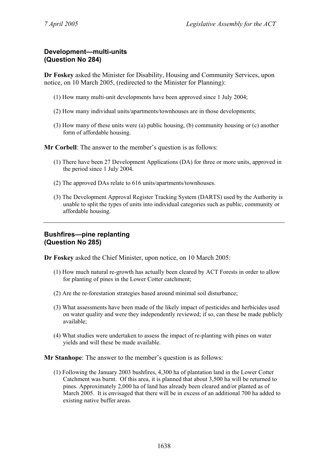# **Development—multi-units (Question No 284)**

**Dr Foskey** asked the Minister for Disability, Housing and Community Services, upon notice, on 10 March 2005, (redirected to the Minister for Planning):

- (1) How many multi-unit developments have been approved since 1 July 2004;
- (2) How many individual units/apartments/townhouses are in those developments;
- (3) How many of these units were (a) public housing, (b) community housing or (c) another form of affordable housing.

**Mr Corbell**: The answer to the member's question is as follows:

- (1) There have been 27 Development Applications (DA) for three or more units, approved in the period since 1 July 2004.
- (2) The approved DAs relate to 616 units/apartments/townhouses.
- (3) The Development Approval Register Tracking System (DARTS) used by the Authority is unable to split the types of units into individual categories such as public, community or affordable housing.

## **Bushfires—pine replanting (Question No 285)**

**Dr Foskey** asked the Chief Minister, upon notice, on 10 March 2005:

- (1) How much natural re-growth has actually been cleared by ACT Forests in order to allow for planting of pines in the Lower Cotter catchment;
- (2) Are the re-forestation strategies based around minimal soil disturbance;
- (3) What assessments have been made of the likely impact of pesticides and herbicides used on water quality and were they independently reviewed; if so, can these be made publicly available;
- (4) What studies were undertaken to assess the impact of re-planting with pines on water yields and will these be made available.

**Mr Stanhope**: The answer to the member's question is as follows:

(1) Following the January 2003 bushfires, 4,300 ha of plantation land in the Lower Cotter Catchment was burnt. Of this area, it is planned that about 3,500 ha will be returned to pines. Approximately 2,000 ha of land has already been cleared and/or planted as of March 2005. It is envisaged that there will be in excess of an additional 700 ha added to existing native buffer areas.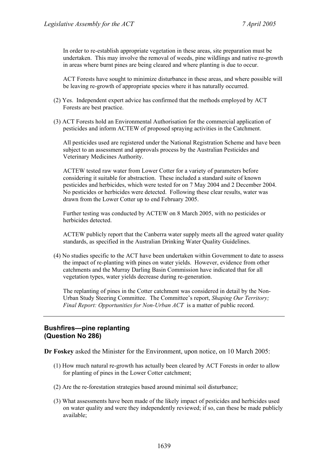In order to re-establish appropriate vegetation in these areas, site preparation must be undertaken. This may involve the removal of weeds, pine wildlings and native re-growth in areas where burnt pines are being cleared and where planting is due to occur.

ACT Forests have sought to minimize disturbance in these areas, and where possible will be leaving re-growth of appropriate species where it has naturally occurred.

- (2) Yes. Independent expert advice has confirmed that the methods employed by ACT Forests are best practice.
- (3) ACT Forests hold an Environmental Authorisation for the commercial application of pesticides and inform ACTEW of proposed spraying activities in the Catchment.

All pesticides used are registered under the National Registration Scheme and have been subject to an assessment and approvals process by the Australian Pesticides and Veterinary Medicines Authority.

ACTEW tested raw water from Lower Cotter for a variety of parameters before considering it suitable for abstraction. These included a standard suite of known pesticides and herbicides, which were tested for on 7 May 2004 and 2 December 2004. No pesticides or herbicides were detected. Following these clear results, water was drawn from the Lower Cotter up to end February 2005.

Further testing was conducted by ACTEW on 8 March 2005, with no pesticides or herbicides detected.

ACTEW publicly report that the Canberra water supply meets all the agreed water quality standards, as specified in the Australian Drinking Water Quality Guidelines.

(4) No studies specific to the ACT have been undertaken within Government to date to assess the impact of re-planting with pines on water yields. However, evidence from other catchments and the Murray Darling Basin Commission have indicated that for all vegetation types, water yields decrease during re-generation.

The replanting of pines in the Cotter catchment was considered in detail by the Non-Urban Study Steering Committee. The Committee's report, *Shaping Our Territory; Final Report: Opportunities for Non-Urban ACT* is a matter of public record.

## **Bushfires—pine replanting (Question No 286)**

**Dr Foskey** asked the Minister for the Environment, upon notice, on 10 March 2005:

- (1) How much natural re-growth has actually been cleared by ACT Forests in order to allow for planting of pines in the Lower Cotter catchment;
- (2) Are the re-forestation strategies based around minimal soil disturbance;
- (3) What assessments have been made of the likely impact of pesticides and herbicides used on water quality and were they independently reviewed; if so, can these be made publicly available;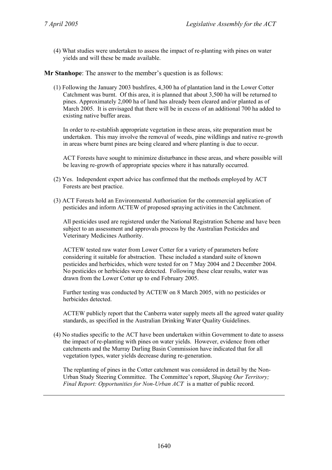(4) What studies were undertaken to assess the impact of re-planting with pines on water yields and will these be made available.

**Mr Stanhope**: The answer to the member's question is as follows:

(1) Following the January 2003 bushfires, 4,300 ha of plantation land in the Lower Cotter Catchment was burnt. Of this area, it is planned that about 3,500 ha will be returned to pines. Approximately 2,000 ha of land has already been cleared and/or planted as of March 2005. It is envisaged that there will be in excess of an additional 700 ha added to existing native buffer areas.

In order to re-establish appropriate vegetation in these areas, site preparation must be undertaken. This may involve the removal of weeds, pine wildlings and native re-growth in areas where burnt pines are being cleared and where planting is due to occur.

ACT Forests have sought to minimize disturbance in these areas, and where possible will be leaving re-growth of appropriate species where it has naturally occurred.

- (2) Yes. Independent expert advice has confirmed that the methods employed by ACT Forests are best practice.
- (3) ACT Forests hold an Environmental Authorisation for the commercial application of pesticides and inform ACTEW of proposed spraying activities in the Catchment.

All pesticides used are registered under the National Registration Scheme and have been subject to an assessment and approvals process by the Australian Pesticides and Veterinary Medicines Authority.

ACTEW tested raw water from Lower Cotter for a variety of parameters before considering it suitable for abstraction. These included a standard suite of known pesticides and herbicides, which were tested for on 7 May 2004 and 2 December 2004. No pesticides or herbicides were detected. Following these clear results, water was drawn from the Lower Cotter up to end February 2005.

Further testing was conducted by ACTEW on 8 March 2005, with no pesticides or herbicides detected.

ACTEW publicly report that the Canberra water supply meets all the agreed water quality standards, as specified in the Australian Drinking Water Quality Guidelines.

(4) No studies specific to the ACT have been undertaken within Government to date to assess the impact of re-planting with pines on water yields. However, evidence from other catchments and the Murray Darling Basin Commission have indicated that for all vegetation types, water yields decrease during re-generation.

The replanting of pines in the Cotter catchment was considered in detail by the Non-Urban Study Steering Committee. The Committee's report, *Shaping Our Territory; Final Report: Opportunities for Non-Urban ACT* is a matter of public record.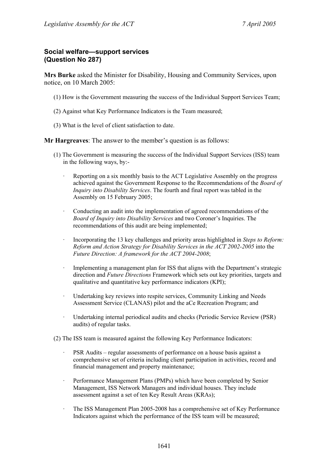## **Social welfare—support services (Question No 287)**

**Mrs Burke** asked the Minister for Disability, Housing and Community Services, upon notice, on 10 March 2005:

- (1) How is the Government measuring the success of the Individual Support Services Team;
- (2) Against what Key Performance Indicators is the Team measured;
- (3) What is the level of client satisfaction to date.

**Mr Hargreaves**: The answer to the member's question is as follows:

- (1) The Government is measuring the success of the Individual Support Services (ISS) team in the following ways, by:-
	- · Reporting on a six monthly basis to the ACT Legislative Assembly on the progress achieved against the Government Response to the Recommendations of the *Board of Inquiry into Disability Services*. The fourth and final report was tabled in the Assembly on 15 February 2005;
	- · Conducting an audit into the implementation of agreed recommendations of the *Board of Inquiry into Disability Services* and two Coroner's Inquiries. The recommendations of this audit are being implemented;
	- · Incorporating the 13 key challenges and priority areas highlighted in *Steps to Reform: Reform and Action Strategy for Disability Services in the ACT 2002-2005* into the *Future Direction: A framework for the ACT 2004-2008*;
	- · Implementing a management plan for ISS that aligns with the Department's strategic direction and *Future Directions* Framework which sets out key priorities, targets and qualitative and quantitative key performance indicators (KPI);
	- · Undertaking key reviews into respite services, Community Linking and Needs Assessment Service (CLANAS) pilot and the aCe Recreation Program; and
	- · Undertaking internal periodical audits and checks (Periodic Service Review (PSR) audits) of regular tasks.
- (2) The ISS team is measured against the following Key Performance Indicators:
	- · PSR Audits regular assessments of performance on a house basis against a comprehensive set of criteria including client participation in activities, record and financial management and property maintenance;
	- · Performance Management Plans (PMPs) which have been completed by Senior Management, ISS Network Managers and individual houses. They include assessment against a set of ten Key Result Areas (KRAs);
	- · The ISS Management Plan 2005-2008 has a comprehensive set of Key Performance Indicators against which the performance of the ISS team will be measured;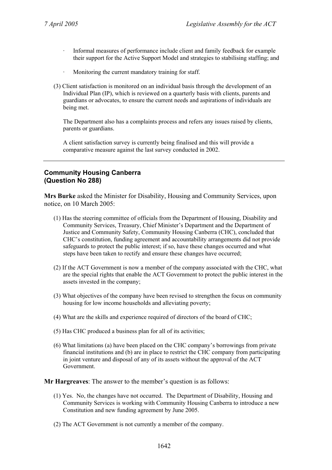- Informal measures of performance include client and family feedback for example their support for the Active Support Model and strategies to stabilising staffing; and
- · Monitoring the current mandatory training for staff.
- (3) Client satisfaction is monitored on an individual basis through the development of an Individual Plan (IP), which is reviewed on a quarterly basis with clients, parents and guardians or advocates, to ensure the current needs and aspirations of individuals are being met.

The Department also has a complaints process and refers any issues raised by clients, parents or guardians.

A client satisfaction survey is currently being finalised and this will provide a comparative measure against the last survey conducted in 2002.

# **Community Housing Canberra (Question No 288)**

**Mrs Burke** asked the Minister for Disability, Housing and Community Services, upon notice, on 10 March 2005:

- (1) Has the steering committee of officials from the Department of Housing, Disability and Community Services, Treasury, Chief Minister's Department and the Department of Justice and Community Safety, Community Housing Canberra (CHC), concluded that CHC's constitution, funding agreement and accountability arrangements did not provide safeguards to protect the public interest; if so, have these changes occurred and what steps have been taken to rectify and ensure these changes have occurred;
- (2) If the ACT Government is now a member of the company associated with the CHC, what are the special rights that enable the ACT Government to protect the public interest in the assets invested in the company;
- (3) What objectives of the company have been revised to strengthen the focus on community housing for low income households and alleviating poverty;
- (4) What are the skills and experience required of directors of the board of CHC;
- (5) Has CHC produced a business plan for all of its activities;
- (6) What limitations (a) have been placed on the CHC company's borrowings from private financial institutions and (b) are in place to restrict the CHC company from participating in joint venture and disposal of any of its assets without the approval of the ACT Government.

**Mr Hargreaves**: The answer to the member's question is as follows:

- (1) Yes. No, the changes have not occurred. The Department of Disability, Housing and Community Services is working with Community Housing Canberra to introduce a new Constitution and new funding agreement by June 2005.
- (2) The ACT Government is not currently a member of the company.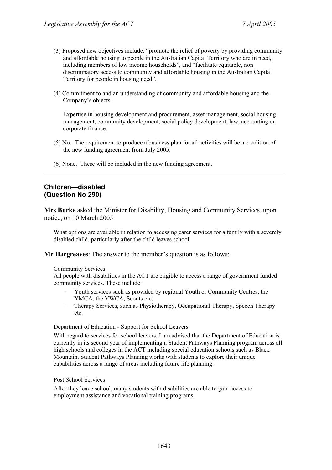- (3) Proposed new objectives include: "promote the relief of poverty by providing community and affordable housing to people in the Australian Capital Territory who are in need, including members of low income households", and "facilitate equitable, non discriminatory access to community and affordable housing in the Australian Capital Territory for people in housing need".
- (4) Commitment to and an understanding of community and affordable housing and the Company's objects.

Expertise in housing development and procurement, asset management, social housing management, community development, social policy development, law, accounting or corporate finance.

- (5) No. The requirement to produce a business plan for all activities will be a condition of the new funding agreement from July 2005.
- (6) None. These will be included in the new funding agreement.

### **Children—disabled (Question No 290)**

**Mrs Burke** asked the Minister for Disability, Housing and Community Services, upon notice, on 10 March 2005:

What options are available in relation to accessing carer services for a family with a severely disabled child, particularly after the child leaves school.

**Mr Hargreaves**: The answer to the member's question is as follows:

#### Community Services

All people with disabilities in the ACT are eligible to access a range of government funded community services. These include:

- Youth services such as provided by regional Youth or Community Centres, the YMCA, the YWCA, Scouts etc.
- · Therapy Services, such as Physiotherapy, Occupational Therapy, Speech Therapy etc.

Department of Education - Support for School Leavers

With regard to services for school leavers, I am advised that the Department of Education is currently in its second year of implementing a Student Pathways Planning program across all high schools and colleges in the ACT including special education schools such as Black Mountain. Student Pathways Planning works with students to explore their unique capabilities across a range of areas including future life planning.

#### Post School Services

After they leave school, many students with disabilities are able to gain access to employment assistance and vocational training programs.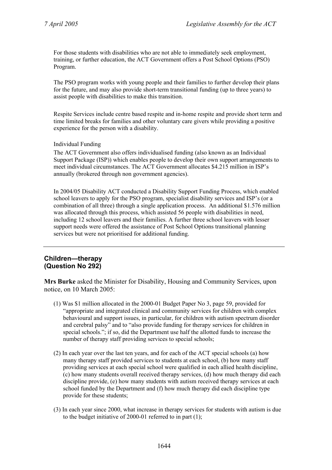For those students with disabilities who are not able to immediately seek employment, training, or further education, the ACT Government offers a Post School Options (PSO) Program.

The PSO program works with young people and their families to further develop their plans for the future, and may also provide short-term transitional funding (up to three years) to assist people with disabilities to make this transition.

Respite Services include centre based respite and in-home respite and provide short term and time limited breaks for families and other voluntary care givers while providing a positive experience for the person with a disability.

Individual Funding

The ACT Government also offers individualised funding (also known as an Individual Support Package (ISP)) which enables people to develop their own support arrangements to meet individual circumstances. The ACT Government allocates \$4.215 million in ISP's annually (brokered through non government agencies).

In 2004/05 Disability ACT conducted a Disability Support Funding Process, which enabled school leavers to apply for the PSO program, specialist disability services and ISP's (or a combination of all three) through a single application process. An additional \$1.576 million was allocated through this process, which assisted 56 people with disabilities in need, including 12 school leavers and their families. A further three school leavers with lesser support needs were offered the assistance of Post School Options transitional planning services but were not prioritised for additional funding.

## **Children—therapy (Question No 292)**

**Mrs Burke** asked the Minister for Disability, Housing and Community Services, upon notice, on 10 March 2005:

- (1) Was \$1 million allocated in the 2000-01 Budget Paper No 3, page 59, provided for "appropriate and integrated clinical and community services for children with complex behavioural and support issues, in particular, for children with autism spectrum disorder and cerebral palsy" and to "also provide funding for therapy services for children in special schools."; if so, did the Department use half the allotted funds to increase the number of therapy staff providing services to special schools;
- (2) In each year over the last ten years, and for each of the ACT special schools (a) how many therapy staff provided services to students at each school, (b) how many staff providing services at each special school were qualified in each allied health discipline, (c) how many students overall received therapy services, (d) how much therapy did each discipline provide, (e) how many students with autism received therapy services at each school funded by the Department and (f) how much therapy did each discipline type provide for these students;
- (3) In each year since 2000, what increase in therapy services for students with autism is due to the budget initiative of 2000-01 referred to in part (1);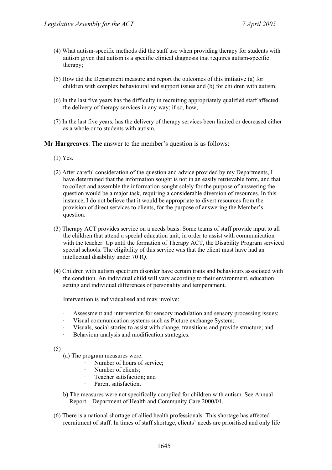- (4) What autism-specific methods did the staff use when providing therapy for students with autism given that autism is a specific clinical diagnosis that requires autism-specific therapy;
- (5) How did the Department measure and report the outcomes of this initiative (a) for children with complex behavioural and support issues and (b) for children with autism;
- (6) In the last five years has the difficulty in recruiting appropriately qualified staff affected the delivery of therapy services in any way; if so, how;
- (7) In the last five years, has the delivery of therapy services been limited or decreased either as a whole or to students with autism.

**Mr Hargreaves**: The answer to the member's question is as follows:

- (1) Yes.
- (2) After careful consideration of the question and advice provided by my Departments, I have determined that the information sought is not in an easily retrievable form, and that to collect and assemble the information sought solely for the purpose of answering the question would be a major task, requiring a considerable diversion of resources. In this instance, I do not believe that it would be appropriate to divert resources from the provision of direct services to clients, for the purpose of answering the Member's question.
- (3) Therapy ACT provides service on a needs basis. Some teams of staff provide input to all the children that attend a special education unit, in order to assist with communication with the teacher. Up until the formation of Therapy ACT, the Disability Program serviced special schools. The eligibility of this service was that the client must have had an intellectual disability under 70 IQ.
- (4) Children with autism spectrum disorder have certain traits and behaviours associated with the condition. An individual child will vary according to their environment, education setting and individual differences of personality and temperament.

Intervention is individualised and may involve:

- Assessment and intervention for sensory modulation and sensory processing issues;
- Visual communication systems such as Picture exchange System;
- Visuals, social stories to assist with change, transitions and provide structure; and
- Behaviour analysis and modification strategies.

(5)

- (a) The program measures were:
	- Number of hours of service;
	- Number of clients:
	- · Teacher satisfaction; and
		- Parent satisfaction.
- b) The measures were not specifically compiled for children with autism. See Annual Report – Department of Health and Community Care 2000/01.
- (6) There is a national shortage of allied health professionals. This shortage has affected recruitment of staff. In times of staff shortage, clients' needs are prioritised and only life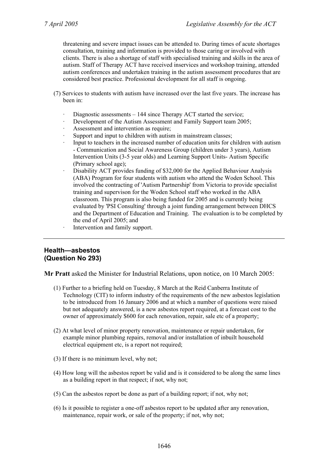threatening and severe impact issues can be attended to. During times of acute shortages consultation, training and information is provided to those caring or involved with clients. There is also a shortage of staff with specialised training and skills in the area of autism. Staff of Therapy ACT have received inservices and workshop training, attended autism conferences and undertaken training in the autism assessment procedures that are considered best practice. Professional development for all staff is ongoing.

- (7) Services to students with autism have increased over the last five years. The increase has been in:
	- · Diagnostic assessments 144 since Therapy ACT started the service;
	- Development of the Autism Assessment and Family Support team 2005;
	- Assessment and intervention as require;
	- Support and input to children with autism in mainstream classes;
	- Input to teachers in the increased number of education units for children with autism - Communication and Social Awareness Group (children under 3 years), Autism Intervention Units (3-5 year olds) and Learning Support Units- Autism Specific (Primary school age);
	- · Disability ACT provides funding of \$32,000 for the Applied Behaviour Analysis (ABA) Program for four students with autism who attend the Woden School. This involved the contracting of 'Autism Partnership' from Victoria to provide specialist training and supervison for the Woden School staff who worked in the ABA classroom. This program is also being funded for 2005 and is currently being evaluated by 'PSI Consulting' through a joint funding arrangement between DHCS and the Department of Education and Training. The evaluation is to be completed by the end of April 2005; and
	- Intervention and family support.

## **Health—asbestos (Question No 293)**

**Mr Pratt** asked the Minister for Industrial Relations, upon notice, on 10 March 2005:

- (1) Further to a briefing held on Tuesday, 8 March at the Reid Canberra Institute of Technology (CIT) to inform industry of the requirements of the new asbestos legislation to be introduced from 16 January 2006 and at which a number of questions were raised but not adequately answered, is a new asbestos report required, at a forecast cost to the owner of approximately \$600 for each renovation, repair, sale etc of a property;
- (2) At what level of minor property renovation, maintenance or repair undertaken, for example minor plumbing repairs, removal and/or installation of inbuilt household electrical equipment etc, is a report not required;
- (3) If there is no minimum level, why not;
- (4) How long will the asbestos report be valid and is it considered to be along the same lines as a building report in that respect; if not, why not;
- (5) Can the asbestos report be done as part of a building report; if not, why not;
- (6) Is it possible to register a one-off asbestos report to be updated after any renovation, maintenance, repair work, or sale of the property; if not, why not;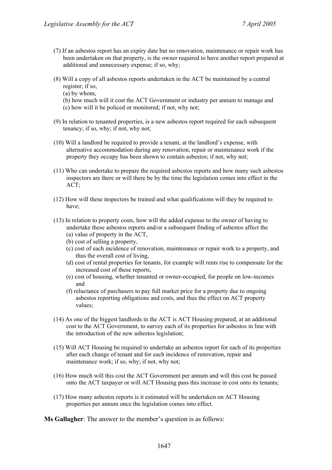- (7) If an asbestos report has an expiry date but no renovation, maintenance or repair work has been undertaken on that property, is the owner required to have another report prepared at additional and unnecessary expense; if so, why;
- (8) Will a copy of all asbestos reports undertaken in the ACT be maintained by a central register; if so,
	- (a) by whom,
	- (b) how much will it cost the ACT Government or industry per annum to manage and (c) how will it be policed or monitored; if not, why not;
- (9) In relation to tenanted properties, is a new asbestos report required for each subsequent tenancy; if so, why; if not, why not;
- (10) Will a landlord be required to provide a tenant, at the landlord's expense, with alternative accommodation during any renovation, repair or maintenance work if the property they occupy has been shown to contain asbestos; if not, why not;
- (11) Who can undertake to prepare the required asbestos reports and how many such asbestos inspectors are there or will there be by the time the legislation comes into effect in the ACT;
- (12) How will these inspectors be trained and what qualifications will they be required to have;
- (13) In relation to property costs, how will the added expense to the owner of having to undertake these asbestos reports and/or a subsequent finding of asbestos affect the (a) value of property in the ACT,
	- (b) cost of selling a property,
	- (c) cost of each incidence of renovation, maintenance or repair work to a property, and thus the overall cost of living,
	- (d) cost of rental properties for tenants, for example will rents rise to compensate for the increased cost of these reports,
	- (e) cost of housing, whether tenanted or owner-occupied, for people on low-incomes and
	- (f) reluctance of purchasers to pay full market price for a property due to ongoing asbestos reporting obligations and costs, and thus the effect on ACT property values;
- (14) As one of the biggest landlords in the ACT is ACT Housing prepared, at an additional cost to the ACT Government, to survey each of its properties for asbestos in line with the introduction of the new asbestos legislation;
- (15) Will ACT Housing be required to undertake an asbestos report for each of its properties after each change of tenant and for each incidence of renovation, repair and maintenance work; if so, why; if not, why not;
- (16) How much will this cost the ACT Government per annum and will this cost be passed onto the ACT taxpayer or will ACT Housing pass this increase in cost onto its tenants;
- (17) How many asbestos reports is it estimated will be undertaken on ACT Housing properties per annum once the legislation comes into effect.

**Ms Gallagher**: The answer to the member's question is as follows: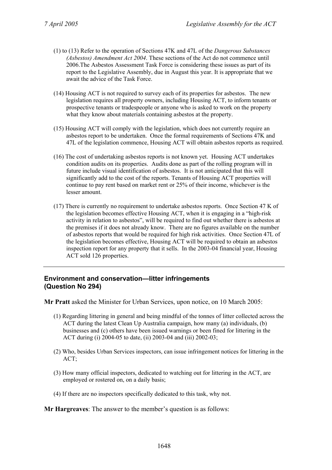- (1) to (13) Refer to the operation of Sections 47K and 47L of the *Dangerous Substances (Asbestos) Amendment Act 2004*. These sections of the Act do not commence until 2006.The Asbestos Assessment Task Force is considering these issues as part of its report to the Legislative Assembly, due in August this year. It is appropriate that we await the advice of the Task Force.
- (14) Housing ACT is not required to survey each of its properties for asbestos. The new legislation requires all property owners, including Housing ACT, to inform tenants or prospective tenants or tradespeople or anyone who is asked to work on the property what they know about materials containing asbestos at the property.
- (15) Housing ACT will comply with the legislation, which does not currently require an asbestos report to be undertaken. Once the formal requirements of Sections 47K and 47L of the legislation commence, Housing ACT will obtain asbestos reports as required.
- (16) The cost of undertaking asbestos reports is not known yet. Housing ACT undertakes condition audits on its properties. Audits done as part of the rolling program will in future include visual identification of asbestos. It is not anticipated that this will significantly add to the cost of the reports. Tenants of Housing ACT properties will continue to pay rent based on market rent or 25% of their income, whichever is the lesser amount.
- (17) There is currently no requirement to undertake asbestos reports. Once Section 47 K of the legislation becomes effective Housing ACT, when it is engaging in a "high-risk activity in relation to asbestos", will be required to find out whether there is asbestos at the premises if it does not already know. There are no figures available on the number of asbestos reports that would be required for high risk activities. Once Section 47L of the legislation becomes effective, Housing ACT will be required to obtain an asbestos inspection report for any property that it sells. In the 2003-04 financial year, Housing ACT sold 126 properties.

# **Environment and conservation—litter infringements (Question No 294)**

**Mr Pratt** asked the Minister for Urban Services, upon notice, on 10 March 2005:

- (1) Regarding littering in general and being mindful of the tonnes of litter collected across the ACT during the latest Clean Up Australia campaign, how many (a) individuals, (b) businesses and (c) others have been issued warnings or been fined for littering in the ACT during (i) 2004-05 to date, (ii) 2003-04 and (iii) 2002-03;
- (2) Who, besides Urban Services inspectors, can issue infringement notices for littering in the ACT;
- (3) How many official inspectors, dedicated to watching out for littering in the ACT, are employed or rostered on, on a daily basis;
- (4) If there are no inspectors specifically dedicated to this task, why not.

**Mr Hargreaves**: The answer to the member's question is as follows: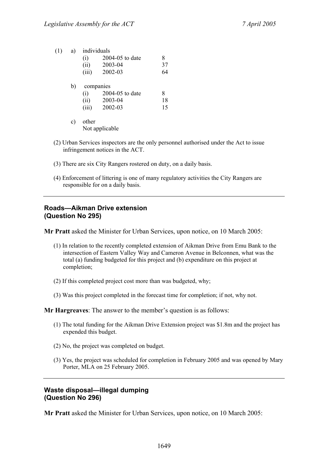| (1) | a) | individuals |                 |    |
|-----|----|-------------|-----------------|----|
|     |    | (i)         | 2004-05 to date | 8  |
|     |    | (ii)        | 2003-04         | 37 |
|     |    | (iii)       | 2002-03         | 64 |
|     | b) |             | companies       |    |
|     |    | (i)         | 2004-05 to date | 8  |
|     |    | (ii)        | 2003-04         | 18 |
|     |    | (iii)       | 2002-03         | 15 |
|     |    |             |                 |    |

- c) other Not applicable
- (2) Urban Services inspectors are the only personnel authorised under the Act to issue infringement notices in the ACT.
- (3) There are six City Rangers rostered on duty, on a daily basis.
- (4) Enforcement of littering is one of many regulatory activities the City Rangers are responsible for on a daily basis.

# **Roads—Aikman Drive extension (Question No 295)**

**Mr Pratt** asked the Minister for Urban Services, upon notice, on 10 March 2005:

- (1) In relation to the recently completed extension of Aikman Drive from Emu Bank to the intersection of Eastern Valley Way and Cameron Avenue in Belconnen, what was the total (a) funding budgeted for this project and (b) expenditure on this project at completion;
- (2) If this completed project cost more than was budgeted, why;
- (3) Was this project completed in the forecast time for completion; if not, why not.

**Mr Hargreaves**: The answer to the member's question is as follows:

- (1) The total funding for the Aikman Drive Extension project was \$1.8m and the project has expended this budget.
- (2) No, the project was completed on budget.
- (3) Yes, the project was scheduled for completion in February 2005 and was opened by Mary Porter, MLA on 25 February 2005.

## **Waste disposal—illegal dumping (Question No 296)**

**Mr Pratt** asked the Minister for Urban Services, upon notice, on 10 March 2005: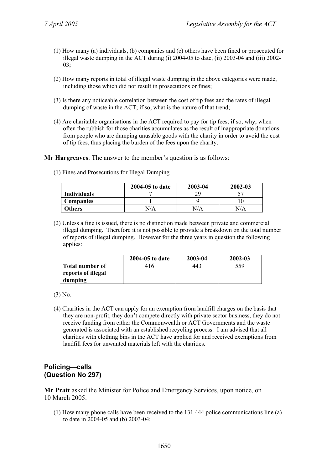- (1) How many (a) individuals, (b) companies and (c) others have been fined or prosecuted for illegal waste dumping in the ACT during (i) 2004-05 to date, (ii) 2003-04 and (iii) 2002- 03;
- (2) How many reports in total of illegal waste dumping in the above categories were made, including those which did not result in prosecutions or fines;
- (3) Is there any noticeable correlation between the cost of tip fees and the rates of illegal dumping of waste in the ACT; if so, what is the nature of that trend;
- (4) Are charitable organisations in the ACT required to pay for tip fees; if so, why, when often the rubbish for those charities accumulates as the result of inappropriate donations from people who are dumping unusable goods with the charity in order to avoid the cost of tip fees, thus placing the burden of the fees upon the charity.

**Mr Hargreaves**: The answer to the member's question is as follows:

(1) Fines and Prosecutions for Illegal Dumping

|                    | 2004-05 to date | 2003-04 | 2002-03 |
|--------------------|-----------------|---------|---------|
| <b>Individuals</b> |                 | 20      |         |
| <b>Companies</b>   |                 |         |         |
| Others             | N/A             | N/A     | N/A     |

(2) Unless a fine is issued, there is no distinction made between private and commercial illegal dumping. Therefore it is not possible to provide a breakdown on the total number of reports of illegal dumping. However for the three years in question the following applies:

|                               | 2004-05 to date | 2003-04 | $2002 - 03$ |
|-------------------------------|-----------------|---------|-------------|
| Total number of               | 416             | 443     | 559         |
| reports of illegal<br>dumping |                 |         |             |

(3) No.

(4) Charities in the ACT can apply for an exemption from landfill charges on the basis that they are non-profit, they don't compete directly with private sector business, they do not receive funding from either the Commonwealth or ACT Governments and the waste generated is associated with an established recycling process. I am advised that all charities with clothing bins in the ACT have applied for and received exemptions from landfill fees for unwanted materials left with the charities.

# **Policing—calls (Question No 297)**

**Mr Pratt** asked the Minister for Police and Emergency Services, upon notice, on 10 March 2005:

(1) How many phone calls have been received to the 131 444 police communications line (a) to date in 2004-05 and (b) 2003-04;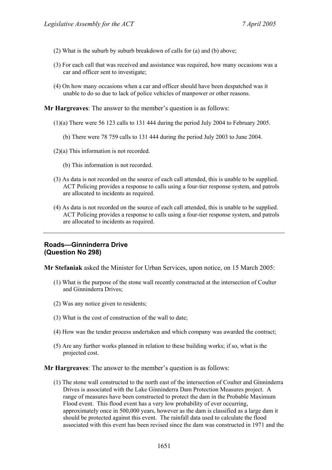- (2) What is the suburb by suburb breakdown of calls for (a) and (b) above;
- (3) For each call that was received and assistance was required, how many occasions was a car and officer sent to investigate;
- (4) On how many occasions when a car and officer should have been despatched was it unable to do so due to lack of police vehicles of manpower or other reasons.

**Mr Hargreaves**: The answer to the member's question is as follows:

- (1)(a) There were 56 123 calls to 131 444 during the period July 2004 to February 2005.
	- (b) There were 78 759 calls to 131 444 during the period July 2003 to June 2004.
- (2)(a) This information is not recorded.
	- (b) This information is not recorded.
- (3) As data is not recorded on the source of each call attended, this is unable to be supplied. ACT Policing provides a response to calls using a four-tier response system, and patrols are allocated to incidents as required.
- (4) As data is not recorded on the source of each call attended, this is unable to be supplied. ACT Policing provides a response to calls using a four-tier response system, and patrols are allocated to incidents as required.

## **Roads—Ginninderra Drive (Question No 298)**

**Mr Stefaniak** asked the Minister for Urban Services, upon notice, on 15 March 2005:

- (1) What is the purpose of the stone wall recently constructed at the intersection of Coulter and Ginninderra Drives;
- (2) Was any notice given to residents;
- (3) What is the cost of construction of the wall to date;
- (4) How was the tender process undertaken and which company was awarded the contract;
- (5) Are any further works planned in relation to these building works; if so, what is the projected cost.

**Mr Hargreaves**: The answer to the member's question is as follows:

(1) The stone wall constructed to the north east of the intersection of Coulter and Ginninderra Drives is associated with the Lake Ginninderra Dam Protection Measures project. A range of measures have been constructed to protect the dam in the Probable Maximum Flood event. This flood event has a very low probability of ever occurring, approximately once in 500,000 years, however as the dam is classified as a large dam it should be protected against this event. The rainfall data used to calculate the flood associated with this event has been revised since the dam was constructed in 1971 and the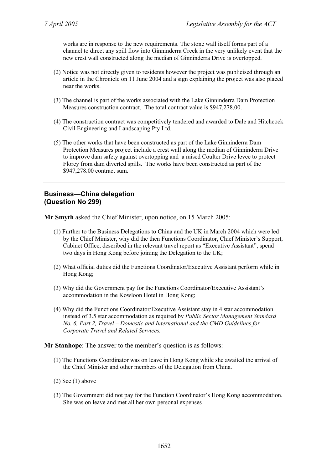works are in response to the new requirements. The stone wall itself forms part of a channel to direct any spill flow into Ginninderra Creek in the very unlikely event that the new crest wall constructed along the median of Ginninderra Drive is overtopped.

- (2) Notice was not directly given to residents however the project was publicised through an article in the Chronicle on 11 June 2004 and a sign explaining the project was also placed near the works.
- (3) The channel is part of the works associated with the Lake Ginninderra Dam Protection Measures construction contract. The total contract value is \$947,278.00.
- (4) The construction contract was competitively tendered and awarded to Dale and Hitchcock Civil Engineering and Landscaping Pty Ltd.
- (5) The other works that have been constructed as part of the Lake Ginninderra Dam Protection Measures project include a crest wall along the median of Ginninderra Drive to improve dam safety against overtopping and a raised Coulter Drive levee to protect Florey from dam diverted spills. The works have been constructed as part of the \$947,278.00 contract sum.

#### **Business—China delegation (Question No 299)**

**Mr Smyth** asked the Chief Minister, upon notice, on 15 March 2005:

- (1) Further to the Business Delegations to China and the UK in March 2004 which were led by the Chief Minister, why did the then Functions Coordinator, Chief Minister's Support, Cabinet Office, described in the relevant travel report as "Executive Assistant", spend two days in Hong Kong before joining the Delegation to the UK;
- (2) What official duties did the Functions Coordinator/Executive Assistant perform while in Hong Kong;
- (3) Why did the Government pay for the Functions Coordinator/Executive Assistant's accommodation in the Kowloon Hotel in Hong Kong;
- (4) Why did the Functions Coordinator/Executive Assistant stay in 4 star accommodation instead of 3.5 star accommodation as required by *Public Sector Management Standard No. 6, Part 2, Travel – Domestic and International and the CMD Guidelines for Corporate Travel and Related Services.*

**Mr Stanhope**: The answer to the member's question is as follows:

- (1) The Functions Coordinator was on leave in Hong Kong while she awaited the arrival of the Chief Minister and other members of the Delegation from China.
- $(2)$  See  $(1)$  above
- (3) The Government did not pay for the Function Coordinator's Hong Kong accommodation. She was on leave and met all her own personal expenses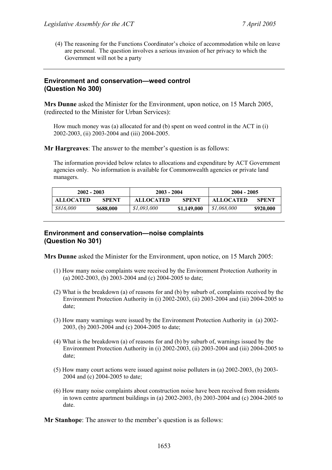(4) The reasoning for the Functions Coordinator's choice of accommodation while on leave are personal. The question involves a serious invasion of her privacy to which the Government will not be a party

#### **Environment and conservation—weed control (Question No 300)**

**Mrs Dunne** asked the Minister for the Environment, upon notice, on 15 March 2005, (redirected to the Minister for Urban Services):

How much money was (a) allocated for and (b) spent on weed control in the ACT in (i) 2002-2003, (ii) 2003-2004 and (iii) 2004-2005.

**Mr Hargreaves**: The answer to the member's question is as follows:

The information provided below relates to allocations and expenditure by ACT Government agencies only. No information is available for Commonwealth agencies or private land managers.

| $2002 - 2003$    |              | $2003 - 2004$    |              | $2004 - 2005$    |              |
|------------------|--------------|------------------|--------------|------------------|--------------|
| <b>ALLOCATED</b> | <b>SPENT</b> | <b>ALLOCATED</b> | <b>SPENT</b> | <b>ALLOCATED</b> | <b>SPENT</b> |
| \$816,000        | \$688,000    | \$1,093,000      | \$1,149,000  | \$1,068,000      | \$920,000    |

#### **Environment and conservation—noise complaints (Question No 301)**

**Mrs Dunne** asked the Minister for the Environment, upon notice, on 15 March 2005:

- (1) How many noise complaints were received by the Environment Protection Authority in (a) 2002-2003, (b) 2003-2004 and (c) 2004-2005 to date;
- (2) What is the breakdown (a) of reasons for and (b) by suburb of, complaints received by the Environment Protection Authority in (i) 2002-2003, (ii) 2003-2004 and (iii) 2004-2005 to date;
- (3) How many warnings were issued by the Environment Protection Authority in (a) 2002- 2003, (b) 2003-2004 and (c) 2004-2005 to date;
- (4) What is the breakdown (a) of reasons for and (b) by suburb of, warnings issued by the Environment Protection Authority in (i) 2002-2003, (ii) 2003-2004 and (iii) 2004-2005 to date;
- (5) How many court actions were issued against noise polluters in (a) 2002-2003, (b) 2003- 2004 and (c) 2004-2005 to date;
- (6) How many noise complaints about construction noise have been received from residents in town centre apartment buildings in (a) 2002-2003, (b) 2003-2004 and (c) 2004-2005 to date.

**Mr Stanhope**: The answer to the member's question is as follows: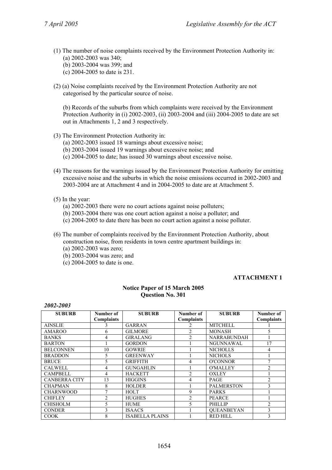- (1) The number of noise complaints received by the Environment Protection Authority in: (a) 2002-2003 was 340; (b) 2003-2004 was 399; and
	- (c) 2004-2005 to date is 231.
- (2) (a) Noise complaints received by the Environment Protection Authority are not categorised by the particular source of noise.

(b) Records of the suburbs from which complaints were received by the Environment Protection Authority in (i) 2002-2003, (ii) 2003-2004 and (iii) 2004-2005 to date are set out in Attachments 1, 2 and 3 respectively.

- (3) The Environment Protection Authority in: (a) 2002-2003 issued 18 warnings about excessive noise; (b) 2003-2004 issued 19 warnings about excessive noise; and (c) 2004-2005 to date; has issued 30 warnings about excessive noise.
- (4) The reasons for the warnings issued by the Environment Protection Authority for emitting excessive noise and the suburbs in which the noise emissions occurred in 2002-2003 and 2003-2004 are at Attachment 4 and in 2004-2005 to date are at Attachment 5.

#### (5) In the year:

- (a) 2002-2003 there were no court actions against noise polluters;
- (b) 2003-2004 there was one court action against a noise a polluter; and
- (c) 2004-2005 to date there has been no court action against a noise polluter.

(6) The number of complaints received by the Environment Protection Authority, about construction noise, from residents in town centre apartment buildings in: (a) 2002-2003 was zero; (b) 2003-2004 was zero; and

(c) 2004-2005 to date is one.

## **ATTACHMENT 1**

#### **Notice Paper of 15 March 2005 Question No. 301**

#### *2002-2003*

| <b>SUBURB</b>        | Number of         | <b>SUBURB</b>          | Number of         | <b>SUBURB</b>      | Number of         |
|----------------------|-------------------|------------------------|-------------------|--------------------|-------------------|
|                      | <b>Complaints</b> |                        | <b>Complaints</b> |                    | <b>Complaints</b> |
| <b>AINSLIE</b>       |                   | <b>GARRAN</b>          | $\mathfrak{D}$    | <b>MITCHELL</b>    |                   |
| <b>AMAROO</b>        | 6                 | <b>GILMORE</b>         | $\mathfrak{D}$    | <b>MONASH</b>      | 5                 |
| <b>BANKS</b>         | 4                 | <b>GIRALANG</b>        | $\mathfrak{D}$    | <b>NARRABUNDAH</b> |                   |
| <b>BARTON</b>        |                   | <b>GORDON</b>          |                   | <b>NGUNNAWAL</b>   | 17                |
| <b>BELCONNEN</b>     | 10                | <b>GOWRIE</b>          |                   | <b>NICHOLLS</b>    | 4                 |
| <b>BRADDON</b>       | 5                 | <b>GREENWAY</b>        |                   | <b>NICHOLS</b>     |                   |
| <b>BRUCE</b>         | 5                 | <b>GRIFFITH</b>        | 4                 | <b>O'CONNOR</b>    |                   |
| <b>CALWELL</b>       | 4                 | <b>GUNGAHLIN</b>       |                   | <b>O'MALLEY</b>    | $\mathfrak{D}$    |
| <b>CAMPBELL</b>      | 4                 | <b>HACKETT</b>         | $\mathfrak{D}$    | <b>OXLEY</b>       |                   |
| <b>CANBERRA CITY</b> | 13                | <b>HIGGINS</b>         | 4                 | <b>PAGE</b>        | $\overline{2}$    |
| <b>CHAPMAN</b>       | 8                 | <b>HOLDER</b>          |                   | <b>PALMERSTON</b>  | 3                 |
| <b>CHARNWOOD</b>     |                   | <b>HOLT</b>            | 9                 | <b>PARKS</b>       |                   |
| <b>CHIFLEY</b>       | $\mathfrak{D}$    | <b>HUGHES</b>          | $\mathfrak{D}$    | <b>PEARCE</b>      |                   |
| <b>CHISHOLM</b>      | 5                 | <b>HUME</b>            | 5                 | <b>PHILLIP</b>     | $\mathfrak{D}$    |
| <b>CONDER</b>        | 3                 | <b>ISAACS</b>          |                   | <b>OUEANBEYAN</b>  | 3                 |
| <b>COOK</b>          | 8                 | <b>ISABELLA PLAINS</b> |                   | <b>RED HILL</b>    | 3                 |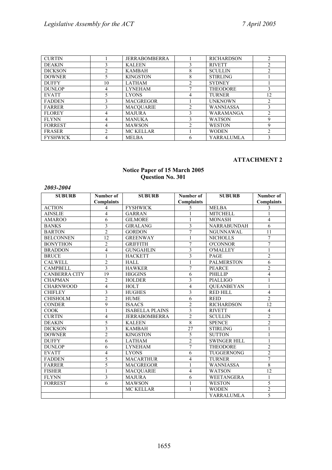| <b>CURTIN</b>   |                | <b>JERRABOMBERRA</b> |                | <b>RICHARDSON</b> | 2              |
|-----------------|----------------|----------------------|----------------|-------------------|----------------|
| <b>DEAKIN</b>   |                | <b>KALEEN</b>        |                | <b>RIVETT</b>     | $\mathfrak{D}$ |
| <b>DICKSON</b>  | 2              | <b>KAMBAH</b>        | 8              | <b>SCULLIN</b>    | 2              |
| <b>DOWNER</b>   | 5              | <b>KINGSTON</b>      | 8              | <b>STIRLING</b>   |                |
| <b>DUFFY</b>    | 10             | <b>LATHAM</b>        | $\mathfrak{D}$ | <b>SYDNEY</b>     |                |
| <b>DUNLOP</b>   | 4              | <b>LYNEHAM</b>       |                | <b>THEODORE</b>   | 3              |
| <b>EVATT</b>    | 5              | <b>LYONS</b>         | 4              | <b>TURNER</b>     | 12             |
| <b>FADDEN</b>   |                | <b>MACGREGOR</b>     |                | <b>UNKNOWN</b>    | $\mathfrak{D}$ |
| <b>FARRER</b>   | 3              | <b>MACOUARIE</b>     | ↑              | <b>WANNIASSA</b>  | 3              |
| <b>FLOREY</b>   | 4              | <b>MAJURA</b>        |                | WARAMANGA         | 2              |
| <b>FLYNN</b>    | 4              | <b>MANUKA</b>        | 3              | <b>WATSON</b>     | 9              |
| <b>FORREST</b>  | 4              | <b>MAWSON</b>        | $\mathfrak{D}$ | <b>WESTON</b>     | 9              |
| <b>FRASER</b>   | $\mathfrak{D}$ | MC KELLAR            |                | <b>WODEN</b>      | $\mathfrak{D}$ |
| <b>FYSHWICK</b> |                | <b>MELBA</b>         | 6              | YARRALUMLA        |                |

#### **ATTACHMENT 2**

#### **Notice Paper of 15 March 2005 Question No. 301**

| 2009–2004            |                   |                        |                         |                     |                   |
|----------------------|-------------------|------------------------|-------------------------|---------------------|-------------------|
| <b>SUBURB</b>        | Number of         | <b>SUBURB</b>          | Number of               | <b>SUBURB</b>       | Number of         |
|                      | <b>Complaints</b> |                        | <b>Complaints</b>       |                     | <b>Complaints</b> |
| <b>ACTION</b>        | 4                 | <b>FYSHWICK</b>        | 5                       | <b>MELBA</b>        | 3                 |
| <b>AINSLIE</b>       | $\overline{4}$    | <b>GARRAN</b>          |                         | <b>MITCHELL</b>     | 1                 |
| <b>AMAROO</b>        | 6                 | <b>GILMORE</b>         | 1                       | <b>MONASH</b>       | $\overline{4}$    |
| <b>BANKS</b>         | 3                 | <b>GIRALANG</b>        | 3                       | NARRABUNDAH         | 6                 |
| <b>BARTON</b>        | $\overline{2}$    | <b>GORDON</b>          | $\overline{7}$          | <b>NGUNNAWAL</b>    | 11                |
| <b>BELCONNEN</b>     | $\overline{12}$   | <b>GREENWAY</b>        | 1                       | <b>NICHOLLS</b>     | $\overline{7}$    |
| <b>BONYTHON</b>      | $\overline{2}$    | <b>GRIFFITH</b>        | $\overline{7}$          | <b>O'CONNOR</b>     | $\overline{7}$    |
| <b>BRADDON</b>       | $\overline{4}$    | <b>GUNGAHLIN</b>       | 3                       | <b>O'MALLEY</b>     | $\mathbf{1}$      |
| <b>BRUCE</b>         |                   | <b>HACKETT</b>         | 3                       | <b>PAGE</b>         | $\overline{2}$    |
| <b>CALWELL</b>       | $\overline{c}$    | <b>HALL</b>            | 1                       | <b>PALMERSTON</b>   | 6                 |
| <b>CAMPBELL</b>      | 3                 | <b>HAWKER</b>          | $\overline{7}$          | <b>PEARCE</b>       | $\overline{2}$    |
| <b>CANBERRA CITY</b> | 19                | <b>HIGGINS</b>         | 6                       | PHILLIP             | $\overline{4}$    |
| <b>CHAPMAN</b>       | $\overline{2}$    | <b>HOLDER</b>          | 3                       | <b>PIALLIGO</b>     | 1                 |
| <b>CHARNWOOD</b>     | $\overline{4}$    | <b>HOLT</b>            | $\overline{\mathbf{4}}$ | <b>OUEANBEYAN</b>   | $\mathbf{1}$      |
| <b>CHIFLEY</b>       | 3                 | <b>HUGHES</b>          | 3                       | <b>RED HILL</b>     | $\overline{4}$    |
| <b>CHISHOLM</b>      | $\overline{c}$    | <b>HUME</b>            | 6                       | <b>REID</b>         | $\overline{2}$    |
| <b>CONDER</b>        | 9                 | <b>ISAACS</b>          | $\overline{2}$          | <b>RICHARDSON</b>   | $\overline{12}$   |
| <b>COOK</b>          |                   | <b>ISABELLA PLAINS</b> | 3                       | <b>RIVETT</b>       | $\overline{4}$    |
| <b>CURTIN</b>        | $\overline{4}$    | <b>JERRABOMBERRA</b>   | $\overline{2}$          | <b>SCULLIN</b>      | $\overline{2}$    |
| <b>DEAKIN</b>        | 5                 | <b>KALEEN</b>          | 8                       | <b>SPENCE</b>       | $\overline{2}$    |
| <b>DICKSON</b>       | 3                 | <b>KAMBAH</b>          | $\overline{27}$         | <b>STIRLING</b>     | $\mathbf{1}$      |
| <b>DOWNER</b>        | $\overline{2}$    | <b>KINGSTON</b>        | 5                       | <b>SUTTON</b>       | 1                 |
| <b>DUFFY</b>         | 6                 | <b>LATHAM</b>          | $\overline{c}$          | <b>SWINGER HILL</b> | 1                 |
| <b>DUNLOP</b>        | 6                 | <b>LYNEHAM</b>         | $\overline{7}$          | <b>THEODORE</b>     | $\overline{2}$    |
| <b>EVATT</b>         | $\overline{4}$    | <b>LYONS</b>           | 6                       | TUGGERNONG          | $\overline{2}$    |
| <b>FADDEN</b>        | 5                 | <b>MACARTHUR</b>       | 4                       | <b>TURNER</b>       | $\overline{7}$    |
| <b>FARRER</b>        | 5                 | <b>MACGREGOR</b>       | 1                       | <b>WANNIASSA</b>    | $\overline{8}$    |
| <b>FISHER</b>        |                   | <b>MACOUARIE</b>       | $\overline{4}$          | <b>WATSON</b>       | $\overline{12}$   |
| <b>FLYNN</b>         | 3                 | <b>MAJURA</b>          | 6                       | WEETANGERA          | 1                 |
| <b>FORREST</b>       | 6                 | <b>MAWSON</b>          | 1                       | <b>WESTON</b>       | 5                 |
|                      |                   | <b>MC KELLAR</b>       | 1                       | <b>WODEN</b>        | $\overline{2}$    |
|                      |                   |                        |                         | <b>YARRALUMLA</b>   | 5                 |

# *2003-2004*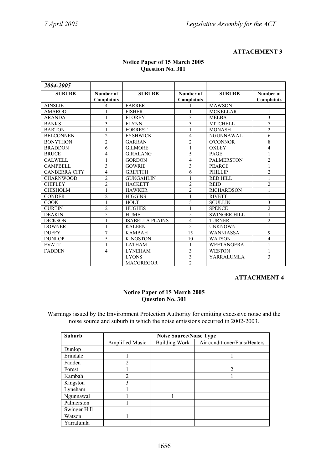#### **ATTACHMENT 3**

| 2004-2005            |                   |                        |                          |                     |                   |
|----------------------|-------------------|------------------------|--------------------------|---------------------|-------------------|
| <b>SUBURB</b>        | Number of         | <b>SUBURB</b>          | Number of                | <b>SUBURB</b>       | Number of         |
|                      | <b>Complaints</b> |                        | <b>Complaints</b>        |                     | <b>Complaints</b> |
| <b>AINSLIE</b>       | 4                 | <b>FARRER</b>          |                          | <b>MAWSON</b>       |                   |
| AMAROO               |                   | <b>FISHER</b>          |                          | <b>MCKELLAR</b>     |                   |
| <b>ARANDA</b>        |                   | <b>FLOREY</b>          | 3                        | <b>MELBA</b>        | 3                 |
| <b>BANKS</b>         | 3                 | <b>FLYNN</b>           | 3                        | <b>MITCHELL</b>     | 7                 |
| <b>BARTON</b>        |                   | <b>FORREST</b>         |                          | <b>MONASH</b>       | $\overline{2}$    |
| <b>BELCONNEN</b>     | $\overline{2}$    | <b>FYSHWICK</b>        | 4                        | <b>NGUNNAWAL</b>    | 6                 |
| <b>BONYTHON</b>      | $\overline{2}$    | <b>GARRAN</b>          | $\overline{2}$           | <b>O'CONNOR</b>     | 8                 |
| <b>BRADDON</b>       | 6                 | <b>GILMORE</b>         |                          | <b>OXLEY</b>        | $\overline{4}$    |
| <b>BRUCE</b>         | 4                 | <b>GIRALANG</b>        | 5                        | <b>PAGE</b>         | 1                 |
| <b>CALWELL</b>       |                   | <b>GORDON</b>          | $\overline{\mathcal{L}}$ | <b>PALMERSTON</b>   | $\overline{2}$    |
| <b>CAMPBELL</b>      | $\mathbf{3}$      | <b>GOWRIE</b>          | 3                        | <b>PEARCE</b>       |                   |
| <b>CANBERRA CITY</b> | 4                 | <b>GRIFFITH</b>        | 6                        | PHILLIP             | $\overline{2}$    |
| <b>CHARNWOOD</b>     | $\overline{c}$    | <b>GUNGAHLIN</b>       |                          | <b>RED HILL</b>     |                   |
| <b>CHIFLEY</b>       | $\overline{2}$    | <b>HACKETT</b>         | $\overline{c}$           | <b>REID</b>         | $\overline{c}$    |
| <b>CHISHOLM</b>      |                   | <b>HAWKER</b>          | $\overline{2}$           | <b>RICHARDSON</b>   |                   |
| <b>CONDER</b>        | $\overline{2}$    | <b>HIGGINS</b>         | 1                        | <b>RIVETT</b>       | $\mathbf{1}$      |
| <b>COOK</b>          |                   | <b>HOLT</b>            | 5                        | <b>SCULLIN</b>      | 3                 |
| <b>CURTIN</b>        | $\overline{2}$    | <b>HUGHES</b>          |                          | <b>SPENCE</b>       | $\overline{c}$    |
| <b>DEAKIN</b>        | 5                 | <b>HUME</b>            | 5                        | <b>SWINGER HILL</b> | $\mathbf{1}$      |
| <b>DICKSON</b>       |                   | <b>ISABELLA PLAINS</b> | 4                        | <b>TURNER</b>       | $\overline{c}$    |
| <b>DOWNER</b>        |                   | <b>KALEEN</b>          | 5                        | <b>UNKNOWN</b>      |                   |
| <b>DUFFY</b>         | $\overline{7}$    | <b>KAMBAH</b>          | 15                       | <b>WANNIASSA</b>    | 9                 |
| <b>DUNLOP</b>        | 5                 | <b>KINGSTON</b>        | 10                       | <b>WATSON</b>       | $\overline{4}$    |
| <b>EVATT</b>         |                   | <b>LATHAM</b>          |                          | <b>WEETANGERA</b>   |                   |
| <b>FADDEN</b>        | 4                 | <b>LYNEHAM</b>         | $\mathbf{3}$             | <b>WESTON</b>       | $\mathbf{1}$      |
|                      |                   | <b>LYONS</b>           | 3                        | YARRALUMLA          | 3                 |
|                      |                   | <b>MACGREGOR</b>       | $\overline{c}$           |                     |                   |

#### **Notice Paper of 15 March 2005 Question No. 301**

#### **ATTACHMENT 4**

#### **Notice Paper of 15 March 2005 Question No. 301**

Warnings issued by the Environment Protection Authority for emitting excessive noise and the noise source and suburb in which the noise emissions occurred in 2002-2003.

| <b>Suburb</b> |                        | <b>Noise Source/Noise Type</b> |                              |  |  |  |  |  |
|---------------|------------------------|--------------------------------|------------------------------|--|--|--|--|--|
|               | <b>Amplified Music</b> | <b>Building Work</b>           | Air conditioner/Fans/Heaters |  |  |  |  |  |
| Dunlop        |                        |                                |                              |  |  |  |  |  |
| Erindale      |                        |                                |                              |  |  |  |  |  |
| Fadden        | $\overline{2}$         |                                |                              |  |  |  |  |  |
| Forest        |                        |                                | $\overline{2}$               |  |  |  |  |  |
| Kambah        | $\overline{2}$         |                                |                              |  |  |  |  |  |
| Kingston      | 3                      |                                |                              |  |  |  |  |  |
| Lyneham       |                        |                                |                              |  |  |  |  |  |
| Ngunnawal     |                        |                                |                              |  |  |  |  |  |
| Palmerston    |                        |                                |                              |  |  |  |  |  |
| Swinger Hill  |                        |                                |                              |  |  |  |  |  |
| Watson        |                        |                                |                              |  |  |  |  |  |
| Yarralumla    |                        |                                |                              |  |  |  |  |  |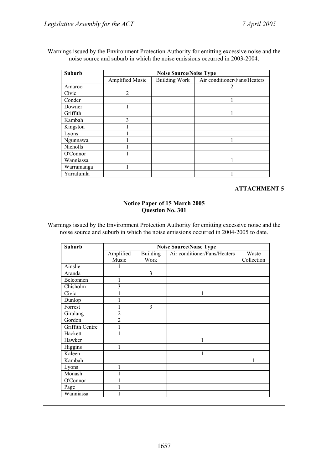Warnings issued by the Environment Protection Authority for emitting excessive noise and the noise source and suburb in which the noise emissions occurred in 2003-2004.

| <b>Suburb</b>   | <b>Noise Source/Noise Type</b> |                      |                              |  |  |
|-----------------|--------------------------------|----------------------|------------------------------|--|--|
|                 | <b>Amplified Music</b>         | <b>Building Work</b> | Air conditioner/Fans/Heaters |  |  |
| Amaroo          |                                |                      | 2                            |  |  |
| Civic           | $\overline{2}$                 |                      |                              |  |  |
| Conder          |                                |                      |                              |  |  |
| Downer          |                                |                      |                              |  |  |
| Griffith        |                                |                      |                              |  |  |
| Kambah          | 3                              |                      |                              |  |  |
| Kingston        |                                |                      |                              |  |  |
| Lyons           |                                |                      |                              |  |  |
| Ngunnawa        |                                |                      |                              |  |  |
| <b>Nicholls</b> |                                |                      |                              |  |  |
| O'Connor        |                                |                      |                              |  |  |
| Wanniassa       |                                |                      |                              |  |  |
| Warramanga      |                                |                      |                              |  |  |
| Yarralumla      |                                |                      |                              |  |  |

## **ATTACHMENT 5**

#### **Notice Paper of 15 March 2005 Question No. 301**

Warnings issued by the Environment Protection Authority for emitting excessive noise and the noise source and suburb in which the noise emissions occurred in 2004-2005 to date.

| Suburb          | <b>Noise Source/Noise Type</b> |                 |                              |            |  |
|-----------------|--------------------------------|-----------------|------------------------------|------------|--|
|                 | Amplified                      | <b>Building</b> | Air conditioner/Fans/Heaters | Waste      |  |
|                 | Music                          | Work            |                              | Collection |  |
| Ainslie         |                                |                 |                              |            |  |
| Aranda          |                                | 3               |                              |            |  |
| Belconnen       | 1                              |                 |                              |            |  |
| Chisholm        | 3                              |                 |                              |            |  |
| Civic           | 1                              |                 | 1                            |            |  |
| Dunlop          |                                |                 |                              |            |  |
| Forrest         |                                | 3               |                              |            |  |
| Giralang        | $\overline{2}$                 |                 |                              |            |  |
| Gordon          | $\overline{2}$                 |                 |                              |            |  |
| Griffith Centre | 1                              |                 |                              |            |  |
| Hackett         | 1                              |                 |                              |            |  |
| Hawker          |                                |                 |                              |            |  |
| Higgins         | 1                              |                 |                              |            |  |
| Kaleen          |                                |                 | 1                            |            |  |
| Kambah          |                                |                 |                              | 1          |  |
| Lyons           | $\mathbf{1}$                   |                 |                              |            |  |
| Monash          | 1                              |                 |                              |            |  |
| O'Connor        |                                |                 |                              |            |  |
| Page            |                                |                 |                              |            |  |
| Wanniassa       |                                |                 |                              |            |  |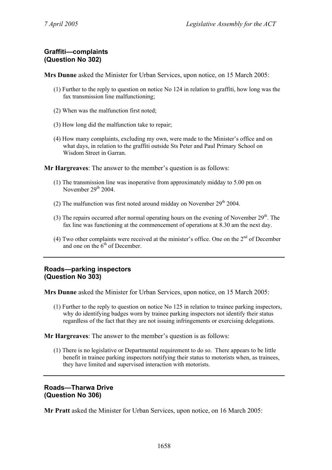# **Graffiti—complaints (Question No 302)**

**Mrs Dunne** asked the Minister for Urban Services, upon notice, on 15 March 2005:

- (1) Further to the reply to question on notice No 124 in relation to graffiti, how long was the fax transmission line malfunctioning;
- (2) When was the malfunction first noted;
- (3) How long did the malfunction take to repair;
- (4) How many complaints, excluding my own, were made to the Minister's office and on what days, in relation to the graffiti outside Sts Peter and Paul Primary School on Wisdom Street in Garran.

**Mr Hargreaves**: The answer to the member's question is as follows:

- (1) The transmission line was inoperative from approximately midday to 5.00 pm on November  $29<sup>th</sup> 2004$ .
- (2) The malfunction was first noted around midday on November  $29<sup>th</sup> 2004$ .
- (3) The repairs occurred after normal operating hours on the evening of November  $29<sup>th</sup>$ . The fax line was functioning at the commencement of operations at 8.30 am the next day.
- (4) Two other complaints were received at the minister's office. One on the  $2<sup>nd</sup>$  of December and one on the  $6<sup>th</sup>$  of December.

## **Roads—parking inspectors (Question No 303)**

**Mrs Dunne** asked the Minister for Urban Services, upon notice, on 15 March 2005:

(1) Further to the reply to question on notice No 125 in relation to trainee parking inspectors, why do identifying badges worn by trainee parking inspectors not identify their status regardless of the fact that they are not issuing infringements or exercising delegations.

**Mr Hargreaves**: The answer to the member's question is as follows:

(1) There is no legislative or Departmental requirement to do so. There appears to be little benefit in trainee parking inspectors notifying their status to motorists when, as trainees, they have limited and supervised interaction with motorists.

# **Roads—Tharwa Drive (Question No 306)**

**Mr Pratt** asked the Minister for Urban Services, upon notice, on 16 March 2005: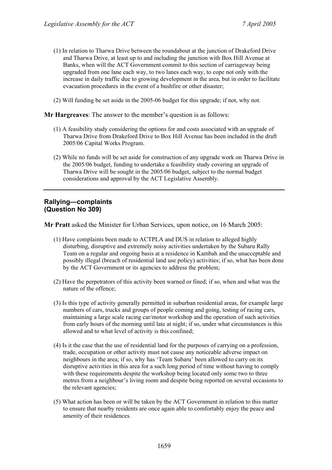- (1) In relation to Tharwa Drive between the roundabout at the junction of Drakeford Drive and Tharwa Drive, at least up to and including the junction with Box Hill Avenue at Banks, when will the ACT Government commit to this section of carriageway being upgraded from one lane each way, to two lanes each way, to cope not only with the increase in daily traffic due to growing development in the area, but in order to facilitate evacuation procedures in the event of a bushfire or other disaster;
- (2) Will funding be set aside in the 2005-06 budget for this upgrade; if not, why not.

#### **Mr Hargreaves**: The answer to the member's question is as follows:

- (1) A feasibility study considering the options for and costs associated with an upgrade of Tharwa Drive from Drakeford Drive to Box Hill Avenue has been included in the draft 2005/06 Capital Works Program.
- (2) While no funds will be set aside for construction of any upgrade work on Tharwa Drive in the 2005/06 budget, funding to undertake a feasibility study covering an upgrade of Tharwa Drive will be sought in the 2005/06 budget, subject to the normal budget considerations and approval by the ACT Legislative Assembly.

### **Rallying—complaints (Question No 309)**

**Mr Pratt** asked the Minister for Urban Services, upon notice, on 16 March 2005:

- (1) Have complaints been made to ACTPLA and DUS in relation to alleged highly disturbing, disruptive and extremely noisy activities undertaken by the Subaru Rally Team on a regular and ongoing basis at a residence in Kambah and the unacceptable and possibly illegal (breach of residential land use policy) activities; if so, what has been done by the ACT Government or its agencies to address the problem;
- (2) Have the perpetrators of this activity been warned or fined; if so, when and what was the nature of the offence;
- (3) Is this type of activity generally permitted in suburban residential areas, for example large numbers of cars, trucks and groups of people coming and going, testing of racing cars, maintaining a large scale racing car/motor workshop and the operation of such activities from early hours of the morning until late at night; if so, under what circumstances is this allowed and to what level of activity is this confined;
- (4) Is it the case that the use of residential land for the purposes of carrying on a profession, trade, occupation or other activity must not cause any noticeable adverse impact on neighbours in the area; if so, why has 'Team Subaru' been allowed to carry on its disruptive activities in this area for a such long period of time without having to comply with these requirements despite the workshop being located only some two to three metres from a neighbour's living room and despite being reported on several occasions to the relevant agencies;
- (5) What action has been or will be taken by the ACT Government in relation to this matter to ensure that nearby residents are once again able to comfortably enjoy the peace and amenity of their residences.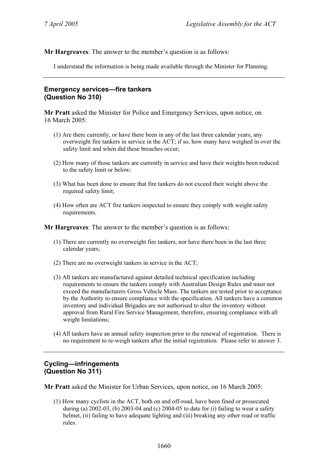**Mr Hargreaves**: The answer to the member's question is as follows:

I understand the information is being made available through the Minister for Planning.

## **Emergency services—fire tankers (Question No 310)**

**Mr Pratt** asked the Minister for Police and Emergency Services, upon notice, on 16 March 2005:

- (1) Are there currently, or have there been in any of the last three calendar years, any overweight fire tankers in service in the ACT; if so, how many have weighed in over the safety limit and when did these breaches occur;
- (2) How many of those tankers are currently in service and have their weights been reduced to the safety limit or below;
- (3) What has been done to ensure that fire tankers do not exceed their weight above the required safety limit;
- (4) How often are ACT fire tankers inspected to ensure they comply with weight safety requirements.

**Mr Hargreaves**: The answer to the member's question is as follows:

- (1) There are currently no overweight fire tankers, nor have there been in the last three calendar years;
- (2) There are no overweight tankers in service in the ACT;
- (3) All tankers are manufactured against detailed technical specification including requirements to ensure the tankers comply with Australian Design Rules and must not exceed the manufacturers Gross Vehicle Mass. The tankers are tested prior to acceptance by the Authority to ensure compliance with the specification. All tankers have a common inventory and individual Brigades are not authorised to alter the inventory without approval from Rural Fire Service Management, therefore, ensuring compliance with all weight limitations;
- (4) All tankers have an annual safety inspection prior to the renewal of registration. There is no requirement to re-weigh tankers after the initial registration. Please refer to answer 3.

## **Cycling—infringements (Question No 311)**

**Mr Pratt** asked the Minister for Urban Services, upon notice, on 16 March 2005:

(1) How many cyclists in the ACT, both on and off-road, have been fined or prosecuted during (a)  $2002-03$ , (b)  $2003-04$  and (c)  $2004-05$  to date for (i) failing to wear a safety helmet, (ii) failing to have adequate lighting and (iii) breaking any other road or traffic rules.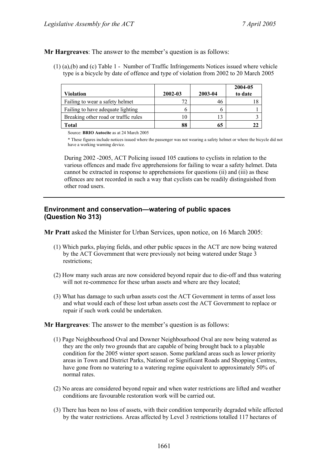### **Mr Hargreaves**: The answer to the member's question is as follows:

(1) (a),(b) and (c) Table 1 - Number of Traffic Infringements Notices issued where vehicle type is a bicycle by date of offence and type of violation from 2002 to 20 March 2005

|                                      |         |         | 2004-05 |
|--------------------------------------|---------|---------|---------|
| Violation                            | 2002-03 | 2003-04 | to date |
| Failing to wear a safety helmet      | 72      | 40      |         |
| Failing to have adequate lighting    |         |         |         |
| Breaking other road or traffic rules | 10      |         |         |
| Total                                | 88      |         |         |

Source: **BRIO Autocite** as at 24 March 2005

\* These figures include notices issued where the passenger was not wearing a safety helmet or where the bicycle did not have a working warning device.

During 2002 -2005, ACT Policing issued 105 cautions to cyclists in relation to the various offences and made five apprehensions for failing to wear a safety helmet. Data cannot be extracted in response to apprehensions for questions (ii) and (iii) as these offences are not recorded in such a way that cyclists can be readily distinguished from other road users.

### **Environment and conservation—watering of public spaces (Question No 313)**

**Mr Pratt** asked the Minister for Urban Services, upon notice, on 16 March 2005:

- (1) Which parks, playing fields, and other public spaces in the ACT are now being watered by the ACT Government that were previously not being watered under Stage 3 restrictions;
- (2) How many such areas are now considered beyond repair due to die-off and thus watering will not re-commence for these urban assets and where are they located;
- (3) What has damage to such urban assets cost the ACT Government in terms of asset loss and what would each of these lost urban assets cost the ACT Government to replace or repair if such work could be undertaken.

### **Mr Hargreaves**: The answer to the member's question is as follows:

- (1) Page Neighbourhood Oval and Downer Neighbourhood Oval are now being watered as they are the only two grounds that are capable of being brought back to a playable condition for the 2005 winter sport season. Some parkland areas such as lower priority areas in Town and District Parks, National or Significant Roads and Shopping Centres, have gone from no watering to a watering regime equivalent to approximately 50% of normal rates.
- (2) No areas are considered beyond repair and when water restrictions are lifted and weather conditions are favourable restoration work will be carried out.
- (3) There has been no loss of assets, with their condition temporarily degraded while affected by the water restrictions. Areas affected by Level 3 restrictions totalled 117 hectares of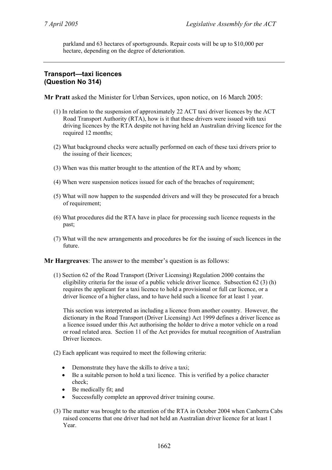parkland and 63 hectares of sportsgrounds. Repair costs will be up to \$10,000 per hectare, depending on the degree of deterioration.

# **Transport—taxi licences (Question No 314)**

**Mr Pratt** asked the Minister for Urban Services, upon notice, on 16 March 2005:

- (1) In relation to the suspension of approximately 22 ACT taxi driver licences by the ACT Road Transport Authority (RTA), how is it that these drivers were issued with taxi driving licences by the RTA despite not having held an Australian driving licence for the required 12 months;
- (2) What background checks were actually performed on each of these taxi drivers prior to the issuing of their licences;
- (3) When was this matter brought to the attention of the RTA and by whom;
- (4) When were suspension notices issued for each of the breaches of requirement;
- (5) What will now happen to the suspended drivers and will they be prosecuted for a breach of requirement;
- (6) What procedures did the RTA have in place for processing such licence requests in the past;
- (7) What will the new arrangements and procedures be for the issuing of such licences in the future.

**Mr Hargreaves**: The answer to the member's question is as follows:

(1) Section 62 of the Road Transport (Driver Licensing) Regulation 2000 contains the eligibility criteria for the issue of a public vehicle driver licence. Subsection 62 (3) (h) requires the applicant for a taxi licence to hold a provisional or full car licence, or a driver licence of a higher class, and to have held such a licence for at least 1 year.

This section was interpreted as including a licence from another country. However, the dictionary in the Road Transport (Driver Licensing) Act 1999 defines a driver licence as a licence issued under this Act authorising the holder to drive a motor vehicle on a road or road related area. Section 11 of the Act provides for mutual recognition of Australian Driver licences.

- (2) Each applicant was required to meet the following criteria:
	- Demonstrate they have the skills to drive a taxi;
	- Be a suitable person to hold a taxi licence. This is verified by a police character check;
	- Be medically fit; and
	- Successfully complete an approved driver training course.
- (3) The matter was brought to the attention of the RTA in October 2004 when Canberra Cabs raised concerns that one driver had not held an Australian driver licence for at least 1 Year.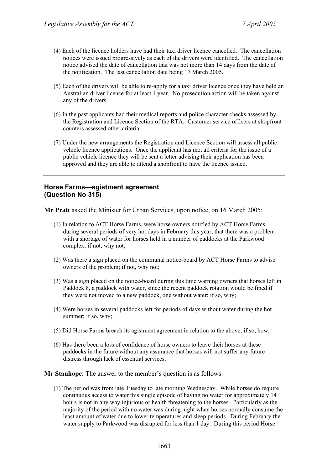- (4) Each of the licence holders have had their taxi driver licence cancelled. The cancellation notices were issued progressively as each of the drivers were identified. The cancellation notice advised the date of cancellation that was not more than 14 days from the date of the notification. The last cancellation date being 17 March 2005.
- (5) Each of the drivers will be able to re-apply for a taxi driver licence once they have held an Australian driver licence for at least 1 year. No prosecution action will be taken against any of the drivers.
- (6) In the past applicants had their medical reports and police character checks assessed by the Registration and Licence Section of the RTA. Customer service officers at shopfront counters assessed other criteria.
- (7) Under the new arrangements the Registration and Licence Section will assess all public vehicle licence applications. Once the applicant has met all criteria for the issue of a public vehicle licence they will be sent a letter advising their application has been approved and they are able to attend a shopfront to have the licence issued.

### **Horse Farms—agistment agreement (Question No 315)**

**Mr Pratt** asked the Minister for Urban Services, upon notice, on 16 March 2005:

- (1) In relation to ACT Horse Farms, were horse owners notified by ACT Horse Farms, during several periods of very hot days in February this year, that there was a problem with a shortage of water for horses held in a number of paddocks at the Parkwood complex; if not, why not;
- (2) Was there a sign placed on the communal notice-board by ACT Horse Farms to advise owners of the problem; if not, why not;
- (3) Was a sign placed on the notice-board during this time warning owners that horses left in Paddock 8, a paddock with water, since the recent paddock rotation would be fined if they were not moved to a new paddock, one without water; if so, why;
- (4) Were horses in several paddocks left for periods of days without water during the hot summer; if so, why;
- (5) Did Horse Farms breach its agistment agreement in relation to the above; if so, how;
- (6) Has there been a loss of confidence of horse owners to leave their horses at these paddocks in the future without any assurance that horses will not suffer any future distress through lack of essential services.

**Mr Stanhope**: The answer to the member's question is as follows:

(1) The period was from late Tuesday to late morning Wednesday. While horses do require continuous access to water this single episode of having no water for approximately 14 hours is not in any way injurious or health threatening to the horses. Particularly as the majority of the period with no water was during night when horses normally consume the least amount of water due to lower temperatures and sleep periods. During February the water supply to Parkwood was disrupted for less than 1 day. During this period Horse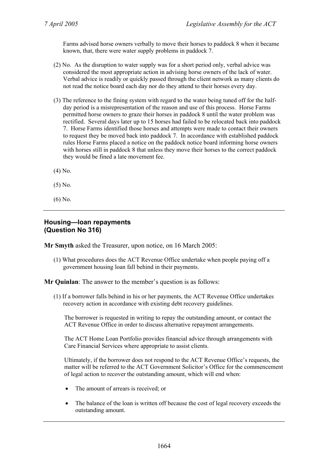Farms advised horse owners verbally to move their horses to paddock 8 when it became known, that, there were water supply problems in paddock 7.

- (2) No. As the disruption to water supply was for a short period only, verbal advice was considered the most appropriate action in advising horse owners of the lack of water. Verbal advice is readily or quickly passed through the client network as many clients do not read the notice board each day nor do they attend to their horses every day.
- (3) The reference to the fining system with regard to the water being tuned off for the halfday period is a misrepresentation of the reason and use of this process. Horse Farms permitted horse owners to graze their horses in paddock 8 until the water problem was rectified. Several days later up to 15 horses had failed to be relocated back into paddock 7. Horse Farms identified those horses and attempts were made to contact their owners to request they be moved back into paddock 7. In accordance with established paddock rules Horse Farms placed a notice on the paddock notice board informing horse owners with horses still in paddock 8 that unless they move their horses to the correct paddock they would be fined a late movement fee.
- (4) No.
- (5) No.
- (6) No.

### **Housing—loan repayments (Question No 316)**

**Mr Smyth** asked the Treasurer, upon notice, on 16 March 2005:

(1) What procedures does the ACT Revenue Office undertake when people paying off a government housing loan fall behind in their payments.

**Mr Quinlan**: The answer to the member's question is as follows:

(1) If a borrower falls behind in his or her payments, the ACT Revenue Office undertakes recovery action in accordance with existing debt recovery guidelines.

The borrower is requested in writing to repay the outstanding amount, or contact the ACT Revenue Office in order to discuss alternative repayment arrangements.

The ACT Home Loan Portfolio provides financial advice through arrangements with Care Financial Services where appropriate to assist clients.

Ultimately, if the borrower does not respond to the ACT Revenue Office's requests, the matter will be referred to the ACT Government Solicitor's Office for the commencement of legal action to recover the outstanding amount, which will end when:

- The amount of arrears is received; or
- The balance of the loan is written off because the cost of legal recovery exceeds the outstanding amount.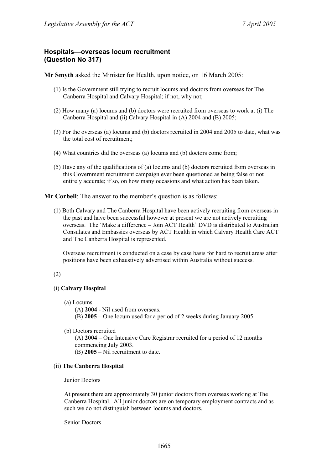### **Hospitals—overseas locum recruitment (Question No 317)**

**Mr Smyth** asked the Minister for Health, upon notice, on 16 March 2005:

- (1) Is the Government still trying to recruit locums and doctors from overseas for The Canberra Hospital and Calvary Hospital; if not, why not;
- (2) How many (a) locums and (b) doctors were recruited from overseas to work at (i) The Canberra Hospital and (ii) Calvary Hospital in (A) 2004 and (B) 2005;
- (3) For the overseas (a) locums and (b) doctors recruited in 2004 and 2005 to date, what was the total cost of recruitment;
- (4) What countries did the overseas (a) locums and (b) doctors come from;
- (5) Have any of the qualifications of (a) locums and (b) doctors recruited from overseas in this Government recruitment campaign ever been questioned as being false or not entirely accurate; if so, on how many occasions and what action has been taken.

**Mr Corbell**: The answer to the member's question is as follows:

(1) Both Calvary and The Canberra Hospital have been actively recruiting from overseas in the past and have been successful however at present we are not actively recruiting overseas. The 'Make a difference – Join ACT Health' DVD is distributed to Australian Consulates and Embassies overseas by ACT Health in which Calvary Health Care ACT and The Canberra Hospital is represented.

Overseas recruitment is conducted on a case by case basis for hard to recruit areas after positions have been exhaustively advertised within Australia without success.

### (2)

### (i) **Calvary Hospital**

- (a) Locums
	- (A) **2004** Nil used from overseas.
	- (B) **2005** One locum used for a period of 2 weeks during January 2005.
- (b) Doctors recruited

(A) **2004** – One Intensive Care Registrar recruited for a period of 12 months commencing July 2003.

(B) **2005** – Nil recruitment to date.

### (ii) **The Canberra Hospital**

#### Junior Doctors

At present there are approximately 30 junior doctors from overseas working at The Canberra Hospital. All junior doctors are on temporary employment contracts and as such we do not distinguish between locums and doctors.

Senior Doctors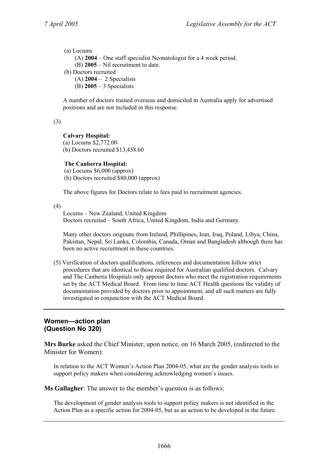(a) Locums

(A) **2004** – One staff specialist Neonatologist for a 4 week period.

(B) **2005** – Nil recruitment to date.

- (b) Doctors recruited
	- (A) **2004** 2 Specialists
	- (B) **2005** 3 Specialists

A number of doctors trained overseas and domiciled in Australia apply for advertised positions and are not included in this response.

(3)

### **Calvary Hospital:**

(a) Locums \$2,772.00 (b) Doctors recruited \$13,458.60

#### **The Canberra Hospital:**

(a) Locums \$6,000 (approx) (b) Doctors recruited \$80,000 (approx)

The above figures for Doctors relate to fees paid to recruitment agencies.

(4)

Locums – New Zealand, United Kingdom Doctors recruited – South Africa, United Kingdom, India and Germany.

Many other doctors originate from Ireland, Phillipines, Iran, Iraq, Poland, Libya, China, Pakistan, Nepal, Sri Lanka, Colombia, Canada, Oman and Bangladesh although there has been no active recruitment in these countries.

(5) Verification of doctors qualifications, references and documentation follow strict procedures that are identical to those required for Australian qualified doctors. Calvary and The Canberra Hospitals only appoint doctors who meet the registration requirements set by the ACT Medical Board. From time to time ACT Health questions the validity of documentation provided by doctors prior to appointment, and all such matters are fully investigated in conjunction with the ACT Medical Board.

### **Women—action plan (Question No 320)**

**Mrs Burke** asked the Chief Minister, upon notice, on 16 March 2005, (redirected to the Minister for Women):

In relation to the ACT Women's Action Plan 2004-05, what are the gender analysis tools to support policy makers when considering acknowledging women's issues.

**Ms Gallagher**: The answer to the member's question is as follows:

The development of gender analysis tools to support policy makers is not identified in the Action Plan as a specific action for 2004-05, but as an action to be developed in the future.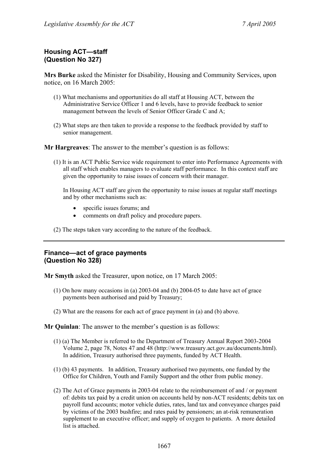# **Housing ACT—staff (Question No 327)**

**Mrs Burke** asked the Minister for Disability, Housing and Community Services, upon notice, on 16 March 2005:

- (1) What mechanisms and opportunities do all staff at Housing ACT, between the Administrative Service Officer 1 and 6 levels, have to provide feedback to senior management between the levels of Senior Officer Grade C and A;
- (2) What steps are then taken to provide a response to the feedback provided by staff to senior management.

**Mr Hargreaves**: The answer to the member's question is as follows:

(1) It is an ACT Public Service wide requirement to enter into Performance Agreements with all staff which enables managers to evaluate staff performance. In this context staff are given the opportunity to raise issues of concern with their manager.

In Housing ACT staff are given the opportunity to raise issues at regular staff meetings and by other mechanisms such as:

- specific issues forums; and
- comments on draft policy and procedure papers.

(2) The steps taken vary according to the nature of the feedback.

### **Finance—act of grace payments (Question No 328)**

**Mr Smyth** asked the Treasurer, upon notice, on 17 March 2005:

- (1) On how many occasions in (a) 2003-04 and (b) 2004-05 to date have act of grace payments been authorised and paid by Treasury;
- (2) What are the reasons for each act of grace payment in (a) and (b) above.

**Mr Quinlan**: The answer to the member's question is as follows:

- (1) (a) The Member is referred to the Department of Treasury Annual Report 2003-2004 Volume 2, page 78, Notes 47 and 48 (http://www.treasury.act.gov.au/documents.html). In addition, Treasury authorised three payments, funded by ACT Health.
- (1) (b) 43 payments. In addition, Treasury authorised two payments, one funded by the Office for Children, Youth and Family Support and the other from public money.
- (2) The Act of Grace payments in 2003-04 relate to the reimbursement of and / or payment of: debits tax paid by a credit union on accounts held by non-ACT residents; debits tax on payroll fund accounts; motor vehicle duties, rates, land tax and conveyance charges paid by victims of the 2003 bushfire; and rates paid by pensioners; an at-risk remuneration supplement to an executive officer; and supply of oxygen to patients. A more detailed list is attached.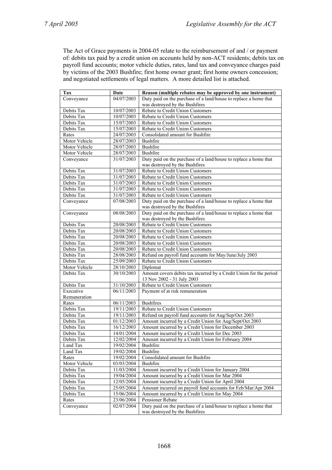The Act of Grace payments in 2004-05 relate to the reimbursement of and / or payment of: debits tax paid by a credit union on accounts held by non-ACT residents; debits tax on payroll fund accounts; motor vehicle duties, rates, land tax and conveyance charges paid by victims of the 2003 Bushfire; first home owner grant; first home owners concession; and negotiated settlements of legal matters. A more detailed list is attached.

| Tax                      | Date                     | Reason (multiple rebates may be approved by one instrument)                                                     |  |
|--------------------------|--------------------------|-----------------------------------------------------------------------------------------------------------------|--|
| Conveyance               | 04/07/2003               | Duty paid on the purchase of a land/house to replace a home that                                                |  |
|                          |                          | was destroyed by the Bushfires                                                                                  |  |
| Debits Tax               | 10/07/2003               | Rebate to Credit Union Customers                                                                                |  |
| Debits Tax               | 10/07/2003               | Rebate to Credit Union Customers                                                                                |  |
| Debits Tax               | 15/07/2003               | Rebate to Credit Union Customers                                                                                |  |
| Debits Tax               | 15/07/2003               | Rebate to Credit Union Customers                                                                                |  |
| Rates                    | 24/07/2003               | Consolidated amount for Bushfire                                                                                |  |
| Motor Vehicle            | 28/07/2003               | <b>Bushfire</b>                                                                                                 |  |
| Motor Vehicle            | 28/07/2003               | Bushfire                                                                                                        |  |
| Motor Vehicle            | 28/07/2003               | Bushfire                                                                                                        |  |
| Conveyance               | 31/07/2003               | Duty paid on the purchase of a land/house to replace a home that                                                |  |
|                          |                          | was destroyed by the Bushfires                                                                                  |  |
| Debits Tax               | 31/07/2003               | Rebate to Credit Union Customers                                                                                |  |
| Debits Tax               | 31/07/2003               | Rebate to Credit Union Customers                                                                                |  |
| Debits Tax               | 31/07/2003               | Rebate to Credit Union Customers                                                                                |  |
| Debits Tax               | 31/07/2003               | Rebate to Credit Union Customers                                                                                |  |
| Debits Tax               | 31/07/2003               | Rebate to Credit Union Customers                                                                                |  |
| Conveyance               | 07/08/2003               | Duty paid on the purchase of a land/house to replace a home that                                                |  |
|                          |                          | was destroyed by the Bushfires                                                                                  |  |
| Conveyance               | 08/08/2003               | Duty paid on the purchase of a land/house to replace a home that                                                |  |
|                          |                          | was destroyed by the Bushfires                                                                                  |  |
| Debits Tax               | 20/08/2003               | Rebate to Credit Union Customers                                                                                |  |
| Debits Tax               | 20/08/2003               | Rebate to Credit Union Customers                                                                                |  |
| Debits Tax               | 20/08/2003               | Rebate to Credit Union Customers                                                                                |  |
| Debits Tax               | 20/08/2003               | Rebate to Credit Union Customers                                                                                |  |
| Debits Tax               | 20/08/2003               | Rebate to Credit Union Customers                                                                                |  |
| Debits Tax               | 28/08/2003               | Refund on payroll fund accounts for May/June/July 2003                                                          |  |
| Debits Tax               | 25/09/2003               | Rebate to Credit Union Customers                                                                                |  |
| Motor Vehicle            | 28/10/2003               | Diplomat                                                                                                        |  |
| Debits Tax               | 30/10/2003               | Amount covers debits tax incurred by a Credit Union for the period                                              |  |
|                          |                          | 13 Nov 2002 - 31 July 2003                                                                                      |  |
| Debits Tax               | 31/10/2003               | Rebate to Credit Union Customers                                                                                |  |
| Executive                | 06/11/2003               | Payment of at risk remuneration                                                                                 |  |
| Remuneration             |                          |                                                                                                                 |  |
| Rates                    | 06/11/2003               | <b>Bushfires</b>                                                                                                |  |
| Debits Tax               | 19/11/2003               | Rebate to Credit Union Customers                                                                                |  |
| Debits Tax               | 19/11/2003               | Refund on payroll fund accounts for Aug/Sep/Oct 2003                                                            |  |
| Debits Tax               | 01/12/2003               | Amount incurred by a Credit Union for Aug/Sept/Oct 2003                                                         |  |
| Debits Tax               | 16/12/2003               | Amount incurred by a Credit Union for December 2003                                                             |  |
| Debits Tax               | 14/01/2004               | Amount incurred by a Credit Union for Dec 2003                                                                  |  |
| Debits Tax               | 12/02/2004               | Amount incurred by a Credit Union for February 2004                                                             |  |
| Land Tax                 | 19/02/2004               | <b>Bushfire</b>                                                                                                 |  |
| Land Tax                 | 19/02/2004               | <b>Bushfire</b><br>Consolidated amount for Bushfire                                                             |  |
| Rates                    | 19/02/2004               |                                                                                                                 |  |
| Motor Vehicle            | 03/03/2004               | <b>Bushfire</b>                                                                                                 |  |
| Debits Tax               | 11/03/2004               | Amount incurred by a Credit Union for January 2004<br>Amount incurred by a Credit Union for Mar 2004            |  |
| Debits Tax<br>Debits Tax | 19/04/2004               | Amount incurred by a Credit Union for April 2004                                                                |  |
|                          | 12/05/2004               |                                                                                                                 |  |
| Debits Tax               | 25/05/2004<br>15/06/2004 | Amount incurred on payroll fund accounts for Feb/Mar/Apr 2004<br>Amount incurred by a Credit Union for May 2004 |  |
| Debits Tax<br>Rates      | 23/06/2004               | Pensioner Rebate                                                                                                |  |
| Conveyance               | 02/07/2004               | Duty paid on the purchase of a land/house to replace a home that                                                |  |
|                          |                          | was destroyed by the Bushfires                                                                                  |  |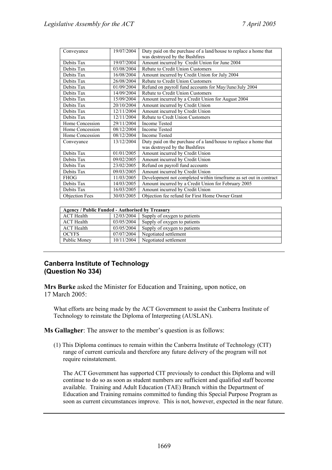| Conveyance            | 19/07/2004 | Duty paid on the purchase of a land/house to replace a home that                                   |
|-----------------------|------------|----------------------------------------------------------------------------------------------------|
|                       |            | was destroyed by the Bushfires                                                                     |
| Debits Tax            | 19/07/2004 | Amount incurred by Credit Union for June 2004                                                      |
| Debits Tax            | 03/08/2004 | Rebate to Credit Union Customers                                                                   |
| Debits Tax            | 16/08/2004 | Amount incurred by Credit Union for July 2004                                                      |
| Debits Tax            | 26/08/2004 | Rebate to Credit Union Customers                                                                   |
| Debits Tax            | 01/09/2004 | Refund on payroll fund accounts for May/June/July 2004                                             |
| Debits Tax            | 14/09/2004 | Rebate to Credit Union Customers                                                                   |
| Debits Tax            | 15/09/2004 | Amount incurred by a Credit Union for August 2004                                                  |
| Debits Tax            | 20/10/2004 | Amount incurred by Credit Union                                                                    |
| Debits Tax            | 12/11/2004 | Amount incurred by Credit Union                                                                    |
| Debits Tax            | 12/11/2004 | Rebate to Credt Union Customers                                                                    |
| Home Concession       | 29/11/2004 | <b>Income Tested</b>                                                                               |
| Home Concession       | 08/12/2004 | <b>Income Tested</b>                                                                               |
| Home Concession       | 08/12/2004 | <b>Income Tested</b>                                                                               |
| Conveyance            | 13/12/2004 | Duty paid on the purchase of a land/house to replace a home that<br>was destroyed by the Bushfires |
| Debits Tax            | 01/01/2005 | Amount incurred by Credit Union                                                                    |
| Debits Tax            | 09/02/2005 | Amount incurred by Credit Union                                                                    |
| Debits Tax            | 23/02/2005 | Refund on payroll fund accounts                                                                    |
| Debits Tax            | 09/03/2005 | Amount incurred by Credit Union                                                                    |
| <b>FHOG</b>           | 11/03/2005 | Development not completed within timeframe as set out in contract                                  |
| Debits Tax            | 14/03/2005 | Amount incurred by a Credit Union for February 2005                                                |
| Debits Tax            | 16/03/2005 | Amount incurred by Credit Union                                                                    |
| <b>Objection Fees</b> | 30/03/2005 | Objection fee refund for First Home Owner Grant                                                    |

| <b>Agency / Public Funded - Authorised by Treasury</b> |            |                              |
|--------------------------------------------------------|------------|------------------------------|
| <b>ACT</b> Health                                      | 12/03/2004 | Supply of oxygen to patients |
| <b>ACT</b> Health                                      | 03/05/2004 | Supply of oxygen to patients |
| <b>ACT</b> Health                                      | 03/05/2004 | Supply of oxygen to patients |
| <b>OCYFS</b>                                           | 07/07/2004 | Negotiated settlement        |
| Public Money                                           | 10/11/2004 | Negotiated settlement        |

# **Canberra Institute of Technology (Question No 334)**

**Mrs Burke** asked the Minister for Education and Training, upon notice, on 17 March 2005:

What efforts are being made by the ACT Government to assist the Canberra Institute of Technology to reinstate the Diploma of Interpreting (AUSLAN).

**Ms Gallagher**: The answer to the member's question is as follows:

(1) This Diploma continues to remain within the Canberra Institute of Technology (CIT) range of current curricula and therefore any future delivery of the program will not require reinstatement.

The ACT Government has supported CIT previously to conduct this Diploma and will continue to do so as soon as student numbers are sufficient and qualified staff become available. Training and Adult Education (TAE) Branch within the Department of Education and Training remains committed to funding this Special Purpose Program as soon as current circumstances improve. This is not, however, expected in the near future.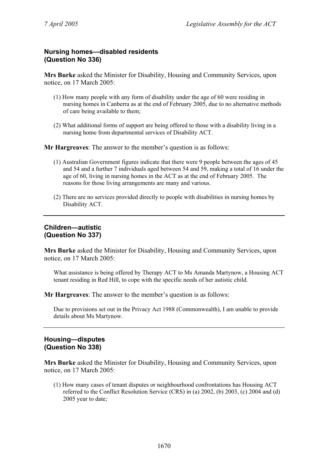# **Nursing homes—disabled residents (Question No 336)**

**Mrs Burke** asked the Minister for Disability, Housing and Community Services, upon notice, on 17 March 2005:

- (1) How many people with any form of disability under the age of 60 were residing in nursing homes in Canberra as at the end of February 2005, due to no alternative methods of care being available to them;
- (2) What additional forms of support are being offered to those with a disability living in a nursing home from departmental services of Disability ACT.

**Mr Hargreaves**: The answer to the member's question is as follows:

- (1) Australian Government figures indicate that there were 9 people between the ages of 45 and 54 and a further 7 individuals aged between 54 and 59, making a total of 16 under the age of 60, living in nursing homes in the ACT as at the end of February 2005. The reasons for those living arrangements are many and various.
- (2) There are no services provided directly to people with disabilities in nursing homes by Disability ACT.

# **Children—autistic (Question No 337)**

**Mrs Burke** asked the Minister for Disability, Housing and Community Services, upon notice, on 17 March 2005:

What assistance is being offered by Therapy ACT to Ms Amanda Martynow, a Housing ACT tenant residing in Red Hill, to cope with the specific needs of her autistic child.

**Mr Hargreaves**: The answer to the member's question is as follows:

Due to provisions set out in the Privacy Act 1988 (Commonwealth), I am unable to provide details about Ms Martynow.

# **Housing—disputes (Question No 338)**

**Mrs Burke** asked the Minister for Disability, Housing and Community Services, upon notice, on 17 March 2005:

(1) How many cases of tenant disputes or neighbourhood confrontations has Housing ACT referred to the Conflict Resolution Service (CRS) in (a) 2002, (b) 2003, (c) 2004 and (d) 2005 year to date;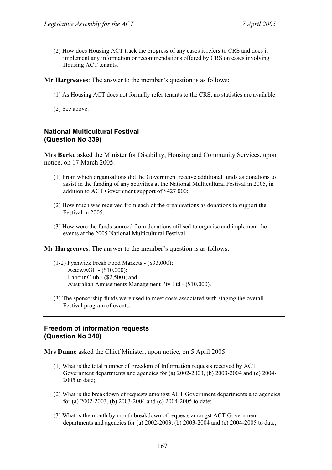(2) How does Housing ACT track the progress of any cases it refers to CRS and does it implement any information or recommendations offered by CRS on cases involving Housing ACT tenants.

**Mr Hargreaves**: The answer to the member's question is as follows:

(1) As Housing ACT does not formally refer tenants to the CRS, no statistics are available.

(2) See above.

# **National Multicultural Festival (Question No 339)**

**Mrs Burke** asked the Minister for Disability, Housing and Community Services, upon notice, on 17 March 2005:

- (1) From which organisations did the Government receive additional funds as donations to assist in the funding of any activities at the National Multicultural Festival in 2005, in addition to ACT Government support of \$427 000;
- (2) How much was received from each of the organisations as donations to support the Festival in 2005;
- (3) How were the funds sourced from donations utilised to organise and implement the events at the 2005 National Multicultural Festival.

**Mr Hargreaves**: The answer to the member's question is as follows:

- (1-2) Fyshwick Fresh Food Markets (\$33,000); ActewAGL - (\$10,000); Labour Club - (\$2,500); and Australian Amusements Management Pty Ltd - (\$10,000).
- (3) The sponsorship funds were used to meet costs associated with staging the overall Festival program of events.

# **Freedom of information requests (Question No 340)**

**Mrs Dunne** asked the Chief Minister, upon notice, on 5 April 2005:

- (1) What is the total number of Freedom of Information requests received by ACT Government departments and agencies for (a) 2002-2003, (b) 2003-2004 and (c) 2004- 2005 to date;
- (2) What is the breakdown of requests amongst ACT Government departments and agencies for (a) 2002-2003, (b) 2003-2004 and (c) 2004-2005 to date;
- (3) What is the month by month breakdown of requests amongst ACT Government departments and agencies for (a) 2002-2003, (b) 2003-2004 and (c) 2004-2005 to date;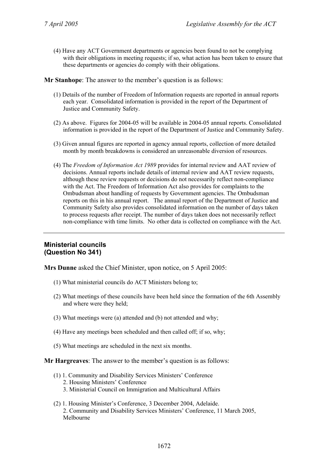(4) Have any ACT Government departments or agencies been found to not be complying with their obligations in meeting requests; if so, what action has been taken to ensure that these departments or agencies do comply with their obligations.

**Mr Stanhope**: The answer to the member's question is as follows:

- (1) Details of the number of Freedom of Information requests are reported in annual reports each year. Consolidated information is provided in the report of the Department of Justice and Community Safety.
- (2) As above. Figures for 2004-05 will be available in 2004-05 annual reports. Consolidated information is provided in the report of the Department of Justice and Community Safety.
- (3) Given annual figures are reported in agency annual reports, collection of more detailed month by month breakdowns is considered an unreasonable diversion of resources.
- (4) The *Freedom of Information Act 1989* provides for internal review and AAT review of decisions. Annual reports include details of internal review and AAT review requests, although these review requests or decisions do not necessarily reflect non-compliance with the Act. The Freedom of Information Act also provides for complaints to the Ombudsman about handling of requests by Government agencies. The Ombudsman reports on this in his annual report. The annual report of the Department of Justice and Community Safety also provides consolidated information on the number of days taken to process requests after receipt. The number of days taken does not necessarily reflect non-compliance with time limits. No other data is collected on compliance with the Act.

### **Ministerial councils (Question No 341)**

**Mrs Dunne** asked the Chief Minister, upon notice, on 5 April 2005:

- (1) What ministerial councils do ACT Ministers belong to;
- (2) What meetings of these councils have been held since the formation of the 6th Assembly and where were they held;
- (3) What meetings were (a) attended and (b) not attended and why;
- (4) Have any meetings been scheduled and then called off; if so, why;
- (5) What meetings are scheduled in the next six months.

### **Mr Hargreaves**: The answer to the member's question is as follows:

- (1) 1. Community and Disability Services Ministers' Conference
	- 2. Housing Ministers' Conference
	- 3. Ministerial Council on Immigration and Multicultural Affairs
- (2) 1. Housing Minister's Conference, 3 December 2004, Adelaide. 2. Community and Disability Services Ministers' Conference, 11 March 2005, Melbourne